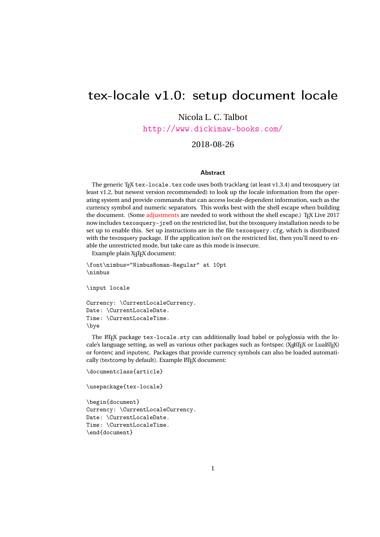# tex-locale v1.0: setup document locale

Nicola L. C. Talbot

<http://www.dickimaw-books.com/>

2018-08-26

#### Abstract

The generic T<sub>E</sub>X tex-locale.tex code uses both tracklang (at least v1.3.4) and texosquery (at least v1.2, but newest version recommended) to look up the locale information from the operating system and provide commands that can access locale-dependent information, such as the currency symbol and numeric separators. This works best with the shell escape when building the document. (Some [adjustments](#page-5-0) are needed to work without the shell escape.) TEX Live 2017 now includes texosquery-jre8 on the restricted list, but the texosquery installation needs to be set up to enable this. Set up instructions are in the file texosquery.cfg, which is distributed with the texosquery package. If the application isn't on the restricted list, then you'll need to enable the unrestricted mode, but take care as this mode is insecure.

Example plain X<sub>H</sub>TEX document:

```
\font\nimbus="NimbusRoman-Regular" at 10pt
\nimbus
```
\input locale

```
Currency: \CurrentLocaleCurrency.
Date: \CurrentLocaleDate.
Time: \CurrentLocaleTime.
\bye
```
The ET<sub>E</sub>X package tex-locale.sty can additionally load babel or polyglossia with the locale's language setting, as well as various other packages such as fontspec (X<sub>I</sub>MEX or LuaMEX) or fontenc and inputenc. Packages that provide currency symbols can also be loaded automatically (textcomp by default). Example LATEX document:

```
\documentclass{article}
```

```
\usepackage{tex-locale}
```

```
\begin{document}
Currency: \CurrentLocaleCurrency.
Date: \CurrentLocaleDate.
Time: \CurrentLocaleTime.
\end{document}
```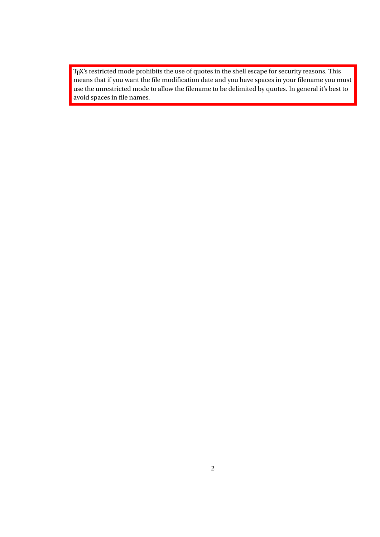TEX's restricted mode prohibits the use of quotes in the shell escape for security reasons. This means that if you want the file modification date and you have spaces in your filename you must use the unrestricted mode to allow the filename to be delimited by quotes. In general it's best to avoid spaces in file names.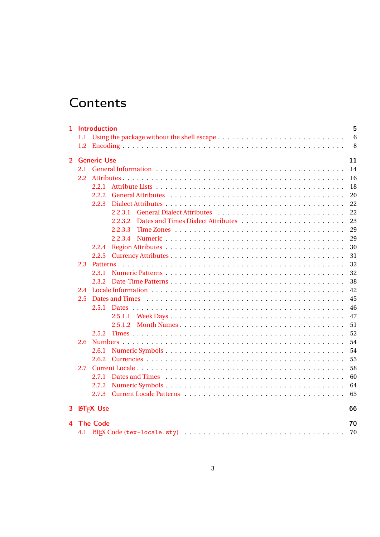# **Contents**

| 1. |     | <b>Introduction</b> |  |  | 5<br>6<br>8 |
|----|-----|---------------------|--|--|-------------|
|    |     | 2 Generic Use       |  |  | 11          |
|    |     |                     |  |  | 14          |
|    | 2.2 |                     |  |  | 16          |
|    |     | 2.2.1               |  |  | 18          |
|    |     |                     |  |  |             |
|    |     | 2.2.2               |  |  | 20          |
|    |     | 2.2.3               |  |  | 22          |
|    |     | 2.2.3.1             |  |  | 22          |
|    |     | 2.2.3.2             |  |  | 23          |
|    |     | 2.2.3.3             |  |  | 29          |
|    |     | 2.2.3.4             |  |  | 29          |
|    |     | 2.2.4               |  |  | 30          |
|    |     | 2.2.5               |  |  | 31          |
|    | 2.3 |                     |  |  | 32          |
|    |     | 2.3.1               |  |  | 32          |
|    |     | 2.3.2               |  |  | 38          |
|    | 2.4 |                     |  |  | 42          |
|    | 2.5 |                     |  |  | 45          |
|    |     |                     |  |  | 46          |
|    |     |                     |  |  | 47          |
|    |     | 2.5.1.2             |  |  | 51          |
|    |     | 2.5.2               |  |  | 52          |
|    | 2.6 |                     |  |  | 54          |
|    |     | 2.6.1               |  |  | 54          |
|    |     | 2.6.2               |  |  | 55          |
|    | 2.7 |                     |  |  | 58          |
|    |     | 2.7.1               |  |  | 60          |
|    |     | 2.7.2               |  |  | 64          |
|    |     |                     |  |  | 65          |
|    |     |                     |  |  |             |
|    |     | 3 LATFX Use         |  |  | 66          |
|    |     | 4 The Code          |  |  | 70          |
|    |     |                     |  |  | 70          |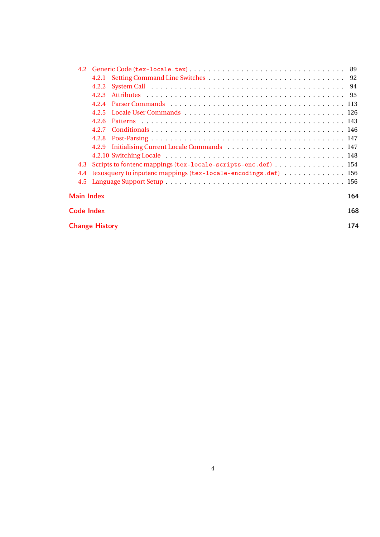| 4.2.2                                                                 |     |
|-----------------------------------------------------------------------|-----|
| 4.2.3                                                                 |     |
|                                                                       |     |
| 4.2.5                                                                 |     |
| 426                                                                   |     |
|                                                                       |     |
|                                                                       |     |
|                                                                       |     |
|                                                                       |     |
| 4.3 Scripts to fontenc mappings (tex-locale-scripts-enc.def)  154     |     |
| texosquery to inputenc mappings (tex-locale-encodings.def) 156<br>4.4 |     |
|                                                                       |     |
| <b>Main Index</b>                                                     | 164 |
| Code Index                                                            | 168 |
| <b>Change History</b>                                                 | 174 |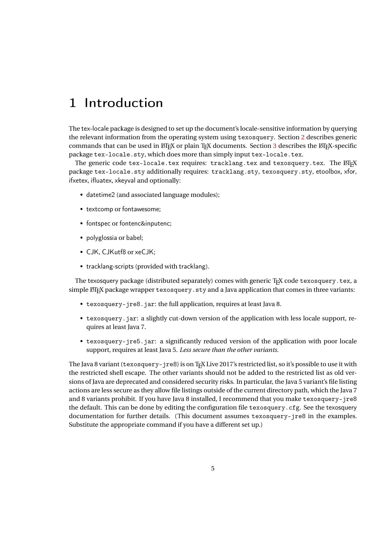# <span id="page-4-0"></span>1 Introduction

The tex-locale package is designed to set up the document's locale-sensitive information by querying the relevant information from the operating system using texosquery. Section [2](#page-10-0) describes generic commands that can be used in LATEX or plain TEX documents. Section [3](#page-65-0) describes the LATEX-specific package tex-locale.sty, which does more than simply input tex-locale.tex.

The generic code tex-locale.tex requires: tracklang.tex and texosquery.tex. The ETEX package tex-locale.sty additionally requires: tracklang.sty, texosquery.sty, etoolbox, xfor, ifxetex, ifluatex, xkeyval and optionally:

- datetime2 (and associated language modules);
- textcomp or fontawesome;
- fontspec or fontenc&inputenc;
- polyglossia or babel;
- CJK, CJKutf8 or xeCJK;
- tracklang-scripts (provided with tracklang).

The texosquery package (distributed separately) comes with generic  $T_FX$  code texosquery.tex, a simple  $\text{M}$ <sub>E</sub>X package wrapper texosquery. sty and a Java application that comes in three variants:

- texosquery-jre8.jar: the full application, requires at least Java 8.
- texosquery. jar: a slightly cut-down version of the application with less locale support, requires at least Java 7.
- texosquery-jre5.jar: a significantly reduced version of the application with poor locale support, requires at least Java 5. *Less secure than the other variants.*

The Java 8 variant (texosquery-jre8) is on TEX Live 2017's restricted list, so it's possible to use it with the restricted shell escape. The other variants should not be added to the restricted list as old versions of Java are deprecated and considered security risks. In particular, the Java 5 variant's file listing actions are less secure as they allow file listings outside of the current directory path, which the Java 7 and 8 variants prohibit. If you have Java 8 installed, I recommend that you make texosquery-jre8 the default. This can be done by editing the configuration file texosquery.cfg. See the texosquery documentation for further details. (This document assumes texosquery-jre8 in the examples. Substitute the appropriate command if you have a different set up.)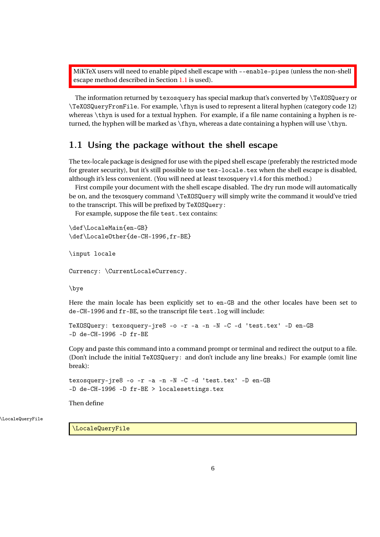MiKTeX users will need to enable piped shell escape with --enable-pipes (unless the non-shell escape method described in Section [1.1](#page-5-0) is used).

The information returned by texosquery has special markup that's converted by \TeXOSQuery or \TeXOSQueryFromFile. For example, \fhyn is used to represent a literal hyphen (category code 12) whereas \thyn is used for a textual hyphen. For example, if a file name containing a hyphen is returned, the hyphen will be marked as \fhyn, whereas a date containing a hyphen will use \thyn.

## <span id="page-5-0"></span>1.1 Using the package without the shell escape

The tex-locale package is designed for use with the piped shell escape (preferably the restricted mode for greater security), but it's still possible to use tex-locale.tex when the shell escape is disabled, although it's less convenient. (You will need at least texosquery v1.4 for this method.)

First compile your document with the shell escape disabled. The dry run mode will automatically be on, and the texosquery command \TeXOSQuery will simply write the command it would've tried to the transcript. This will be prefixed by TeXOSQuery:

For example, suppose the file test.tex contains:

```
\def\LocaleMain{en-GB}
\def\LocaleOther{de-CH-1996,fr-BE}
```

```
\input locale
```
Currency: \CurrentLocaleCurrency.

\bye

Here the main locale has been explicitly set to en-GB and the other locales have been set to de-CH-1996 and fr-BE, so the transcript file test.log will include:

```
TeXOSQuery: texosquery-jre8 -o -r -a -n -N -C -d 'test.tex' -D en-GB
-D de-CH-1996 -D fr-BE
```
Copy and paste this command into a command prompt or terminal and redirect the output to a file. (Don't include the initial TeXOSQuery: and don't include any line breaks.) For example (omit line break):

```
texosquery-jre8 -o -r -a -n -N -C -d 'test.tex' -D en-GB
-D de-CH-1996 -D fr-BE > localesettings.tex
```
Then define

\LocaleQueryFile

\LocaleQueryFile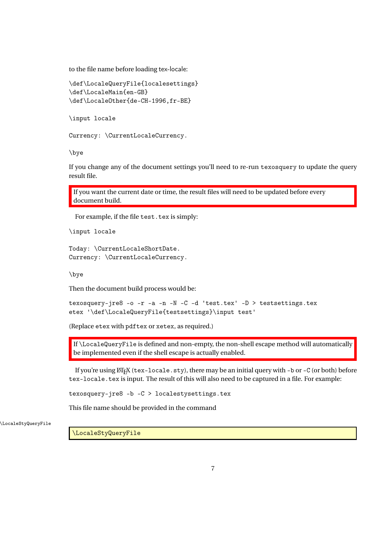to the file name before loading tex-locale:

```
\def\LocaleQueryFile{localesettings}
\def\LocaleMain{en-GB}
\def\LocaleOther{de-CH-1996,fr-BE}
```
\input locale

Currency: \CurrentLocaleCurrency.

\bye

If you change any of the document settings you'll need to re-run texosquery to update the query result file.

If you want the current date or time, the result files will need to be updated before every document build.

For example, if the file test.tex is simply:

\input locale

```
Today: \CurrentLocaleShortDate.
Currency: \CurrentLocaleCurrency.
```
\bye

Then the document build process would be:

```
texosquery-jre8 -o -r -a -n -N -C -d 'test.tex' -D > testsettings.tex
etex '\def\LocaleQueryFile{testsettings}\input test'
```
(Replace etex with pdftex or xetex, as required.)

If \LocaleQueryFile is defined and non-empty, the non-shell escape method will automatically be implemented even if the shell escape is actually enabled.

If you're using  $\mathbb{F}$ <sub>TEX</sub> (tex-locale.sty), there may be an initial query with -b or -C (or both) before tex-locale.tex is input. The result of this will also need to be captured in a file. For example:

texosquery-jre8 -b -C > localestysettings.tex

This file name should be provided in the command

\LocaleStyQueryFile

\LocaleStyQueryFile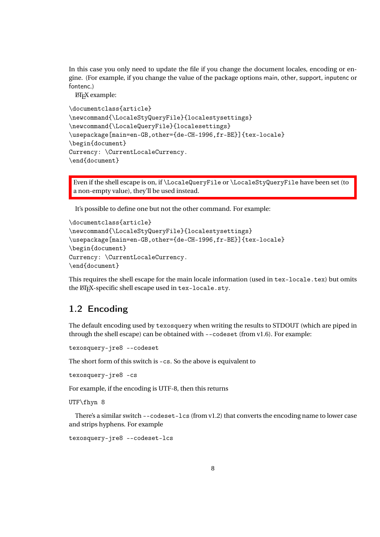In this case you only need to update the file if you change the document locales, encoding or engine. (For example, if you change the value of the package options main, other, support, inputenc or fontenc.)

LATEX example:

```
\documentclass{article}
\newcommand{\LocaleStyQueryFile}{localestysettings}
\newcommand{\LocaleQueryFile}{localesettings}
\usepackage[main=en-GB,other={de-CH-1996,fr-BE}]{tex-locale}
\begin{document}
Currency: \CurrentLocaleCurrency.
\end{document}
```
Even if the shell escape is on, if \LocaleQueryFile or \LocaleStyQueryFile have been set (to a non-empty value), they'll be used instead.

It's possible to define one but not the other command. For example:

```
\documentclass{article}
\newcommand{\LocaleStyQueryFile}{localestysettings}
\usepackage[main=en-GB,other={de-CH-1996,fr-BE}]{tex-locale}
\begin{document}
Currency: \CurrentLocaleCurrency.
\end{document}
```
This requires the shell escape for the main locale information (used in tex-locale.tex) but omits the LATEX-specific shell escape used in tex-locale.sty.

## <span id="page-7-0"></span>1.2 Encoding

The default encoding used by texosquery when writing the results to STDOUT (which are piped in through the shell escape) can be obtained with --codeset (from v1.6). For example:

texosquery-jre8 --codeset

The short form of this switch is -cs. So the above is equivalent to

texosquery-jre8 -cs

For example, if the encoding is UTF-8, then this returns

UTF\fhyn 8

There's a similar switch --codeset-lcs (from v1.2) that converts the encoding name to lower case and strips hyphens. For example

texosquery-jre8 --codeset-lcs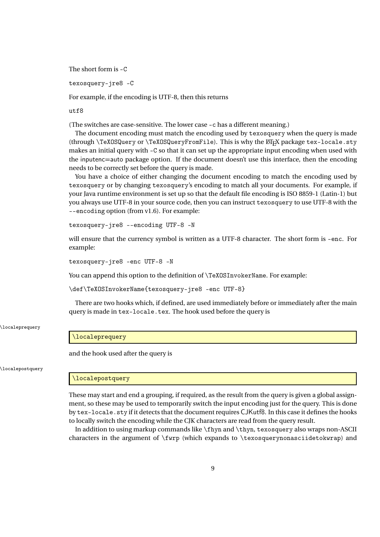The short form is -C

texosquery-jre8 -C

For example, if the encoding is UTF-8, then this returns

utf8

(The switches are case-sensitive. The lower case -c has a different meaning.)

The document encoding must match the encoding used by texosquery when the query is made (through \TeXOSQuery or \TeXOSQueryFromFile). This is why the LATEX package tex-locale.sty makes an initial query with -C so that it can set up the appropriate input encoding when used with the inputenc=auto package option. If the document doesn't use this interface, then the encoding needs to be correctly set before the query is made.

You have a choice of either changing the document encoding to match the encoding used by texosquery or by changing texosquery's encoding to match all your documents. For example, if your Java runtime environment is set up so that the default file encoding is ISO 8859-1 (Latin-1) but you always use UTF-8 in your source code, then you can instruct texosquery to use UTF-8 with the --encoding option (from v1.6). For example:

```
texosquery-jre8 --encoding UTF-8 -N
```
will ensure that the currency symbol is written as a UTF-8 character. The short form is -enc. For example:

texosquery-jre8 -enc UTF-8 -N

You can append this option to the definition of  $\Tek{OSInvokerName}$ . For example:

\def\TeXOSInvokerName{texosquery-jre8 -enc UTF-8}

There are two hooks which, if defined, are used immediately before or immediately after the main query is made in tex-locale.tex. The hook used before the query is

\localeprequery

#### \localeprequery

and the hook used after the query is

\localepostquery

#### \localepostquery

These may start and end a grouping, if required, as the result from the query is given a global assignment, so these may be used to temporarily switch the input encoding just for the query. This is done by tex-locale.sty if it detects that the document requires CJKutf8. In this case it defines the hooks to locally switch the encoding while the CJK characters are read from the query result.

In addition to using markup commands like \fhyn and \thyn, texosquery also wraps non-ASCII characters in the argument of \fwrp (which expands to \texosquerynonasciidetokwrap) and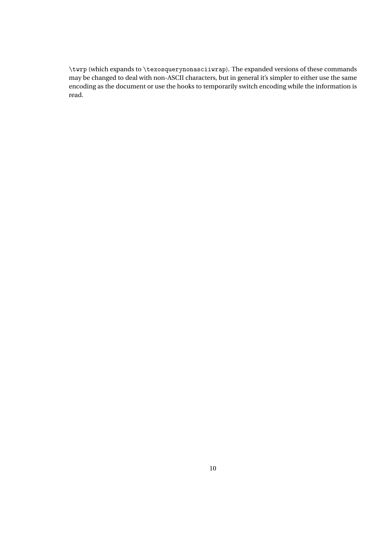\twrp (which expands to \texosquerynonasciiwrap). The expanded versions of these commands may be changed to deal with non-ASCII characters, but in general it's simpler to either use the same encoding as the document or use the hooks to temporarily switch encoding while the information is read.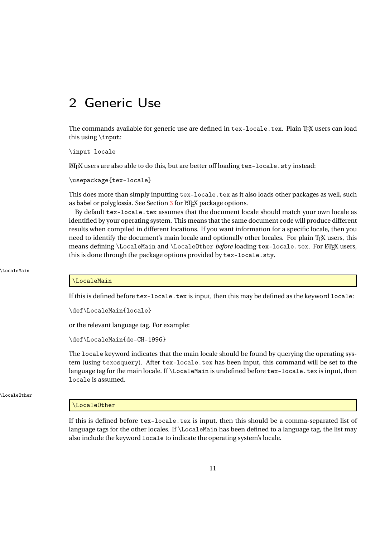# <span id="page-10-0"></span>2 Generic Use

The commands available for generic use are defined in tex-locale.tex. Plain TFX users can load this using \input:

\input locale

LATEX users are also able to do this, but are better off loading tex-locale.sty instead:

\usepackage{tex-locale}

This does more than simply inputting tex-locale.tex as it also loads other packages as well, such as babel or polyglossia. See Section [3](#page-65-0) for LATEX package options.

By default tex-locale.tex assumes that the document locale should match your own locale as identified by your operating system. This means that the same document code will produce different results when compiled in different locations. If you want information for a specific locale, then you need to identify the document's main locale and optionally other locales. For plain T<sub>EX</sub> users, this means defining \LocaleMain and \LocaleOther *before* loading tex-locale.tex. For LATEX users, this is done through the package options provided by tex-locale.sty.

#### \LocaleMain

#### \LocaleMain

If this is defined before tex-locale.tex is input, then this may be defined as the keyword locale:

\def\LocaleMain{locale}

or the relevant language tag. For example:

\def\LocaleMain{de-CH-1996}

The locale keyword indicates that the main locale should be found by querying the operating system (using texosquery). After tex-locale.tex has been input, this command will be set to the language tag for the main locale. If \LocaleMain is undefined before tex-locale.tex is input, then locale is assumed.

\LocaleOther

#### \LocaleOther

If this is defined before tex-locale.tex is input, then this should be a comma-separated list of language tags for the other locales. If \LocaleMain has been defined to a language tag, the list may also include the keyword locale to indicate the operating system's locale.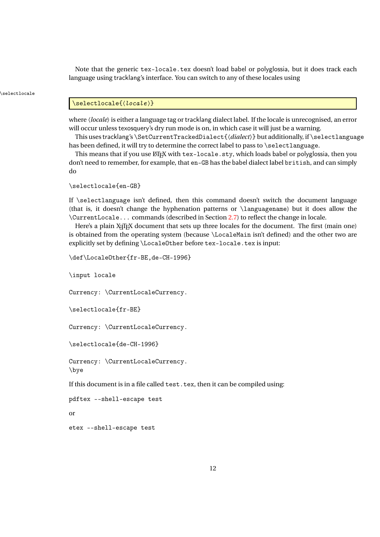Note that the generic tex-locale.tex doesn't load babel or polyglossia, but it does track each language using tracklang's interface. You can switch to any of these locales using

#### \selectlocale

#### \selectlocale{(locale)}

where  $\langle locale\rangle$  is either a language tag or tracklang dialect label. If the locale is unrecognised, an error will occur unless texosquery's dry run mode is on, in which case it will just be a warning.

This uses tracklang's \SetCurrentTrackedDialect{〈*dialect*〉} but additionally, if \selectlanguage has been defined, it will try to determine the correct label to pass to \selectlanguage.

This means that if you use  $\mathbb{F}F[X]$  with tex-locale.sty, which loads babel or polyglossia, then you don't need to remember, for example, that en-GB has the babel dialect label british, and can simply do

\selectlocale{en-GB}

If  $\setminus$  selectlanguage isn't defined, then this command doesn't switch the document language (that is, it doesn't change the hyphenation patterns or \languagename) but it does allow the \CurrentLocale... commands (described in Section [2.7\)](#page-57-0) to reflect the change in locale.

Here's a plain X<sub>T</sub>IFX document that sets up three locales for the document. The first (main one) is obtained from the operating system (because \LocaleMain isn't defined) and the other two are explicitly set by defining \LocaleOther before tex-locale.tex is input:

```
\def\LocaleOther{fr-BE,de-CH-1996}
```
\input locale

Currency: \CurrentLocaleCurrency.

```
\selectlocale{fr-BE}
```
Currency: \CurrentLocaleCurrency.

```
\selectlocale{de-CH-1996}
```

```
Currency: \CurrentLocaleCurrency.
\bye
```
If this document is in a file called test.tex, then it can be compiled using:

```
pdftex --shell-escape test
```
or

```
etex --shell-escape test
```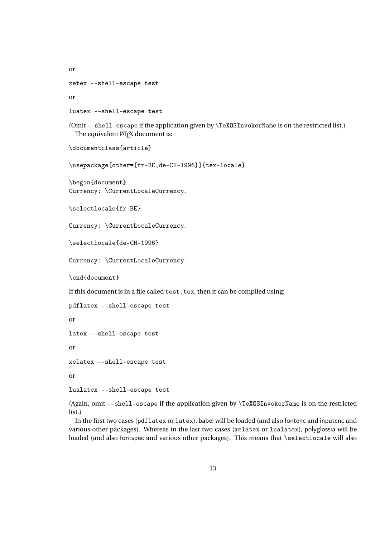```
or
```

```
xetex --shell-escape test
```
or

```
luatex --shell-escape test
```
(Omit --shell-escape if the application given by \TeXOSInvokerName is on the restricted list.) The equivalent LATEX document is:

```
\documentclass{article}
```
\usepackage[other={fr-BE,de-CH-1996}]{tex-locale}

\begin{document} Currency: \CurrentLocaleCurrency.

\selectlocale{fr-BE}

Currency: \CurrentLocaleCurrency.

\selectlocale{de-CH-1996}

Currency: \CurrentLocaleCurrency.

\end{document}

If this document is in a file called test.tex, then it can be compiled using:

```
pdflatex --shell-escape test
```
or

latex --shell-escape test

or

xelatex --shell-escape test

or

```
lualatex --shell-escape test
```
(Again, omit --shell-escape if the application given by \TeXOSInvokerName is on the restricted list.)

In the first two cases (pdflatex or latex), babel will be loaded (and also fontenc and inputenc and various other packages). Whereas in the last two cases (xelatex or lualatex), polyglossia will be loaded (and also fontspec and various other packages). This means that \selectlocale will also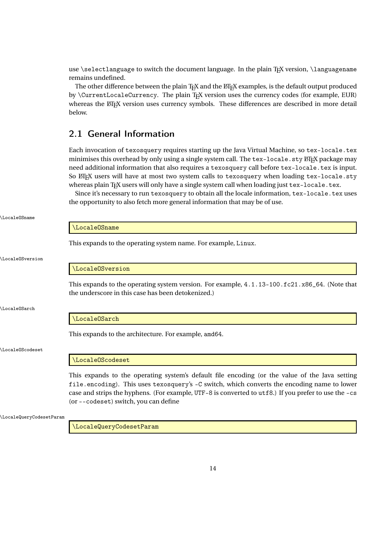use \selectlanguage to switch the document language. In the plain T<sub>EX</sub> version, \languagename remains undefined.

The other difference between the plain TEX and the LATEX examples, is the default output produced by *\CurrentLocaleCurrency*. The plain T<sub>E</sub>X version uses the currency codes (for example, EUR) whereas the ETEX version uses currency symbols. These differences are described in more detail below.

## <span id="page-13-0"></span>2.1 General Information

Each invocation of texosquery requires starting up the Java Virtual Machine, so tex-locale.tex minimises this overhead by only using a single system call. The tex-locale. sty ETFX package may need additional information that also requires a texosquery call before tex-locale.tex is input. So LIFX users will have at most two system calls to texosquery when loading tex-locale.sty whereas plain T<sub>E</sub>X users will only have a single system call when loading just tex-locale.tex.

Since it's necessary to run texosquery to obtain all the locale information, tex-locale.tex uses the opportunity to also fetch more general information that may be of use.

|                        | \Locale0Sname                                                                                                                                                                                                                                                                                                                                  |  |  |
|------------------------|------------------------------------------------------------------------------------------------------------------------------------------------------------------------------------------------------------------------------------------------------------------------------------------------------------------------------------------------|--|--|
|                        | This expands to the operating system name. For example, Linux.                                                                                                                                                                                                                                                                                 |  |  |
| <b>LocaleOSversion</b> |                                                                                                                                                                                                                                                                                                                                                |  |  |
|                        | \Locale0Sversion                                                                                                                                                                                                                                                                                                                               |  |  |
|                        | This expands to the operating system version. For example, $4.1.13-100.fc21.x86_64$ . (Note that<br>the underscore in this case has been detokenized.)                                                                                                                                                                                         |  |  |
| LocaleOSarch           |                                                                                                                                                                                                                                                                                                                                                |  |  |
|                        | \Locale0Sarch                                                                                                                                                                                                                                                                                                                                  |  |  |
|                        | This expands to the architecture. For example, amd64.                                                                                                                                                                                                                                                                                          |  |  |
| LocaleOScodeset        |                                                                                                                                                                                                                                                                                                                                                |  |  |
|                        | \LocaleOScodeset                                                                                                                                                                                                                                                                                                                               |  |  |
|                        | This expands to the operating system's default file encoding (or the value of the Java setting<br>file.encoding). This uses texosquery's -C switch, which converts the encoding name to lower<br>case and strips the hyphens. (For example, UTF-8 is converted to utf8.) If you prefer to use the -cs<br>(or --codeset) switch, you can define |  |  |

\LocaleQueryCodesetParam

\LocaleOSname

\LocaleQueryCodesetParam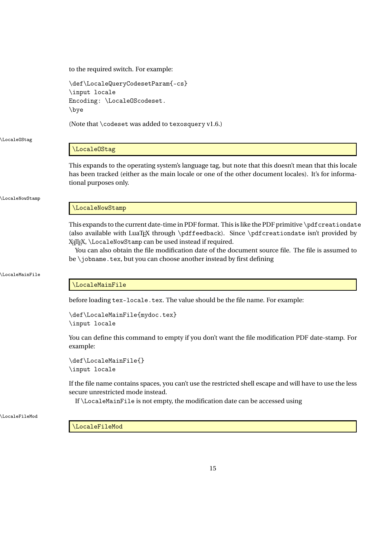to the required switch. For example:

\def\LocaleQueryCodesetParam{-cs} \input locale Encoding: \LocaleOScodeset. \bye

(Note that \codeset was added to texosquery v1.6.)

\LocaleOStag

#### \LocaleOStag

This expands to the operating system's language tag, but note that this doesn't mean that this locale has been tracked (either as the main locale or one of the other document locales). It's for informational purposes only.

\LocaleNowStamp

### \LocaleNowStamp

This expands to the current date-time in PDF format. This is like the PDF primitive \pdfcreationdate (also available with LuaTEX through \pdffeedback). Since \pdfcreationdate isn't provided by X<sub>T</sub>T<sub>E</sub>X, \LocaleNowStamp can be used instead if required.

You can also obtain the file modification date of the document source file. The file is assumed to be \jobname.tex, but you can choose another instead by first defining

#### \LocaleMainFile

#### \LocaleMainFile

before loading tex-locale.tex. The value should be the file name. For example:

```
\def\LocaleMainFile{mydoc.tex}
\input locale
```
You can define this command to empty if you don't want the file modification PDF date-stamp. For example:

```
\def\LocaleMainFile{}
\input locale
```
If the file name contains spaces, you can't use the restricted shell escape and will have to use the less secure unrestricted mode instead.

If \LocaleMainFile is not empty, the modification date can be accessed using

\LocaleFileMod

\LocaleFileMod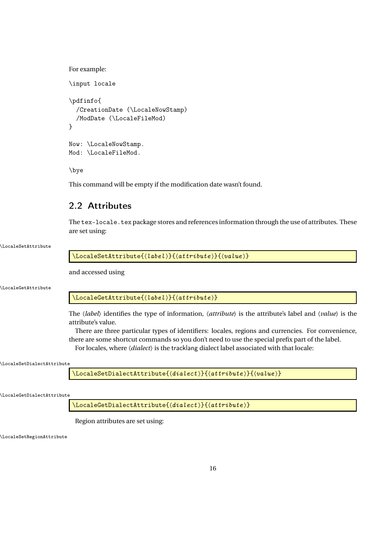```
For example:
\input locale
\pdfinfo{
  /CreationDate (\LocaleNowStamp)
  /ModDate (\LocaleFileMod)
}
Now: \LocaleNowStamp.
Mod: \LocaleFileMod.
```
\bye

This command will be empty if the modification date wasn't found.

# <span id="page-15-0"></span>2.2 Attributes

The tex-locale.tex package stores and references information through the use of attributes. These are set using:

#### \LocaleSetAttribute

\LocaleSetAttribute{(label)}{(attribute)}{(value)}

and accessed using

\LocaleGetAttribute

\LocaleGetAttribute{(label)}{(attribute)}

The 〈*label*〉 identifies the type of information, 〈*attribute*〉 is the attribute's label and 〈*value*〉 is the attribute's value.

There are three particular types of identifiers: locales, regions and currencies. For convenience, there are some shortcut commands so you don't need to use the special prefix part of the label.

For locales, where 〈*dialect*〉 is the tracklang dialect label associated with that locale:

#### \LocaleSetDialectAttribute

\LocaleSetDialectAttribute{(dialect)}{(attribute)}{(value)}

\LocaleGetDialectAttribute

 $\verb+\LocaleGetDialectAttribute(\verb+\+| and \verb+\| (dialect) \verb+\+| (attribute) \verb+\+|$ 

Region attributes are set using:

\LocaleSetRegionAttribute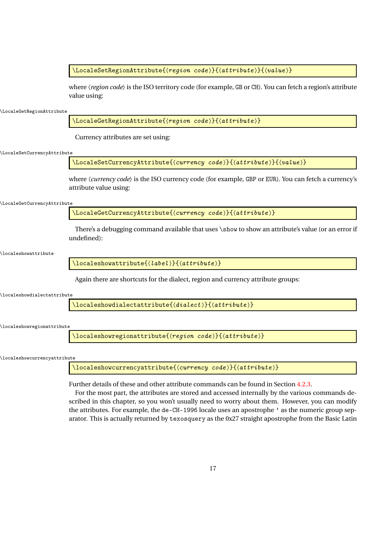\LocaleSetRegionAttribute{ $\langle region\ code \rangle$ }{ $\langle attribute \rangle$ }{ $\langle value \rangle$ }

where  $\langle region code \rangle$  is the ISO territory code (for example, GB or CH). You can fetch a region's attribute value using:

\LocaleGetRegionAttribute

\LocaleGetRegionAttribute{〈region code 〉}{〈attribute 〉}

Currency attributes are set using:

\LocaleSetCurrencyAttribute

\LocaleSetCurrencyAttribute{ $\{ \langle \text{currentc} y \text{ code } \rangle \} \{ \langle \text{attribute} \rangle \} \{ \langle \text{value} \rangle \}$ 

where  $\langle current \rangle$  *code* $\rangle$  is the ISO currency code (for example, GBP or EUR). You can fetch a currency's attribute value using:

\LocaleGetCurrencyAttribute

\LocaleGetCurrencyAttribute{〈currency code 〉}{〈attribute 〉}

There's a debugging command available that uses \show to show an attribute's value (or an error if undefined):

\localeshowattribute

 $\langle$ localeshowattribute $\{$  $\langle$ *label* $\rangle$ } $\{$  $\langle$ *attribute* $\rangle$ }

Again there are shortcuts for the dialect, region and currency attribute groups:

\localeshowdialectattribute

 $\setminus$ localeshowdialectattribute $\{$  $\langle$ dialect $\rangle\}$  $\{$  $\langle$ attribute $\rangle\}$ 

\localeshowregionattribute

 $\setminus$ localeshowregionattribute $\{\langle region\ code \rangle\}\{\langle attribute \rangle\}$ 

\localeshowcurrencyattribute

\localeshowcurrencyattribute{〈currency code 〉}{〈attribute 〉}

Further details of these and other attribute commands can be found in Section [4.2.3.](#page-94-0)

For the most part, the attributes are stored and accessed internally by the various commands described in this chapter, so you won't usually need to worry about them. However, you can modify the attributes. For example, the de-CH-1996 locale uses an apostrophe ' as the numeric group separator. This is actually returned by texosquery as the 0x27 straight apostrophe from the Basic Latin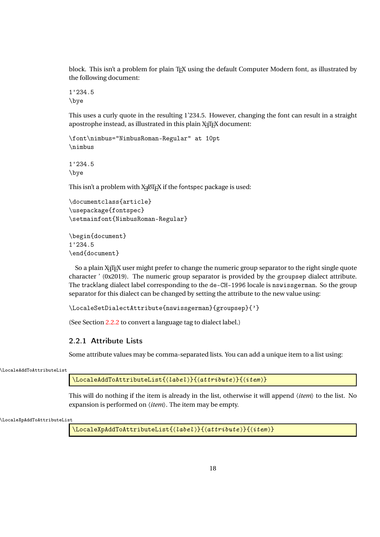block. This isn't a problem for plain T<sub>EX</sub> using the default Computer Modern font, as illustrated by the following document:

1'234.5 \bye

This uses a curly quote in the resulting 1'234.5. However, changing the font can result in a straight apostrophe instead, as illustrated in this plain X<sub>T</sub>T<sub>F</sub>X document:

\font\nimbus="NimbusRoman-Regular" at 10pt \nimbus

1'234.5 \bye

This isn't a problem with  $X_{\exists}$   $\boxtimes$   $\Gamma_{\!\!E}$ X if the fontspec package is used:

```
\documentclass{article}
\usepackage{fontspec}
\setmainfont{NimbusRoman-Regular}
```

```
\begin{document}
1'234.5
\end{document}
```
So a plain X<sub>T</sub>T<sub>E</sub>X user might prefer to change the numeric group separator to the right single quote character ' (0x2019). The numeric group separator is provided by the groupsep dialect attribute. The tracklang dialect label corresponding to the de-CH-1996 locale is nswissgerman. So the group separator for this dialect can be changed by setting the attribute to the new value using:

```
\LocaleSetDialectAttribute{nswissgerman}{groupsep}{'}
```
(See Section [2.2.2](#page-19-0) to convert a language tag to dialect label.)

## <span id="page-17-0"></span>2.2.1 Attribute Lists

Some attribute values may be comma-separated lists. You can add a unique item to a list using:

\LocaleAddToAttributeList

\LocaleAddToAttributeList{\label}}{\attribute}}{\item}}

This will do nothing if the item is already in the list, otherwise it will append 〈*item*〉 to the list. No expansion is performed on 〈*item*〉. The item may be empty.

```
\LocaleXpAddToAttributeList
```
 $\setminus$ LocaleXpAddToAttributeList $\{ \langle \textit{label} \rangle \}$ } $\{ \langle \textit{attribute} \rangle \}$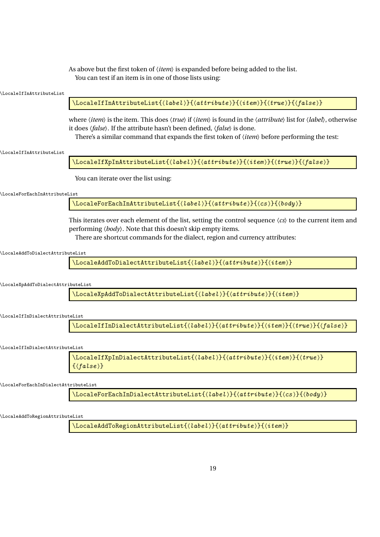As above but the first token of  $\langle item \rangle$  is expanded before being added to the list. You can test if an item is in one of those lists using:

| LocaleIfInAttributeList              |                                                                                                                                                                                                                                                                                                                                                                                                                           |
|--------------------------------------|---------------------------------------------------------------------------------------------------------------------------------------------------------------------------------------------------------------------------------------------------------------------------------------------------------------------------------------------------------------------------------------------------------------------------|
|                                      | $\verb+\localeIfInAttributeList({\it label}){} {\{attribute\}}{} {\{item}{\{true\}}{} {\{false\}}$                                                                                                                                                                                                                                                                                                                        |
|                                      | where $\langle item \rangle$ is the item. This does $\langle true \rangle$ if $\langle item \rangle$ is found in the $\langle attribute \rangle$ list for $\langle label \rangle$ , otherwise<br>it does $\langle false \rangle$ . If the attribute hasn't been defined, $\langle false \rangle$ is done.<br>There's a similar command that expands the first token of $\langle item \rangle$ before performing the test: |
| <b>\LocaleIfInAttributeList</b>      |                                                                                                                                                                                                                                                                                                                                                                                                                           |
|                                      | $\verb+\localeIfXpInAttributeList({\it label}){\{(attribute)\}{{\it tree}}{\{\it true}\}{{\it false}\}}$                                                                                                                                                                                                                                                                                                                  |
|                                      | You can iterate over the list using:                                                                                                                                                                                                                                                                                                                                                                                      |
| \LocaleForEachInAttributeList        |                                                                                                                                                                                                                                                                                                                                                                                                                           |
|                                      | $\backslash$ LocaleForEachInAttributeList $\{ \langle \textit{label} \rangle\}$ $\{ \langle \textit{attribute} \rangle\}$ $\{ \langle \textit{cs} \rangle\}$                                                                                                                                                                                                                                                              |
|                                      | This iterates over each element of the list, setting the control sequence $\langle cs \rangle$ to the current item and<br>performing $\langle body \rangle$ . Note that this doesn't skip empty items.<br>There are shortcut commands for the dialect, region and currency attributes:                                                                                                                                    |
| \LocaleAddToDialectAttributeList     |                                                                                                                                                                                                                                                                                                                                                                                                                           |
|                                      | $\backslash$ LocaleAddToDialectAttributeList $\{ \langle \textit{label} \rangle\}$ $\{ \langle \textit{attribute} \rangle\}$                                                                                                                                                                                                                                                                                              |
| \LocaleXpAddToDialectAttributeList   |                                                                                                                                                                                                                                                                                                                                                                                                                           |
|                                      | \LocaleXpAddToDialectAttributeList{(label)}{(attribute)}{(item)}                                                                                                                                                                                                                                                                                                                                                          |
| \LocaleIfInDialectAttributeList      |                                                                                                                                                                                                                                                                                                                                                                                                                           |
|                                      | $\verb \LocaleffInDialectAttributeList({\it label}){} {\it (attribute)} {\it (item)} {\it (true)} {\it (false)}$                                                                                                                                                                                                                                                                                                          |
| \LocaleIfInDialectAttributeList      |                                                                                                                                                                                                                                                                                                                                                                                                                           |
|                                      | $\verb+\LocaleffXpInDialectAttributeList{\\label}{{$}}(attribute)\verb+}{(item)\verb+}{(true)\verb+}$<br>$\{\langle false \rangle\}$                                                                                                                                                                                                                                                                                      |
| \LocaleForEachInDialectAttributeList |                                                                                                                                                                                                                                                                                                                                                                                                                           |
|                                      | $\setminus$ LocaleForEachInDialectAttributeList $\{(\textit{label})\}$ $\{(\textit{attribute})\}$ $\{(\textit{cos})\}$                                                                                                                                                                                                                                                                                                    |

\LocaleAddToRegionAttributeList

\LocaleAddToRegionAttributeList{〈label 〉}{〈attribute 〉}{〈item 〉}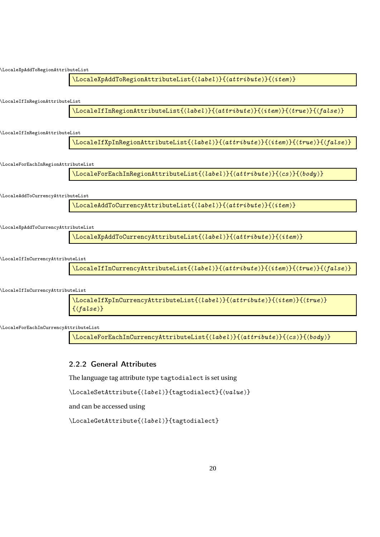

\LocaleForEachInCurrencyAttributeList

\LocaleForEachInCurrencyAttributeList{\label}}{\attribute}}{\cs}}{\body}}

## <span id="page-19-0"></span>2.2.2 General Attributes

The language tag attribute type tagtodialect is set using

\LocaleSetAttribute{〈label 〉}{tagtodialect}{〈value 〉}

and can be accessed using

\LocaleGetAttribute{〈label 〉}{tagtodialect}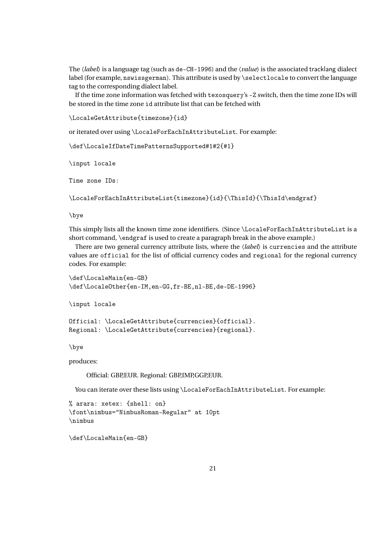The 〈*label*〉 is a language tag (such as de-CH-1996) and the 〈*value*〉 is the associated tracklang dialect label (for example, nswissgerman). This attribute is used by \selectlocale to convert the language tag to the corresponding dialect label.

If the time zone information was fetched with texosquery's -Z switch, then the time zone IDs will be stored in the time zone id attribute list that can be fetched with

```
\LocaleGetAttribute{timezone}{id}
```
or iterated over using \LocaleForEachInAttributeList. For example:

```
\def\LocaleIfDateTimePatternsSupported#1#2{#1}
```
\input locale

Time zone IDs:

\LocaleForEachInAttributeList{timezone}{id}{\ThisId}{\ThisId\endgraf}

\bye

This simply lists all the known time zone identifiers. (Since \LocaleForEachInAttributeList is a short command, \endgraf is used to create a paragraph break in the above example.)

There are two general currency attribute lists, where the 〈*label*〉 is currencies and the attribute values are official for the list of official currency codes and regional for the regional currency codes. For example:

```
\def\LocaleMain{en-GB}
\def\LocaleOther{en-IM,en-GG,fr-BE,nl-BE,de-DE-1996}
```
\input locale

```
Official: \LocaleGetAttribute{currencies}{official}.
Regional: \LocaleGetAttribute{currencies}{regional}.
```
\bye

produces:

Official: GBP,EUR. Regional: GBP,IMP,GGP,EUR.

You can iterate over these lists using \LocaleForEachInAttributeList. For example:

```
% arara: xetex: {shell: on}
\font\nimbus="NimbusRoman-Regular" at 10pt
\nimbus
```

```
\def\LocaleMain{en-GB}
```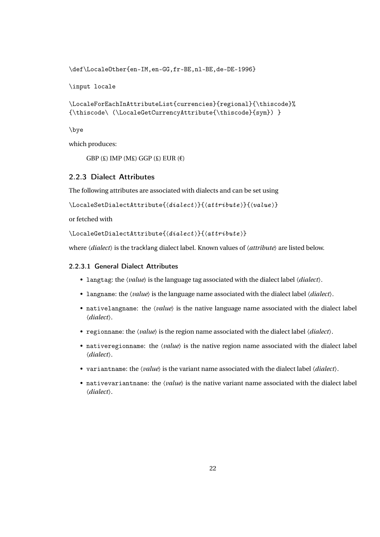\def\LocaleOther{en-IM,en-GG,fr-BE,nl-BE,de-DE-1996}

\input locale

```
\LocaleForEachInAttributeList{currencies}{regional}{\thiscode}%
{\thiscode\ (\LocaleGetCurrencyAttribute{\thiscode}{sym}) }
```
\bye

which produces:

GBP  $(E)$  IMP  $(ME)$  GGP  $(E)$  EUR  $(E)$ 

## <span id="page-21-0"></span>2.2.3 Dialect Attributes

The following attributes are associated with dialects and can be set using

\LocaleSetDialectAttribute{〈dialect 〉}{〈attribute 〉}{〈value 〉}

or fetched with

```
\LocaleGetDialectAttribute{〈dialect 〉}{〈attribute 〉}
```
where  $\langle dialect \rangle$  is the tracklang dialect label. Known values of  $\langle attribute \rangle$  are listed below.

### <span id="page-21-1"></span>2.2.3.1 General Dialect Attributes

- langtag: the 〈*value*〉 is the language tag associated with the dialect label 〈*dialect*〉.
- langname: the 〈*value*〉 is the language name associated with the dialect label 〈*dialect*〉.
- nativelangname: the *\value*} is the native language name associated with the dialect label 〈*dialect*〉.
- regionname: the 〈*value*〉 is the region name associated with the dialect label 〈*dialect*〉.
- nativeregionname: the *\value*} is the native region name associated with the dialect label 〈*dialect*〉.
- variantname: the 〈*value*〉 is the variant name associated with the dialect label 〈*dialect*〉.
- nativevariantname: the 〈*value*〉 is the native variant name associated with the dialect label 〈*dialect*〉.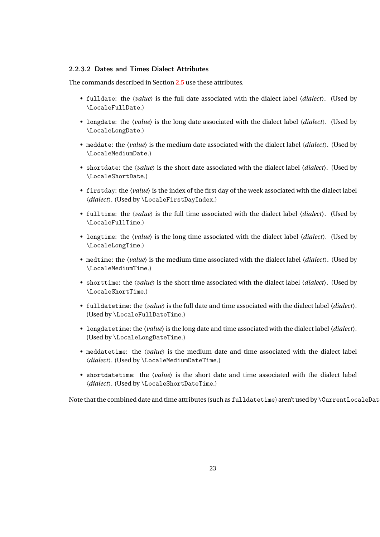## <span id="page-22-0"></span>2.2.3.2 Dates and Times Dialect Attributes

The commands described in Section [2.5](#page-44-0) use these attributes.

- fulldate: the 〈*value*〉 is the full date associated with the dialect label 〈*dialect*〉. (Used by \LocaleFullDate.)
- longdate: the 〈*value*〉 is the long date associated with the dialect label 〈*dialect*〉. (Used by \LocaleLongDate.)
- meddate: the 〈*value*〉 is the medium date associated with the dialect label 〈*dialect*〉. (Used by \LocaleMediumDate.)
- shortdate: the 〈*value*〉 is the short date associated with the dialect label 〈*dialect*〉. (Used by \LocaleShortDate.)
- firstday: the 〈*value*〉 is the index of the first day of the week associated with the dialect label 〈*dialect*〉. (Used by \LocaleFirstDayIndex.)
- fulltime: the 〈*value*〉 is the full time associated with the dialect label 〈*dialect*〉. (Used by \LocaleFullTime.)
- longtime: the 〈*value*〉 is the long time associated with the dialect label 〈*dialect*〉. (Used by \LocaleLongTime.)
- medtime: the *\value*} is the medium time associated with the dialect label  $\langle dialect \rangle$ . (Used by \LocaleMediumTime.)
- shorttime: the 〈*value*〉 is the short time associated with the dialect label 〈*dialect*〉. (Used by \LocaleShortTime.)
- fulldatetime: the 〈*value*〉 is the full date and time associated with the dialect label 〈*dialect*〉. (Used by \LocaleFullDateTime.)
- longdatetime: the 〈*value*〉 is the long date and time associated with the dialect label 〈*dialect*〉. (Used by \LocaleLongDateTime.)
- meddatetime: the 〈*value*〉 is the medium date and time associated with the dialect label 〈*dialect*〉. (Used by \LocaleMediumDateTime.)
- shortdatetime: the 〈*value*〉 is the short date and time associated with the dialect label 〈*dialect*〉. (Used by \LocaleShortDateTime.)

Note that the combined date and time attributes (such as fulldatetime) aren't used by  $\C{urrentLocaleData}$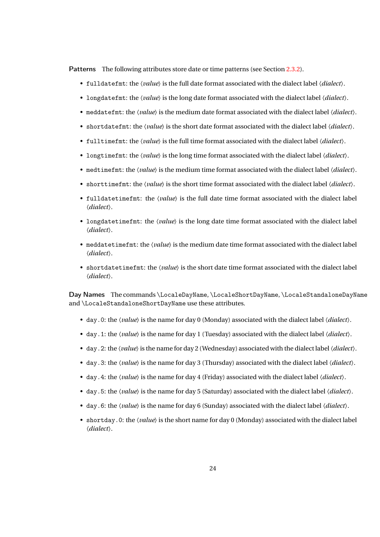Patterns The following attributes store date or time patterns (see Section [2.3.2\)](#page-37-0).

- fulldatefmt: the 〈*value*〉 is the full date format associated with the dialect label 〈*dialect*〉.
- longdatefmt: the 〈*value*〉 is the long date format associated with the dialect label 〈*dialect*〉.
- meddatefmt: the 〈*value*〉 is the medium date format associated with the dialect label 〈*dialect*〉.
- shortdatefmt: the 〈*value*〉 is the short date format associated with the dialect label 〈*dialect*〉.
- fulltimefmt: the 〈*value*〉 is the full time format associated with the dialect label 〈*dialect*〉.
- longtimefmt: the 〈*value*〉 is the long time format associated with the dialect label 〈*dialect*〉.
- medtimefmt: the 〈*value*〉 is the medium time format associated with the dialect label 〈*dialect*〉.
- shorttimefmt: the 〈*value*〉 is the short time format associated with the dialect label 〈*dialect*〉.
- fulldatetimefmt: the 〈*value*〉 is the full date time format associated with the dialect label 〈*dialect*〉.
- longdatetimefmt: the 〈*value*〉 is the long date time format associated with the dialect label 〈*dialect*〉.
- meddatetimefmt: the 〈*value*〉 is the medium date time format associated with the dialect label 〈*dialect*〉.
- shortdatetimefmt: the 〈*value*〉 is the short date time format associated with the dialect label 〈*dialect*〉.

Day Names The commands \LocaleDayName, \LocaleShortDayName, \LocaleStandaloneDayName and \LocaleStandaloneShortDayName use these attributes.

- day.0: the 〈*value*〉 is the name for day 0 (Monday) associated with the dialect label 〈*dialect*〉.
- day.1: the 〈*value*〉 is the name for day 1 (Tuesday) associated with the dialect label 〈*dialect*〉.
- day.2: the 〈*value*〉is the name for day 2 (Wednesday) associated with the dialect label〈*dialect*〉.
- day.3: the 〈*value*〉 is the name for day 3 (Thursday) associated with the dialect label 〈*dialect*〉.
- day.4: the 〈*value*〉 is the name for day 4 (Friday) associated with the dialect label 〈*dialect*〉.
- day.5: the 〈*value*〉 is the name for day 5 (Saturday) associated with the dialect label 〈*dialect*〉.
- day.6: the 〈*value*〉 is the name for day 6 (Sunday) associated with the dialect label 〈*dialect*〉.
- shortday.0: the *\value*} is the short name for day 0 (Monday) associated with the dialect label 〈*dialect*〉.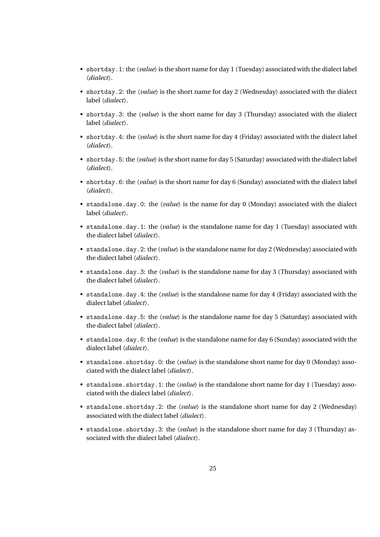- shortday.1: the 〈*value*〉 is the short name for day 1 (Tuesday) associated with the dialect label 〈*dialect*〉.
- shortday.2: the 〈*value*〉 is the short name for day 2 (Wednesday) associated with the dialect label 〈*dialect*〉.
- shortday.3: the 〈*value*〉 is the short name for day 3 (Thursday) associated with the dialect label 〈*dialect*〉.
- shortday.4: the 〈*value*〉 is the short name for day 4 (Friday) associated with the dialect label 〈*dialect*〉.
- shortday.5: the 〈*value*〉is the short name for day 5 (Saturday) associated with the dialect label 〈*dialect*〉.
- shortday.6: the 〈*value*〉 is the short name for day 6 (Sunday) associated with the dialect label 〈*dialect*〉.
- standalone.day.0: the  $\langle value \rangle$  is the name for day 0 (Monday) associated with the dialect label 〈*dialect*〉.
- standalone.day.1: the *\value*} is the standalone name for day 1 (Tuesday) associated with the dialect label 〈*dialect*〉.
- standalone.day.2: the 〈*value*〉is the standalone name for day 2 (Wednesday) associated with the dialect label 〈*dialect*〉.
- standalone.day.3: the 〈*value*〉 is the standalone name for day 3 (Thursday) associated with the dialect label 〈*dialect*〉.
- standalone.day.4: the 〈*value*〉 is the standalone name for day 4 (Friday) associated with the dialect label 〈*dialect*〉.
- standalone.day.5: the 〈*value*〉 is the standalone name for day 5 (Saturday) associated with the dialect label 〈*dialect*〉.
- standalone.day.6: the 〈*value*〉 is the standalone name for day 6 (Sunday) associated with the dialect label 〈*dialect*〉.
- standalone.shortday.0: the 〈*value*〉 is the standalone short name for day 0 (Monday) associated with the dialect label 〈*dialect*〉.
- standalone.shortday.1: the 〈*value*〉 is the standalone short name for day 1 (Tuesday) associated with the dialect label 〈*dialect*〉.
- standalone.shortday.2: the 〈*value*〉 is the standalone short name for day 2 (Wednesday) associated with the dialect label 〈*dialect*〉.
- standalone.shortday.3: the 〈*value*〉 is the standalone short name for day 3 (Thursday) associated with the dialect label 〈*dialect*〉.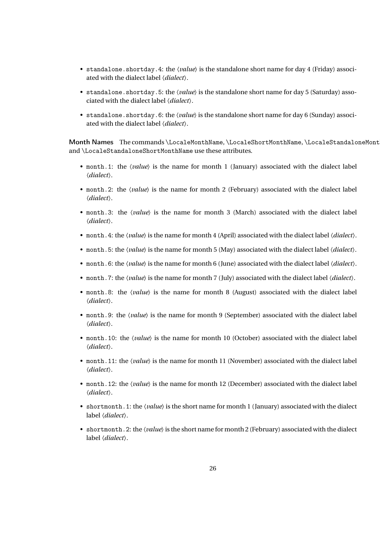- standalone.shortday.4: the 〈*value*〉 is the standalone short name for day 4 (Friday) associated with the dialect label 〈*dialect*〉.
- standalone.shortday.5: the 〈*value*〉 is the standalone short name for day 5 (Saturday) associated with the dialect label 〈*dialect*〉.
- standalone.shortday.6: the 〈*value*〉 is the standalone short name for day 6 (Sunday) associated with the dialect label 〈*dialect*〉.

Month Names The commands \LocaleMonthName, \LocaleShortMonthName, \LocaleStandaloneMont and \LocaleStandaloneShortMonthName use these attributes.

- month.1: the *(value)* is the name for month 1 (January) associated with the dialect label 〈*dialect*〉.
- month.2: the *\value*} is the name for month 2 (February) associated with the dialect label 〈*dialect*〉.
- month.3: the *\value*} is the name for month 3 (March) associated with the dialect label 〈*dialect*〉.
- month.4: the 〈*value*〉 is the name for month 4 (April) associated with the dialect label 〈*dialect*〉.
- month.5: the 〈*value*〉 is the name for month 5 (May) associated with the dialect label 〈*dialect*〉.
- month.6: the 〈*value*〉 is the name for month 6 (June) associated with the dialect label 〈*dialect*〉.
- month.7: the 〈*value*〉 is the name for month 7 (July) associated with the dialect label 〈*dialect*〉.
- month.8: the 〈*value*〉 is the name for month 8 (August) associated with the dialect label 〈*dialect*〉.
- month.9: the *\value*} is the name for month 9 (September) associated with the dialect label 〈*dialect*〉.
- month.10: the 〈*value*〉 is the name for month 10 (October) associated with the dialect label 〈*dialect*〉.
- month.11: the 〈*value*〉 is the name for month 11 (November) associated with the dialect label 〈*dialect*〉.
- month.12: the 〈*value*〉 is the name for month 12 (December) associated with the dialect label 〈*dialect*〉.
- shortmonth.1: the *\value*} is the short name for month 1 (January) associated with the dialect label 〈*dialect*〉.
- shortmonth.2: the 〈*value*〉is the short name for month 2 (February) associated with the dialect label 〈*dialect*〉.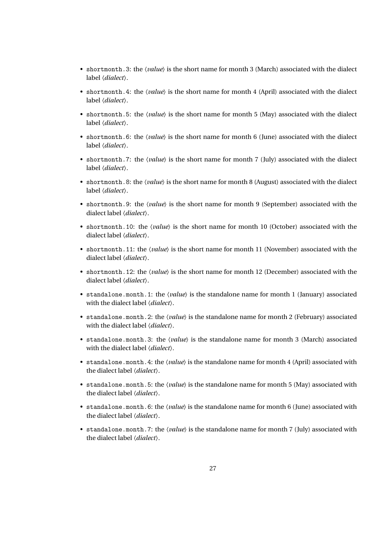- shortmonth.3: the 〈*value*〉 is the short name for month 3 (March) associated with the dialect label 〈*dialect*〉.
- shortmonth.4: the *\value*} is the short name for month 4 (April) associated with the dialect label 〈*dialect*〉.
- shortmonth.5: the *(value)* is the short name for month 5 (May) associated with the dialect label 〈*dialect*〉.
- shortmonth.6: the *\value*\ is the short name for month 6 (June) associated with the dialect label 〈*dialect*〉.
- shortmonth.7: the *(value)* is the short name for month 7 (July) associated with the dialect label 〈*dialect*〉.
- shortmonth.8: the *{value}* is the short name for month 8 (August) associated with the dialect label 〈*dialect*〉.
- shortmonth.9: the *\value*} is the short name for month 9 (September) associated with the dialect label 〈*dialect*〉.
- shortmonth.10: the 〈*value*〉 is the short name for month 10 (October) associated with the dialect label 〈*dialect*〉.
- shortmonth.11: the 〈*value*〉 is the short name for month 11 (November) associated with the dialect label 〈*dialect*〉.
- shortmonth.12: the  $\langle value \rangle$  is the short name for month 12 (December) associated with the dialect label 〈*dialect*〉.
- standalone.month.1: the *\value* is the standalone name for month 1 (January) associated with the dialect label 〈*dialect*〉.
- standalone.month.2: the 〈*value*〉 is the standalone name for month 2 (February) associated with the dialect label 〈*dialect*〉.
- standalone.month.3: the 〈*value*〉 is the standalone name for month 3 (March) associated with the dialect label 〈*dialect*〉.
- standalone.month.4: the 〈*value*〉 is the standalone name for month 4 (April) associated with the dialect label 〈*dialect*〉.
- standalone.month.5: the 〈*value*〉 is the standalone name for month 5 (May) associated with the dialect label 〈*dialect*〉.
- standalone.month.6: the 〈*value*〉 is the standalone name for month 6 (June) associated with the dialect label 〈*dialect*〉.
- standalone.month.7: the *(value)* is the standalone name for month 7 (July) associated with the dialect label 〈*dialect*〉.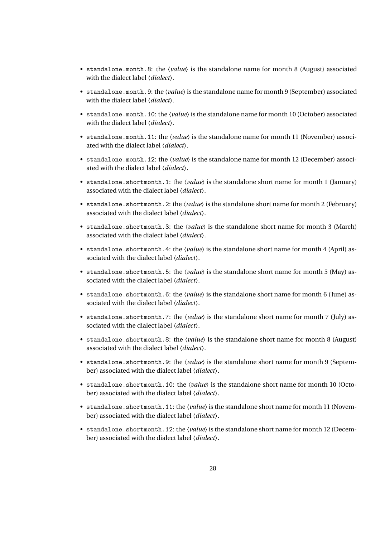- standalone.month.8: the  $\langle value \rangle$  is the standalone name for month 8 (August) associated with the dialect label 〈*dialect*〉.
- standalone.month.9: the 〈*value*〉is the standalone name for month 9 (September) associated with the dialect label 〈*dialect*〉.
- standalone.month.10: the 〈*value*〉 is the standalone name for month 10 (October) associated with the dialect label 〈*dialect*〉.
- standalone.month.11: the *\value*} is the standalone name for month 11 (November) associated with the dialect label 〈*dialect*〉.
- standalone.month.12: the 〈*value*〉 is the standalone name for month 12 (December) associated with the dialect label 〈*dialect*〉.
- standalone.shortmonth.1: the 〈*value*〉 is the standalone short name for month 1 (January) associated with the dialect label 〈*dialect*〉.
- standalone.shortmonth.2: the 〈*value*〉 is the standalone short name for month 2 (February) associated with the dialect label 〈*dialect*〉.
- standalone.shortmonth.3: the 〈*value*〉 is the standalone short name for month 3 (March) associated with the dialect label 〈*dialect*〉.
- standalone.shortmonth.4: the 〈*value*〉 is the standalone short name for month 4 (April) associated with the dialect label 〈*dialect*〉.
- standalone.shortmonth.5: the 〈*value*〉 is the standalone short name for month 5 (May) associated with the dialect label 〈*dialect*〉.
- standalone.shortmonth.6: the 〈*value*〉 is the standalone short name for month 6 (June) associated with the dialect label 〈*dialect*〉.
- standalone.shortmonth.7: the *\value*\ is the standalone short name for month 7 (July) associated with the dialect label 〈*dialect*〉.
- standalone.shortmonth.8: the 〈*value*〉 is the standalone short name for month 8 (August) associated with the dialect label 〈*dialect*〉.
- standalone.shortmonth.9: the 〈*value*〉 is the standalone short name for month 9 (September) associated with the dialect label 〈*dialect*〉.
- standalone.shortmonth.10: the 〈*value*〉 is the standalone short name for month 10 (October) associated with the dialect label 〈*dialect*〉.
- standalone.shortmonth.11: the  $\langle value \rangle$  is the standalone short name for month 11 (November) associated with the dialect label 〈*dialect*〉.
- standalone.shortmonth.12: the  $\langle value \rangle$  is the standalone short name for month 12 (December) associated with the dialect label 〈*dialect*〉.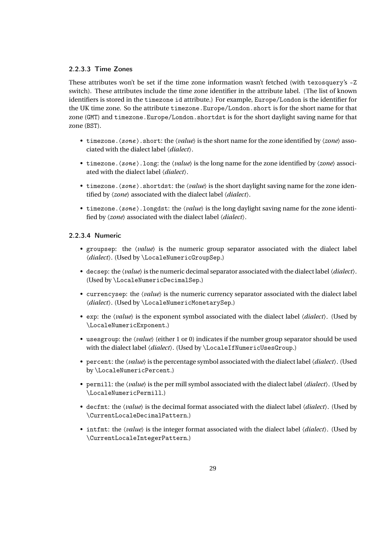## <span id="page-28-0"></span>2.2.3.3 Time Zones

These attributes won't be set if the time zone information wasn't fetched (with texosquery's -Z switch). These attributes include the time zone identifier in the attribute label. (The list of known identifiers is stored in the timezone id attribute.) For example, Europe/London is the identifier for the UK time zone. So the attribute timezone.Europe/London.short is for the short name for that zone (GMT) and timezone.Europe/London.shortdst is for the short daylight saving name for that zone (BST).

- timezone.〈zone 〉.short: the 〈*value*〉 is the short name for the zone identified by 〈*zone*〉 associated with the dialect label 〈*dialect*〉.
- timezone.〈zone 〉.long: the 〈*value*〉 is the long name for the zone identified by 〈*zone*〉 associated with the dialect label 〈*dialect*〉.
- timezone.  $\langle zone \rangle$ . shortdst: the  $\langle value \rangle$  is the short daylight saving name for the zone identified by 〈*zone*〉 associated with the dialect label 〈*dialect*〉.
- timezone.〈zone 〉.longdst: the 〈*value*〉 is the long daylight saving name for the zone identified by 〈*zone*〉 associated with the dialect label 〈*dialect*〉.

## <span id="page-28-1"></span>2.2.3.4 Numeric

- groupsep: the  $\langle value \rangle$  is the numeric group separator associated with the dialect label 〈*dialect*〉. (Used by \LocaleNumericGroupSep.)
- decsep: the 〈*value*〉is the numeric decimal separator associated with the dialect label〈*dialect*〉. (Used by \LocaleNumericDecimalSep.)
- currencysep: the  $\langle value \rangle$  is the numeric currency separator associated with the dialect label 〈*dialect*〉. (Used by \LocaleNumericMonetarySep.)
- exp: the 〈*value*〉 is the exponent symbol associated with the dialect label 〈*dialect*〉. (Used by \LocaleNumericExponent.)
- usesgroup: the  $\langle value \rangle$  (either 1 or 0) indicates if the number group separator should be used with the dialect label  $\langle dialect \rangle$ . (Used by \LocaleIfNumericUsesGroup.)
- percent: the 〈*value*〉is the percentage symbol associated with the dialect label〈*dialect*〉. (Used by \LocaleNumericPercent.)
- permill: the 〈*value*〉 is the per mill symbol associated with the dialect label 〈*dialect*〉. (Used by \LocaleNumericPermill.)
- decfmt: the 〈*value*〉 is the decimal format associated with the dialect label 〈*dialect*〉. (Used by \CurrentLocaleDecimalPattern.)
- intfmt: the 〈*value*〉 is the integer format associated with the dialect label 〈*dialect*〉. (Used by \CurrentLocaleIntegerPattern.)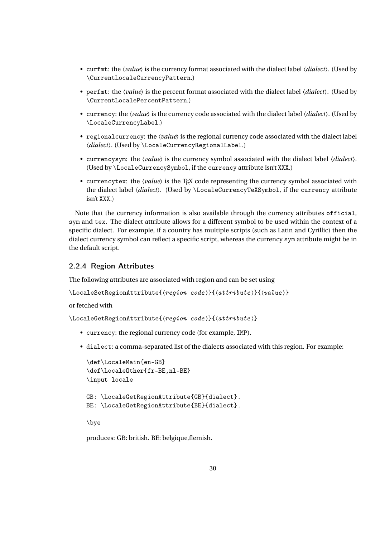- curfmt: the 〈*value*〉 is the currency format associated with the dialect label 〈*dialect*〉. (Used by \CurrentLocaleCurrencyPattern.)
- perfmt: the 〈*value*〉 is the percent format associated with the dialect label 〈*dialect*〉. (Used by \CurrentLocalePercentPattern.)
- currency: the 〈*value*〉 is the currency code associated with the dialect label 〈*dialect*〉. (Used by \LocaleCurrencyLabel.)
- regionalcurrency: the 〈*value*〉 is the regional currency code associated with the dialect label 〈*dialect*〉. (Used by \LocaleCurrencyRegionalLabel.)
- currencysym: the 〈*value*〉 is the currency symbol associated with the dialect label 〈*dialect*〉. (Used by \LocaleCurrencySymbol, if the currency attribute isn't XXX.)
- currencytex: the *(value)* is the T<sub>E</sub>X code representing the currency symbol associated with the dialect label 〈*dialect*〉. (Used by \LocaleCurrencyTeXSymbol, if the currency attribute isn't XXX.)

Note that the currency information is also available through the currency attributes official, sym and tex. The dialect attribute allows for a different symbol to be used within the context of a specific dialect. For example, if a country has multiple scripts (such as Latin and Cyrillic) then the dialect currency symbol can reflect a specific script, whereas the currency sym attribute might be in the default script.

## <span id="page-29-0"></span>2.2.4 Region Attributes

The following attributes are associated with region and can be set using

```
\LocaleSetRegionAttribute{〈region code 〉}{〈attribute 〉}{〈value 〉}
```
or fetched with

\LocaleGetRegionAttribute{〈region code 〉}{〈attribute 〉}

- currency: the regional currency code (for example, IMP).
- dialect: a comma-separated list of the dialects associated with this region. For example:

```
\def\LocaleMain{en-GB}
\def\LocaleOther{fr-BE,nl-BE}
\input locale
GB: \LocaleGetRegionAttribute{GB}{dialect}.
BE: \LocaleGetRegionAttribute{BE}{dialect}.
```
\bye

produces: GB: british. BE: belgique,flemish.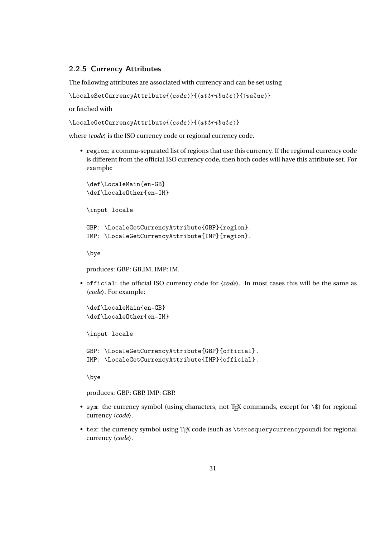## <span id="page-30-0"></span>2.2.5 Currency Attributes

The following attributes are associated with currency and can be set using

```
\LocaleSetCurrencyAttribute{〈code 〉}{〈attribute 〉}{〈value 〉}
```
or fetched with

```
\LocaleGetCurrencyAttribute{〈code 〉}{〈attribute 〉}
```
where 〈*code*〉 is the ISO currency code or regional currency code.

• region: a comma-separated list of regions that use this currency. If the regional currency code is different from the official ISO currency code, then both codes will have this attribute set. For example:

\def\LocaleMain{en-GB} \def\LocaleOther{en-IM} \input locale

```
GBP: \LocaleGetCurrencyAttribute{GBP}{region}.
IMP: \LocaleGetCurrencyAttribute{IMP}{region}.
```
\bye

produces: GBP: GB,IM. IMP: IM.

• official: the official ISO currency code for 〈*code*〉. In most cases this will be the same as 〈*code*〉. For example:

```
\def\LocaleMain{en-GB}
\def\LocaleOther{en-IM}
```
\input locale

```
GBP: \LocaleGetCurrencyAttribute{GBP}{official}.
IMP: \LocaleGetCurrencyAttribute{IMP}{official}.
```
\bye

produces: GBP: GBP. IMP: GBP.

- sym: the currency symbol (using characters, not TEX commands, except for \\$) for regional currency 〈*code*〉.
- tex: the currency symbol using T<sub>F</sub>X code (such as \texosquerycurrencypound) for regional currency 〈*code*〉.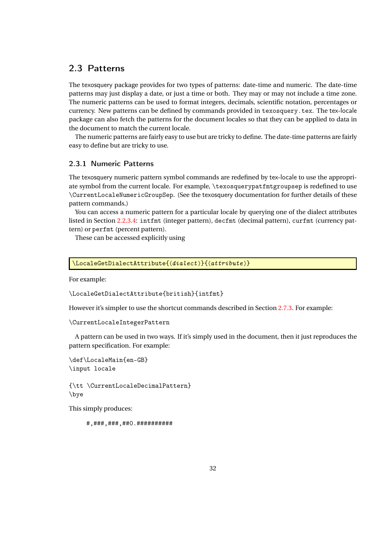## <span id="page-31-0"></span>2.3 Patterns

The texosquery package provides for two types of patterns: date-time and numeric. The date-time patterns may just display a date, or just a time or both. They may or may not include a time zone. The numeric patterns can be used to format integers, decimals, scientific notation, percentages or currency. New patterns can be defined by commands provided in texosquery.tex. The tex-locale package can also fetch the patterns for the document locales so that they can be applied to data in the document to match the current locale.

The numeric patterns are fairly easy to use but are tricky to define. The date-time patterns are fairly easy to define but are tricky to use.

## <span id="page-31-1"></span>2.3.1 Numeric Patterns

The texosquery numeric pattern symbol commands are redefined by tex-locale to use the appropriate symbol from the current locale. For example, \texosquerypatfmtgroupsep is redefined to use \CurrentLocaleNumericGroupSep. (See the texosquery documentation for further details of these pattern commands.)

You can access a numeric pattern for a particular locale by querying one of the dialect attributes listed in Section [2.2.3.4:](#page-28-1) intfmt (integer pattern), decfmt (decimal pattern), curfmt (currency pattern) or perfmt (percent pattern).

These can be accessed explicitly using

```
\LocaleGetDialectAttribute{〈dialect 〉}{〈attribute 〉}
```
For example:

```
\LocaleGetDialectAttribute{british}{intfmt}
```
However it's simpler to use the shortcut commands described in Section [2.7.3.](#page-64-0) For example:

```
\CurrentLocaleIntegerPattern
```
A pattern can be used in two ways. If it's simply used in the document, then it just reproduces the pattern specification. For example:

```
\def\LocaleMain{en-GB}
\input locale
```
{\tt \CurrentLocaleDecimalPattern} \bye

This simply produces:

#,###,###,##0.##########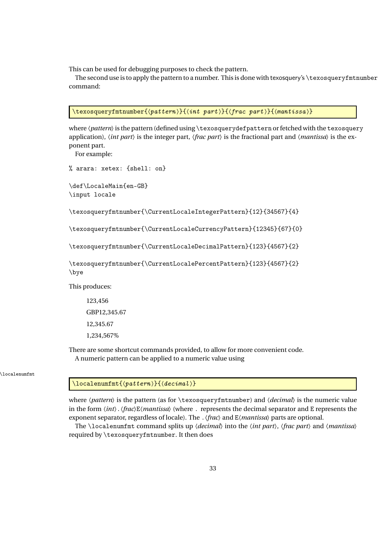This can be used for debugging purposes to check the pattern.

The second use is to apply the pattern to a number. This is done with texosquery's \texosqueryfmtnumber command:

```
\text{lexosqueryfmtnumber}\{\langle pattern \rangle\}\{\langle int\ part \rangle\}\{\langle frac\ part \rangle\}\{\langle mantissa \rangle\}
```
where  $\langle pattern \rangle$  is the pattern (defined using \texosquerydefpattern or fetched with the texosquery application), 〈*int part*〉 is the integer part, 〈*frac part*〉 is the fractional part and 〈*mantissa*〉 is the exponent part.

For example:

```
% arara: xetex: {shell: on}
```

```
\def\LocaleMain{en-GB}
\input locale
```
\texosqueryfmtnumber{\CurrentLocaleIntegerPattern}{12}{34567}{4}

\texosqueryfmtnumber{\CurrentLocaleCurrencyPattern}{12345}{67}{0}

\texosqueryfmtnumber{\CurrentLocaleDecimalPattern}{123}{4567}{2}

```
\texosqueryfmtnumber{\CurrentLocalePercentPattern}{123}{4567}{2}
\bye
```
This produces:

123,456 GBP12,345.67 12,345.67 1,234,567%

There are some shortcut commands provided, to allow for more convenient code. A numeric pattern can be applied to a numeric value using

\localenumfmt

\localenumfmt{ $\langle pattern \rangle$ }{ $\langle decimal \rangle$ }

where  $\langle pattern \rangle$  is the pattern (as for \texosqueryfmtnumber) and  $\langle decimal \rangle$  is the numeric value in the form 〈*int*〉.〈*frac*〉E〈*mantissa*〉 (where . represents the decimal separator and E represents the exponent separator, regardless of locale). The .〈*frac*〉 and E〈*mantissa*〉 parts are optional.

The \localenumfmt command splits up 〈*decimal*〉 into the 〈*int part*〉, 〈*frac part*〉 and 〈*mantissa*〉 required by \texosqueryfmtnumber. It then does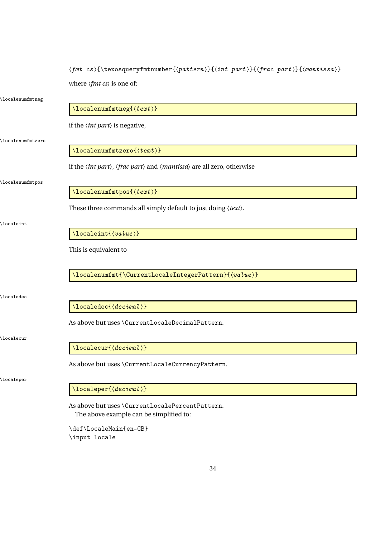| $\mathcal{S}(\mathcal{S})$ \texosqueryfmtnumber{\theta patt\}{\texosqueryfmtnumber{\text{pattern}}{\texosqueryfmtnumber{\text{pattern}}{\text{int part}}{\text{frac part}}{\text{\text{int issa}} |  |
|---------------------------------------------------------------------------------------------------------------------------------------------------------------------------------------------------|--|
| where $\langle fmt \, cs \rangle$ is one of:                                                                                                                                                      |  |

| \localenumfmtneg       |                                                                                                                        |
|------------------------|------------------------------------------------------------------------------------------------------------------------|
|                        | $\setminus$ localenumfmtneg $\{\langle text \rangle\}$                                                                 |
|                        | if the $\langle int\ part \rangle$ is negative,                                                                        |
| \localenumfmtzero      |                                                                                                                        |
|                        | $\setminus$ localenumfmtzero $\{\langle text \rangle\}$                                                                |
|                        | if the $\langle int part \rangle$ , $\langle frac part \rangle$ and $\langle mantissa \rangle$ are all zero, otherwise |
| \localenumfmtpos       |                                                                                                                        |
|                        | $\setminus$ localenumfmtpos $\{\langle text \rangle\}$                                                                 |
|                        | These three commands all simply default to just doing $\langle text \rangle$ .                                         |
| \localeint             |                                                                                                                        |
|                        | $\lozenge$ localeint $\{$ /value $\rangle\}$                                                                           |
|                        | This is equivalent to                                                                                                  |
|                        |                                                                                                                        |
|                        | \localenumfmt{\CurrentLocaleIntegerPattern}{(value)}                                                                   |
| $\backslash$ localedec |                                                                                                                        |
|                        | $\lozenge$ localedec $\{$ $\langle$ decimal $\rangle\}$                                                                |
|                        | As above but uses \CurrentLocaleDecimalPattern.                                                                        |
| \localecur             |                                                                                                                        |
|                        | $\lozenge$ localecur $\{$ $\langle$ decimal $\rangle\}$                                                                |
|                        | As above but uses \CurrentLocaleCurrencyPattern.                                                                       |
| <i>localeper</i>       |                                                                                                                        |
|                        | \localeper{(decimal)}                                                                                                  |
|                        | As above but uses \CurrentLocalePercentPattern.                                                                        |
|                        | The above example can be simplified to:                                                                                |
|                        | \def\LocaleMain{en-GB}                                                                                                 |

\input locale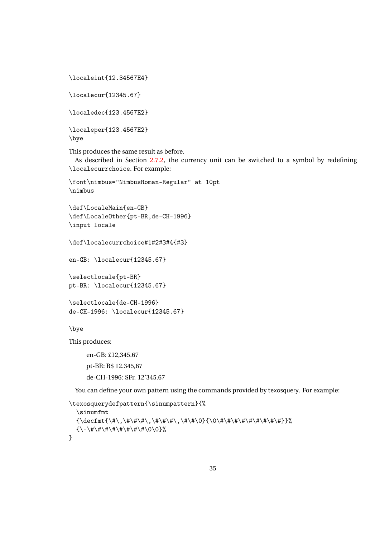\localeint{12.34567E4}

\localecur{12345.67}

\localedec{123.4567E2}

```
\localeper{123.4567E2}
\bye
```
This produces the same result as before.

As described in Section [2.7.2,](#page-63-0) the currency unit can be switched to a symbol by redefining \localecurrchoice. For example:

```
\font\nimbus="NimbusRoman-Regular" at 10pt
\nimbus
```

```
\def\LocaleMain{en-GB}
\def\LocaleOther{pt-BR,de-CH-1996}
\input locale
```
\def\localecurrchoice#1#2#3#4{#3}

en-GB: \localecur{12345.67}

```
\selectlocale{pt-BR}
pt-BR: \localecur{12345.67}
```

```
\selectlocale{de-CH-1996}
de-CH-1996: \localecur{12345.67}
```
\bye

This produces:

en-GB: £12,345.67 pt-BR: R\$ 12.345,67 de-CH-1996: SFr. 12'345.67

You can define your own pattern using the commands provided by texosquery. For example:

```
\texosquerydefpattern{\sinumpattern}{%
  \sinumfmt
  {\decfmt{\#\,\#\#\#\,\#\#\#\,\#\#\0}{\0\#\#\#\#\#\#\#\#\#}}%
  {\set{\xrightarrow{\#}\#}\#}\#}\#}\}
```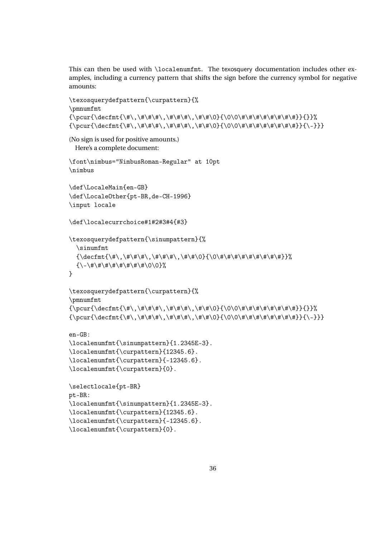This can then be used with \localenumfmt. The texosquery documentation includes other examples, including a currency pattern that shifts the sign before the currency symbol for negative amounts:

```
\texosquerydefpattern{\curpattern}{%
\pmnumfmt
{\pcur{\decfmt{\#\,\#\#\#\,\#\#\#\,\#\#\0}{\0\0\#\#\#\#\#\#\#\#}}{}}%
{\pcur{\decfmt{\#\,\#\#\#\,\#\#\#\,\#\#\0}{\0\0\#\#\#\#\#\#\#\#}}{\-}}}
```
(No sign is used for positive amounts.) Here's a complete document:

\font\nimbus="NimbusRoman-Regular" at 10pt \nimbus

```
\def\LocaleMain{en-GB}
\def\LocaleOther{pt-BR,de-CH-1996}
\input locale
```
\def\localecurrchoice#1#2#3#4{#3}

```
\texosquerydefpattern{\sinumpattern}{%
  \sinumfmt
  {\decfmt{\#\,\#\#\#\,\#\#\#\,\#\#\0}{\0\#\#\#\#\#\#\#\#\#}}%
  {\setminus-\{\# \# \# \# \# \# \}\}
```

```
\texosquerydefpattern{\curpattern}{%
\pmnumfmt
{\pcur{\decfmt{\#\,\#\#\#\,\#\#\#\,\#\#\0}{\0\0\#\#\#\#\#\#\#\#}}{}}%
{\pcur{\decfmt{\#\,\#\#\#\,\#\#\#\,\#\#\0}{\0\0\#\#\#\#\#\#\#\#}}{\-}}}
```

```
en-GB:
\localenumfmt{\sinumpattern}{1.2345E-3}.
```

```
\localenumfmt{\curpattern}{12345.6}.
\localenumfmt{\curpattern}{-12345.6}.
\localenumfmt{\curpattern}{0}.
```

```
\selectlocale{pt-BR}
pt-BR:
\localenumfmt{\sinumpattern}{1.2345E-3}.
\localenumfmt{\curpattern}{12345.6}.
\localenumfmt{\curpattern}{-12345.6}.
\localenumfmt{\curpattern}{0}.
```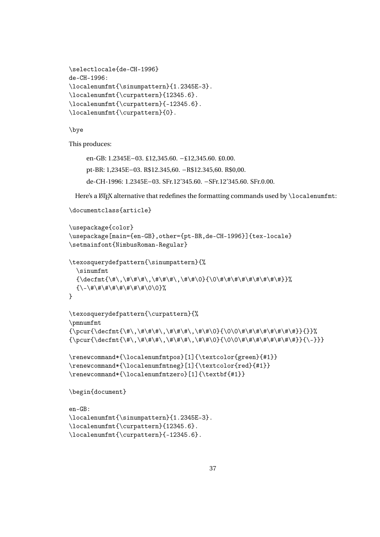```
\selectlocale{de-CH-1996}
de-CH-1996:
\localenumfmt{\sinumpattern}{1.2345E-3}.
\localenumfmt{\curpattern}{12345.6}.
\localenumfmt{\curpattern}{-12345.6}.
\localenumfmt{\curpattern}{0}.
```
\bye

This produces:

en-GB: 1.2345E−03. £12,345.60. −£12,345.60. £0.00. pt-BR: 1,2345E−03. R\$12.345,60. −R\$12.345,60. R\$0,00. de-CH-1996: 1.2345E−03. SFr.12'345.60. −SFr.12'345.60. SFr.0.00.

Here's a  $E$ <sub>F</sub>X alternative that redefines the formatting commands used by  $\lambda$ ocalenumfmt:

```
\documentclass{article}
```

```
\usepackage{color}
\usepackage[main={en-GB},other={pt-BR,de-CH-1996}]{tex-locale}
\setmainfont{NimbusRoman-Regular}
\texosquerydefpattern{\sinumpattern}{%
  \sinumfmt
  {\decfmt{\#\,\#\#\#\,\#\#\#\,\#\#\0}{\0\#\#\#\#\#\#\#\#\#}}%
  {\setminus-\# \# \# \# \# \# \# \}}
\texosquerydefpattern{\curpattern}{%
\pmnumfmt
{\pcur{\decfmt{\#\,\#\#\#\,\#\#\#\,\#\#\0}{\0\0\#\#\#\#\#\#\#\#}}{}}%
{\pcur{\decfmt{\#\,\#\#\#\,\#\#\#\,\#\#\0}{\0\0\#\#\#\#\#\#\#\#}}{\-}}}
\renewcommand*{\localenumfmtpos}[1]{\textcolor{green}{#1}}
\renewcommand*{\localenumfmtneg}[1]{\textcolor{red}{#1}}
\verb|\renewcommand*{\llnclenumfmtzero|[1]{\textbf{#1}}\begin{document}
en-GB:
\localenumfmt{\sinumpattern}{1.2345E-3}.
\localenumfmt{\curpattern}{12345.6}.
```

```
\localenumfmt{\curpattern}{-12345.6}.
```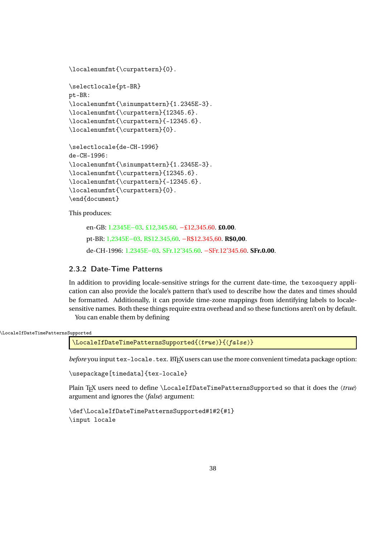```
\localenumfmt{\curpattern}{0}.
```

```
\selectlocale{pt-BR}
pt-BR:
\localenumfmt{\sinumpattern}{1.2345E-3}.
\localenumfmt{\curpattern}{12345.6}.
\localenumfmt{\curpattern}{-12345.6}.
\localenumfmt{\curpattern}{0}.
```

```
\selectlocale{de-CH-1996}
de-CH-1996:
\localenumfmt{\sinumpattern}{1.2345E-3}.
\localenumfmt{\curpattern}{12345.6}.
\localenumfmt{\curpattern}{-12345.6}.
\localenumfmt{\curpattern}{0}.
\end{document}
```
This produces:

en-GB: 1.2345E−03. £12,345.60. −£12,345.60. **£0.00**. pt-BR: 1,2345E−03. R\$12.345,60. −R\$12.345,60. **R\$0,00**. de-CH-1996: 1.2345E−03. SFr.12'345.60. −SFr.12'345.60. **SFr.0.00**.

## <span id="page-37-0"></span>2.3.2 Date-Time Patterns

In addition to providing locale-sensitive strings for the current date-time, the texosquery application can also provide the locale's pattern that's used to describe how the dates and times should be formatted. Additionally, it can provide time-zone mappings from identifying labels to localesensitive names. Both these things require extra overhead and so these functions aren't on by default. You can enable them by defining

```
\LocaleIfDateTimePatternsSupported
```
\LocaleIfDateTimePatternsSupported{ $\langle true \rangle$ }{ $\langle false \rangle$ }

*before* you input tex-locale.tex. *EXTEX* users can use the more convenient timedata package option:

\usepackage[timedata]{tex-locale}

Plain T<sub>E</sub>X users need to define \LocaleIfDateTimePatternsSupported so that it does the  $\langle true \rangle$ argument and ignores the 〈*false*〉 argument:

\def\LocaleIfDateTimePatternsSupported#1#2{#1} \input locale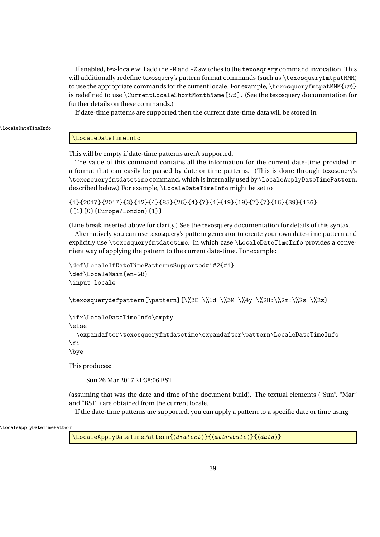If enabled, tex-locale will add the -M and -Z switches to the texosquery command invocation. This will additionally redefine texosquery's pattern format commands (such as \texosqueryfmtpatMMM) to use the appropriate commands for the current locale. For example,  $\text{lexosqueryfmtpathMM{n}}$ is redefined to use \CurrentLocaleShortMonthName{〈*n*〉}. (See the texosquery documentation for further details on these commands.)

If date-time patterns are supported then the current date-time data will be stored in

\LocaleDateTimeInfo

## \LocaleDateTimeInfo

This will be empty if date-time patterns aren't supported.

The value of this command contains all the information for the current date-time provided in a format that can easily be parsed by date or time patterns. (This is done through texosquery's \texosqueryfmtdatetime command, which is internally used by \LocaleApplyDateTimePattern, described below.) For example, \LocaleDateTimeInfo might be set to

```
{1}{2017}{2017}{3}{12}{4}{85}{26}{4}{7}{1}{19}{19}{7}{7}{16}{39}{136}
{{1}{0}{Europe/London}{1}}
```
(Line break inserted above for clarity.) See the texosquery documentation for details of this syntax.

Alternatively you can use texosquery's pattern generator to create your own date-time pattern and explicitly use \texosqueryfmtdatetime. In which case \LocaleDateTimeInfo provides a convenient way of applying the pattern to the current date-time. For example:

```
\def\LocaleIfDateTimePatternsSupported#1#2{#1}
\def\LocaleMain{en-GB}
\input locale
```
\texosquerydefpattern{\pattern}{\%3E \%1d \%3M \%4y \%2H:\%2m:\%2s \%2z}

```
\ifx\LocaleDateTimeInfo\empty
```
\else

```
\expandafter\texosqueryfmtdatetime\expandafter\pattern\LocaleDateTimeInfo
\fi
```
\bye

This produces:

Sun 26 Mar 2017 21:38:06 BST

(assuming that was the date and time of the document build). The textual elements ("Sun", "Mar" and "BST") are obtained from the current locale.

If the date-time patterns are supported, you can apply a pattern to a specific date or time using

\LocaleApplyDateTimePattern

 $\setminus$ LocaleApplyDateTimePattern $\{$  $\langle$  *distance*  $\rangle$  $\}$  $\{$  $\langle$  *attribute*  $\rangle$  $\}$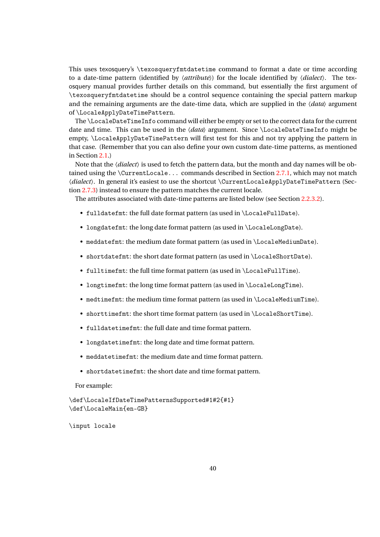This uses texosquery's \texosqueryfmtdatetime command to format a date or time according to a date-time pattern (identified by 〈*attribute*〉) for the locale identified by 〈*dialect*〉. The texosquery manual provides further details on this command, but essentially the first argument of \texosqueryfmtdatetime should be a control sequence containing the special pattern markup and the remaining arguments are the date-time data, which are supplied in the 〈*data*〉 argument of \LocaleApplyDateTimePattern.

The \LocaleDateTimeInfo command will either be empty or set to the correct data for the current date and time. This can be used in the 〈*data*〉 argument. Since \LocaleDateTimeInfo might be empty, \LocaleApplyDateTimePattern will first test for this and not try applying the pattern in that case. (Remember that you can also define your own custom date-time patterns, as mentioned in Section [2.1.](#page-13-0))

Note that the *(dialect)* is used to fetch the pattern data, but the month and day names will be obtained using the \CurrentLocale... commands described in Section [2.7.1,](#page-59-0) which may not match 〈*dialect*〉. In general it's easiest to use the shortcut \CurrentLocaleApplyDateTimePattern (Section [2.7.3\)](#page-64-0) instead to ensure the pattern matches the current locale.

The attributes associated with date-time patterns are listed below (see Section [2.2.3.2\)](#page-22-0).

- fulldatefmt: the full date format pattern (as used in \LocaleFullDate).
- longdatefmt: the long date format pattern (as used in \LocaleLongDate).
- meddatefmt: the medium date format pattern (as used in \LocaleMediumDate).
- shortdatefmt: the short date format pattern (as used in \LocaleShortDate).
- fulltimefmt: the full time format pattern (as used in \LocaleFullTime).
- longtimefmt: the long time format pattern (as used in \LocaleLongTime).
- medtimefmt: the medium time format pattern (as used in \LocaleMediumTime).
- shorttimefmt: the short time format pattern (as used in \LocaleShortTime).
- fulldatetimefmt: the full date and time format pattern.
- longdatetimefmt: the long date and time format pattern.
- meddatetimefmt: the medium date and time format pattern.
- shortdatetimefmt: the short date and time format pattern.

For example:

```
\def\LocaleIfDateTimePatternsSupported#1#2{#1}
\def\LocaleMain{en-GB}
```
\input locale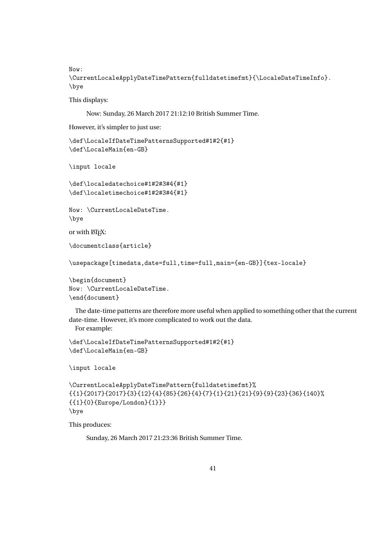Now:

\CurrentLocaleApplyDateTimePattern{fulldatetimefmt}{\LocaleDateTimeInfo}. \bye

This displays:

Now: Sunday, 26 March 2017 21:12:10 British Summer Time.

However, it's simpler to just use:

```
\def\LocaleIfDateTimePatternsSupported#1#2{#1}
\def\LocaleMain{en-GB}
```
\input locale

```
\def\localedatechoice#1#2#3#4{#1}
\def\localetimechoice#1#2#3#4{#1}
```
Now: \CurrentLocaleDateTime. \bye

or with  $E\Gamma F X$ :

```
\documentclass{article}
```

```
\usepackage[timedata,date=full,time=full,main={en-GB}]{tex-locale}
```
\begin{document} Now: \CurrentLocaleDateTime. \end{document}

The date-time patterns are therefore more useful when applied to something other that the current date-time. However, it's more complicated to work out the data. For example:

```
\def\LocaleIfDateTimePatternsSupported#1#2{#1}
\def\LocaleMain{en-GB}
```
\input locale

```
\CurrentLocaleApplyDateTimePattern{fulldatetimefmt}%
{{1}{2017}{2017}{3}{12}{4}{85}{26}{4}{7}{1}{21}{21}{9}{9}{23}{36}{140}%
{{1}{0}{Europe/London}{1}}}
\bye
```
This produces:

Sunday, 26 March 2017 21:23:36 British Summer Time.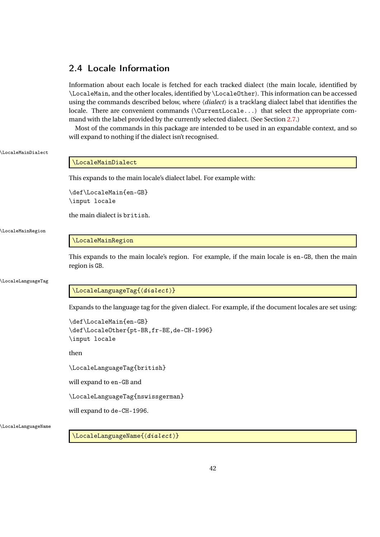# 2.4 Locale Information

Information about each locale is fetched for each tracked dialect (the main locale, identified by \LocaleMain, and the other locales, identified by \LocaleOther). This information can be accessed using the commands described below, where 〈*dialect*〉 is a tracklang dialect label that identifies the locale. There are convenient commands ( $\text{CurrentLocale...}$ ) that select the appropriate command with the label provided by the currently selected dialect. (See Section [2.7.](#page-57-0))

Most of the commands in this package are intended to be used in an expandable context, and so will expand to nothing if the dialect isn't recognised.

## \LocaleMainDialect

## \LocaleMainDialect

This expands to the main locale's dialect label. For example with:

\def\LocaleMain{en-GB} \input locale

the main dialect is british.

#### \LocaleMainRegion

## \LocaleMainRegion

This expands to the main locale's region. For example, if the main locale is en-GB, then the main region is GB.

\LocaleLanguageTag

## \LocaleLanguageTag{(dialect)}

Expands to the language tag for the given dialect. For example, if the document locales are set using:

```
\def\LocaleMain{en-GB}
\def\LocaleOther{pt-BR,fr-BE,de-CH-1996}
\input locale
```
then

\LocaleLanguageTag{british}

will expand to en-GB and

\LocaleLanguageTag{nswissgerman}

will expand to de-CH-1996.

\LocaleLanguageName

\LocaleLanguageName{ $\langle dialect \rangle$ }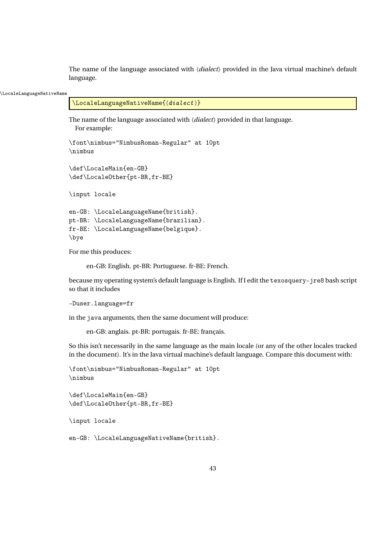The name of the language associated with 〈*dialect*〉 provided in the Java virtual machine's default language.

#### \LocaleLanguageNativeName

```
\LocaleLanguageNativeName{\{dialect \rangle\}
```
The name of the language associated with 〈*dialect*〉 provided in that language. For example:

```
\font\nimbus="NimbusRoman-Regular" at 10pt
\nimbus
```

```
\def\LocaleMain{en-GB}
\def\LocaleOther{pt-BR,fr-BE}
```
\input locale

en-GB: \LocaleLanguageName{british}. pt-BR: \LocaleLanguageName{brazilian}. fr-BE: \LocaleLanguageName{belgique}. \bye

For me this produces:

en-GB: English. pt-BR: Portuguese. fr-BE: French.

because my operating system's default language is English. If I edit the texosquery-jre8 bash script so that it includes

```
-Duser.language=fr
```
in the java arguments, then the same document will produce:

```
en-GB: anglais. pt-BR: portugais. fr-BE: français.
```
So this isn't necessarily in the same language as the main locale (or any of the other locales tracked in the document). It's in the Java virtual machine's default language. Compare this document with:

```
\font\nimbus="NimbusRoman-Regular" at 10pt
\nimbus
```

```
\def\LocaleMain{en-GB}
\def\LocaleOther{pt-BR,fr-BE}
```
\input locale

en-GB: \LocaleLanguageNativeName{british}.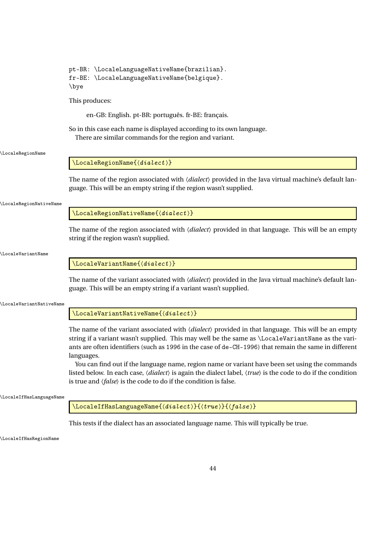|                          | pt-BR: \LocaleLanguageNativeName{brazilian}.<br>fr-BE: \LocaleLanguageNativeName{belgique}.<br>\bye                                                                                                                                                                                                                                                                                                                                                                                                                                                                                                                                                                 |
|--------------------------|---------------------------------------------------------------------------------------------------------------------------------------------------------------------------------------------------------------------------------------------------------------------------------------------------------------------------------------------------------------------------------------------------------------------------------------------------------------------------------------------------------------------------------------------------------------------------------------------------------------------------------------------------------------------|
|                          | This produces:                                                                                                                                                                                                                                                                                                                                                                                                                                                                                                                                                                                                                                                      |
|                          | en-GB: English. pt-BR: português. fr-BE: français.                                                                                                                                                                                                                                                                                                                                                                                                                                                                                                                                                                                                                  |
|                          | So in this case each name is displayed according to its own language.<br>There are similar commands for the region and variant.                                                                                                                                                                                                                                                                                                                                                                                                                                                                                                                                     |
| \LocaleRegionName        |                                                                                                                                                                                                                                                                                                                                                                                                                                                                                                                                                                                                                                                                     |
|                          | $\setminus$ LocaleRegionName $\{$ $\langle dialect \rangle\}$                                                                                                                                                                                                                                                                                                                                                                                                                                                                                                                                                                                                       |
|                          | The name of the region associated with <i>(dialect)</i> provided in the Java virtual machine's default lan-<br>guage. This will be an empty string if the region wasn't supplied.                                                                                                                                                                                                                                                                                                                                                                                                                                                                                   |
| \LocaleRegionNativeName  |                                                                                                                                                                                                                                                                                                                                                                                                                                                                                                                                                                                                                                                                     |
|                          | $\setminus$ LocaleRegionNativeName $\{$ langle <i>dialect</i> \rangle\}                                                                                                                                                                                                                                                                                                                                                                                                                                                                                                                                                                                             |
|                          | The name of the region associated with <i>(dialect)</i> provided in that language. This will be an empty<br>string if the region wasn't supplied.                                                                                                                                                                                                                                                                                                                                                                                                                                                                                                                   |
| <b>LocaleVariantName</b> |                                                                                                                                                                                                                                                                                                                                                                                                                                                                                                                                                                                                                                                                     |
|                          | $\backslash$ LocaleVariantName $\{\langle dialect \rangle\}$                                                                                                                                                                                                                                                                                                                                                                                                                                                                                                                                                                                                        |
|                          | The name of the variant associated with <i>(dialect)</i> provided in the Java virtual machine's default lan-<br>guage. This will be an empty string if a variant wasn't supplied.                                                                                                                                                                                                                                                                                                                                                                                                                                                                                   |
| \LocaleVariantNativeName |                                                                                                                                                                                                                                                                                                                                                                                                                                                                                                                                                                                                                                                                     |
|                          | $\backslash$ LocaleVariantNativeName $\{\langle dialect \rangle\}$                                                                                                                                                                                                                                                                                                                                                                                                                                                                                                                                                                                                  |
|                          | The name of the variant associated with (dialect) provided in that language. This will be an empty<br>string if a variant wasn't supplied. This may well be the same as \LocaleVariantName as the vari-<br>ants are often identifiers (such as 1996 in the case of de-CH-1996) that remain the same in different<br>languages.<br>You can find out if the language name, region name or variant have been set using the commands<br>listed below. In each case, $\langle dialect \rangle$ is again the dialect label, $\langle true \rangle$ is the code to do if the condition<br>is true and $\langle false \rangle$ is the code to do if the condition is false. |
| \LocaleIfHasLanguageName |                                                                                                                                                                                                                                                                                                                                                                                                                                                                                                                                                                                                                                                                     |
|                          | $\backslash$ LocaleIfHasLanguageName $\{$ (dialect)} $\{$ { $true$ } $\}$ { $\{false\}$ }                                                                                                                                                                                                                                                                                                                                                                                                                                                                                                                                                                           |
|                          | This tests if the dialect has an associated language name. This will typically be true.                                                                                                                                                                                                                                                                                                                                                                                                                                                                                                                                                                             |

\LocaleIfHasRegionName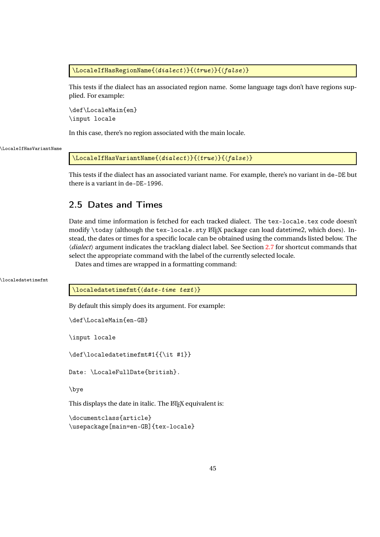\LocaleIfHasRegionName{ $\langle \text{dialect} \rangle$ }{ $\langle \text{true} \rangle$ }{ $\langle \text{false} \rangle$ }

This tests if the dialect has an associated region name. Some language tags don't have regions supplied. For example:

\def\LocaleMain{en} \input locale

In this case, there's no region associated with the main locale.

\LocaleIfHasVariantName

\LocaleIfHasVariantName{ $\langle dialect \rangle$ }{ $\langle true \rangle$ }{ $\langle false \rangle$ }

This tests if the dialect has an associated variant name. For example, there's no variant in de-DE but there is a variant in de-DE-1996.

# 2.5 Dates and Times

Date and time information is fetched for each tracked dialect. The tex-locale.tex code doesn't modify  $\cdot$  today (although the tex-locale.sty  $E$ Fix package can load datetime2, which does). Instead, the dates or times for a specific locale can be obtained using the commands listed below. The 〈*dialect*〉 argument indicates the tracklang dialect label. See Section [2.7](#page-57-0) for shortcut commands that select the appropriate command with the label of the currently selected locale.

Dates and times are wrapped in a formatting command:

\localedatetimefmt

 $\setminus$ localedatetimefmt $\{$  $\langle$ date-time text $\rangle\}$ 

By default this simply does its argument. For example:

```
\def\LocaleMain{en-GB}
```
\input locale

\def\localedatetimefmt#1{{\it #1}}

Date: \LocaleFullDate{british}.

\bye

This displays the date in italic. The LATEX equivalent is:

```
\documentclass{article}
\usepackage[main=en-GB]{tex-locale}
```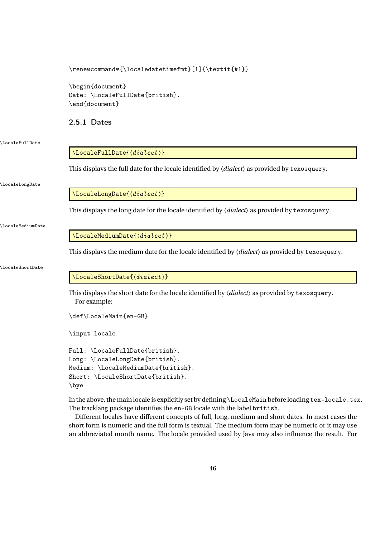## \renewcommand\*{\localedatetimefmt}[1]{\textit{#1}}

\begin{document} Date: \LocaleFullDate{british}. \end{document}

## <span id="page-45-0"></span>2.5.1 Dates

### \LocaleFullDate

## \LocaleFullDate{〈dialect 〉}

This displays the full date for the locale identified by 〈*dialect*〉 as provided by texosquery.

#### \LocaleLongDate

\LocaleLongDate{ $\langle dialect \rangle$ }

This displays the long date for the locale identified by 〈*dialect*〉 as provided by texosquery.

\LocaleMediumDate

\LocaleMediumDate{ $\langle dialect \rangle$ }

This displays the medium date for the locale identified by 〈*dialect*〉 as provided by texosquery.

## \LocaleShortDate

## \LocaleShortDate{(dialect)}

This displays the short date for the locale identified by 〈*dialect*〉 as provided by texosquery. For example:

```
\def\LocaleMain{en-GB}
```
\input locale

```
Full: \LocaleFullDate{british}.
Long: \LocaleLongDate{british}.
Medium: \LocaleMediumDate{british}.
Short: \LocaleShortDate{british}.
\bye
```
In the above, the main locale is explicitly set by defining \LocaleMain before loading tex-locale.tex. The tracklang package identifies the en-GB locale with the label british.

Different locales have different concepts of full, long, medium and short dates. In most cases the short form is numeric and the full form is textual. The medium form may be numeric or it may use an abbreviated month name. The locale provided used by Java may also influence the result. For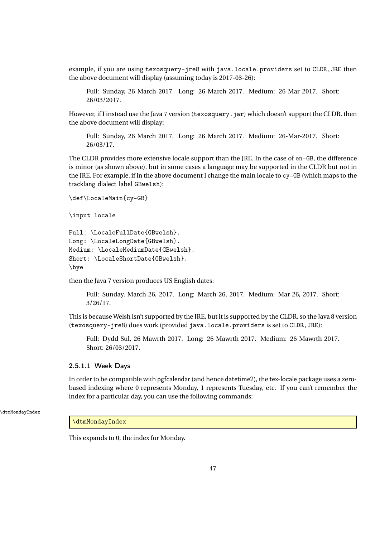example, if you are using texosquery-jre8 with java.locale.providers set to CLDR,JRE then the above document will display (assuming today is 2017-03-26):

Full: Sunday, 26 March 2017. Long: 26 March 2017. Medium: 26 Mar 2017. Short: 26/03/2017.

However, if I instead use the Java 7 version (texosquery.jar) which doesn't support the CLDR, then the above document will display:

Full: Sunday, 26 March 2017. Long: 26 March 2017. Medium: 26-Mar-2017. Short: 26/03/17.

The CLDR provides more extensive locale support than the JRE. In the case of en-GB, the difference is minor (as shown above), but in some cases a language may be supported in the CLDR but not in the JRE. For example, if in the above document I change the main locale to cy-GB (which maps to the tracklang dialect label GBwelsh):

```
\def\LocaleMain{cy-GB}
```
\input locale

```
Full: \LocaleFullDate{GBwelsh}.
Long: \LocaleLongDate{GBwelsh}.
Medium: \LocaleMediumDate{GBwelsh}.
Short: \LocaleShortDate{GBwelsh}.
\bye
```
then the Java 7 version produces US English dates:

Full: Sunday, March 26, 2017. Long: March 26, 2017. Medium: Mar 26, 2017. Short: 3/26/17.

This is because Welsh isn't supported by the JRE, but it is supported by the CLDR, so the Java 8 version (texosquery-jre8) does work (provided java.locale.providers is set to CLDR,JRE):

Full: Dydd Sul, 26 Mawrth 2017. Long: 26 Mawrth 2017. Medium: 26 Mawrth 2017. Short: 26/03/2017.

## 2.5.1.1 Week Days

In order to be compatible with pgfcalendar (and hence datetime2), the tex-locale package uses a zerobased indexing where 0 represents Monday, 1 represents Tuesday, etc. If you can't remember the index for a particular day, you can use the following commands:

\dtmMondayIndex

## \dtmMondayIndex

This expands to 0, the index for Monday.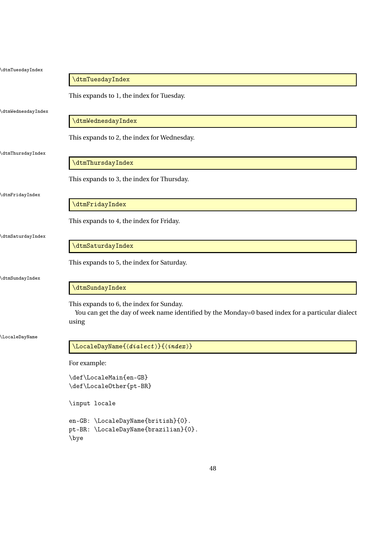| \dtmTuesdayIndex         |                                                                                                                                                       |
|--------------------------|-------------------------------------------------------------------------------------------------------------------------------------------------------|
|                          | \dtmTuesdayIndex                                                                                                                                      |
|                          | This expands to 1, the index for Tuesday.                                                                                                             |
| <b>dtmWednesdayIndex</b> |                                                                                                                                                       |
|                          | \dtmWednesdayIndex                                                                                                                                    |
|                          | This expands to 2, the index for Wednesday.                                                                                                           |
| dtmThursdayIndex         | \dtmThursdayIndex                                                                                                                                     |
|                          |                                                                                                                                                       |
|                          | This expands to 3, the index for Thursday.                                                                                                            |
| dtmFridayIndex           |                                                                                                                                                       |
|                          | \dtmFridayIndex                                                                                                                                       |
|                          | This expands to 4, the index for Friday.                                                                                                              |
| dtmSaturdayIndex         |                                                                                                                                                       |
|                          | \dtmSaturdayIndex                                                                                                                                     |
|                          | This expands to 5, the index for Saturday.                                                                                                            |
| dtmSundayIndex           |                                                                                                                                                       |
|                          | \dtmSundayIndex                                                                                                                                       |
|                          | This expands to 6, the index for Sunday.<br>You can get the day of week name identified by the Monday=0 based index for a particular dialect<br>using |
| \LocaleDayName           |                                                                                                                                                       |
|                          | $\verb \LocaleDayName{ \text{}(dialect)}{{\text{}(index)}} $                                                                                          |
|                          | For example:                                                                                                                                          |
|                          | \def\LocaleMain{en-GB}                                                                                                                                |
|                          | $\verb+\def+\text{pt-BR}+$                                                                                                                            |
|                          | \input locale                                                                                                                                         |
|                          | en-GB: \LocaleDayName{british}{0}.                                                                                                                    |
|                          | pt-BR: \LocaleDayName{brazilian}{0}.                                                                                                                  |

\bye

48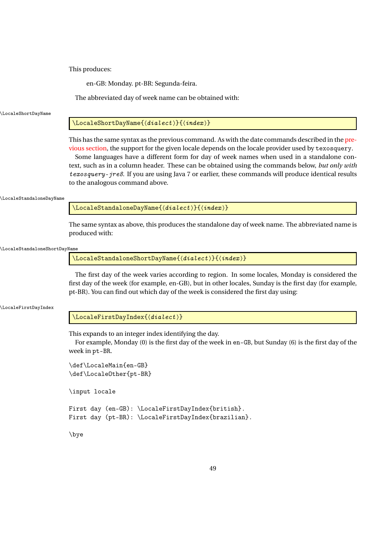This produces:

en-GB: Monday. pt-BR: Segunda-feira.

The abbreviated day of week name can be obtained with:

\LocaleShortDayName

## $\setminus$ LocaleShortDayName $\{$  $\langle$ dialect $\rangle$ } $\{$  $\langle$ index $\rangle$ }

This has the same syntax as the previous command. As with the date commands described in the [pre](#page-45-0)[vious section,](#page-45-0) the support for the given locale depends on the locale provider used by texosquery.

Some languages have a different form for day of week names when used in a standalone context, such as in a column header. These can be obtained using the commands below, *but only with* texosquery-jre8. If you are using Java 7 or earlier, these commands will produce identical results to the analogous command above.

\LocaleStandaloneDayName

\LocaleStandaloneDayName{ $\langle dialect \rangle$ }{ $\langle index \rangle$ }

The same syntax as above, this produces the standalone day of week name. The abbreviated name is produced with:

\LocaleStandaloneShortDayName

\LocaleStandaloneShortDayName{ $\langle dialect \rangle$ }{ $\langle index \rangle$ }

The first day of the week varies according to region. In some locales, Monday is considered the first day of the week (for example, en-GB), but in other locales, Sunday is the first day (for example, pt-BR). You can find out which day of the week is considered the first day using:

\LocaleFirstDayIndex

\LocaleFirstDayIndex{(dialect)}

This expands to an integer index identifying the day.

For example, Monday (0) is the first day of the week in en-GB, but Sunday (6) is the first day of the week in pt-BR.

\def\LocaleMain{en-GB} \def\LocaleOther{pt-BR}

\input locale

First day (en-GB): \LocaleFirstDayIndex{british}. First day (pt-BR): \LocaleFirstDayIndex{brazilian}.

\bye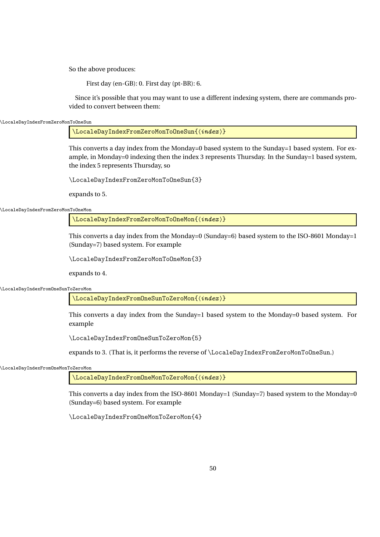So the above produces:

First day (en-GB): 0. First day (pt-BR): 6.

Since it's possible that you may want to use a different indexing system, there are commands provided to convert between them:

\LocaleDayIndexFromZeroMonToOneSun

\LocaleDayIndexFromZeroMonToOneSun{(index)}

This converts a day index from the Monday=0 based system to the Sunday=1 based system. For example, in Monday=0 indexing then the index 3 represents Thursday. In the Sunday=1 based system, the index 5 represents Thursday, so

\LocaleDayIndexFromZeroMonToOneSun{3}

expands to 5.

\LocaleDayIndexFromZeroMonToOneMon

\LocaleDayIndexFromZeroMonToOneMon{(index)}

This converts a day index from the Monday=0 (Sunday=6) based system to the ISO-8601 Monday=1 (Sunday=7) based system. For example

\LocaleDayIndexFromZeroMonToOneMon{3}

expands to 4.

\LocaleDayIndexFromOneSunToZeroMon

\LocaleDayIndexFromOneSunToZeroMon{(index)}

This converts a day index from the Sunday=1 based system to the Monday=0 based system. For example

\LocaleDayIndexFromOneSunToZeroMon{5}

expands to 3. (That is, it performs the reverse of \LocaleDayIndexFromZeroMonToOneSun.)

\LocaleDayIndexFromOneMonToZeroMon

\LocaleDayIndexFromOneMonToZeroMon{(index)}

This converts a day index from the ISO-8601 Monday=1 (Sunday=7) based system to the Monday=0 (Sunday=6) based system. For example

\LocaleDayIndexFromOneMonToZeroMon{4}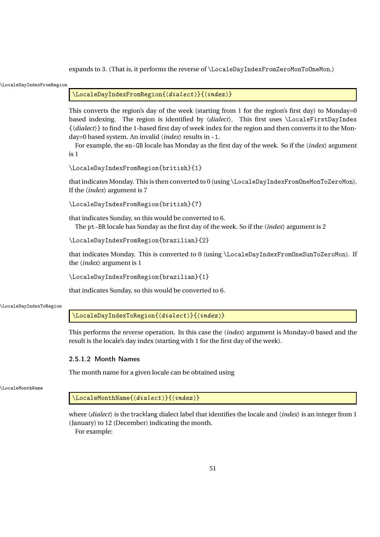expands to 3. (That is, it performs the reverse of \LocaleDayIndexFromZeroMonToOneMon.)

| \LocaleDayIndexFromRegion |                                                                                                                                                                                                                                                                                                                                                                                                                                                                                                            |
|---------------------------|------------------------------------------------------------------------------------------------------------------------------------------------------------------------------------------------------------------------------------------------------------------------------------------------------------------------------------------------------------------------------------------------------------------------------------------------------------------------------------------------------------|
|                           | \LocaleDayIndexFromRegion{(dialect)}{(index)}                                                                                                                                                                                                                                                                                                                                                                                                                                                              |
|                           | This converts the region's day of the week (starting from 1 for the region's first day) to Monday=0<br>based indexing. The region is identified by (dialect). This first uses \LocaleFirstDayIndex<br>{\dialect}} to find the 1-based first day of week index for the region and then converts it to the Mon-<br>day=0 based system. An invalid $\langle index \rangle$ results in -1.<br>For example, the en-GB locale has Monday as the first day of the week. So if the <i>(index)</i> argument<br>is 1 |
|                           | \LocaleDayIndexFromRegion{british}{1}                                                                                                                                                                                                                                                                                                                                                                                                                                                                      |
|                           | that indicates Monday. This is then converted to 0 (using \LocaleDayIndexFromOneMonToZeroMon).<br>If the $\langle index \rangle$ argument is 7                                                                                                                                                                                                                                                                                                                                                             |
|                           | \LocaleDayIndexFromRegion{british}{7}                                                                                                                                                                                                                                                                                                                                                                                                                                                                      |
|                           | that indicates Sunday, so this would be converted to 6.<br>The pt-BR locale has Sunday as the first day of the week. So if the <i>(index)</i> argument is 2                                                                                                                                                                                                                                                                                                                                                |
|                           | \LocaleDayIndexFromRegion{brazilian}{2}                                                                                                                                                                                                                                                                                                                                                                                                                                                                    |
|                           | that indicates Monday. This is converted to 0 (using \LocaleDayIndexFromOneSunToZeroMon). If<br>the $\langle index \rangle$ argument is 1                                                                                                                                                                                                                                                                                                                                                                  |
|                           | \LocaleDayIndexFromRegion{brazilian}{1}                                                                                                                                                                                                                                                                                                                                                                                                                                                                    |
|                           | that indicates Sunday, so this would be converted to 6.                                                                                                                                                                                                                                                                                                                                                                                                                                                    |
| \LocaleDayIndexToRegion   |                                                                                                                                                                                                                                                                                                                                                                                                                                                                                                            |
|                           | \LocaleDayIndexToRegion{(dialect)}{(index)}                                                                                                                                                                                                                                                                                                                                                                                                                                                                |
|                           | This performs the reverse operation. In this case the $\langle index \rangle$ argument is Monday=0 based and the<br>result is the locale's day index (starting with 1 for the first day of the week).                                                                                                                                                                                                                                                                                                      |
|                           | 2.5.1.2 Month Names                                                                                                                                                                                                                                                                                                                                                                                                                                                                                        |
|                           | The month name for a given locale can be obtained using                                                                                                                                                                                                                                                                                                                                                                                                                                                    |
| LocaleMonthName           |                                                                                                                                                                                                                                                                                                                                                                                                                                                                                                            |
|                           | $\setminus$ LocaleMonthName $\{$ /dialect $\rangle$ } $\{$ /index $\rangle$ }                                                                                                                                                                                                                                                                                                                                                                                                                              |
|                           | where $\langle dialect \rangle$ is the tracklang dialect label that identifies the locale and $\langle index \rangle$ is an integer from 1<br>(January) to 12 (December) indicating the month.<br>For example:                                                                                                                                                                                                                                                                                             |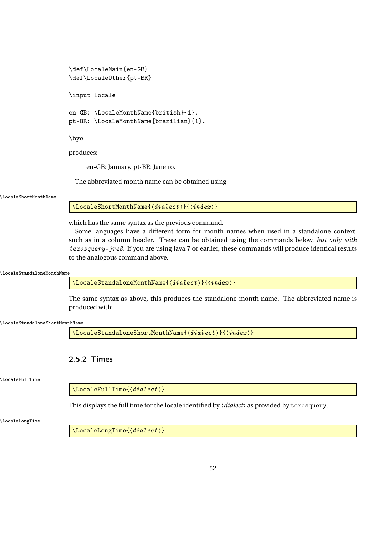```
\def\LocaleMain{en-GB}
\def\LocaleOther{pt-BR}
\input locale
en-GB: \LocaleMonthName{british}{1}.
pt-BR: \LocaleMonthName{brazilian}{1}.
\bye
```
produces:

en-GB: January. pt-BR: Janeiro.

The abbreviated month name can be obtained using

\LocaleShortMonthName

 $\setminus$ LocaleShortMonthName $\{$  $\langle$ dialect $\rangle$ } $\{$  $\langle$ index $\rangle$ }

which has the same syntax as the previous command.

Some languages have a different form for month names when used in a standalone context, such as in a column header. These can be obtained using the commands below, *but only with* texosquery-jre8. If you are using Java 7 or earlier, these commands will produce identical results to the analogous command above.

\LocaleStandaloneMonthName

\LocaleStandaloneMonthName{ $\langle dialect \rangle$ }{ $\langle index \rangle$ }

The same syntax as above, this produces the standalone month name. The abbreviated name is produced with:

\LocaleStandaloneShortMonthName

\LocaleStandaloneShortMonthName{(dialect)}{(index)}

2.5.2 Times

\LocaleFullTime

 $\setminus$ LocaleFullTime $\{$  $\langle$  *dialect*  $\rangle$ 

This displays the full time for the locale identified by 〈*dialect*〉 as provided by texosquery.

\LocaleLongTime

 $\setminus$ LocaleLongTime $\{\langle dialect \rangle\}$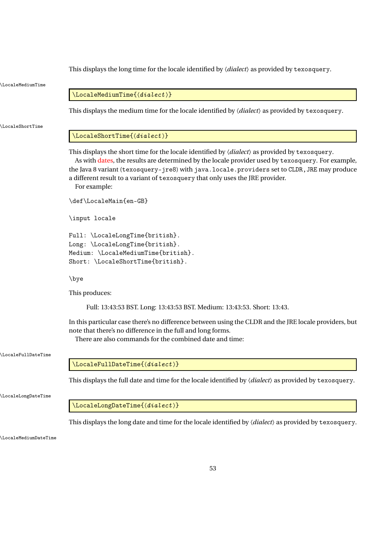\LocaleMediumTime  $\setminus$ LocaleMediumTime $\{$ langle<i>dialect</i> \rangle\} This displays the medium time for the locale identified by 〈*dialect*〉 as provided by texosquery. \LocaleShortTime  $\setminus$ LocaleShortTime $\{$  $\langle$  *dialect*  $\rangle$ This displays the short time for the locale identified by 〈*dialect*〉 as provided by texosquery. As with [dates,](#page-45-0) the results are determined by the locale provider used by texosquery. For example, the Java 8 variant (texosquery-jre8) with java.locale.providers set to CLDR, JRE may produce a different result to a variant of texosquery that only uses the JRE provider. For example: \def\LocaleMain{en-GB} \input locale Full: \LocaleLongTime{british}. Long: \LocaleLongTime{british}. Medium: \LocaleMediumTime{british}. Short: \LocaleShortTime{british}. \bye This produces: Full: 13:43:53 BST. Long: 13:43:53 BST. Medium: 13:43:53. Short: 13:43. In this particular case there's no difference between using the CLDR and the JRE locale providers, but note that there's no difference in the full and long forms. There are also commands for the combined date and time: \LocaleFullDateTime  $\setminus$ LocaleFullDateTime $\{\langle dialect \rangle\}$ This displays the full date and time for the locale identified by 〈*dialect*〉 as provided by texosquery. \LocaleLongDateTime  $\setminus$ LocaleLongDateTime $\{$  $\langle dialect \rangle \}$ This displays the long date and time for the locale identified by 〈*dialect*〉 as provided by texosquery. \LocaleMediumDateTime

This displays the long time for the locale identified by 〈*dialect*〉 as provided by texosquery.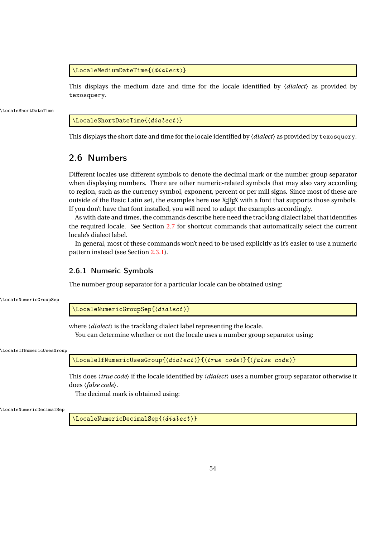\LocaleMediumDateTime{ $\langle dialect \rangle$ }

This displays the medium date and time for the locale identified by 〈*dialect*〉 as provided by texosquery.

\LocaleShortDateTime

\LocaleShortDateTime{(dialect)}

This displays the short date and time for the locale identified by 〈*dialect*〉 as provided by texosquery.

## 2.6 Numbers

Different locales use different symbols to denote the decimal mark or the number group separator when displaying numbers. There are other numeric-related symbols that may also vary according to region, such as the currency symbol, exponent, percent or per mill signs. Since most of these are outside of the Basic Latin set, the examples here use X<sub>T</sub>T<sub>E</sub>X with a font that supports those symbols. If you don't have that font installed, you will need to adapt the examples accordingly.

As with date and times, the commands describe here need the tracklang dialect label that identifies the required locale. See Section [2.7](#page-57-0) for shortcut commands that automatically select the current locale's dialect label.

In general, most of these commands won't need to be used explicitly as it's easier to use a numeric pattern instead (see Section [2.3.1\)](#page-31-0).

## 2.6.1 Numeric Symbols

The number group separator for a particular locale can be obtained using:

\LocaleNumericGroupSep

\LocaleNumericGroupSep{(dialect)}

where  $\langle dialect \rangle$  is the tracklang dialect label representing the locale.

You can determine whether or not the locale uses a number group separator using:

\LocaleIfNumericUsesGroup

\LocaleIfNumericUsesGroup{〈dialect 〉}{〈true code 〉}{〈false code 〉}

This does 〈*true code*〉 if the locale identified by 〈*dialect*〉 uses a number group separator otherwise it does 〈*false code*〉.

The decimal mark is obtained using:

\LocaleNumericDecimalSep

 $\setminus$ LocaleNumericDecimalSep $\{$  $\langle$  *dialect*  $\rangle$  }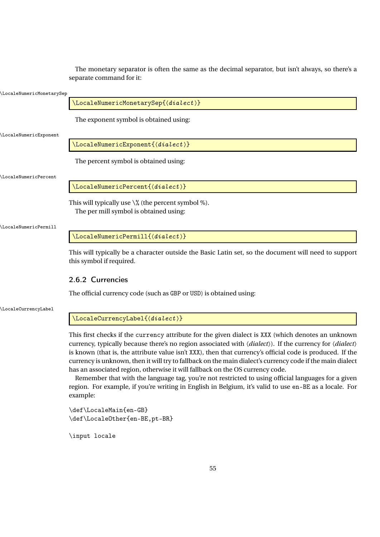The monetary separator is often the same as the decimal separator, but isn't always, so there's a separate command for it:

#### \LocaleNumericMonetarySep

\LocaleNumericMonetarySep{(dialect)}

The exponent symbol is obtained using:

\LocaleNumericExponent

\LocaleNumericExponent{ $\langle dialect \rangle$ }

The percent symbol is obtained using:

\LocaleNumericPercent

\LocaleNumericPercent{\dialect \}

This will typically use  $\%$  (the percent symbol %). The per mill symbol is obtained using:

\LocaleNumericPermill

\LocaleNumericPermill{(dialect)}

This will typically be a character outside the Basic Latin set, so the document will need to support this symbol if required.

## 2.6.2 Currencies

The official currency code (such as GBP or USD) is obtained using:

\LocaleCurrencyLabel

\LocaleCurrencyLabel{\dialect \}

This first checks if the currency attribute for the given dialect is XXX (which denotes an unknown currency, typically because there's no region associated with 〈*dialect*〉). If the currency for 〈*dialect*〉 is known (that is, the attribute value isn't XXX), then that currency's official code is produced. If the currency is unknown, then it will try to fallback on the main dialect's currency code if the main dialect has an associated region, otherwise it will fallback on the OS currency code.

Remember that with the language tag, you're not restricted to using official languages for a given region. For example, if you're writing in English in Belgium, it's valid to use en-BE as a locale. For example:

```
\def\LocaleMain{en-GB}
\def\LocaleOther{en-BE,pt-BR}
```
\input locale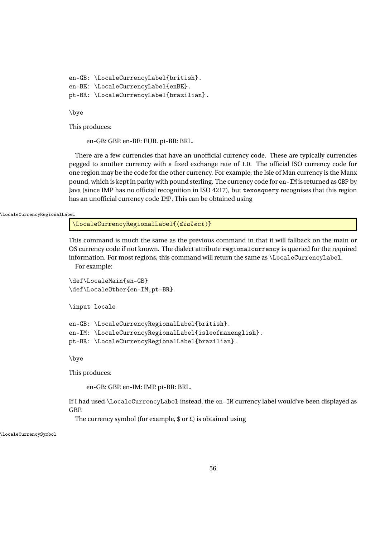```
en-GB: \LocaleCurrencyLabel{british}.
en-BE: \LocaleCurrencyLabel{enBE}.
pt-BR: \LocaleCurrencyLabel{brazilian}.
```
\bye

This produces:

en-GB: GBP. en-BE: EUR. pt-BR: BRL.

There are a few currencies that have an unofficial currency code. These are typically currencies pegged to another currency with a fixed exchange rate of 1.0. The official ISO currency code for one region may be the code for the other currency. For example, the Isle of Man currency is the Manx pound, which is kept in parity with pound sterling. The currency code for en-IM is returned as GBP by Java (since IMP has no official recognition in ISO 4217), but texosquery recognises that this region has an unofficial currency code IMP. This can be obtained using

\LocaleCurrencyRegionalLabel

\LocaleCurrencyRegionalLabel{〈dialect 〉}

This command is much the same as the previous command in that it will fallback on the main or OS currency code if not known. The dialect attribute regionalcurrency is queried for the required information. For most regions, this command will return the same as \LocaleCurrencyLabel.

For example:

```
\def\LocaleMain{en-GB}
\def\LocaleOther{en-IM,pt-BR}
\input locale
```

```
en-GB: \LocaleCurrencyRegionalLabel{british}.
en-IM: \LocaleCurrencyRegionalLabel{isleofmanenglish}.
pt-BR: \LocaleCurrencyRegionalLabel{brazilian}.
```
\bye

This produces:

en-GB: GBP. en-IM: IMP. pt-BR: BRL.

If I had used \LocaleCurrencyLabel instead, the en-IM currency label would've been displayed as GBP.

The currency symbol (for example, \$ or £) is obtained using

\LocaleCurrencySymbol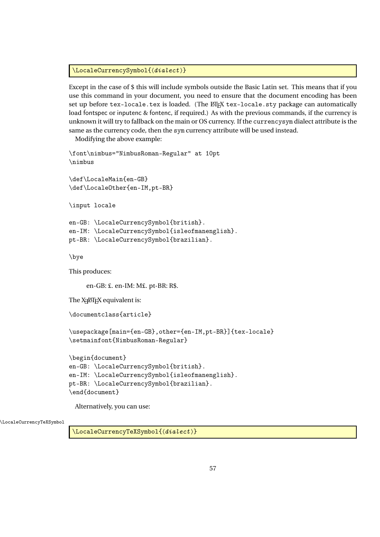\LocaleCurrencySymbol{(dialect)}

Except in the case of \$ this will include symbols outside the Basic Latin set. This means that if you use this command in your document, you need to ensure that the document encoding has been set up before tex-locale.tex is loaded. (The ET<sub>EX</sub> tex-locale.sty package can automatically load fontspec or inputenc & fontenc, if required.) As with the previous commands, if the currency is unknown it will try to fallback on the main or OS currency. If the currencysym dialect attribute is the same as the currency code, then the sym currency attribute will be used instead.

Modifying the above example:

```
\font\nimbus="NimbusRoman-Regular" at 10pt
\nimbus
\def\LocaleMain{en-GB}
\def\LocaleOther{en-IM,pt-BR}
\input locale
en-GB: \LocaleCurrencySymbol{british}.
en-IM: \LocaleCurrencySymbol{isleofmanenglish}.
pt-BR: \LocaleCurrencySymbol{brazilian}.
\bye
This produces:
     en-GB: £. en-IM: M£. pt-BR: R$.
The \mathop{\mathrm{X}\mathrm{I}\mathrm{H}\mathrm{F}\mathrm{X}} equivalent is:
\documentclass{article}
\usepackage[main={en-GB},other={en-IM,pt-BR}]{tex-locale}
\setmainfont{NimbusRoman-Regular}
\begin{document}
en-GB: \LocaleCurrencySymbol{british}.
```

```
en-IM: \LocaleCurrencySymbol{isleofmanenglish}.
pt-BR: \LocaleCurrencySymbol{brazilian}.
\end{document}
```
Alternatively, you can use:

\LocaleCurrencyTeXSymbol

\LocaleCurrencyTeXSymbol{(dialect)}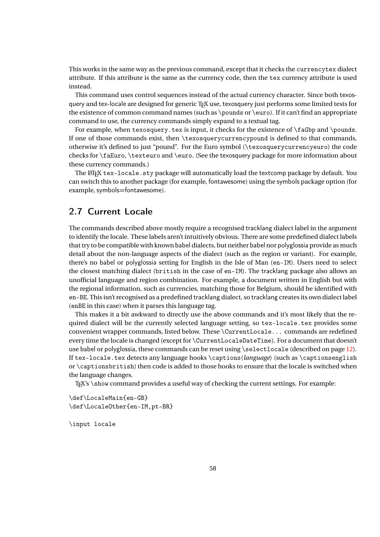This works in the same way as the previous command, except that it checks the currencytex dialect attribute. If this attribute is the same as the currency code, then the tex currency attribute is used instead.

This command uses control sequences instead of the actual currency character. Since both texosquery and tex-locale are designed for generic T<sub>E</sub>X use, texosquery just performs some limited tests for the existence of common command names (such as \pounds or \euro). If it can't find an appropriate command to use, the currency commands simply expand to a textual tag.

For example, when texosquery.tex is input, it checks for the existence of  $\f{aGbp}$  and  $\p{p}$ If one of those commands exist, then \texosquerycurrencypound is defined to that commands, otherwise it's defined to just "pound". For the Euro symbol (\texosquerycurrencyeuro) the code checks for \faEuro, \texteuro and \euro. (See the texosquery package for more information about these currency commands.)

The LATEX tex-locale.sty package will automatically load the textcomp package by default. You can switch this to another package (for example, fontawesome) using the symbols package option (for example, symbols=fontawesome).

## <span id="page-57-0"></span>2.7 Current Locale

The commands described above mostly require a recognised tracklang dialect label in the argument to identify the locale. These labels aren't intuitively obvious. There are some predefined dialect labels that try to be compatible with known babel dialects, but neither babel nor polyglossia provide as much detail about the non-language aspects of the dialect (such as the region or variant). For example, there's no babel or polyglossia setting for English in the Isle of Man (en-IM). Users need to select the closest matching dialect (british in the case of en-IM). The tracklang package also allows an unofficial language and region combination. For example, a document written in English but with the regional information, such as currencies, matching those for Belgium, should be identified with en-BE. This isn't recognised as a predefined tracklang dialect, so tracklang creates its own dialect label (enBE in this case) when it parses this language tag.

This makes it a bit awkward to directly use the above commands and it's most likely that the required dialect will be the currently selected language setting, so tex-locale.tex provides some convenient wrapper commands, listed below. These \CurrentLocale... commands are redefined every time the locale is changed (except for \CurrentLocaleDateTime). For a document that doesn't use babel or polyglossia, these commands can be reset using \selectlocale (described on page [12\)](#page-10-0). If tex-locale.tex detects any language hooks \captions〈*language*〉 (such as \captionsenglish or \captionsbritish) then code is added to those hooks to ensure that the locale is switched when the language changes.

T<sub>E</sub>X's \show command provides a useful way of checking the current settings. For example:

\def\LocaleMain{en-GB} \def\LocaleOther{en-IM,pt-BR}

\input locale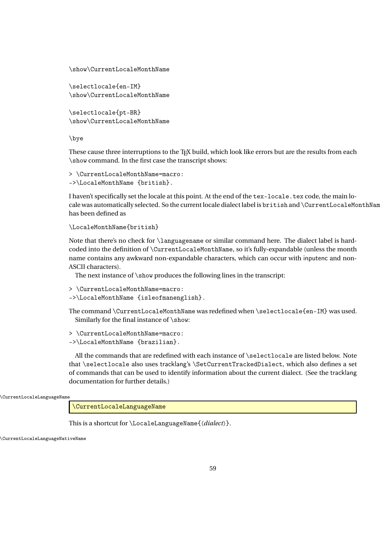```
\show\CurrentLocaleMonthName
```

```
\selectlocale{en-IM}
\show\CurrentLocaleMonthName
```

```
\selectlocale{pt-BR}
\show\CurrentLocaleMonthName
```
\bye

These cause three interruptions to the T<sub>EX</sub> build, which look like errors but are the results from each \show command. In the first case the transcript shows:

```
> \CurrentLocaleMonthName=macro:
->\LocaleMonthName {british}.
```
I haven't specifically set the locale at this point. At the end of the tex-locale.tex code, the main locale was automatically selected. So the current locale dialect label is british and \CurrentLocaleMonthNam has been defined as

```
\LocaleMonthName{british}
```
Note that there's no check for \languagename or similar command here. The dialect label is hardcoded into the definition of \CurrentLocaleMonthName, so it's fully-expandable (unless the month name contains any awkward non-expandable characters, which can occur with inputenc and non-ASCII characters).

The next instance of \show produces the following lines in the transcript:

```
> \CurrentLocaleMonthName=macro:
```

```
->\LocaleMonthName {isleofmanenglish}.
```
The command \CurrentLocaleMonthName was redefined when \selectlocale{en-IM} was used. Similarly for the final instance of \show:

```
> \CurrentLocaleMonthName=macro:
```
->\LocaleMonthName {brazilian}.

All the commands that are redefined with each instance of \selectlocale are listed below. Note that \selectlocale also uses tracklang's \SetCurrentTrackedDialect, which also defines a set of commands that can be used to identify information about the current dialect. (See the tracklang documentation for further details.)

```
\CurrentLocaleLanguageName
```
\CurrentLocaleLanguageName

This is a shortcut for \LocaleLanguageName{〈*dialect*〉}.

\CurrentLocaleLanguageNativeName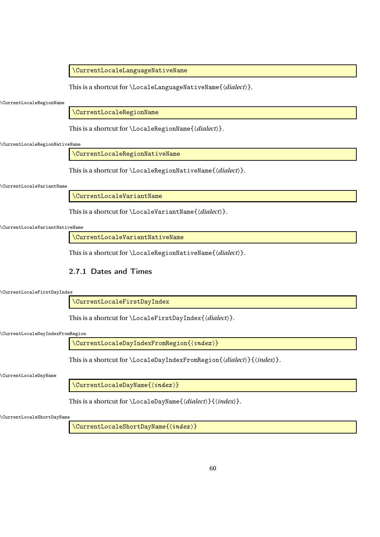\CurrentLocaleLanguageNativeName

This is a shortcut for \LocaleLanguageNativeName{〈*dialect*〉}.

\CurrentLocaleRegionName

\CurrentLocaleRegionName

This is a shortcut for \LocaleRegionName{〈*dialect*〉}.

### \CurrentLocaleRegionNativeName

\CurrentLocaleRegionNativeName

This is a shortcut for \LocaleRegionNativeName{〈*dialect*〉}.

#### \CurrentLocaleVariantName

\CurrentLocaleVariantName

This is a shortcut for \LocaleVariantName{〈*dialect*〉}.

## \CurrentLocaleVariantNativeName

\CurrentLocaleVariantNativeName

This is a shortcut for \LocaleRegionNativeName{〈*dialect*〉}.

## <span id="page-59-0"></span>2.7.1 Dates and Times

\CurrentLocaleFirstDayIndex

\CurrentLocaleFirstDayIndex

This is a shortcut for \LocaleFirstDayIndex{〈*dialect*〉}.

#### \CurrentLocaleDayIndexFromRegion

\CurrentLocaleDayIndexFromRegion{〈index 〉}

This is a shortcut for \LocaleDayIndexFromRegion{〈*dialect*〉}{〈*index*〉}.

#### \CurrentLocaleDayName

\CurrentLocaleDayName{ $\langle index\rangle$ }

This is a shortcut for \LocaleDayName{〈*dialect*〉}{〈*index*〉}.

\CurrentLocaleShortDayName

\CurrentLocaleShortDayName{〈index 〉}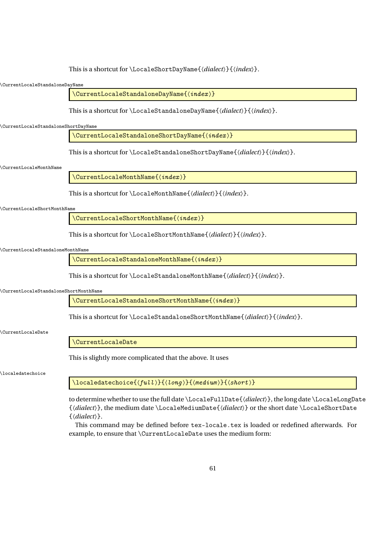This is a shortcut for \LocaleShortDayName{〈*dialect*〉}{〈*index*〉}.

### \CurrentLocaleStandaloneDayName

 $\setminus$ CurrentLocaleStandaloneDayName $\{\langle \mathit{index} \rangle\}$ 

This is a shortcut for \LocaleStandaloneDayName{〈*dialect*〉}{〈*index*〉}.

#### \CurrentLocaleStandaloneShortDayName

\CurrentLocaleStandaloneShortDayName{ $\langle \textit{index} \rangle$ }

This is a shortcut for \LocaleStandaloneShortDayName{〈*dialect*〉}{〈*index*〉}.

#### \CurrentLocaleMonthName

\CurrentLocaleMonthName{(index)}

This is a shortcut for \LocaleMonthName{〈*dialect*〉}{〈*index*〉}.

#### \CurrentLocaleShortMonthName

\CurrentLocaleShortMonthName{ $\langle \textit{index} \rangle$ }

This is a shortcut for \LocaleShortMonthName{〈*dialect*〉}{〈*index*〉}.

#### \CurrentLocaleStandaloneMonthName

\CurrentLocaleStandaloneMonthName{(index)}

This is a shortcut for \LocaleStandaloneMonthName{〈*dialect*〉}{〈*index*〉}.

#### \CurrentLocaleStandaloneShortMonthName

\CurrentLocaleStandaloneShortMonthName{〈index 〉}

This is a shortcut for \LocaleStandaloneShortMonthName{〈*dialect*〉}{〈*index*〉}.

#### \CurrentLocaleDate

\CurrentLocaleDate

This is slightly more complicated that the above. It uses

\localedatechoice

 $\setminus$ localedatechoice{ $(full)$ }{ $\setminus$ long >}{ $\setminus$ medium >}{ $\setminus$ short >}

to determine whether to use the full date \LocaleFullDate{〈*dialect*〉}, the long date \LocaleLongDate {〈*dialect*〉}, the medium date \LocaleMediumDate{〈*dialect*〉} or the short date \LocaleShortDate {〈*dialect*〉}.

This command may be defined before tex-locale.tex is loaded or redefined afterwards. For example, to ensure that \CurrentLocaleDate uses the medium form: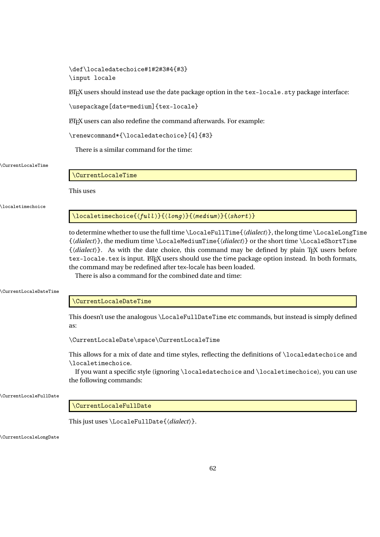## \def\localedatechoice#1#2#3#4{#3} \input locale

LATEX users should instead use the date package option in the tex-locale.sty package interface:

\usepackage[date=medium]{tex-locale}

LATEX users can also redefine the command afterwards. For example:

\renewcommand\*{\localedatechoice}[4]{#3}

There is a similar command for the time:

## \CurrentLocaleTime

\CurrentLocaleTime

This uses

## \localetimechoice

 $\langle$ localetimechoice{ $\langle$ full $\rangle$ }{ $\langle$ long $\rangle$ }{ $\langle$ medium $\rangle$ }{ $\langle$ short $\rangle$ }

to determine whether to use the full time \LocaleFullTime{〈*dialect*〉}, the long time \LocaleLongTime {〈*dialect*〉}, the medium time \LocaleMediumTime{〈*dialect*〉} or the short time \LocaleShortTime  $\{\langle dialect \rangle\}$ . As with the date choice, this command may be defined by plain T<sub>E</sub>X users before tex-locale.tex is input. LTFX users should use the time package option instead. In both formats, the command may be redefined after tex-locale has been loaded.

There is also a command for the combined date and time:

#### \CurrentLocaleDateTime

## \CurrentLocaleDateTime

This doesn't use the analogous \LocaleFullDateTime etc commands, but instead is simply defined as:

\CurrentLocaleDate\space\CurrentLocaleTime

This allows for a mix of date and time styles, reflecting the definitions of \localedatechoice and \localetimechoice.

If you want a specific style (ignoring \localedatechoice and \localetimechoice), you can use the following commands:

\CurrentLocaleFullDate

## \CurrentLocaleFullDate

This just uses \LocaleFullDate{〈*dialect*〉}.

\CurrentLocaleLongDate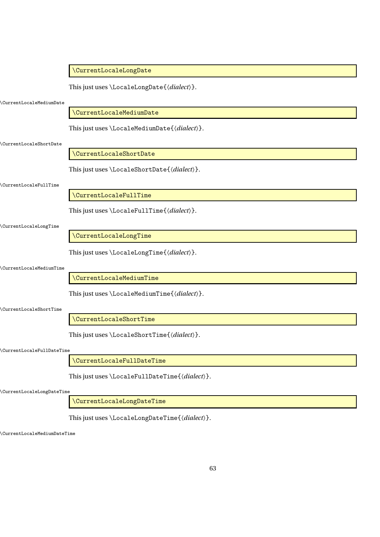|                              | \CurrentLocaleLongDate                         |
|------------------------------|------------------------------------------------|
|                              | This just uses \LocaleLongDate{\dialect\}.     |
| CurrentLocaleMediumDate      |                                                |
|                              | \CurrentLocaleMediumDate                       |
|                              | This just uses \LocaleMediumDate{\dialect\}.   |
| \CurrentLocaleShortDate      |                                                |
|                              | \CurrentLocaleShortDate                        |
|                              | This just uses \LocaleShortDate{\dialect\}.    |
| <b>CurrentLocaleFullTime</b> |                                                |
|                              | \CurrentLocaleFullTime                         |
|                              | This just uses \LocaleFullTime{\dialect\}.     |
| CurrentLocaleLongTime        |                                                |
|                              | \CurrentLocaleLongTime                         |
|                              | This just uses \LocaleLongTime{\dialect\}.     |
| CurrentLocaleMediumTime      |                                                |
|                              | \CurrentLocaleMediumTime                       |
|                              | This just uses \LocaleMediumTime{\dialect}}.   |
| \CurrentLocaleShortTime      |                                                |
|                              | \CurrentLocaleShortTime                        |
|                              | This just uses \LocaleShortTime{\dialect\}.    |
| \CurrentLocaleFullDateTime   |                                                |
|                              | \CurrentLocaleFullDateTime                     |
|                              | This just uses \LocaleFullDateTime{\dialect}}. |
| \CurrentLocaleLongDateTime   |                                                |

\CurrentLocaleLongDateTime

This just uses \LocaleLongDateTime{〈*dialect*〉}.

\CurrentLocaleMediumDateTime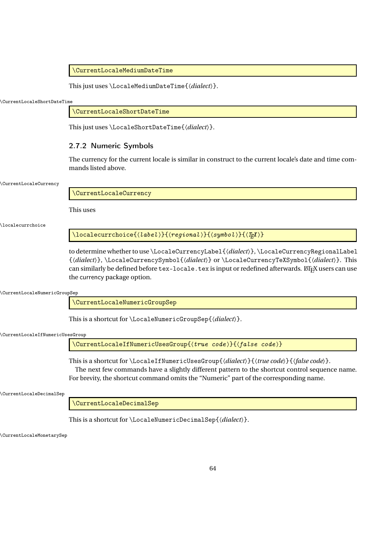\CurrentLocaleMediumDateTime

This just uses \LocaleMediumDateTime{〈*dialect*〉}.

\CurrentLocaleShortDateTime

\CurrentLocaleShortDateTime

This just uses \LocaleShortDateTime{〈*dialect*〉}.

## 2.7.2 Numeric Symbols

The currency for the current locale is similar in construct to the current locale's date and time commands listed above.

#### \CurrentLocaleCurrency

\CurrentLocaleCurrency

This uses

\localecurrchoice

 $\setminus$ localecurrchoice $\{ \langle \textit{label} \rangle \}$ { $\langle \textit{regional} \rangle \}$ { $\langle \textit{symboll} \rangle$ }{

to determine whether to use \LocaleCurrencyLabel{〈*dialect*〉}, \LocaleCurrencyRegionalLabel {〈*dialect*〉}, \LocaleCurrencySymbol{〈*dialect*〉} or \LocaleCurrencyTeXSymbol{〈*dialect*〉}. This can similarly be defined before tex-locale.tex is input or redefined afterwards. LTFX users can use the currency package option.

\CurrentLocaleNumericGroupSep

\CurrentLocaleNumericGroupSep

This is a shortcut for \LocaleNumericGroupSep{〈*dialect*〉}.

\CurrentLocaleIfNumericUsesGroup

\CurrentLocaleIfNumericUsesGroup{〈true code 〉}{〈false code 〉}

This is a shortcut for \LocaleIfNumericUsesGroup{〈*dialect*〉}{〈*true code*〉}{〈*false code*〉}. The next few commands have a slightly different pattern to the shortcut control sequence name.

For brevity, the shortcut command omits the "Numeric" part of the corresponding name.

\CurrentLocaleDecimalSep

\CurrentLocaleDecimalSep

This is a shortcut for \LocaleNumericDecimalSep{〈*dialect*〉}.

\CurrentLocaleMonetarySep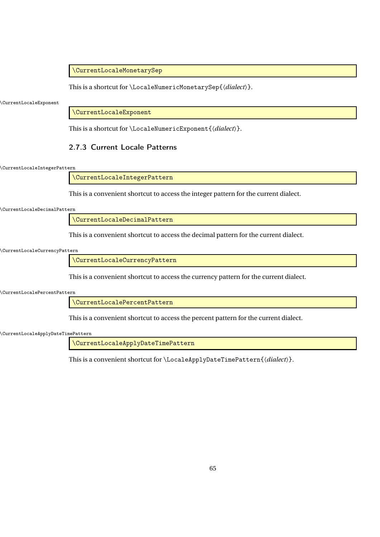## \CurrentLocaleMonetarySep

This is a shortcut for \LocaleNumericMonetarySep{〈*dialect*〉}.

\CurrentLocaleExponent

\CurrentLocaleExponent

This is a shortcut for \LocaleNumericExponent{〈*dialect*〉}.

## <span id="page-64-0"></span>2.7.3 Current Locale Patterns

\CurrentLocaleIntegerPattern

\CurrentLocaleIntegerPattern

This is a convenient shortcut to access the integer pattern for the current dialect.

\CurrentLocaleDecimalPattern

\CurrentLocaleDecimalPattern

This is a convenient shortcut to access the decimal pattern for the current dialect.

\CurrentLocaleCurrencyPattern

\CurrentLocaleCurrencyPattern

This is a convenient shortcut to access the currency pattern for the current dialect.

\CurrentLocalePercentPattern

\CurrentLocalePercentPattern

This is a convenient shortcut to access the percent pattern for the current dialect.

\CurrentLocaleApplyDateTimePattern

\CurrentLocaleApplyDateTimePattern

This is a convenient shortcut for \LocaleApplyDateTimePattern{〈*dialect*〉}.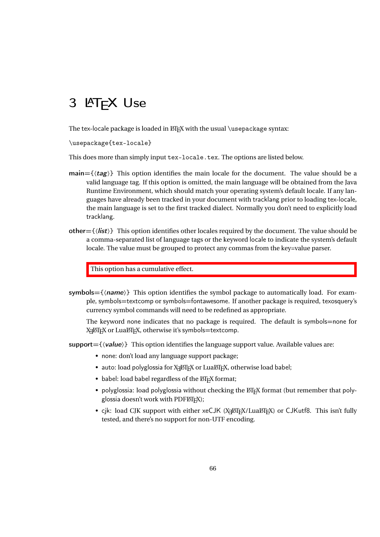# 3 LAT<sub>F</sub>X Use

The tex-locale package is loaded in ETEX with the usual \usepackage syntax:

\usepackage{tex-locale}

This does more than simply input tex-locale.tex. The options are listed below.

- main= $\{\langle tag \rangle\}$  This option identifies the main locale for the document. The value should be a valid language tag. If this option is omitted, the main language will be obtained from the Java Runtime Environment, which should match your operating system's default locale. If any languages have already been tracked in your document with tracklang prior to loading tex-locale, the main language is set to the first tracked dialect. Normally you don't need to explicitly load tracklang.
- other= $\{\langle$ **list** $\rangle\}$  This option identifies other locales required by the document. The value should be a comma-separated list of language tags or the keyword locale to indicate the system's default locale. The value must be grouped to protect any commas from the key=value parser.

This option has a cumulative effect.

symbols= $\{\langle name \rangle\}$  This option identifies the symbol package to automatically load. For example, symbols=textcomp or symbols=fontawesome. If another package is required, texosquery's currency symbol commands will need to be redefined as appropriate.

The keyword none indicates that no package is required. The default is symbols=none for X<del>[</del>ATEX or LuaIAEX, otherwise it's symbols=textcomp.

- support= $\{\langle \textit{value} \rangle\}$  This option identifies the language support value. Available values are:
	- none: don't load any language support package;
	- $\bullet~$  auto: load polyglossia for X $\frac{1}{2}$ AFEX or Lua $\text{\AEPEX},$  otherwise load babel;
	- babel: load babel regardless of the LATEX format;
	- polyglossia: load polyglossia without checking the LATEX format (but remember that polyglossia doesn't work with PDFLT<sub>EX</sub>);
	- cjk: load CJK support with either xeCJK (X<sub>E</sub>LTEX/LuaLTEX) or CJKutf8. This isn't fully tested, and there's no support for non-UTF encoding.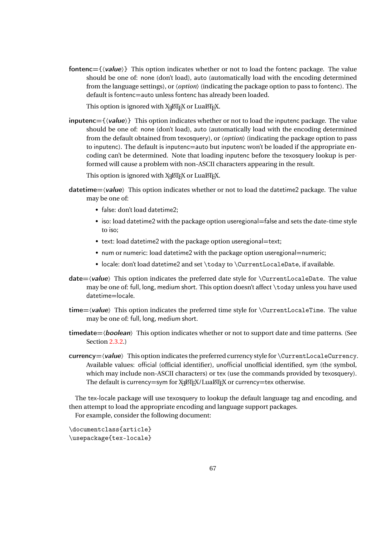fontenc= $\{\langle$ *value* $\rangle\}$  This option indicates whether or not to load the fontenc package. The value should be one of: none (don't load), auto (automatically load with the encoding determined from the language settings), or 〈*option*〉 (indicating the package option to pass to fontenc). The default is fontenc=auto unless fontenc has already been loaded.

This option is ignored with  $\chi_{\rm I}$ LT $_{\rm E}$ X or Lual⁄IF $_{\rm E}$ X.

 $inputenc = \{\langle value \rangle\}$  This option indicates whether or not to load the inputenc package. The value should be one of: none (don't load), auto (automatically load with the encoding determined from the default obtained from texosquery), or 〈*option*〉 (indicating the package option to pass to inputenc). The default is inputenc=auto but inputenc won't be loaded if the appropriate encoding can't be determined. Note that loading inputenc before the texosquery lookup is performed will cause a problem with non-ASCII characters appearing in the result.

This option is ignored with  $\chi_{\rm I}$ ETEX or LuaETEX.

- $\text{datetime}=\langle \text{value} \rangle$  This option indicates whether or not to load the datetime 2 package. The value may be one of:
	- false: don't load datetime2;
	- iso: load datetime2 with the package option useregional=false and sets the date-time style to iso;
	- text: load datetime2 with the package option useregional=text;
	- num or numeric: load datetime2 with the package option useregional=numeric;
	- locale: don't load datetime2 and set \today to \CurrentLocaleDate, if available.
- $date=\langle value\rangle$  This option indicates the preferred date style for  $\text{CurrentLocaleDate}$ . The value may be one of: full, long, medium short. This option doesn't affect \today unless you have used datetime=locale.
- time= $\langle$ value $\rangle$  This option indicates the preferred time style for  $\langle$ CurrentLocaleTime. The value may be one of: full, long, medium short.
- timedate $=\langle boolean \rangle$  This option indicates whether or not to support date and time patterns. (See Section [2.3.2.](#page-37-0))
- $curve=x$  / $value$   $\rightarrow$  This option indicates the preferred currency style for  $\&currentLocaleCurrent$ . Available values: official (official identifier), unofficial unofficial identified, sym (the symbol, which may include non-ASCII characters) or tex (use the commands provided by texosquery). The default is currency=sym for  $\text{X} \text{d} \text{M} \text{F} \text{X}$ /Lua $\text{M} \text{F} \text{X}$  or currency=tex otherwise.

The tex-locale package will use texosquery to lookup the default language tag and encoding, and then attempt to load the appropriate encoding and language support packages.

For example, consider the following document:

\documentclass{article} \usepackage{tex-locale}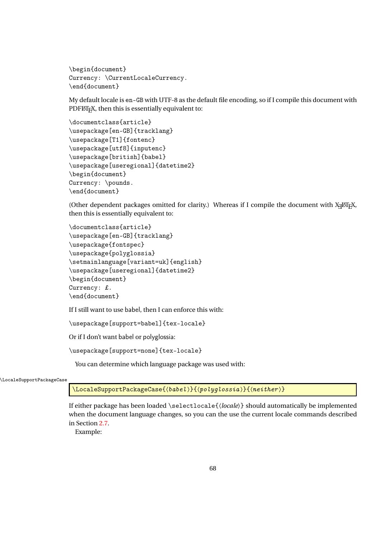```
\begin{document}
Currency: \CurrentLocaleCurrency.
\end{document}
```
My default locale is en-GB with UTF-8 as the default file encoding, so if I compile this document with PDFLATEX, then this is essentially equivalent to:

```
\documentclass{article}
\usepackage[en-GB]{tracklang}
\usepackage[T1]{fontenc}
\usepackage[utf8]{inputenc}
\usepackage[british]{babel}
\usepackage[useregional]{datetime2}
\begin{document}
Currency: \pounds.
\end{document}
```
(Other dependent packages omitted for clarity.) Whereas if I compile the document with XHATEX, then this is essentially equivalent to:

```
\documentclass{article}
\usepackage[en-GB]{tracklang}
\usepackage{fontspec}
\usepackage{polyglossia}
\setmainlanguage[variant=uk]{english}
\usepackage[useregional]{datetime2}
\begin{document}
Currency: £.
\end{document}
```
If I still want to use babel, then I can enforce this with:

\usepackage[support=babel]{tex-locale}

Or if I don't want babel or polyglossia:

\usepackage[support=none]{tex-locale}

You can determine which language package was used with:

\LocaleSupportPackageCase

\LocaleSupportPackageCase{〈babel 〉}{〈polyglossia 〉}{〈neither 〉}

If either package has been loaded \selectlocale{〈*locale*〉} should automatically be implemented when the document language changes, so you can the use the current locale commands described in Section [2.7.](#page-57-0)

Example: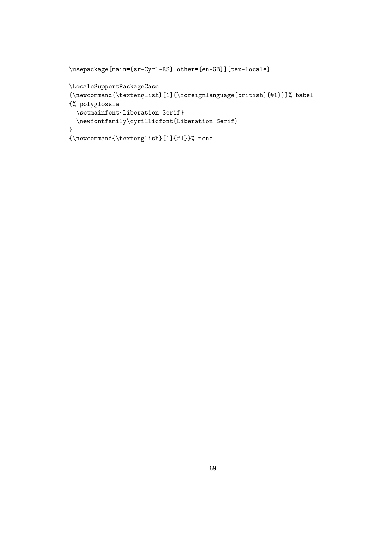```
\usepackage[main={sr-Cyrl-RS},other={en-GB}]{tex-locale}
\LocaleSupportPackageCase
{\newcommand{\textenglish}[1]{\foreignlanguage{british}{#1}}}% babel
{% polyglossia
  \setmainfont{Liberation Serif}
  \newfontfamily\cyrillicfont{Liberation Serif}
}
{\newcommand{\textenglish}[1]{#1}}% none
```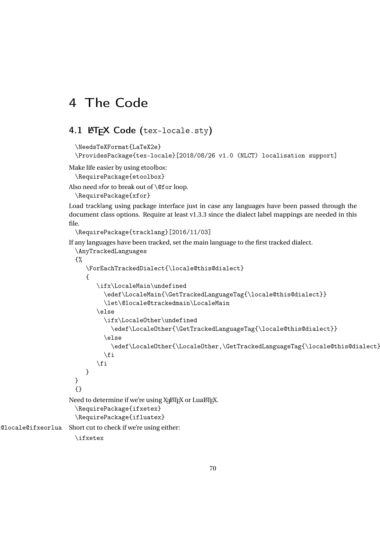# 4 The Code

# 4.1 LATEX Code (tex-locale.sty)

```
\NeedsTeXFormat{LaTeX2e}
```

```
\ProvidesPackage{tex-locale}[2018/08/26 v1.0 (NLCT) localisation support]
```
Make life easier by using etoolbox:

\RequirePackage{etoolbox}

Also need xfor to break out of \@for loop.

\RequirePackage{xfor}

Load tracklang using package interface just in case any languages have been passed through the document class options. Require at least v1.3.3 since the dialect label mappings are needed in this file.

```
\RequirePackage{tracklang}[2016/11/03]
```
If any languages have been tracked, set the main language to the first tracked dialect.

```
\AnyTrackedLanguages
                      {%
                         \ForEachTrackedDialect{\locale@this@dialect}
                         {
                             \ifx\LocaleMain\undefined
                               \edef\LocaleMain{\GetTrackedLanguageTag{\locale@this@dialect}}
                               \let\@locale@trackedmain\LocaleMain
                             \else
                               \ifx\LocaleOther\undefined
                                 \edef\LocaleOther{\GetTrackedLanguageTag{\locale@this@dialect}}
                               \else
                                 \edef\LocaleOther{\LocaleOther,\GetTrackedLanguageTag{\locale@this@dialect}}
                               \eta\fi
                         }
                      }
                      {}
                     Need to determine if we're using X\frac{1}{2}[EX] or Lua\frac{1}{2}[EX].
                      \RequirePackage{ifxetex}
                      \RequirePackage{ifluatex}
\@locale@ifxeorlua Short cut to check if we're using either:
                      \ifxetex
```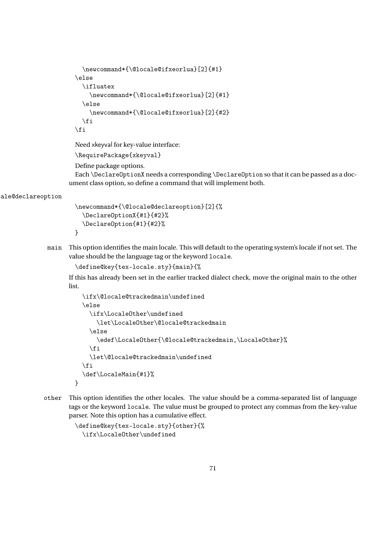```
\newcommand*{\@locale@ifxeorlua}[2]{#1}
\else
  \ifluatex
    \newcommand*{\@locale@ifxeorlua}[2]{#1}
  \else
    \newcommand*{\@locale@ifxeorlua}[2]{#2}
  \fi
\fi
```
Need xkeyval for key-value interface:

\RequirePackage{xkeyval}

Define package options.

Each \DeclareOptionX needs a corresponding \DeclareOption so that it can be passed as a document class option, so define a command that will implement both.

ale@declareoption

```
\newcommand*{\@locale@declareoption}[2]{%
  \DeclareOptionX{#1}{#2}%
  \DeclareOption{#1}{#2}%
}
```
main This option identifies the main locale. This will default to the operating system's locale if not set. The value should be the language tag or the keyword locale.

```
\define@key{tex-locale.sty}{main}{%
```
If this has already been set in the earlier tracked dialect check, move the original main to the other list.

```
\ifx\@locale@trackedmain\undefined
\else
  \ifx\LocaleOther\undefined
    \let\LocaleOther\@locale@trackedmain
  \else
    \edef\LocaleOther{\@locale@trackedmain,\LocaleOther}%
  \chii
  \let\@locale@trackedmain\undefined
\forallfi
\def\LocaleMain{#1}%
```
other This option identifies the other locales. The value should be a comma-separated list of language tags or the keyword locale. The value must be grouped to protect any commas from the key-value parser. Note this option has a cumulative effect.

```
\define@key{tex-locale.sty}{other}{%
 \ifx\LocaleOther\undefined
```
}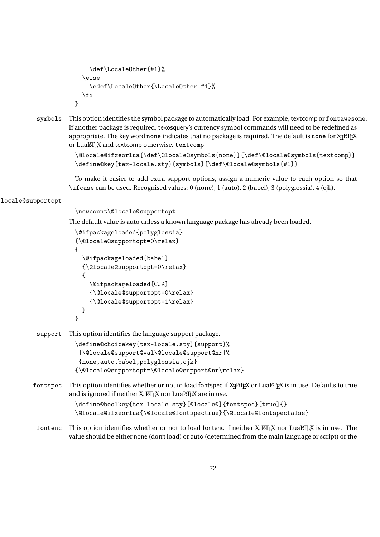```
\def\LocaleOther{#1}%
  \left\{ \right.\edef\LocaleOther{\LocaleOther,#1}%
  \fi
}
```
symbols This option identifies the symbol package to automatically load. For example, textcomp or fontawesome. If another package is required, texosquery's currency symbol commands will need to be redefined as appropriate. The key word none indicates that no package is required. The default is none for X $_{\rm I}$ AT $_{\rm E}$ X or LuaLTEX and textcomp otherwise, textcomp

```
\@locale@ifxeorlua{\def\@locale@symbols{none}}{\def\@locale@symbols{textcomp}}
\define@key{tex-locale.sty}{symbols}{\def\@locale@symbols{#1}}
```
To make it easier to add extra support options, assign a numeric value to each option so that \ifcase can be used. Recognised values: 0 (none), 1 (auto), 2 (babel), 3 (polyglossia), 4 (cjk).

## locale@supportopt

\newcount\@locale@supportopt

The default value is auto unless a known language package has already been loaded.

```
\@ifpackageloaded{polyglossia}
{\@locale@supportopt=0\relax}
{
  \@ifpackageloaded{babel}
  {\@locale@supportopt=0\relax}
  {
    \@ifpackageloaded{CJK}
    {\@locale@supportopt=0\relax}
    {\@locale@supportopt=1\relax}
 }
}
```
support This option identifies the language support package.

```
\define@choicekey{tex-locale.sty}{support}%
 [\@locale@support@val\@locale@support@nr]%
 {none,auto,babel,polyglossia,cjk}
{\@locale@supportopt=\@locale@support@nr\relax}
```
 ${\tt fontspec}$   $\;$  This option identifies whether or not to load fontspec if X $_{\rm II}$ EX or LuaETEX is in use. Defaults to true and is ignored if neither X $\frac{1}{2}$ AT $\frac{1}{2}$ X nor Lua $\frac{1}{2}$ T $\frac{1}{2}$ X are in use.

```
\define@boolkey{tex-locale.sty}[@locale@]{fontspec}[true]{}
\@locale@ifxeorlua{\@locale@fontspectrue}{\@locale@fontspecfalse}
```
 ${\tt fontenc}$  ). This option identifies whether or not to load fontenc if neither X $_{\tt H}$ &IEX nor Lua ${\tt M}{\tt E}{\tt X}$  is in use. The value should be either none (don't load) or auto (determined from the main language or script) or the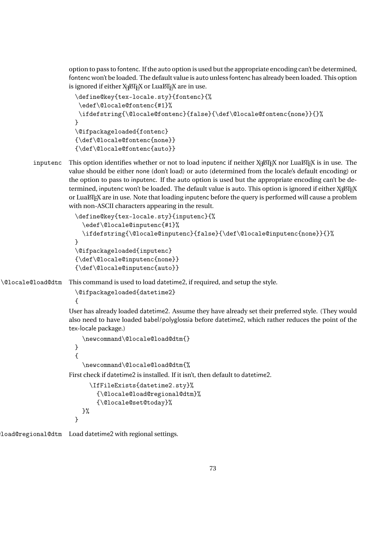option to pass to fontenc. If the auto option is used but the appropriate encoding can't be determined, fontenc won't be loaded. The default value is auto unless fontenc has already been loaded. This option is ignored if either X $\frac{1}{2}$ ATEX or Lua $\frac{1}{2}$ EX are in use.

```
\define@key{tex-locale.sty}{fontenc}{%
 \edef\@locale@fontenc{#1}%
 \ifdefstring{\@locale@fontenc}{false}{\def\@locale@fontenc{none}}{}%
}
\@ifpackageloaded{fontenc}
{\def\@locale@fontenc{none}}
{\def\@locale@fontenc{auto}}
```
inputenc This option identifies whether or not to load inputenc if neither X<sub>I</sub>LI<sub>E</sub>X nor LuaLI<sub>E</sub>X is in use. The value should be either none (don't load) or auto (determined from the locale's default encoding) or the option to pass to inputenc. If the auto option is used but the appropriate encoding can't be determined, inputenc won't be loaded. The default value is auto. This option is ignored if either  $\chi_{\rm I}$ AT<sub>E</sub>X or LuaLT<sub>E</sub>X are in use. Note that loading inputenc before the query is performed will cause a problem with non-ASCII characters appearing in the result.

```
\define@key{tex-locale.sty}{inputenc}{%
  \edef\@locale@inputenc{#1}%
  \ifdefstring{\@locale@inputenc}{false}{\def\@locale@inputenc{none}}{}%
}
\@ifpackageloaded{inputenc}
{\def\@locale@inputenc{none}}
{\def\@locale@inputenc{auto}}
```
\@locale@load@dtm This command is used to load datetime2, if required, and setup the style.

```
\@ifpackageloaded{datetime2}
{
```
User has already loaded datetime2. Assume they have already set their preferred style. (They would also need to have loaded babel/polyglossia before datetime2, which rather reduces the point of the tex-locale package.)

```
\newcommand\@locale@load@dtm{}
```
} {

}

```
\newcommand\@locale@load@dtm{%
```
First check if datetime2 is installed. If it isn't, then default to datetime2.

```
\IfFileExists{datetime2.sty}%
    {\@locale@load@regional@dtm}%
    {\@locale@set@today}%
}%
```
load@regional@dtm Load datetime2 with regional settings.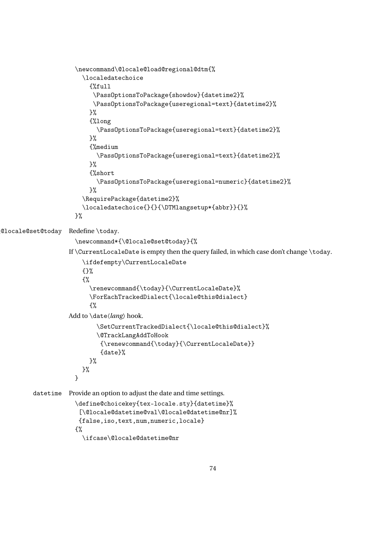```
\newcommand\@locale@load@regional@dtm{%
                        \localedatechoice
                          {%full
                           \PassOptionsToPackage{showdow}{datetime2}%
                           \PassOptionsToPackage{useregional=text}{datetime2}%
                          }%
                          {%long
                            \PassOptionsToPackage{useregional=text}{datetime2}%
                          \frac{1}{2}%
                          {%medium
                            \PassOptionsToPackage{useregional=text}{datetime2}%
                          }%
                          {%short
                            \PassOptionsToPackage{useregional=numeric}{datetime2}%
                          \frac{1}{2}%
                        \RequirePackage{datetime2}%
                        \localedatechoice{}{}{\DTMlangsetup*{abbr}}{}%
                     }%
\@locale@set@today Redefine \today.
                      \newcommand*{\@locale@set@today}{%
                    If \CurrentLocaleDate is empty then the query failed, in which case don't change \today.
                        \ifdefempty\CurrentLocaleDate
                        {}%
                        {%
                          \renewcommand{\today}{\CurrentLocaleDate}%
                          \ForEachTrackedDialect{\locale@this@dialect}
                          {%
                    Add to \date〈lang〉 hook.
                            \SetCurrentTrackedDialect{\locale@this@dialect}%
                            \@TrackLangAddToHook
                             {\renewcommand{\today}{\CurrentLocaleDate}}
                             {date}%
                          }%
                       }%
                      }
         datetime Provide an option to adjust the date and time settings.
                      \define@choicekey{tex-locale.sty}{datetime}%
                       [\@locale@datetime@val\@locale@datetime@nr]%
                       {false,iso,text,num,numeric,locale}
                      {%
```
\ifcase\@locale@datetime@nr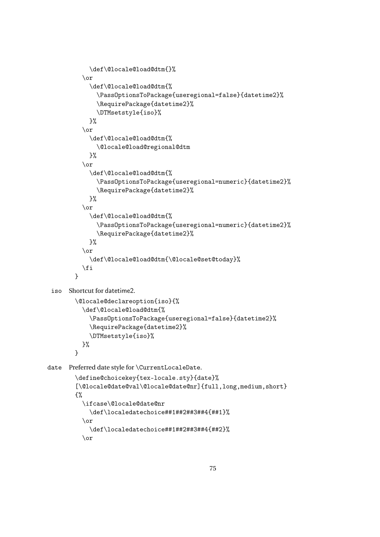```
\def\@locale@load@dtm{}%
          \overline{\mathbf{r}}\def\@locale@load@dtm{%
              \PassOptionsToPackage{useregional=false}{datetime2}%
              \RequirePackage{datetime2}%
              \DTMsetstyle{iso}%
            }%
          \or
            \def\@locale@load@dtm{%
              \@locale@load@regional@dtm
            }%
          \or
            \def\@locale@load@dtm{%
              \PassOptionsToPackage{useregional=numeric}{datetime2}%
              \RequirePackage{datetime2}%
            }%
          \or
            \def\@locale@load@dtm{%
              \PassOptionsToPackage{useregional=numeric}{datetime2}%
              \RequirePackage{datetime2}%
            \frac{1}{2}%
          \or
            \def\@locale@load@dtm{\@locale@set@today}%
          \fi
        }
 iso Shortcut for datetime2.
        \@locale@declareoption{iso}{%
          \def\@locale@load@dtm{%
            \PassOptionsToPackage{useregional=false}{datetime2}%
            \RequirePackage{datetime2}%
            \DTMsetstyle{iso}%
          }%
        }
date Preferred date style for \CurrentLocaleDate.
        \define@choicekey{tex-locale.sty}{date}%
        [\@locale@date@val\@locale@date@nr]{full,long,medium,short}
        {%
          \ifcase\@locale@date@nr
            \def\localedatechoice##1##2##3##4{##1}%
          \or
            \def\localedatechoice##1##2##3##4{##2}%
```

```
\or
```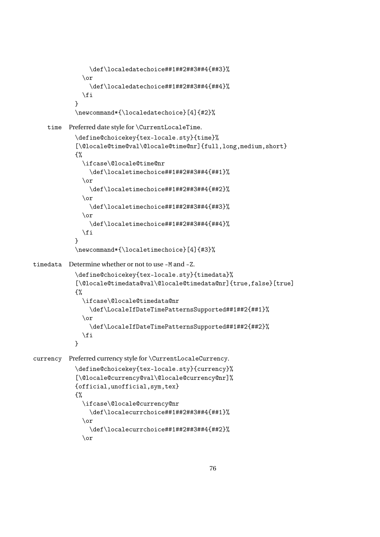```
\def\localedatechoice##1##2##3##4{##3}%
              \or
                \def\localedatechoice##1##2##3##4{##4}%
              \fi
            }
            \newcommand*{\localedatechoice}[4]{#2}%
    time Preferred date style for \CurrentLocaleTime.
            \define@choicekey{tex-locale.sty}{time}%
            [\@locale@time@val\@locale@time@nr]{full,long,medium,short}
            {%
              \ifcase\@locale@time@nr
                \def\localetimechoice##1##2##3##4{##1}%
              \or
                \def\localetimechoice##1##2##3##4{##2}%
              \or
                \def\localetimechoice##1##2##3##4{##3}%
              \or
                \def\localetimechoice##1##2##3##4{##4}%
              \fi
            }
            \newcommand*{\localetimechoice}[4]{#3}%
timedata Determine whether or not to use -M and -Z.
            \define@choicekey{tex-locale.sty}{timedata}%
            [\@locale@timedata@val\@locale@timedata@nr]{true,false}[true]
            {%
              \ifcase\@locale@timedata@nr
                \def\LocaleIfDateTimePatternsSupported##1##2{##1}%
              \or
                \def\LocaleIfDateTimePatternsSupported##1##2{##2}%
              \fi
            }
currency Preferred currency style for \CurrentLocaleCurrency.
            \define@choicekey{tex-locale.sty}{currency}%
            [\@locale@currency@val\@locale@currency@nr]%
            {official,unofficial,sym,tex}
            {%
              \ifcase\@locale@currency@nr
                \def\localecurrchoice##1##2##3##4{##1}%
              \or
                \def\localecurrchoice##1##2##3##4{##2}%
              \or
```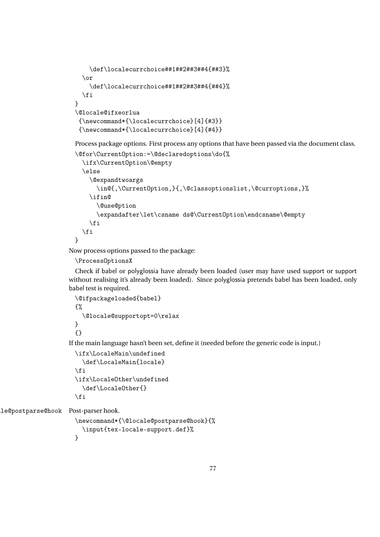```
\def\localecurrchoice##1##2##3##4{##3}%
  \or
    \def\localecurrchoice##1##2##3##4{##4}%
  \fi
}
\@locale@ifxeorlua
 {\newcommand*{\localecurrchoice}[4]{#3}}
{\newcommand*{\localecurrchoice}[4]{#4}}
```
Process package options. First process any options that have been passed via the document class. \@for\CurrentOption:=\@declaredoptions\do{%

```
\ifx\CurrentOption\@empty
  \else
   \@expandtwoargs
      \in@{,\CurrentOption,}{,\@classoptionslist,\@curroptions,}%
    \ifin@
      \@use@ption
      \expandafter\let\csname ds@\CurrentOption\endcsname\@empty
    \fi
  \fi
}
```
Now process options passed to the package:

```
\ProcessOptionsX
```
Check if babel or polyglossia have already been loaded (user may have used support or support without realising it's already been loaded). Since polyglossia pretends babel has been loaded, only babel test is required.

```
\@ifpackageloaded{babel}
{%
  \@locale@supportopt=0\relax
}
{}
```
If the main language hasn't been set, define it (needed before the generic code is input.)

```
\ifx\LocaleMain\undefined
  \def\LocaleMain{locale}
\fi
\ifx\LocaleOther\undefined
  \def\LocaleOther{}
\fi
```
le@postparse@hook Post-parser hook.

```
\newcommand*{\@locale@postparse@hook}{%
  \input{tex-locale-support.def}%
}
```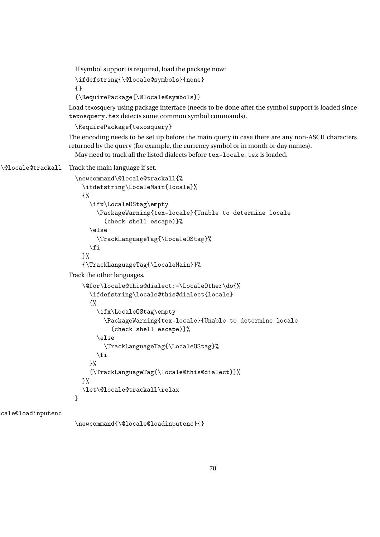If symbol support is required, load the package now:

```
\ifdefstring{\@locale@symbols}{none}
```
{}

```
{\RequirePackage{\@locale@symbols}}
```
Load texosquery using package interface (needs to be done after the symbol support is loaded since texosquery.tex detects some common symbol commands).

\RequirePackage{texosquery}

The encoding needs to be set up before the main query in case there are any non-ASCII characters returned by the query (for example, the currency symbol or in month or day names).

May need to track all the listed dialects before tex-locale.tex is loaded.

```
\@locale@trackall Track the main language if set.
```

```
\newcommand\@locale@trackall{%
    \ifdefstring\LocaleMain{locale}%
    {%
      \ifx\LocaleOStag\empty
        \PackageWarning{tex-locale}{Unable to determine locale
          (check shell escape)}%
      \else
        \TrackLanguageTag{\LocaleOStag}%
      \chii
    \frac{1}{2}%
    {\TrackLanguageTag{\LocaleMain}}%
Track the other languages.
    \@for\locale@this@dialect:=\LocaleOther\do{%
      \ifdefstring\locale@this@dialect{locale}
      {%
        \ifx\LocaleOStag\empty
          \PackageWarning{tex-locale}{Unable to determine locale
            (check shell escape)}%
        \else
          \TrackLanguageTag{\LocaleOStag}%
        \fi
      \frac{1}{2}%
      {\TrackLanguageTag{\locale@this@dialect}}%
    }%
    \let\@locale@trackall\relax
 }
```
cale@loadinputenc

\newcommand{\@locale@loadinputenc}{}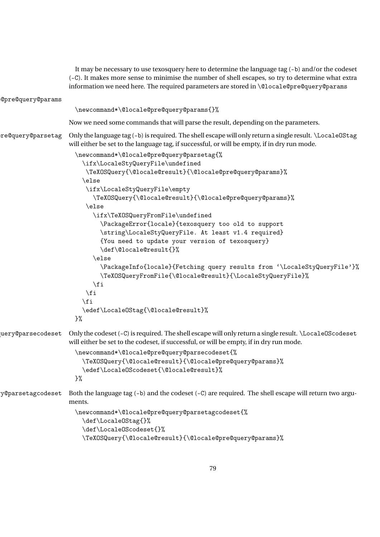|                   | It may be necessary to use texosquery here to determine the language tag (-b) and/or the codeset<br>(-C). It makes more sense to minimise the number of shell escapes, so try to determine what extra<br>information we need here. The required parameters are stored in \@locale@pre@query@params |
|-------------------|----------------------------------------------------------------------------------------------------------------------------------------------------------------------------------------------------------------------------------------------------------------------------------------------------|
| @pre@query@params |                                                                                                                                                                                                                                                                                                    |
|                   | \newcommand*\@locale@pre@query@params{}%                                                                                                                                                                                                                                                           |
|                   | Now we need some commands that will parse the result, depending on the parameters.                                                                                                                                                                                                                 |
| re@query@parsetag | Only the language tag (-b) is required. The shell escape will only return a single result. \LocaleOStag<br>will either be set to the language tag, if successful, or will be empty, if in dry run mode.                                                                                            |
|                   | \newcommand*\@locale@pre@query@parsetag{%                                                                                                                                                                                                                                                          |
|                   | \ifx\LocaleStyQueryFile\undefined                                                                                                                                                                                                                                                                  |
|                   | \TeXOSQuery{\@locale@result}{\@locale@pre@query@params}%                                                                                                                                                                                                                                           |
|                   | \else<br>\ifx\LocaleStyQueryFile\empty                                                                                                                                                                                                                                                             |
|                   | \TeXOSQuery{\@locale@result}{\@locale@pre@query@params}%                                                                                                                                                                                                                                           |
|                   | \else                                                                                                                                                                                                                                                                                              |
|                   | \ifx\TeXOSQueryFromFile\undefined                                                                                                                                                                                                                                                                  |
|                   | \PackageError{locale}{texosquery too old to support                                                                                                                                                                                                                                                |
|                   | \string\LocaleStyQueryFile. At least v1.4 required}                                                                                                                                                                                                                                                |
|                   | {You need to update your version of texosquery}                                                                                                                                                                                                                                                    |
|                   | \def\@locale@result{}%                                                                                                                                                                                                                                                                             |
|                   | \else                                                                                                                                                                                                                                                                                              |
|                   | \PackageInfo{locale}{Fetching query results from '\LocaleStyQueryFile'}%<br>\TeXOSQueryFromFile{\@locale@result}{\LocaleStyQueryFile}%                                                                                                                                                             |
|                   | $\eta$<br>\fi                                                                                                                                                                                                                                                                                      |
|                   | $\chi$ i                                                                                                                                                                                                                                                                                           |
|                   | \edef\LocaleOStag{\@locale@result}%                                                                                                                                                                                                                                                                |
|                   | }%                                                                                                                                                                                                                                                                                                 |
| uery@parsecodeset | Only the codeset (-C) is required. The shell escape will only return a single result. \Locale0Scodeset<br>will either be set to the codeset, if successful, or will be empty, if in dry run mode.                                                                                                  |
|                   | \newcommand*\@locale@pre@query@parsecodeset{%                                                                                                                                                                                                                                                      |
|                   | \TeXOSQuery{\@locale@result}{\@locale@pre@query@params}%<br>\edef\LocaleOScodeset{\@locale@result}%                                                                                                                                                                                                |
|                   | }%                                                                                                                                                                                                                                                                                                 |
| y@parsetagcodeset | Both the language tag (-b) and the codeset (-C) are required. The shell escape will return two argu-<br>ments.                                                                                                                                                                                     |
|                   | \newcommand*\@locale@pre@query@parsetagcodeset{%                                                                                                                                                                                                                                                   |
|                   | \def\Locale0Stag{}%                                                                                                                                                                                                                                                                                |
|                   | \def\LocaleOScodeset{}%                                                                                                                                                                                                                                                                            |
|                   | \TeXOSQuery{\@locale@result}{\@locale@pre@query@params}%                                                                                                                                                                                                                                           |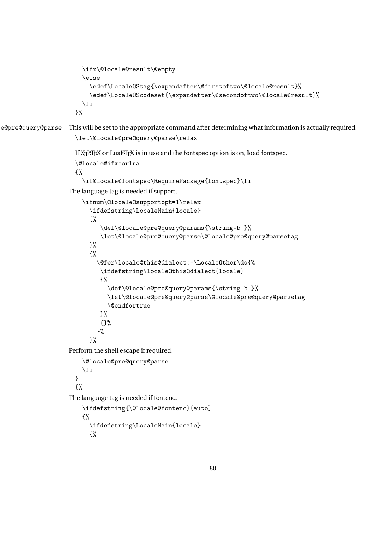```
\ifx\@locale@result\@empty
                         \else
                           \edef\LocaleOStag{\expandafter\@firstoftwo\@locale@result}%
                           \edef\LocaleOScodeset{\expandafter\@secondoftwo\@locale@result}%
                         \fi
                       }%
e@pre@query@parse This will be set to the appropriate command after determining what information is actually required.
                       \let\@locale@pre@query@parse\relax
                       If X<sub>I</sub>PT<sub>E</sub>X or LuaPT<sub>E</sub>X is in use and the fontspec option is on, load fontspec.
                       \@locale@ifxeorlua
                       {%
                         \if@locale@fontspec\RequirePackage{fontspec}\fi
                     The language tag is needed if support.
                         \ifnum\@locale@supportopt=1\relax
                           \ifdefstring\LocaleMain{locale}
                           {%
                               \def\@locale@pre@query@params{\string-b }%
                               \let\@locale@pre@query@parse\@locale@pre@query@parsetag
                           }%
                           {%
                             \@for\locale@this@dialect:=\LocaleOther\do{%
                              \ifdefstring\locale@this@dialect{locale}
                              {%
                                 \def\@locale@pre@query@params{\string-b }%
                                 \let\@locale@pre@query@parse\@locale@pre@query@parsetag
                                 \@endfortrue
                              }%
                              {}%
                             }%
                           \frac{1}{2}%
                     Perform the shell escape if required.
                         \@locale@pre@query@parse
                         \fi
                      }
                       {%
                     The language tag is needed if fontenc.
                         \ifdefstring{\@locale@fontenc}{auto}
                         {%
                           \ifdefstring\LocaleMain{locale}
                           {%
```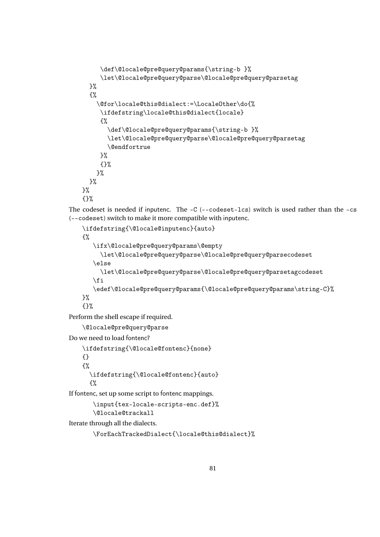```
\def\@locale@pre@query@params{\string-b }%
     \let\@locale@pre@query@parse\@locale@pre@query@parsetag
  }%
  {%
    \@for\locale@this@dialect:=\LocaleOther\do{%
     \ifdefstring\locale@this@dialect{locale}
     {%
       \def\@locale@pre@query@params{\string-b }%
       \let\@locale@pre@query@parse\@locale@pre@query@parsetag
       \@endfortrue
     }%
     {}%
    }%
 \frac{1}{2}%
\frac{1}{2}%
{}%
```
The codeset is needed if inputenc. The  $-C$  (--codeset-lcs) switch is used rather than the  $-cs$ (--codeset) switch to make it more compatible with inputenc.

```
\ifdefstring{\@locale@inputenc}{auto}
    {%
       \ifx\@locale@pre@query@params\@empty
         \let\@locale@pre@query@parse\@locale@pre@query@parsecodeset
       \else
         \let\@locale@pre@query@parse\@locale@pre@query@parsetagcodeset
       \fi
       \edef\@locale@pre@query@params{\@locale@pre@query@params\string-C}%
    \frac{1}{2}%
    {}%
Perform the shell escape if required.
    \@locale@pre@query@parse
Do we need to load fontenc?
    \ifdefstring{\@locale@fontenc}{none}
    {}
    {%
      \ifdefstring{\@locale@fontenc}{auto}
      {%
```
If fontenc, set up some script to fontenc mappings.

```
\input{tex-locale-scripts-enc.def}%
\@locale@trackall
```
Iterate through all the dialects.

```
\ForEachTrackedDialect{\locale@this@dialect}%
```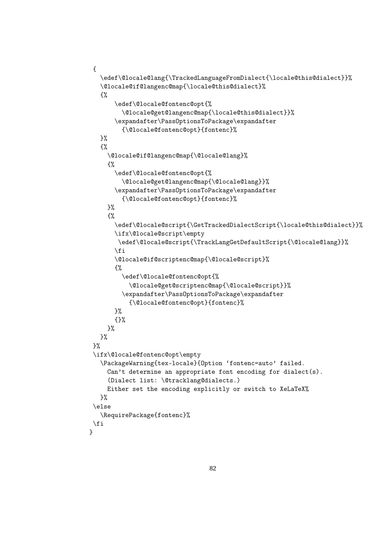```
{
   \edef\@locale@lang{\TrackedLanguageFromDialect{\locale@this@dialect}}%
   \@locale@if@langenc@map{\locale@this@dialect}%
   {%
       \edef\@locale@fontenc@opt{%
         \@locale@get@langenc@map{\locale@this@dialect}}%
       \expandafter\PassOptionsToPackage\expandafter
         {\@locale@fontenc@opt}{fontenc}%
   }%
   {%
     \@locale@if@langenc@map{\@locale@lang}%
     {%
       \edef\@locale@fontenc@opt{%
         \@locale@get@langenc@map{\@locale@lang}}%
       \expandafter\PassOptionsToPackage\expandafter
         {\@locale@fontenc@opt}{fontenc}%
     }%
     {%
       \edef\@locale@script{\GetTrackedDialectScript{\locale@this@dialect}}%
       \ifx\@locale@script\empty
        \edef\@locale@script{\TrackLangGetDefaultScript{\@locale@lang}}%
       \fi
       \@locale@if@scriptenc@map{\@locale@script}%
       {%
         \edef\@locale@fontenc@opt{%
           \@locale@get@scriptenc@map{\@locale@script}}%
         \expandafter\PassOptionsToPackage\expandafter
           {\@locale@fontenc@opt}{fontenc}%
       }%
       {}%
     }%
   }%
 }%
 \ifx\@locale@fontenc@opt\empty
   \PackageWarning{tex-locale}{Option 'fontenc=auto' failed.
     Can't determine an appropriate font encoding for dialect(s).
     (Dialect list: \@tracklang@dialects.)
     Either set the encoding explicitly or switch to XeLaTeX%
   \frac{1}{2}%
 \else
   \RequirePackage{fontenc}%
 \fi
\lambda
```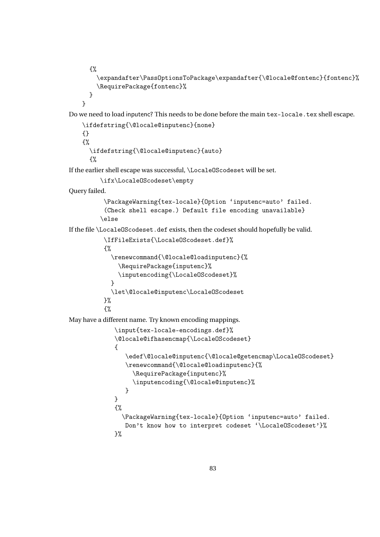```
{%
```

```
\expandafter\PassOptionsToPackage\expandafter{\@locale@fontenc}{fontenc}%
  \RequirePackage{fontenc}%
}
```

```
}
```
Do we need to load inputenc? This needs to be done before the main tex-locale.tex shell escape.

```
\ifdefstring{\@locale@inputenc}{none}
{}
{%
  \ifdefstring{\@locale@inputenc}{auto}
  {%
```
If the earlier shell escape was successful, \LocaleOScodeset will be set.

```
\ifx\LocaleOScodeset\empty
```
Query failed.

```
\PackageWarning{tex-locale}{Option 'inputenc=auto' failed.
(Check shell escape.) Default file encoding unavailable}
\else
```
If the file \LocaleOScodeset.def exists, then the codeset should hopefully be valid.

```
\IfFileExists{\LocaleOScodeset.def}%
{%
  \renewcommand{\@locale@loadinputenc}{%
    \RequirePackage{inputenc}%
    \inputencoding{\LocaleOScodeset}%
  }
  \let\@locale@inputenc\LocaleOScodeset
}%
{%
```
May have a different name. Try known encoding mappings.

```
\input{tex-locale-encodings.def}%
\@locale@ifhasencmap{\LocaleOScodeset}
{
   \edef\@locale@inputenc{\@locale@getencmap\LocaleOScodeset}
   \renewcommand{\@locale@loadinputenc}{%
     \RequirePackage{inputenc}%
     \inputencoding{\@locale@inputenc}%
   }
}
{%
  \PackageWarning{tex-locale}{Option 'inputenc=auto' failed.
   Don't know how to interpret codeset '\LocaleOScodeset'}%
}%
```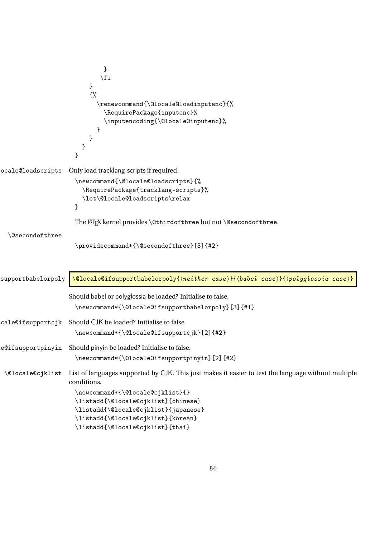```
}
                               \fi
                           }
                           {%
                              \renewcommand{\@locale@loadinputenc}{%
                                \RequirePackage{inputenc}%
                                \inputencoding{\@locale@inputenc}%
                              }
                           }
                         }
                       }
ocale@loadscripts Only load tracklang-scripts if required.
                       \newcommand{\@locale@loadscripts}{%
                         \RequirePackage{tracklang-scripts}%
                         \let\@locale@loadscripts\relax
                       }
                       The LATEX kernel provides \@thirdofthree but not \@secondofthree.
  \@secondofthree
                       \providecommand*{\@secondofthree}[3]{#2}
\text{supportbabelorpoly } \text{@local@if supportbabelorpoly} \{ \textit{neither case} \} \{ \textit{babel case} \} \{ \textit{(poluglossia case)} \}Should babel or polyglossia be loaded? Initialise to false.
                       \newcommand*{\@locale@ifsupportbabelorpoly}[3]{#1}
cale@ifsupportcjk Should CJK be loaded? Initialise to false.
                       \newcommand*{\@locale@ifsupportcjk}[2]{#2}
e@ifsupportpinyin Should pinyin be loaded? Initialise to false.
                       \newcommand*{\@locale@ifsupportpinyin}[2]{#2}
 \@locale@cjklist List of languages supported by CJK. This just makes it easier to test the language without multiple
                     conditions.
                       \newcommand*{\@locale@cjklist}{}
                       \listadd{\@locale@cjklist}{chinese}
                       \listadd{\@locale@cjklist}{japanese}
                       \listadd{\@locale@cjklist}{korean}
                       \listadd{\@locale@cjklist}{thai}
```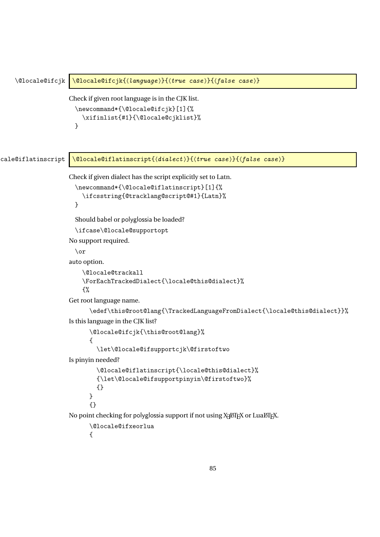```
\@locale@ifcjk \@locale@ifcjk{(language)}{(true case)}{(false case)}
                     Check if given root language is in the CJK list.
                       \newcommand*{\@locale@ifcjk}[1]{%
                          \xifinlist{#1}{\@locale@cjklist}%
                       }
cale@iflatinscript \\\@locale@iflatinscript{\dialect \}}{\true case \}{\false case \}
                     Check if given dialect has the script explicitly set to Latn.
                       \newcommand*{\@locale@iflatinscript}[1]{%
                          \ifcsstring{@tracklang@script@#1}{Latn}%
                       }
                       Should babel or polyglossia be loaded?
                       \ifcase\@locale@supportopt
                     No support required.
                       \or
                     auto option.
                          \@locale@trackall
                         \ForEachTrackedDialect{\locale@this@dialect}%
                         {%
                     Get root language name.
                            \edef\this@root@lang{\TrackedLanguageFromDialect{\locale@this@dialect}}%
                     Is this language in the CJK list?
                            \@locale@ifcjk{\this@root@lang}%
                            {
                              \let\@locale@ifsupportcjk\@firstoftwo
                     Is pinyin needed?
                              \@locale@iflatinscript{\locale@this@dialect}%
                              {\let\@locale@ifsupportpinyin\@firstoftwo}%
                              {}
                            \lambda{}
                     No point checking for polyglossia support if not using X<sub>d</sub>ET<sub>E</sub>X or LuaET<sub>E</sub>X.
                            \@locale@ifxeorlua
                            {
```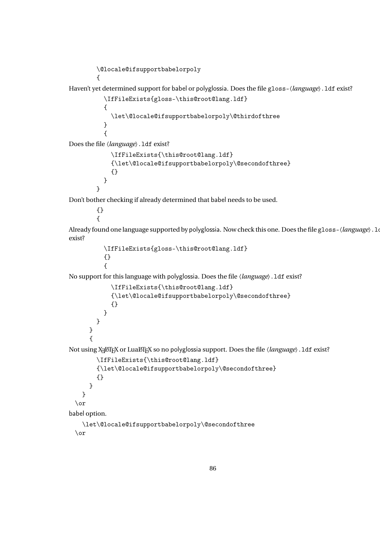```
\@locale@ifsupportbabelorpoly
{
```
Haven't yet determined support for babel or polyglossia. Does the file gloss- $\langle$ *language* $\rangle$ . 1df exist?

```
\IfFileExists{gloss-\this@root@lang.ldf}
{
 \let\@locale@ifsupportbabelorpoly\@thirdofthree
}
{
```
Does the file 〈*language*〉.ldf exist?

```
\IfFileExists{\this@root@lang.ldf}
  {\let\@locale@ifsupportbabelorpoly\@secondofthree}
  {}
}
```
Don't bother checking if already determined that babel needs to be used.

{} {

} {

}

Already found one language supported by polyglossia. Now check this one. Does the file gloss- $\langle$ *language* $\rangle$ . log exist?

```
\IfFileExists{gloss-\this@root@lang.ldf}
{}
{
```
No support for this language with polyglossia. Does the file 〈*language*〉.ldf exist?

```
\IfFileExists{\this@root@lang.ldf}
    {\let\@locale@ifsupportbabelorpoly\@secondofthree}
    {}
  }
}
```
Not using X<sub>I</sub>LIEX or LuaLIEX so no polyglossia support. Does the file *(language*). 1df exist?

```
\IfFileExists{\this@root@lang.ldf}
        {\let\@locale@ifsupportbabelorpoly\@secondofthree}
        {}
     }
   }
 \or
babel option.
   \let\@locale@ifsupportbabelorpoly\@secondofthree
 \or
```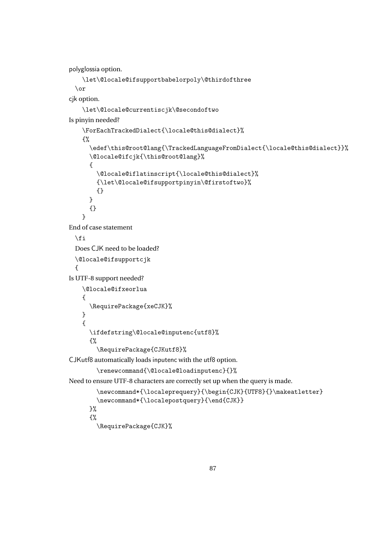polyglossia option.

```
\let\@locale@ifsupportbabelorpoly\@thirdofthree
 \or
cjk option.
    \let\@locale@currentiscjk\@secondoftwo
Is pinyin needed?
    \ForEachTrackedDialect{\locale@this@dialect}%
    {%
      \edef\this@root@lang{\TrackedLanguageFromDialect{\locale@this@dialect}}%
      \@locale@ifcjk{\this@root@lang}%
      {
        \@locale@iflatinscript{\locale@this@dialect}%
        {\let\@locale@ifsupportpinyin\@firstoftwo}%
        {}
      }
      {}
    }
End of case statement
 \forallfi
 Does CJK need to be loaded?
 \@locale@ifsupportcjk
 {
Is UTF-8 support needed?
    \@locale@ifxeorlua
    {
      \RequirePackage{xeCJK}%
    }
    {
      \ifdefstring\@locale@inputenc{utf8}%
      {%
        \RequirePackage{CJKutf8}%
CJKutf8 automatically loads inputenc with the utf8 option.
        \renewcommand{\@locale@loadinputenc}{}%
Need to ensure UTF-8 characters are correctly set up when the query is made.
        \newcommand*{\localeprequery}{\begin{CJK}{UTF8}{}\makeatletter}
        \newcommand*{\localepostquery}{\end{CJK}}
      }%
      {%
        \RequirePackage{CJK}%
```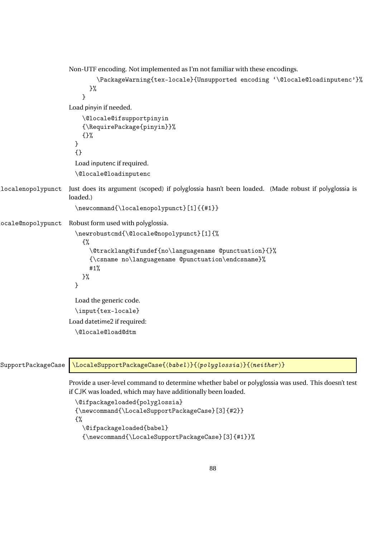```
Non-UTF encoding. Not implemented as I'm not familiar with these encodings.
                             \PackageWarning{tex-locale}{Unsupported encoding '\@locale@loadinputenc'}%
                          }%
                         }
                    Load pinyin if needed.
                        \@locale@ifsupportpinyin
                        {\RequirePackage{pinyin}}%
                        {}%
                      }
                      {}
                      Load inputenc if required.
                      \@locale@loadinputenc
\localenopolypunct Just does its argument (scoped) if polyglossia hasn't been loaded. (Made robust if polyglossia is
                    loaded.)
                      \newcommand{\localenopolypunct}[1]{{#1}}
ocale@nopolypunct Robust form used with polyglossia.
                      \newrobustcmd{\@locale@nopolypunct}[1]{%
                        {%
                           \@tracklang@ifundef{no\languagename @punctuation}{}%
                           {\csname no\languagename @punctuation\endcsname}%
                           #1%
                        }%
                      }
                      Load the generic code.
                      \input{tex-locale}
                    Load datetime2 if required:
                      \@locale@load@dtm
```
SupportPackageCase \LocaleSupportPackageCase{\babel \}{\polyglossia \}{\neither \}

Provide a user-level command to determine whether babel or polyglossia was used. This doesn't test if CJK was loaded, which may have additionally been loaded.

```
\@ifpackageloaded{polyglossia}
{\newcommand{\LocaleSupportPackageCase}[3]{#2}}
{%
  \@ifpackageloaded{babel}
  {\newcommand{\LocaleSupportPackageCase}[3]{#1}}%
```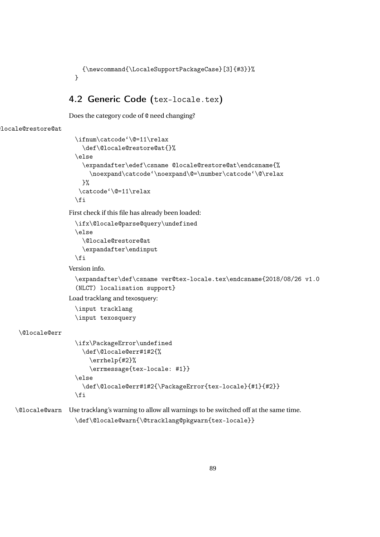```
{\newcommand{\LocaleSupportPackageCase}[3]{#3}}%
}
```
## 4.2 Generic Code (tex-locale.tex)

Does the category code of @ need changing?

```
locale@restore@at
```

```
\ifnum\catcode'\@=11\relax
  \def\@locale@restore@at{}%
\else
  \expandafter\edef\csname @locale@restore@at\endcsname{%
    \noexpand\catcode'\noexpand\@=\number\catcode'\@\relax
  \frac{1}{2}%
 \catcode'\@=11\relax
\fi
```
First check if this file has already been loaded:

```
\ifx\@locale@parse@query\undefined
\else
  \@locale@restore@at
  \expandafter\endinput
\forallfi
```
Version info.

```
\expandafter\def\csname ver@tex-locale.tex\endcsname{2018/08/26 v1.0
(NLCT) localisation support}
```
Load tracklang and texosquery:

\input tracklang \input texosquery

## \@locale@err

```
\ifx\PackageError\undefined
  \def\@locale@err#1#2{%
    \errhelp{#2}%
    \errmessage{tex-locale: #1}}
\else
  \def\@locale@err#1#2{\PackageError{tex-locale}{#1}{#2}}
\fi
```
\@locale@warn Use tracklang's warning to allow all warnings to be switched off at the same time. \def\@locale@warn{\@tracklang@pkgwarn{tex-locale}}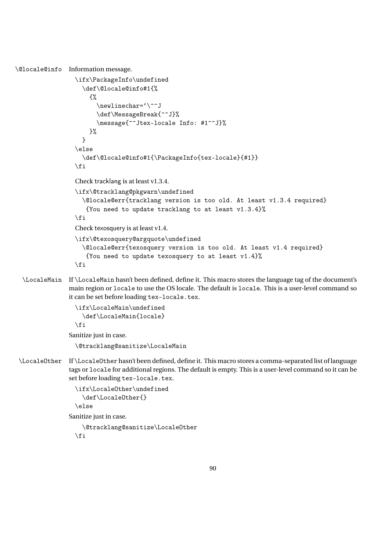```
\@locale@info Information message.
                  \ifx\PackageInfo\undefined
                    \def\@locale@info#1{%
                       {%
                         \newlinechar='\^^J
                         \def\MessageBreak{^^J}%
                         \message{^^Jtex-locale Info: #1^^J}%
                      }%
                    }
                  \else
                    \def\@locale@info#1{\PackageInfo{tex-locale}{#1}}
                  \fi
                  Check tracklang is at least v1.3.4.
                  \ifx\@tracklang@pkgwarn\undefined
                    \@locale@err{tracklang version is too old. At least v1.3.4 required}
                     {You need to update tracklang to at least v1.3.4}%
                  \fi
                  Check texosquery is at least v1.4.
                  \ifx\@texosquery@argquote\undefined
                    \@locale@err{texosquery version is too old. At least v1.4 required}
                     {You need to update texosquery to at least v1.4}%
                  \fi
  \LocaleMain If \LocaleMain hasn't been defined, define it. This macro stores the language tag of the document's
                main region or locale to use the OS locale. The default is locale. This is a user-level command so
                it can be set before loading tex-locale.tex.
                  \ifx\LocaleMain\undefined
                    \def\LocaleMain{locale}
                  \fi
                Sanitize just in case.
                  \@tracklang@sanitize\LocaleMain
 \LocaleOther If \LocaleOther hasn't been defined, define it. This macro stores a comma-separated list of language
                tags or locale for additional regions. The default is empty. This is a user-level command so it can be
                set before loading tex-locale.tex.
                  \ifx\LocaleOther\undefined
                    \def\LocaleOther{}
                  \else
                Sanitize just in case.
```

```
\@tracklang@sanitize\LocaleOther
\fi
```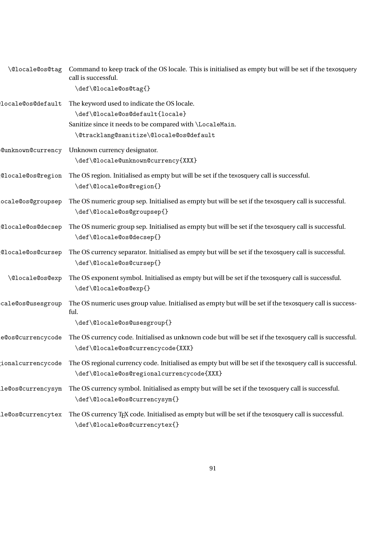| \@locale@os@tag          | Command to keep track of the OS locale. This is initialised as empty but will be set if the texosquery<br>call is successful. |
|--------------------------|-------------------------------------------------------------------------------------------------------------------------------|
|                          | \def\@locale@os@tag{}                                                                                                         |
| locale@os@default        | The keyword used to indicate the OS locale.                                                                                   |
|                          | \def\@locale@os@default{locale}                                                                                               |
|                          | Sanitize since it needs to be compared with \LocaleMain.                                                                      |
|                          | \@tracklang@sanitize\@locale@os@default                                                                                       |
| <b>CunknownCcurrency</b> | Unknown currency designator.                                                                                                  |
|                          | \def\@locale@unknown@currency{XXX}                                                                                            |
| ClocaleCosCregion        | The OS region. Initialised as empty but will be set if the texosquery call is successful.                                     |
|                          | \def\@locale@os@region{}                                                                                                      |
| ocale@os@groupsep        | The OS numeric group sep. Initialised as empty but will be set if the texosquery call is successful.                          |
|                          | \def\@locale@os@groupsep{}                                                                                                    |
| @locale@os@decsep        | The OS numeric group sep. Initialised as empty but will be set if the texosquery call is successful.                          |
|                          | \def\@locale@os@decsep{}                                                                                                      |
| @locale@os@cursep        | The OS currency separator. Initialised as empty but will be set if the texosquery call is successful.                         |
|                          | \def\@locale@os@cursep{}                                                                                                      |
| \@locale@os@exp          | The OS exponent symbol. Initialised as empty but will be set if the texosquery call is successful.                            |
|                          | \def\@locale@os@exp{}                                                                                                         |
| cale@os@usesgroup        | The OS numeric uses group value. Initialised as empty but will be set if the texosquery call is success-                      |
|                          | ful.                                                                                                                          |
|                          | \def\@locale@os@usesgroup{}                                                                                                   |
| e@os@currencycode        | The OS currency code. Initialised as unknown code but will be set if the texosquery call is successful.                       |
|                          | \def\@locale@os@currencycode{XXX}                                                                                             |
| ionalcurrencycode        | The OS regional currency code. Initialised as empty but will be set if the texosquery call is successful.                     |
|                          | \def\@locale@os@regionalcurrencycode{XXX}                                                                                     |
| le@os@currencysym        | The OS currency symbol. Initialised as empty but will be set if the texosquery call is successful.                            |
|                          | \def\@locale@os@currencysym{}                                                                                                 |
| le@os@currencytex        | The OS currency T <sub>F</sub> X code. Initialised as empty but will be set if the texosquery call is successful.             |
|                          | \def\@locale@os@currencytex{}                                                                                                 |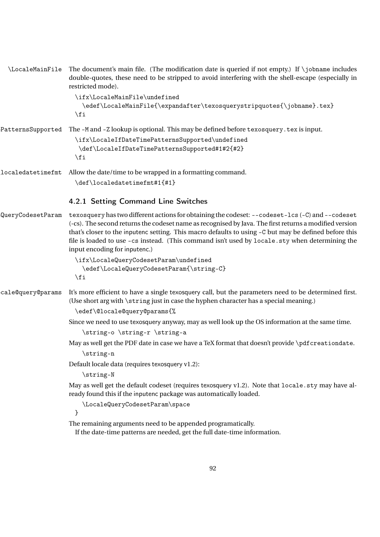| \LocaleMainFile   | The document's main file. (The modification date is queried if not empty.) If $\iota$ jobname includes<br>double-quotes, these need to be stripped to avoid interfering with the shell-escape (especially in<br>restricted mode).                                                                                                                                                                                                                      |
|-------------------|--------------------------------------------------------------------------------------------------------------------------------------------------------------------------------------------------------------------------------------------------------------------------------------------------------------------------------------------------------------------------------------------------------------------------------------------------------|
|                   | \ifx\LocaleMainFile\undefined<br>\edef\LocaleMainFile{\expandafter\texosquerystripquotes{\jobname}.tex}<br>$\sqrt{fi}$                                                                                                                                                                                                                                                                                                                                 |
| PatternsSupported | The -M and -Z lookup is optional. This may be defined before texosquery . tex is input.<br>\ifx\LocaleIfDateTimePatternsSupported\undefined<br>\def\LocaleIfDateTimePatternsSupported#1#2{#2}<br>$\sqrt{fi}$                                                                                                                                                                                                                                           |
| localedatetimefmt | Allow the date/time to be wrapped in a formatting command.<br>\def\localedatetimefmt#1{#1}                                                                                                                                                                                                                                                                                                                                                             |
|                   | 4.2.1 Setting Command Line Switches                                                                                                                                                                                                                                                                                                                                                                                                                    |
| QueryCodesetParam | texosquery has two different actions for obtaining the codeset: --codeset-lcs (-C) and --codeset<br>(-cs). The second returns the codeset name as recognised by Java. The first returns a modified version<br>that's closer to the inputenc setting. This macro defaults to using -C but may be defined before this<br>file is loaded to use -cs instead. (This command isn't used by locale.sty when determining the<br>input encoding for inputenc.) |
|                   | \ifx\LocaleQueryCodesetParam\undefined<br>\edef\LocaleQueryCodesetParam{\string-C}<br>$\chi$ i                                                                                                                                                                                                                                                                                                                                                         |
| cale@query@params | It's more efficient to have a single texosquery call, but the parameters need to be determined first.<br>(Use short arg with \string just in case the hyphen character has a special meaning.)<br>\edef\@locale@query@params{%                                                                                                                                                                                                                         |
|                   | Since we need to use texosquery anyway, may as well look up the OS information at the same time.<br>\string-o \string-r \string-a                                                                                                                                                                                                                                                                                                                      |
|                   | May as well get the PDF date in case we have a TeX format that doesn't provide \pdf creationdate.<br>\string-n                                                                                                                                                                                                                                                                                                                                         |
|                   | Default locale data (requires texosquery v1.2):<br>\string-N                                                                                                                                                                                                                                                                                                                                                                                           |
|                   | May as well get the default codeset (requires texosquery v1.2). Note that locale sty may have al-<br>ready found this if the inputenc package was automatically loaded.                                                                                                                                                                                                                                                                                |
|                   | \LocaleQueryCodesetParam\space<br>}                                                                                                                                                                                                                                                                                                                                                                                                                    |
|                   | The remaining arguments need to be appended programatically.                                                                                                                                                                                                                                                                                                                                                                                           |

If the date-time patterns are needed, get the full date-time information.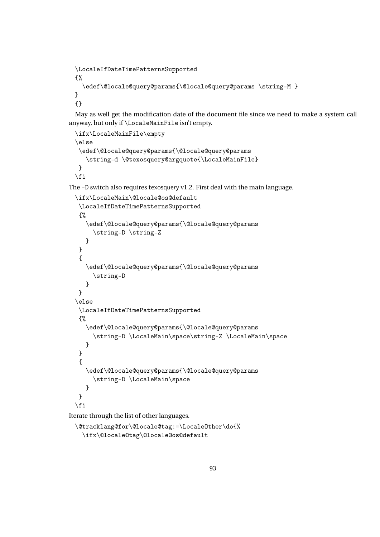```
\LocaleIfDateTimePatternsSupported
{%
  \edef\@locale@query@params{\@locale@query@params \string-M }
}
{}
```
May as well get the modification date of the document file since we need to make a system call anyway, but only if \LocaleMainFile isn't empty.

```
\ifx\LocaleMainFile\empty
\else
\edef\@locale@query@params{\@locale@query@params
   \string-d \@texosquery@argquote{\LocaleMainFile}
}
\fi
```
The -D switch also requires texosquery v1.2. First deal with the main language.

```
\ifx\LocaleMain\@locale@os@default
 \LocaleIfDateTimePatternsSupported
{%
   \edef\@locale@query@params{\@locale@query@params
     \string-D \string-Z
  }
}
 {
   \edef\@locale@query@params{\@locale@query@params
     \string-D
  }
}
\else
\LocaleIfDateTimePatternsSupported
{%
   \edef\@locale@query@params{\@locale@query@params
     \string-D \LocaleMain\space\string-Z \LocaleMain\space
  }
}
 {
   \edef\@locale@query@params{\@locale@query@params
     \string-D \LocaleMain\space
  }
}
\fi
```
Iterate through the list of other languages.

```
\@tracklang@for\@locale@tag:=\LocaleOther\do{%
  \ifx\@locale@tag\@locale@os@default
```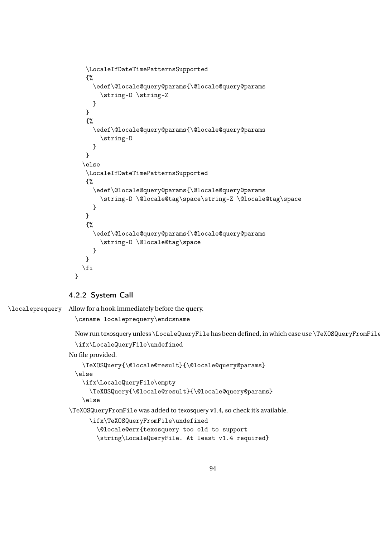```
\LocaleIfDateTimePatternsSupported
   {%
     \edef\@locale@query@params{\@locale@query@params
       \string-D \string-Z
     }
   }
   {%
     \edef\@locale@query@params{\@locale@query@params
       \string-D
     }
  }
  \else
   \LocaleIfDateTimePatternsSupported
   {%
     \edef\@locale@query@params{\@locale@query@params
       \string-D \@locale@tag\space\string-Z \@locale@tag\space
     }
   }
   {%
     \edef\@locale@query@params{\@locale@query@params
       \string-D \@locale@tag\space
     }
   }
  \fi
}
```
## 4.2.2 System Call

\localeprequery Allow for a hook immediately before the query.

\csname localeprequery\endcsname

```
Now run texosquery unless \LocaleQueryFile has been defined, in which case use \TeXOSQueryFromFile
\ifx\LocaleQueryFile\undefined
```
No file provided.

```
\TeXOSQuery{\@locale@result}{\@locale@query@params}
\else
  \ifx\LocaleQueryFile\empty
    \TeXOSQuery{\@locale@result}{\@locale@query@params}
  \else
```
\TeXOSQueryFromFile was added to texosquery v1.4, so check it's available.

```
\ifx\TeXOSQueryFromFile\undefined
  \@locale@err{texosquery too old to support
  \string\LocaleQueryFile. At least v1.4 required}
```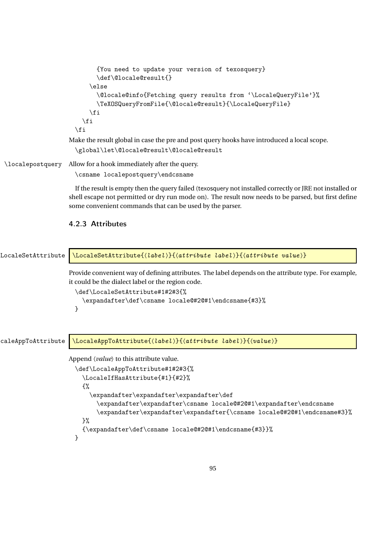```
{You need to update your version of texosquery}
      \def\@locale@result{}
   \else
      \@locale@info{Fetching query results from '\LocaleQueryFile'}%
      \TeXOSQueryFromFile{\@locale@result}{\LocaleQueryFile}
   \fi
 \fi
\fi
```
Make the result global in case the pre and post query hooks have introduced a local scope.

```
\global\let\@locale@result\@locale@result
```
\localepostquery Allow for a hook immediately after the query.

\csname localepostquery\endcsname

If the result is empty then the query failed (texosquery not installed correctly or JRE not installed or shell escape not permitted or dry run mode on). The result now needs to be parsed, but first define some convenient commands that can be used by the parser.

## 4.2.3 Attributes

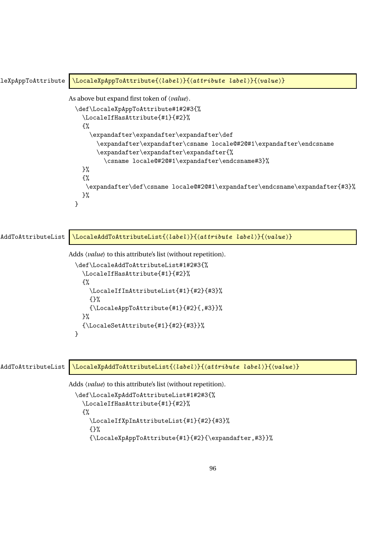```
\texttt{LeXpAppToAttribute} \LocaleXpAppToAttribute{(label)}{(attribute label)}{(value)}
                   As above but expand first token of 〈value〉.
                     \def\LocaleXpAppToAttribute#1#2#3{%
                       \LocaleIfHasAttribute{#1}{#2}%
                       {%
                          \expandafter\expandafter\expandafter\def
                            \expandafter\expandafter\csname locale@#2@#1\expandafter\endcsname
                            \expandafter\expandafter\expandafter{%
                              \csname locale@#2@#1\expandafter\endcsname#3}%
                       }%
                       {%
                        \expandafter\def\csname locale@#2@#1\expandafter\endcsname\expandafter{#3}%
                       }%
                     }
```

| AddToAttributeList | $\backslash$ LocaleAddToAttributeList{ $\langle label \rangle$ }{ $\langle attribute \; label \rangle$ }{ $\langle value \rangle$ } |
|--------------------|-------------------------------------------------------------------------------------------------------------------------------------|
|                    | Adds <i>(value)</i> to this attribute's list (without repetition).                                                                  |
|                    | \def\LocaleAddToAttributeList#1#2#3{%                                                                                               |
|                    | \LocaleIfHasAttribute{#1}{#2}%                                                                                                      |
|                    | £%                                                                                                                                  |
|                    | \LocaleIfInAttributeList{#1}{#2}{#3}%                                                                                               |
|                    | {}%                                                                                                                                 |
|                    | $\{\Delta$ ppToAttribute{#1}{#2}{,#3}}%<br>}%                                                                                       |
|                    | $\{\Delta\text{Uocales}$ CaleSetAttribute{#1}{#2}{#3}}%                                                                             |
|                    | }                                                                                                                                   |
|                    |                                                                                                                                     |
|                    |                                                                                                                                     |
| AddToAttributeList | \LocaleXpAddToAttributeList{\label}}{\attribute label}}{\ualue}}                                                                    |
|                    | Adds <i>(value)</i> to this attribute's list (without repetition).                                                                  |
|                    | \def\LocaleXpAddToAttributeList#1#2#3{%                                                                                             |
|                    | \LocaleIfHasAttribute{#1}{#2}%                                                                                                      |
|                    | ₹%                                                                                                                                  |
|                    | \LocaleIfXpInAttributeList{#1}{#2}{#3}%                                                                                             |

{}%

{\LocaleXpAppToAttribute{#1}{#2}{\expandafter,#3}}%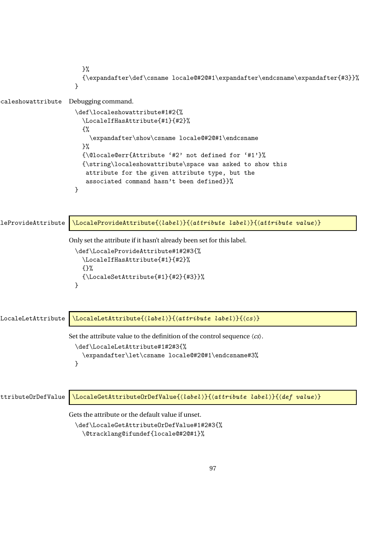```
}%
                        {\expandafter\def\csname locale@#2@#1\expandafter\endcsname\expandafter{#3}}%
                      }
caleshowattribute Debugging command.
                      \def\localeshowattribute#1#2{%
                        \LocaleIfHasAttribute{#1}{#2}%
                        {%
                          \expandafter\show\csname locale@#2@#1\endcsname
                        \frac{1}{2}%
                        {\@locale@err{Attribute '#2' not defined for '#1'}%
                        {\string\localeshowattribute\space was asked to show this
                         attribute for the given attribute type, but the
                         associated command hasn't been defined}}%
                      }
\text{LeProvidedttribute } \langle \text{LocaleProvidedttribute}( \langle \text{label} \rangle \}Only set the attribute if it hasn't already been set for this label.
                      \def\LocaleProvideAttribute#1#2#3{%
                        \LocaleIfHasAttribute{#1}{#2}%
                        {}%
                        {\Lambda}thesetAttribute{#1}{#2}{#3}}%
                      }
LocaleLetAttribute \LocaleLetAttribute{(label)}{\attribute label)}{\cs >>
                    Set the attribute value to the definition of the control sequence 〈cs〉.
                      \def\LocaleLetAttribute#1#2#3{%
                        \expandafter\let\csname locale@#2@#1\endcsname#3%
                      }
ttributeOrDefValue \LocaleGetAttributeOrDefValue{(label)}{(attribute label)}{(def value)}
                    Gets the attribute or the default value if unset.
                      \def\LocaleGetAttributeOrDefValue#1#2#3{%
                        \@tracklang@ifundef{locale@#2@#1}%
```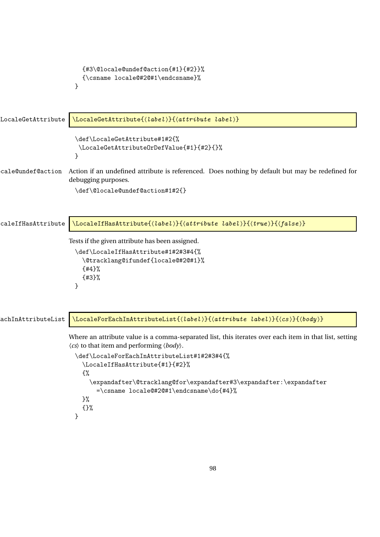```
{#3\@locale@undef@action{#1}{#2}}%
                        {\csname locale@#2@#1\endcsname}%
                      }
LocaleGetAttribute \LocaleGetAttribute{(label)}{(attribute label)}
                      \def\LocaleGetAttribute#1#2{%
                       \LocaleGetAttributeOrDefValue{#1}{#2}{}%
                      }
cale@undef@action Action if an undefined attribute is referenced. Does nothing by default but may be redefined for
                    debugging purposes.
                      \def\@locale@undef@action#1#2{}
caleIfHasAttribute \LocaleIfHasAttribute{(label)}{(attribute label)}{(true)}{(false)}
                    Tests if the given attribute has been assigned.
                      \def\LocaleIfHasAttribute#1#2#3#4{%
                        \@tracklang@ifundef{locale@#2@#1}%
                        {#4}%
                        {#3}%
                      }
\texttt{A}chInAttributeList \big\setminus\texttt{LocaleForEachInAttributeList}(\texttt{label})\}\Where an attribute value is a comma-separated list, this iterates over each item in that list, setting
                    〈cs〉 to that item and performing 〈body〉.
                      \def\LocaleForEachInAttributeList#1#2#3#4{%
                        \LocaleIfHasAttribute{#1}{#2}%
                        {%
                          \expandafter\@tracklang@for\expandafter#3\expandafter:\expandafter
                            =\csname locale@#2@#1\endcsname\do{#4}%
                        }%
                        {}%
                      }
```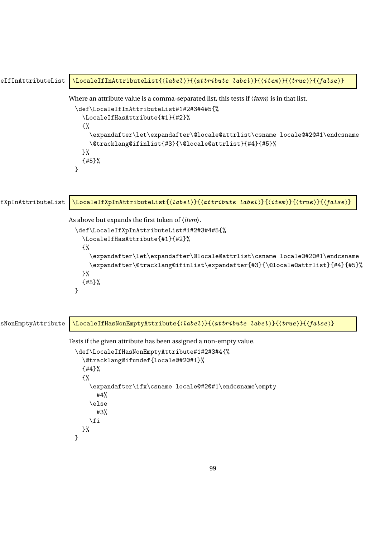```
eIfInAttributeList \LocaleIfInAttributeList{\label\}{\attribute label\}{\titem \}{\true \}{\false \}
                       Where an attribute value is a comma-separated list, this tests if 〈item〉 is in that list.
                         \def\LocaleIfInAttributeList#1#2#3#4#5{%
                           \LocaleIfHasAttribute{#1}{#2}%
                           {%
                              \expandafter\let\expandafter\@locale@attrlist\csname locale@#2@#1\endcsname
                              \@tracklang@ifinlist{#3}{\@locale@attrlist}{#4}{#5}%
                           \frac{1}{2}%
                           {#5}%
                         }
\texttt{fXpInAttributeList } \verb|\color{red}{\textbf{1}xpInAttributeList}({\color{blue}{\langle \textit{label} \rangle}}{\color{red}{\langle \textit{attribute label} \rangle}}{\color{red}{\langle \textit{item} \rangle}}{\color{red}{\langle \textit{true} \rangle}}As above but expands the first token of 〈item〉.
                         \def\LocaleIfXpInAttributeList#1#2#3#4#5{%
                           \LocaleIfHasAttribute{#1}{#2}%
                           {%
                              \expandafter\let\expandafter\@locale@attrlist\csname locale@#2@#1\endcsname
                              \expandafter\@tracklang@ifinlist\expandafter{#3}{\@locale@attrlist}{#4}{#5}%
                           }%
                            {#5}%
                         }
sNonEmptyAttribute \LocaleIfHasNonEmptyAttribute{(label)}{(attribute label)}{(true)}{(false)}
                       Tests if the given attribute has been assigned a non-empty value.
                         \def\LocaleIfHasNonEmptyAttribute#1#2#3#4{%
                           \@tracklang@ifundef{locale@#2@#1}%
                           {#4}%
                           {%
                              \expandafter\ifx\csname locale@#2@#1\endcsname\empty
                                #4%
                              \else
                                #3%
                              \fi
                           }%
                         }
```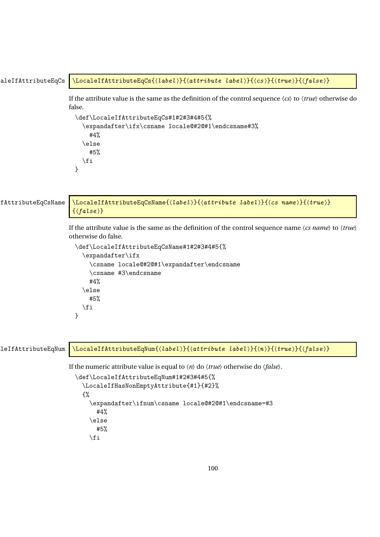```
aleIfAttributeEqCs \LocaleIfAttributeEqCs{(label)}{(attribute label)}{(cs)}{(true)}{(false)}
                        If the attribute value is the same as the definition of the control sequence 〈cs〉 to 〈true〉 otherwise do
                        false.
                           \def\LocaleIfAttributeEqCs#1#2#3#4#5{%
                             \expandafter\ifx\csname locale@#2@#1\endcsname#3%
                                #4%
                             \else
                                #5%
                             \fi
                           }
fAttributeEqCsName \\LocaleIfAttributeEqCsName{(label)}{(attribute label)}{(cs name)}{(true)}
                          \{\langle false \rangle\}If the attribute value is the same as the definition of the control sequence name 〈cs name〉 to 〈true〉
                        otherwise do false.
                           \def\LocaleIfAttributeEqCsName#1#2#3#4#5{%
                             \expandafter\ifx
                                \csname locale@#2@#1\expandafter\endcsname
                                \csname #3\endcsname
                                #4%
                             \else
                                #5%
                             \fi
                          }
\texttt{left}tributeEqNum \texttt{localeIf}AttributeEqNum\{\langle \textit{label} \rangle\}\{\langle \textit{attribute} \text{ label} \rangle\}\{\langle \textit{true} \rangle\}\{\langle \textit{false} \rangle\}If the numeric attribute value is equal to \langle n \rangle do \langle true \rangle otherwise do \langle false \rangle.
                           \def\LocaleIfAttributeEqNum#1#2#3#4#5{%
                             \LocaleIfHasNonEmptyAttribute{#1}{#2}%
```

```
{%
  \expandafter\ifnum\csname locale@#2@#1\endcsname=#3
    #4%
  \else
    #5%
  \fi
```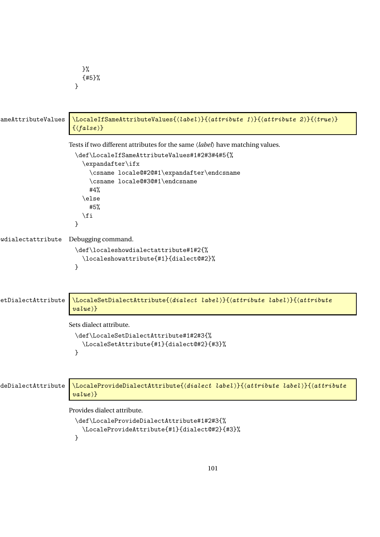```
}%
                       {#5}%
                     }
ameAttributeValues \LocaleIfSameAttributeValues{(label)}{(attribute 1)}{(attribute 2)}{(true)}
                     \{(false)\}Tests if two different attributes for the same 〈label〉 have matching values.
                     \def\LocaleIfSameAttributeValues#1#2#3#4#5{%
                       \expandafter\ifx
                          \csname locale@#2@#1\expandafter\endcsname
                          \csname locale@#3@#1\endcsname
                         #4%
                       \else
                         #5%
                        \fi
                     }
wdialectattribute Debugging command.
                     \def\localeshowdialectattribute#1#2{%
                       \localeshowattribute{#1}{dialect@#2}%
                     }
etDialectAttribute \LocaleSetDialectAttribute{\dialect label >}{\attribute label >}{\attribute
                     value}}
                    Sets dialect attribute.
                     \def\LocaleSetDialectAttribute#1#2#3{%
                       \LocaleSetAttribute{#1}{dialect@#2}{#3}%
                     }
deDialectAttribute \\LocaleProvideDialectAttribute{\dialect label >}{\attribute label >}{\attribute
                     value}}
                    Provides dialect attribute.
                     \def\LocaleProvideDialectAttribute#1#2#3{%
                       \LocaleProvideAttribute{#1}{dialect@#2}{#3}%
                     }
```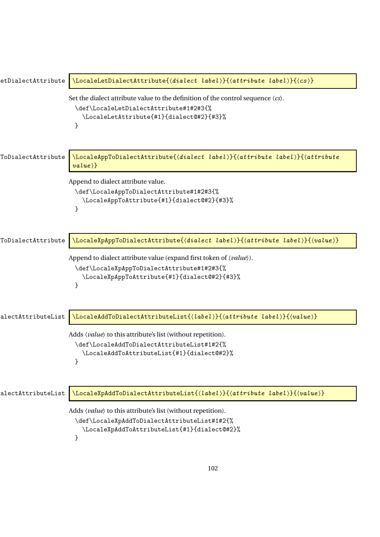| etDialectAttribute | \LocaleLetDialectAttribute{(dialect label)}{(attribute label)}{(cs)}                                                                                                                        |
|--------------------|---------------------------------------------------------------------------------------------------------------------------------------------------------------------------------------------|
|                    | Set the dialect attribute value to the definition of the control sequence $\langle cs \rangle$ .<br>\def\LocaleLetDialectAttribute#1#2#3{%<br>\LocaleLetAttribute{#1}{dialect@#2}{#3}%<br>} |
| ToDialectAttribute | \LocaleAppToDialectAttribute{(dialect label)}{(attribute label)}{(attribute<br>$value$ }}                                                                                                   |
|                    | Append to dialect attribute value.<br>\def\LocaleAppToDialectAttribute#1#2#3{%<br>\LocaleAppToAttribute{#1}{dialect@#2}{#3}%<br>ł                                                           |
| ToDialectAttribute | \LocaleXpAppToDialectAttribute{(dialect label)}{(attribute label)}{(value)}                                                                                                                 |
|                    | Append to dialect attribute value (expand first token of $\langle value \rangle$ ).<br>\def\LocaleXpAppToDialectAttribute#1#2#3{%<br>\LocaleXpAppToAttribute{#1}{dialect@#2}{#3}%<br>ł      |
| alectAttributeList | $\backslash$ LocaleAddToDialectAttributeList{ $\{label\}$ }{ $\{attribute\ label\}$ { $\{value\}$ }                                                                                         |
|                    | Adds (value) to this attribute's list (without repetition).<br>\def\LocaleAddToDialectAttributeList#1#2{%<br>\LocaleAddToAttributeList{#1}{dialect@#2}%<br>ł                                |
| alectAttributeList | \LocaleXpAddToDialectAttributeList{(label)}{(attribute label)}{(value)}                                                                                                                     |
|                    | Adds (value) to this attribute's list (without repetition).<br>\def\LocaleXpAddToDialectAttributeList#1#2{%<br>\LocaleXpAddToAttributeList{#1}{dialect@#2}%<br>}                            |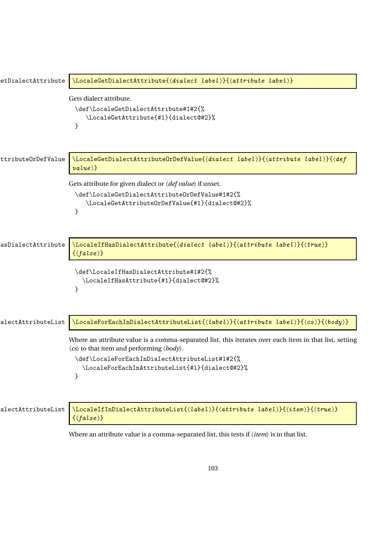| etDialectAttribute | \LocaleGetDialectAttribute{(dialect label)}{(attribute label)}                                                                                                                                                                                                                               |
|--------------------|----------------------------------------------------------------------------------------------------------------------------------------------------------------------------------------------------------------------------------------------------------------------------------------------|
|                    | Gets dialect attribute.<br>\def\LocaleGetDialectAttribute#1#2{%<br>\LocaleGetAttribute{#1}{dialect@#2}%<br>}                                                                                                                                                                                 |
| ttributeOrDefValue | \LocaleGetDialectAttributeOrDefValue{(dialect label)}{(attribute label)}{(def<br>$value$ }}                                                                                                                                                                                                  |
|                    | Gets attribute for given dialect or $\langle def value \rangle$ if unset.<br>\def\LocaleGetDialectAttributeOrDefValue#1#2{%<br>\LocaleGetAttributeOrDefValue{#1}{dialect@#2}%<br>}                                                                                                           |
| asDialectAttribute | \LocaleIfHasDialectAttribute{(dialect label)}{(attribute label)}{(true)}<br>$\{\langle false \rangle\}$                                                                                                                                                                                      |
|                    | \def\LocaleIfHasDialectAttribute#1#2{%<br>\LocaleIfHasAttribute{#1}{dialect@#2}%<br>ł                                                                                                                                                                                                        |
| alectAttributeList | \LocaleForEachInDialectAttributeList{(label)}{(attribute label)}{(cs)}{(body)}                                                                                                                                                                                                               |
|                    | Where an attribute value is a comma-separated list, this iterates over each item in that list, setting<br>$\langle cs \rangle$ to that item and performing $\langle body \rangle$ .<br>\def\LocaleForEachInDialectAttributeList#1#2{%<br>\LocaleForEachInAttributeList{#1}{dialect@#2}%<br>} |
| alectAttributeList | \LocaleIfInDialectAttributeList{(label)}{(attribute label)}{(item)}{(true)}<br>$\{\langle false \rangle\}$                                                                                                                                                                                   |
|                    |                                                                                                                                                                                                                                                                                              |

Where an attribute value is a comma-separated list, this tests if 〈*item*〉 is in that list.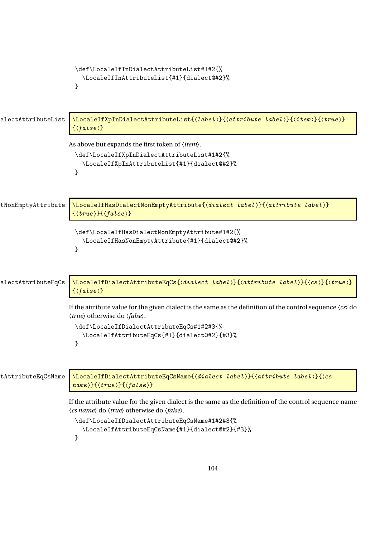```
\def\LocaleIfInDialectAttributeList#1#2{%
                          \LocaleIfInAttributeList{#1}{dialect@#2}%
                        }
alectAttributeList \LocaleIfXpInDialectAttributeList{\label}}{\attribute label}}{\item }}{\true }}
                       \{\langle false \rangle\}As above but expands the first token of 〈item〉.
                        \def\LocaleIfXpInDialectAttributeList#1#2{%
                          \LocaleIfXpInAttributeList{#1}{dialect@#2}%
                        }
tNonEmptyAttribute \LocaleIfHasDialectNonEmptyAttribute{\dialect label>}{\attribute label>}
                       \{\langle true \rangle\} \{\langle false \rangle\}\def\LocaleIfHasDialectNonEmptyAttribute#1#2{%
                          \LocaleIfHasNonEmptyAttribute{#1}{dialect@#2}%
                        }
alectAttributeEqCs \LocaleIfDialectAttributeEqCs{\dialect label >}{\attribute label >}{\cs >}{\true >}
                       \{(false)\}If the attribute value for the given dialect is the same as the definition of the control sequence \langle cs \rangle do
                      〈true〉 otherwise do 〈false〉.
                        \def\LocaleIfDialectAttributeEqCs#1#2#3{%
                          \LocaleIfAttributeEqCs{#1}{dialect@#2}{#3}%
                        }
tAttributeEqCsName \LocaleIfDialectAttributeEqCsName{〈dialect label〉}{〈attribute label〉}{〈cs
                       name){} \{ \langle true \rangle \} \{ \langle false \rangle \}If the attribute value for the given dialect is the same as the definition of the control sequence name
                      〈cs name〉 do 〈true〉 otherwise do 〈false〉.
                        \def\LocaleIfDialectAttributeEqCsName#1#2#3{%
                          \LocaleIfAttributeEqCsName{#1}{dialect@#2}{#3}%
                        }
```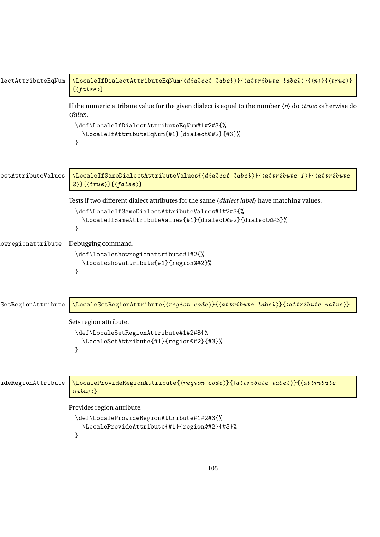| lectAttributeEqNum | $\setminus$ LocaleIfDialectAttributeEqNum{(dialect label)}{(attribute label)}{(n)}{(true)}<br>$\{\langle false \rangle\}$                                                                                                                                              |
|--------------------|------------------------------------------------------------------------------------------------------------------------------------------------------------------------------------------------------------------------------------------------------------------------|
|                    | If the numeric attribute value for the given dialect is equal to the number $\langle n \rangle$ do $\langle true \rangle$ otherwise do<br>$\langle false \rangle$ .<br>\def\LocaleIfDialectAttributeEqNum#1#2#3{%<br>\LocaleIfAttributeEqNum{#1}{dialect@#2}{#3}%<br>} |
| ectAttributeValues | \LocaleIfSameDialectAttributeValues{(dialect label)}{(attribute 1)}{(attribute<br>$2\}$ { $\{true\}$ }{ $\{false\}$ }                                                                                                                                                  |
|                    | Tests if two different dialect attributes for the same <i>(dialect label)</i> have matching values.<br>\def\LocaleIfSameDialectAttributeValues#1#2#3{%<br>\LocaleIfSameAttributeValues{#1}{dialect@#2}{dialect@#3}%<br>}                                               |
| owregionattribute  | Debugging command.<br>\def\localeshowregionattribute#1#2{%<br>\localeshowattribute{#1}{region@#2}%<br>}                                                                                                                                                                |
| SetRegionAttribute | \LocaleSetRegionAttribute{(region code)}{(attribute label)}{(attribute value)}                                                                                                                                                                                         |
|                    | Sets region attribute.<br>\def\LocaleSetRegionAttribute#1#2#3{%<br>\LocaleSetAttribute{#1}{region@#2}{#3}%<br>}                                                                                                                                                        |
| ideRegionAttribute | \LocaleProvideRegionAttribute{(region code)}{(attribute label)}{(attribute<br>$value$ }}                                                                                                                                                                               |
|                    | Provides region attribute.<br>\def\LocaleProvideRegionAttribute#1#2#3{%<br>\LocaleProvideAttribute{#1}{region@#2}{#3}%<br>}                                                                                                                                            |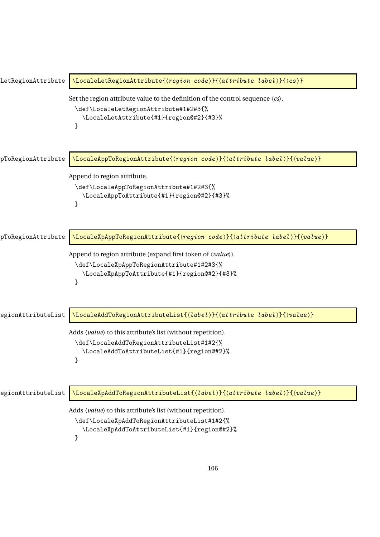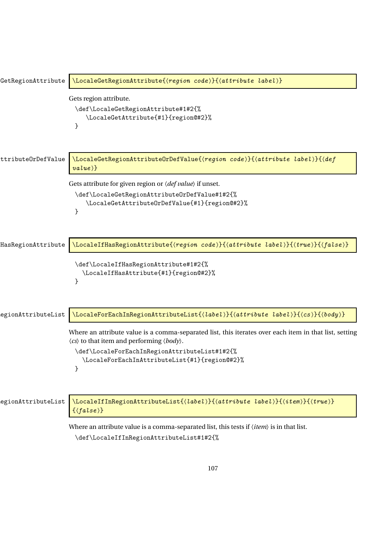| GetRegionAttribute | \LocaleGetRegionAttribute{\region code}}{\attribute label}}                                                                                                                                                                                                                                |
|--------------------|--------------------------------------------------------------------------------------------------------------------------------------------------------------------------------------------------------------------------------------------------------------------------------------------|
|                    | Gets region attribute.<br>\def\LocaleGetRegionAttribute#1#2{%<br>\LocaleGetAttribute{#1}{region@#2}%<br>}                                                                                                                                                                                  |
| ttribute0rDefValue | \LocaleGetRegionAttributeOrDefValue{(region code)}{(attribute label)}{(def<br>$value$ }}                                                                                                                                                                                                   |
|                    | Gets attribute for given region or $\langle def value \rangle$ if unset.<br>\def\LocaleGetRegionAttributeOrDefValue#1#2{%<br>\LocaleGetAttributeOrDefValue{#1}{region@#2}%<br>}                                                                                                            |
| HasRegionAttribute | \LocaleIfHasRegionAttribute{(region code)}{(attribute label)}{(true)}{(false)}                                                                                                                                                                                                             |
|                    | \def\LocaleIfHasRegionAttribute#1#2{%<br>\LocaleIfHasAttribute{#1}{region@#2}%<br>}                                                                                                                                                                                                        |
| egionAttributeList | \LocaleForEachInRegionAttributeList{\label}}{\attribute label}}{\cs}}{\body}}                                                                                                                                                                                                              |
|                    | Where an attribute value is a comma-separated list, this iterates over each item in that list, setting<br>$\langle cs \rangle$ to that item and performing $\langle body \rangle$ .<br>\def\LocaleForEachInRegionAttributeList#1#2{%<br>\LocaleForEachInAttributeList{#1}{region@#2}%<br>} |
| egionAttributeList | \LocaleIfInRegionAttributeList{(label)}{(attribute label)}{(item)}{(true)}<br>$\{\langle false \rangle\}$                                                                                                                                                                                  |
|                    | Where an attribute value is a comma-separated list, this tests if $\langle item \rangle$ is in that list.<br>\def\LocaleIfInRegionAttributeList#1#2{%                                                                                                                                      |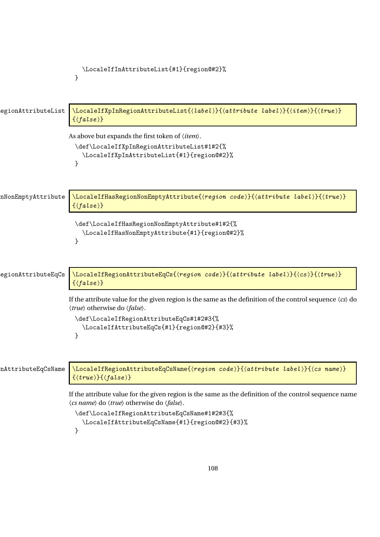```
\LocaleIfInAttributeList{#1}{region@#2}%
                         }
egionAttributeList \LocaleIfXpInRegionAttributeList{\label}}{\attribute label}}{\titem }{\true }}
                        \{(false)\}As above but expands the first token of 〈item〉.
                         \def\LocaleIfXpInRegionAttributeList#1#2{%
                           \LocaleIfXpInAttributeList{#1}{region@#2}%
                         }
nNonEmptyAttribute \LocaleIfHasRegionNonEmptyAttribute{\region code >}{\attribute label >}{\true >}
                        \{\langle false \rangle\}\def\LocaleIfHasRegionNonEmptyAttribute#1#2{%
                           \LocaleIfHasNonEmptyAttribute{#1}{region@#2}%
                         }
egionAttributeEqCs \setminusLocaleIfRegionAttributeEqCs{(region code)}{(attribute label)}{(cs)}{(true)}
                        \{\langle false \rangle\}If the attribute value for the given region is the same as the definition of the control sequence \langle cs \rangle do
                       〈true〉 otherwise do 〈false〉.
                         \def\LocaleIfRegionAttributeEqCs#1#2#3{%
                           \LocaleIfAttributeEqCs{#1}{region@#2}{#3}%
                         }
nAttributeEqCsName \big\setminusLocaleIfRegionAttributeEqCsName{\langle region\ code \rangle}{\langle attribute\ label \rangle}{\langle cs\ name \rangle}
                        \{\langle true \rangle\} \{\langle false \rangle\}If the attribute value for the given region is the same as the definition of the control sequence name
                       〈cs name〉 do 〈true〉 otherwise do 〈false〉.
                         \def\LocaleIfRegionAttributeEqCsName#1#2#3{%
                            \LocaleIfAttributeEqCsName{#1}{region@#2}{#3}%
                         }
```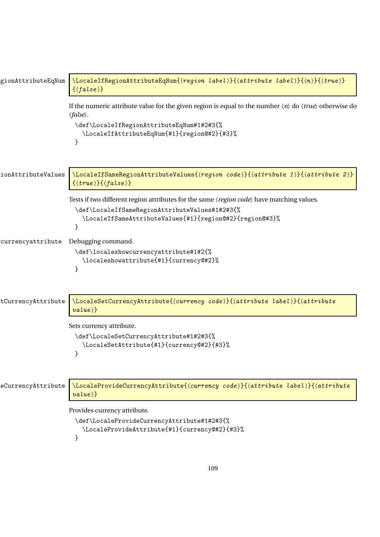| gionAttributeEqNum | \LocaleIfRegionAttributeEqNum{(region label)}{(attribute label)}{(n)}{(true)}<br>$\{\langle false \rangle\}$                                                                                                                                                        |
|--------------------|---------------------------------------------------------------------------------------------------------------------------------------------------------------------------------------------------------------------------------------------------------------------|
|                    | If the numeric attribute value for the given region is equal to the number $\langle n \rangle$ do $\langle true \rangle$ otherwise do<br>$\langle false \rangle$ .<br>\def\LocaleIfRegionAttributeEqNum#1#2#3{%<br>\LocaleIfAttributeEqNum{#1}{region@#2}{#3}%<br>} |
| ionAttributeValues | \LocaleIfSameRegionAttributeValues{(region code)}{(attribute 1)}{(attribute 2)}<br>$\{\langle true \rangle\} \{\langle false \rangle\}$                                                                                                                             |
|                    | Tests if two different region attributes for the same (region code) have matching values.<br>\def\LocaleIfSameRegionAttributeValues#1#2#3{%<br>\LocaleIfSameAttributeValues{#1}{region@#2}{region@#3}%<br>}                                                         |
| currencyattribute  | Debugging command.<br>\def\localeshowcurrencyattribute#1#2{%<br>\localeshowattribute{#1}{currency@#2}%<br>λ                                                                                                                                                         |
| tCurrencyAttribute | \LocaleSetCurrencyAttribute{(currency code)}{(attribute label)}{(attribute<br>$\{value\}$ }                                                                                                                                                                         |
|                    | Sets currency attribute.<br>\def\LocaleSetCurrencyAttribute#1#2#3{%<br>\LocaleSetAttribute{#1}{currency@#2}{#3}%<br>}                                                                                                                                               |
| eCurrencyAttribute | \LocaleProvideCurrencyAttribute{\currency code}}{\attribute label}}{\attribute<br>$value$ }                                                                                                                                                                         |
|                    | Provides currency attribute.<br>\def\LocaleProvideCurrencyAttribute#1#2#3{%<br>\LocaleProvideAttribute{#1}{currency@#2}{#3}%<br>}                                                                                                                                   |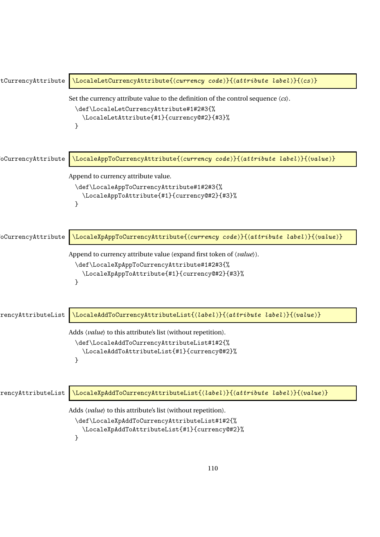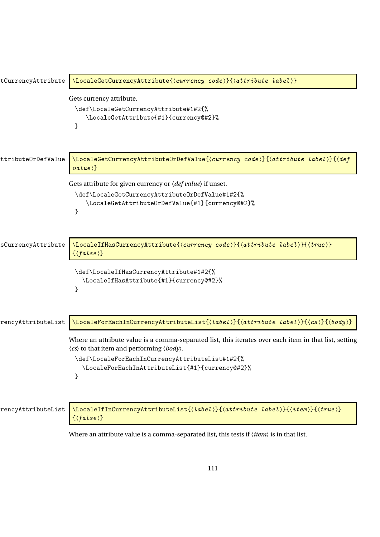| tCurrencyAttribute | \LocaleGetCurrencyAttribute{ <currency code="">}{<attribute label="">}</attribute></currency>                                                                                                                                                                                                  |
|--------------------|------------------------------------------------------------------------------------------------------------------------------------------------------------------------------------------------------------------------------------------------------------------------------------------------|
|                    | Gets currency attribute.<br>\def\LocaleGetCurrencyAttribute#1#2{%<br>\LocaleGetAttribute{#1}{currency@#2}%<br>}                                                                                                                                                                                |
| ttributeOrDefValue | \LocaleGetCurrencyAttributeOrDefValue{(currency code)}{(attribute label)}{(def<br>$value$ }}                                                                                                                                                                                                   |
|                    | Gets attribute for given currency or $\langle def value \rangle$ if unset.<br>\def\LocaleGetCurrencyAttributeOrDefValue#1#2{%<br>\LocaleGetAttributeOrDefValue{#1}{currency@#2}%                                                                                                               |
| sCurrencyAttribute | }<br>\LocaleIfHasCurrencyAttribute{(currency code)}{(attribute label)}{(true)}                                                                                                                                                                                                                 |
|                    | $\{\langle false \rangle\}$<br>\def\LocaleIfHasCurrencyAttribute#1#2{%<br>\LocaleIfHasAttribute{#1}{currency@#2}%                                                                                                                                                                              |
| rencyAttributeList | \LocaleForEachInCurrencyAttributeList{(label)}{(attribute label)}{(cs)}{(body)}                                                                                                                                                                                                                |
|                    | Where an attribute value is a comma-separated list, this iterates over each item in that list, setting<br>$\langle cs \rangle$ to that item and performing $\langle body \rangle$ .<br>\def\LocaleForEachInCurrencyAttributeList#1#2{%<br>\LocaleForEachInAttributeList{#1}{currency@#2}%<br>} |
| rencyAttributeList | \LocaleIfInCurrencyAttributeList{(label)}{(attribute label)}{(item)}{(true)}<br>$\{\langle false \rangle\}$                                                                                                                                                                                    |
|                    |                                                                                                                                                                                                                                                                                                |

Where an attribute value is a comma-separated list, this tests if 〈*item*〉 is in that list.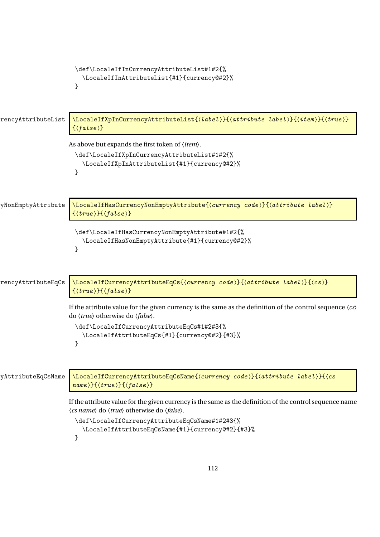```
\def\LocaleIfInCurrencyAttributeList#1#2{%
                          \LocaleIfInAttributeList{#1}{currency@#2}%
                        }
rencyAttributeList \LocaleIfXpInCurrencyAttributeList{\label}}{\attribute label}}{\item }}{\true }}
                       \{\langle false \rangle\}As above but expands the first token of 〈item〉.
                        \def\LocaleIfXpInCurrencyAttributeList#1#2{%
                          \LocaleIfXpInAttributeList{#1}{currency@#2}%
                        }
yNonEmptyAttribute \big\vert\LocaleIfHasCurrencyNonEmptyAttribute{\currency code }}{\attribute label }}
                       \{\langle true \rangle\} \{\langle false \rangle\}\def\LocaleIfHasCurrencyNonEmptyAttribute#1#2{%
                          \LocaleIfHasNonEmptyAttribute{#1}{currency@#2}%
                        }
rencyAttributeEqCs \LocaleIfCurrencyAttributeEqCs{\currency code >}{\attribute label >}{\cs > }
                       \{\langle true \rangle\} \{\langle false \rangle\}If the attribute value for the given currency is the same as the definition of the control sequence 〈cs〉
                      do 〈true〉 otherwise do 〈false〉.
                        \def\LocaleIfCurrencyAttributeEqCs#1#2#3{%
                          \LocaleIfAttributeEqCs{#1}{currency@#2}{#3}%
                        }
yAttributeEqCsName \\LocaleIfCurrencyAttributeEqCsName{\currency code >}{\attribute label }}{\cs
                       name 〉}{〈true 〉}{〈false 〉}
                      If the attribute value for the given currency is the same as the definition of the control sequence name
                      〈cs name〉 do 〈true〉 otherwise do 〈false〉.
                        \def\LocaleIfCurrencyAttributeEqCsName#1#2#3{%
                          \LocaleIfAttributeEqCsName{#1}{currency@#2}{#3}%
                        }
```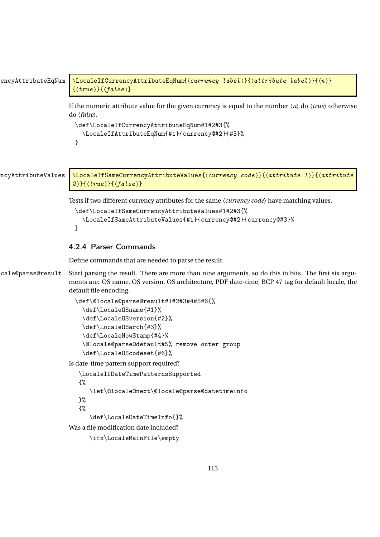```
encyAttributeEqNum \LocaleIfCurrencyAttributeEqNum{(currency label)}{(attribute label)}{(n)}
                          \{\langle true \rangle\} \{\langle false \rangle\}
```
If the numeric attribute value for the given currency is equal to the number 〈*n*〉 do 〈*true*〉 otherwise do 〈*false*〉.

```
\def\LocaleIfCurrencyAttributeEqNum#1#2#3{%
  \LocaleIfAttributeEqNum{#1}{currency@#2}{#3}%
}
```
ncyAttributeValues \LocaleIfSameCurrencyAttributeValues{\currency code >}{\attribute 1 > }{\attribute  $2$ }{ $\langle true \rangle$ }{ $\langle false \rangle$ }

Tests if two different currency attributes for the same 〈*currency code*〉 have matching values.

```
\def\LocaleIfSameCurrencyAttributeValues#1#2#3{%
  \LocaleIfSameAttributeValues{#1}{currency@#2}{currency@#3}%
}
```
## 4.2.4 Parser Commands

Define commands that are needed to parse the result.

cale@parse@result Start parsing the result. There are more than nine arguments, so do this in bits. The first six arguments are: OS name, OS version, OS architecture, PDF date-time, BCP 47 tag for default locale, the default file encoding.

```
\def\@locale@parse@result#1#2#3#4#5#6{%
  \def\LocaleOSname{#1}%
  \def\LocaleOSversion{#2}%
  \def\LocaleOSarch{#3}%
  \def\LocaleNowStamp{#4}%
  \@locale@parse@default#5% remove outer group
 \def\LocaleOScodeset{#6}%
```
Is date-time pattern support required?

```
\LocaleIfDateTimePatternsSupported
{%
   \let\@locale@next\@locale@parse@datetimeinfo
}%
{%
   \def\LocaleDateTimeInfo{}%
```
Was a file modification date included?

```
\ifx\LocaleMainFile\empty
```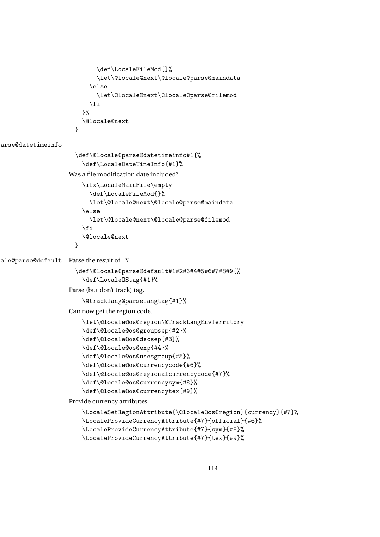```
\def\LocaleFileMod{}%
      \let\@locale@next\@locale@parse@maindata
    \else
      \let\@locale@next\@locale@parse@filemod
    \fi
 }%
  \@locale@next
}
```
arse@datetimeinfo

```
\def\@locale@parse@datetimeinfo#1{%
                       \def\LocaleDateTimeInfo{#1}%
                   Was a file modification date included?
                       \ifx\LocaleMainFile\empty
                         \def\LocaleFileMod{}%
                         \let\@locale@next\@locale@parse@maindata
                       \else
                         \let\@locale@next\@locale@parse@filemod
                       \eta\@locale@next
                     }
ale@parse@default Parse the result of -N
                     \def\@locale@parse@default#1#2#3#4#5#6#7#8#9{%
                       \def\LocaleOStag{#1}%
                   Parse (but don't track) tag.
                       \@tracklang@parselangtag{#1}%
                   Can now get the region code.
                       \let\@locale@os@region\@TrackLangEnvTerritory
                       \def\@locale@os@groupsep{#2}%
                       \def\@locale@os@decsep{#3}%
                       \def\@locale@os@exp{#4}%
                       \def\@locale@os@usesgroup{#5}%
                       \def\@locale@os@currencycode{#6}%
                       \def\@locale@os@regionalcurrencycode{#7}%
                       \def\@locale@os@currencysym{#8}%
                       \def\@locale@os@currencytex{#9}%
                   Provide currency attributes.
                       \LocaleSetRegionAttribute{\@locale@os@region}{currency}{#7}%
                       \LocaleProvideCurrencyAttribute{#7}{official}{#6}%
                       \LocaleProvideCurrencyAttribute{#7}{sym}{#8}%
                       \LocaleProvideCurrencyAttribute{#7}{tex}{#9}%
```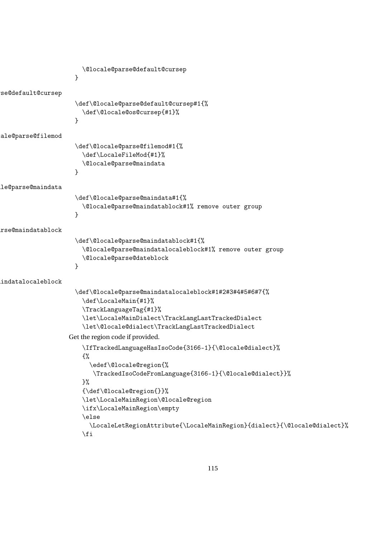```
\@locale@parse@default@cursep
                      }
se@default@cursep
                      \def\@locale@parse@default@cursep#1{%
                        \def\@locale@os@cursep{#1}%
                      }
ale@parse@filemod
                      \def\@locale@parse@filemod#1{%
                        \def\LocaleFileMod{#1}%
                        \@locale@parse@maindata
                      }
le@parse@maindata
                      \def\@locale@parse@maindata#1{%
                        \@locale@parse@maindatablock#1% remove outer group
                      }
\@locale@parse@maindatablock
                      \def\@locale@parse@maindatablock#1{%
                        \@locale@parse@maindatalocaleblock#1% remove outer group
                        \@locale@parse@dateblock
                     }
\@locale@parse@maindatalocaleblock
                      \def\@locale@parse@maindatalocaleblock#1#2#3#4#5#6#7{%
                        \def\LocaleMain{#1}%
                        \TrackLanguageTag{#1}%
                        \let\LocaleMainDialect\TrackLangLastTrackedDialect
                        \let\@locale@dialect\TrackLangLastTrackedDialect
                    Get the region code if provided.
                        \IfTrackedLanguageHasIsoCode{3166-1}{\@locale@dialect}%
                        {%
                          \edef\@locale@region{%
                           \TrackedIsoCodeFromLanguage{3166-1}{\@locale@dialect}}%
                        \frac{1}{2}%
                        {\def\@locale@region{}}%
                        \let\LocaleMainRegion\@locale@region
                        \ifx\LocaleMainRegion\empty
                        \else
                          \LocaleLetRegionAttribute{\LocaleMainRegion}{dialect}{\@locale@dialect}%
                        \fi
```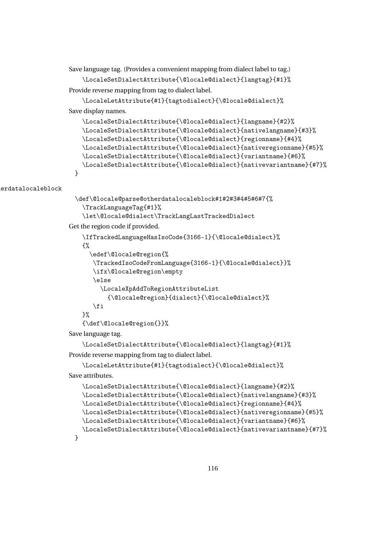Save language tag. (Provides a convenient mapping from dialect label to tag.) \LocaleSetDialectAttribute{\@locale@dialect}{langtag}{#1}% Provide reverse mapping from tag to dialect label.

```
\LocaleLetAttribute{#1}{tagtodialect}{\@locale@dialect}%
Save display names.
```

```
\LocaleSetDialectAttribute{\@locale@dialect}{langname}{#2}%
  \LocaleSetDialectAttribute{\@locale@dialect}{nativelangname}{#3}%
  \LocaleSetDialectAttribute{\@locale@dialect}{regionname}{#4}%
  \LocaleSetDialectAttribute{\@locale@dialect}{nativeregionname}{#5}%
  \LocaleSetDialectAttribute{\@locale@dialect}{variantname}{#6}%
  \LocaleSetDialectAttribute{\@locale@dialect}{nativevariantname}{#7}%
}
```
erdatalocaleblock

```
\def\@locale@parse@otherdatalocaleblock#1#2#3#4#5#6#7{%
  \TrackLanguageTag{#1}%
  \let\@locale@dialect\TrackLangLastTrackedDialect
```
Get the region code if provided.

```
\IfTrackedLanguageHasIsoCode{3166-1}{\@locale@dialect}%
{%
  \edef\@locale@region{%
  \TrackedIsoCodeFromLanguage{3166-1}{\@locale@dialect}}%
  \ifx\@locale@region\empty
  \else
     \LocaleXpAddToRegionAttributeList
       {\@locale@region}{dialect}{\@locale@dialect}%
  \fi
}%
{\def\@locale@region{}}%
```
Save language tag.

}

\LocaleSetDialectAttribute{\@locale@dialect}{langtag}{#1}% Provide reverse mapping from tag to dialect label.

```
\LocaleLetAttribute{#1}{tagtodialect}{\@locale@dialect}%
Save attributes.
```

```
\LocaleSetDialectAttribute{\@locale@dialect}{langname}{#2}%
\LocaleSetDialectAttribute{\@locale@dialect}{nativelangname}{#3}%
\LocaleSetDialectAttribute{\@locale@dialect}{regionname}{#4}%
\LocaleSetDialectAttribute{\@locale@dialect}{nativeregionname}{#5}%
\LocaleSetDialectAttribute{\@locale@dialect}{variantname}{#6}%
\LocaleSetDialectAttribute{\@locale@dialect}{nativevariantname}{#7}%
```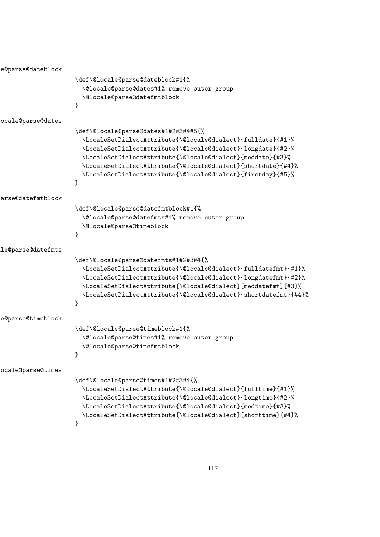```
\@locale@parse@dateblock
                     \def\@locale@parse@dateblock#1{%
                       \@locale@parse@dates#1% remove outer group
                       \@locale@parse@datefmtblock
                     }
\@locale@parse@dates
                     \def\@locale@parse@dates#1#2#3#4#5{%
                       \LocaleSetDialectAttribute{\@locale@dialect}{fulldate}{#1}%
                       \LocaleSetDialectAttribute{\@locale@dialect}{longdate}{#2}%
                       \LocaleSetDialectAttribute{\@locale@dialect}{meddate}{#3}%
                       \LocaleSetDialectAttribute{\@locale@dialect}{shortdate}{#4}%
                       \LocaleSetDialectAttribute{\@locale@dialect}{firstday}{#5}%
                     }
arse@datefmtblock
                     \def\@locale@parse@datefmtblock#1{%
                       \@locale@parse@datefmts#1% remove outer group
                       \@locale@parse@timeblock
                     }
\@locale@parse@datefmts
                     \def\@locale@parse@datefmts#1#2#3#4{%
                       \LocaleSetDialectAttribute{\@locale@dialect}{fulldatefmt}{#1}%
                       \LocaleSetDialectAttribute{\@locale@dialect}{longdatefmt}{#2}%
                       \LocaleSetDialectAttribute{\@locale@dialect}{meddatefmt}{#3}%
                       \LocaleSetDialectAttribute{\@locale@dialect}{shortdatefmt}{#4}%
                     }
\@locale@parse@timeblock
                     \def\@locale@parse@timeblock#1{%
                       \@locale@parse@times#1% remove outer group
                       \@locale@parse@timefmtblock
                     }
\@locale@parse@times
                     \def\@locale@parse@times#1#2#3#4{%
                       \LocaleSetDialectAttribute{\@locale@dialect}{fulltime}{#1}%
                       \LocaleSetDialectAttribute{\@locale@dialect}{longtime}{#2}%
                       \LocaleSetDialectAttribute{\@locale@dialect}{medtime}{#3}%
                       \LocaleSetDialectAttribute{\@locale@dialect}{shorttime}{#4}%
                     }
```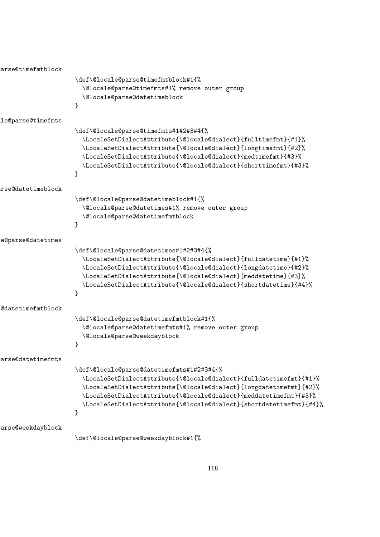arse@timefmtblock \def\@locale@parse@timefmtblock#1{% \@locale@parse@timefmts#1% remove outer group \@locale@parse@datetimeblock } \@locale@parse@timefmts \def\@locale@parse@timefmts#1#2#3#4{% \LocaleSetDialectAttribute{\@locale@dialect}{fulltimefmt}{#1}% \LocaleSetDialectAttribute{\@locale@dialect}{longtimefmt}{#2}% \LocaleSetDialectAttribute{\@locale@dialect}{medtimefmt}{#3}% \LocaleSetDialectAttribute{\@locale@dialect}{shorttimefmt}{#3}% } \@locale@parse@datetimeblock \def\@locale@parse@datetimeblock#1{% \@locale@parse@datetimes#1% remove outer group \@locale@parse@datetimefmtblock } \@locale@parse@datetimes \def\@locale@parse@datetimes#1#2#3#4{% \LocaleSetDialectAttribute{\@locale@dialect}{fulldatetime}{#1}% \LocaleSetDialectAttribute{\@locale@dialect}{longdatetime}{#2}% \LocaleSetDialectAttribute{\@locale@dialect}{meddatetime}{#3}% \LocaleSetDialectAttribute{\@locale@dialect}{shortdatetime}{#4}% } \@locale@parse@datetimefmtblock \def\@locale@parse@datetimefmtblock#1{% \@locale@parse@datetimefmts#1% remove outer group \@locale@parse@weekdayblock } arse@datetimefmts \def\@locale@parse@datetimefmts#1#2#3#4{% \LocaleSetDialectAttribute{\@locale@dialect}{fulldatetimefmt}{#1}% \LocaleSetDialectAttribute{\@locale@dialect}{longdatetimefmt}{#2}% \LocaleSetDialectAttribute{\@locale@dialect}{meddatetimefmt}{#3}% \LocaleSetDialectAttribute{\@locale@dialect}{shortdatetimefmt}{#4}% } arse@weekdayblock \def\@locale@parse@weekdayblock#1{%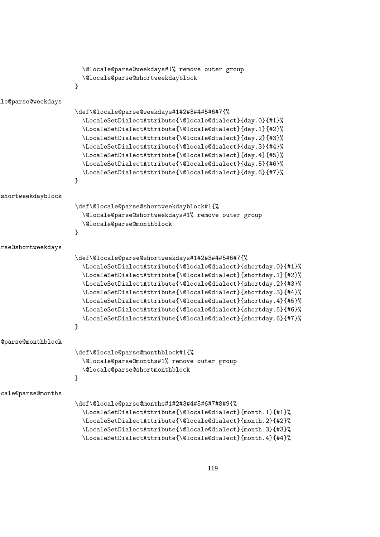```
\@locale@parse@weekdays#1% remove outer group
                       \@locale@parse@shortweekdayblock
                     }
le@parse@weekdays
                     \def\@locale@parse@weekdays#1#2#3#4#5#6#7{%
                       \LocaleSetDialectAttribute{\@locale@dialect}{day.0}{#1}%
                       \LocaleSetDialectAttribute{\@locale@dialect}{day.1}{#2}%
                       \LocaleSetDialectAttribute{\@locale@dialect}{day.2}{#3}%
                       \LocaleSetDialectAttribute{\@locale@dialect}{day.3}{#4}%
                       \LocaleSetDialectAttribute{\@locale@dialect}{day.4}{#5}%
                       \LocaleSetDialectAttribute{\@locale@dialect}{day.5}{#6}%
                       \LocaleSetDialectAttribute{\@locale@dialect}{day.6}{#7}%
                     }
shortweekdayblock
                     \def\@locale@parse@shortweekdayblock#1{%
                       \@locale@parse@shortweekdays#1% remove outer group
                       \@locale@parse@monthblock
                     }
\texttt{rse@shortweekdays}\def\@locale@parse@shortweekdays#1#2#3#4#5#6#7{%
                       \LocaleSetDialectAttribute{\@locale@dialect}{shortday.0}{#1}%
                       \LocaleSetDialectAttribute{\@locale@dialect}{shortday.1}{#2}%
                       \LocaleSetDialectAttribute{\@locale@dialect}{shortday.2}{#3}%
                       \LocaleSetDialectAttribute{\@locale@dialect}{shortday.3}{#4}%
                       \LocaleSetDialectAttribute{\@locale@dialect}{shortday.4}{#5}%
                       \LocaleSetDialectAttribute{\@locale@dialect}{shortday.5}{#6}%
                       \LocaleSetDialectAttribute{\@locale@dialect}{shortday.6}{#7}%
                     }
\@locale@parse@monthblock
                     \def\@locale@parse@monthblock#1{%
                       \@locale@parse@months#1% remove outer group
                       \@locale@parse@shortmonthblock
                     }
\@locale@parse@months
                     \def\@locale@parse@months#1#2#3#4#5#6#7#8#9{%
                       \LocaleSetDialectAttribute{\@locale@dialect}{month.1}{#1}%
                       \LocaleSetDialectAttribute{\@locale@dialect}{month.2}{#2}%
                       \LocaleSetDialectAttribute{\@locale@dialect}{month.3}{#3}%
```
\LocaleSetDialectAttribute{\@locale@dialect}{month.4}{#4}%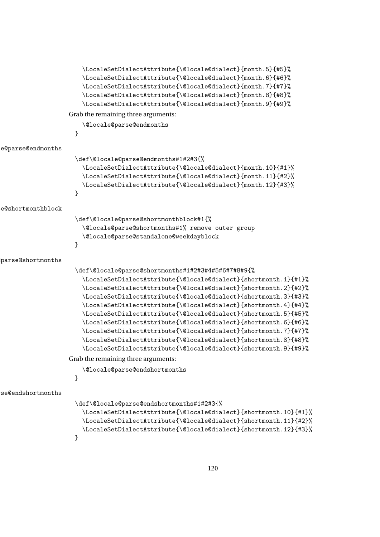|                   | \LocaleSetDialectAttribute{\@locale@dialect}{month.5}{#5}%<br>\LocaleSetDialectAttribute{\@locale@dialect}{month.6}{#6}%<br>\LocaleSetDialectAttribute{\@locale@dialect}{month.7}{#7}%<br>\LocaleSetDialectAttribute{\@locale@dialect}{month.8}{#8}%<br>\LocaleSetDialectAttribute{\@locale@dialect}{month.9}{#9}%                                                                                                                                                                                                                                                                                                                                                            |
|-------------------|-------------------------------------------------------------------------------------------------------------------------------------------------------------------------------------------------------------------------------------------------------------------------------------------------------------------------------------------------------------------------------------------------------------------------------------------------------------------------------------------------------------------------------------------------------------------------------------------------------------------------------------------------------------------------------|
|                   | Grab the remaining three arguments:                                                                                                                                                                                                                                                                                                                                                                                                                                                                                                                                                                                                                                           |
|                   | \@locale@parse@endmonths<br>}                                                                                                                                                                                                                                                                                                                                                                                                                                                                                                                                                                                                                                                 |
| e@parse@endmonths |                                                                                                                                                                                                                                                                                                                                                                                                                                                                                                                                                                                                                                                                               |
|                   | \def\@locale@parse@endmonths#1#2#3{%<br>\LocaleSetDialectAttribute{\@locale@dialect}{month.10}{#1}%<br>\LocaleSetDialectAttribute{\@locale@dialect}{month.11}{#2}%<br>\LocaleSetDialectAttribute{\@locale@dialect}{month.12}{#3}%<br>}                                                                                                                                                                                                                                                                                                                                                                                                                                        |
| e@shortmonthblock |                                                                                                                                                                                                                                                                                                                                                                                                                                                                                                                                                                                                                                                                               |
|                   | \def\@locale@parse@shortmonthblock#1{%<br>\@locale@parse@shortmonths#1% remove outer group<br>\@locale@parse@standalone@weekdayblock<br>}                                                                                                                                                                                                                                                                                                                                                                                                                                                                                                                                     |
| parse@shortmonths |                                                                                                                                                                                                                                                                                                                                                                                                                                                                                                                                                                                                                                                                               |
|                   | \def\@locale@parse@shortmonths#1#2#3#4#5#6#7#8#9{%<br>\LocaleSetDialectAttribute{\@locale@dialect}{shortmonth.1}{#1}%<br>\LocaleSetDialectAttribute{\@locale@dialect}{shortmonth.2}{#2}%<br>\LocaleSetDialectAttribute{\@locale@dialect}{shortmonth.3}{#3}%<br>\LocaleSetDialectAttribute{\@locale@dialect}{shortmonth.4}{#4}%<br>\LocaleSetDialectAttribute{\@locale@dialect}{shortmonth.5}{#5}%<br>\LocaleSetDialectAttribute{\@locale@dialect}{shortmonth.6}{#6}%<br>\LocaleSetDialectAttribute{\@locale@dialect}{shortmonth.7}{#7}%<br>\LocaleSetDialectAttribute{\@locale@dialect}{shortmonth.8}{#8}%<br>\LocaleSetDialectAttribute{\@locale@dialect}{shortmonth.9}{#9}% |
|                   | Grab the remaining three arguments:<br>\@locale@parse@endshortmonths                                                                                                                                                                                                                                                                                                                                                                                                                                                                                                                                                                                                          |
|                   | }                                                                                                                                                                                                                                                                                                                                                                                                                                                                                                                                                                                                                                                                             |
| se@endshortmonths |                                                                                                                                                                                                                                                                                                                                                                                                                                                                                                                                                                                                                                                                               |
|                   | \def\@locale@parse@endshortmonths#1#2#3{%<br>\LocaleSetDialectAttribute{\@locale@dialect}{shortmonth.10}{#1}%<br>\LocaleSetDialectAttribute{\@locale@dialect}{shortmonth.11}{#2}%<br>\LocaleSetDialectAttribute{\@locale@dialect}{shortmonth.12}{#3}%<br>}                                                                                                                                                                                                                                                                                                                                                                                                                    |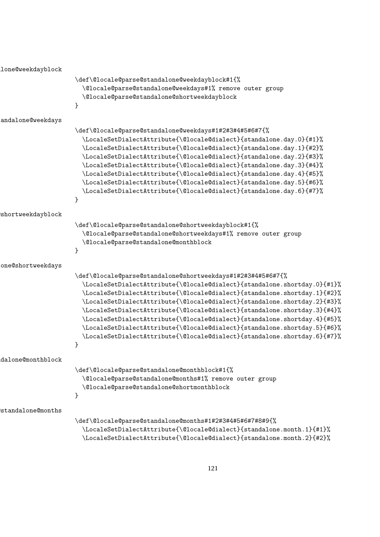$\hbox{\tt lone@weekdayblock}$ \def\@locale@parse@standalone@weekdayblock#1{% \@locale@parse@standalone@weekdays#1% remove outer group \@locale@parse@standalone@shortweekdayblock } andalone@weekdays \def\@locale@parse@standalone@weekdays#1#2#3#4#5#6#7{% \LocaleSetDialectAttribute{\@locale@dialect}{standalone.day.0}{#1}% \LocaleSetDialectAttribute{\@locale@dialect}{standalone.day.1}{#2}% \LocaleSetDialectAttribute{\@locale@dialect}{standalone.day.2}{#3}% \LocaleSetDialectAttribute{\@locale@dialect}{standalone.day.3}{#4}% \LocaleSetDialectAttribute{\@locale@dialect}{standalone.day.4}{#5}% \LocaleSetDialectAttribute{\@locale@dialect}{standalone.day.5}{#6}% \LocaleSetDialectAttribute{\@locale@dialect}{standalone.day.6}{#7}% } \@locale@parse@standalone@shortweekdayblock \def\@locale@parse@standalone@shortweekdayblock#1{% \@locale@parse@standalone@shortweekdays#1% remove outer group \@locale@parse@standalone@monthblock } one@shortweekdays \def\@locale@parse@standalone@shortweekdays#1#2#3#4#5#6#7{% \LocaleSetDialectAttribute{\@locale@dialect}{standalone.shortday.0}{#1}% \LocaleSetDialectAttribute{\@locale@dialect}{standalone.shortday.1}{#2}% \LocaleSetDialectAttribute{\@locale@dialect}{standalone.shortday.2}{#3}% \LocaleSetDialectAttribute{\@locale@dialect}{standalone.shortday.3}{#4}% \LocaleSetDialectAttribute{\@locale@dialect}{standalone.shortday.4}{#5}% \LocaleSetDialectAttribute{\@locale@dialect}{standalone.shortday.5}{#6}% \LocaleSetDialectAttribute{\@locale@dialect}{standalone.shortday.6}{#7}% } \@locale@parse@standalone@monthblock \def\@locale@parse@standalone@monthblock#1{% \@locale@parse@standalone@months#1% remove outer group \@locale@parse@standalone@shortmonthblock } standalone@months \def\@locale@parse@standalone@months#1#2#3#4#5#6#7#8#9{% \LocaleSetDialectAttribute{\@locale@dialect}{standalone.month.1}{#1}% \LocaleSetDialectAttribute{\@locale@dialect}{standalone.month.2}{#2}%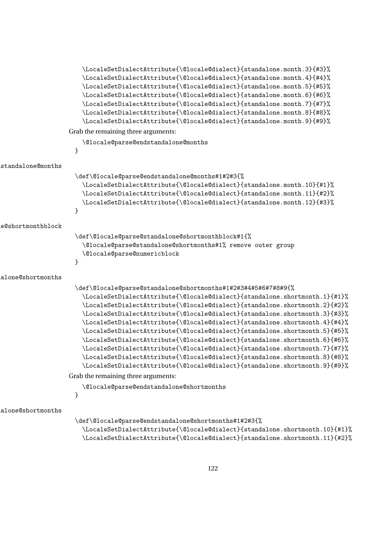```
\LocaleSetDialectAttribute{\@locale@dialect}{standalone.month.3}{#3}%
                        \LocaleSetDialectAttribute{\@locale@dialect}{standalone.month.4}{#4}%
                        \LocaleSetDialectAttribute{\@locale@dialect}{standalone.month.5}{#5}%
                        \LocaleSetDialectAttribute{\@locale@dialect}{standalone.month.6}{#6}%
                        \LocaleSetDialectAttribute{\@locale@dialect}{standalone.month.7}{#7}%
                        \LocaleSetDialectAttribute{\@locale@dialect}{standalone.month.8}{#8}%
                        \LocaleSetDialectAttribute{\@locale@dialect}{standalone.month.9}{#9}%
                   Grab the remaining three arguments:
                        \@locale@parse@endstandalone@months
                     }
standalone@months
                     \def\@locale@parse@endstandalone@months#1#2#3{%
                        \LocaleSetDialectAttribute{\@locale@dialect}{standalone.month.10}{#1}%
                        \LocaleSetDialectAttribute{\@locale@dialect}{standalone.month.11}{#2}%
                        \LocaleSetDialectAttribute{\@locale@dialect}{standalone.month.12}{#3}%
                     }
\@locale@parse@standalone@shortmonthblock
                     \def\@locale@parse@standalone@shortmonthblock#1{%
                        \@locale@parse@standalone@shortmonths#1% remove outer group
                        \@locale@parse@numericblock
                     }
\@locale@parse@standalone@shortmonths
                     \def\@locale@parse@standalone@shortmonths#1#2#3#4#5#6#7#8#9{%
                        \LocaleSetDialectAttribute{\@locale@dialect}{standalone.shortmonth.1}{#1}%
                        \LocaleSetDialectAttribute{\@locale@dialect}{standalone.shortmonth.2}{#2}%
                        \LocaleSetDialectAttribute{\@locale@dialect}{standalone.shortmonth.3}{#3}%
                        \LocaleSetDialectAttribute{\@locale@dialect}{standalone.shortmonth.4}{#4}%
                        \LocaleSetDialectAttribute{\@locale@dialect}{standalone.shortmonth.5}{#5}%
                        \LocaleSetDialectAttribute{\@locale@dialect}{standalone.shortmonth.6}{#6}%
                        \LocaleSetDialectAttribute{\@locale@dialect}{standalone.shortmonth.7}{#7}%
                        \LocaleSetDialectAttribute{\@locale@dialect}{standalone.shortmonth.8}{#8}%
                        \LocaleSetDialectAttribute{\@locale@dialect}{standalone.shortmonth.9}{#9}%
                   Grab the remaining three arguments:
                        \@locale@parse@endstandalone@shortmonths
                     }
\@locale@parse@endstandalone@shortmonths
                     \def\@locale@parse@endstandalone@shortmonths#1#2#3{%
```

```
\LocaleSetDialectAttribute{\@locale@dialect}{standalone.shortmonth.10}{#1}%
\LocaleSetDialectAttribute{\@locale@dialect}{standalone.shortmonth.11}{#2}%
```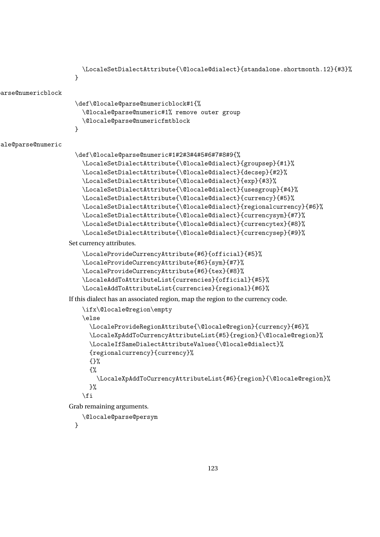```
\LocaleSetDialectAttribute{\@locale@dialect}{standalone.shortmonth.12}{#3}%
                     }
arse@numericblock
                     \def\@locale@parse@numericblock#1{%
                       \@locale@parse@numeric#1% remove outer group
                       \@locale@parse@numericfmtblock
                     }
ale@parse@numeric
                     \def\@locale@parse@numeric#1#2#3#4#5#6#7#8#9{%
                       \LocaleSetDialectAttribute{\@locale@dialect}{groupsep}{#1}%
                       \LocaleSetDialectAttribute{\@locale@dialect}{decsep}{#2}%
                       \LocaleSetDialectAttribute{\@locale@dialect}{exp}{#3}%
                       \LocaleSetDialectAttribute{\@locale@dialect}{usesgroup}{#4}%
                       \LocaleSetDialectAttribute{\@locale@dialect}{currency}{#5}%
                       \LocaleSetDialectAttribute{\@locale@dialect}{regionalcurrency}{#6}%
                       \LocaleSetDialectAttribute{\@locale@dialect}{currencysym}{#7}%
                       \LocaleSetDialectAttribute{\@locale@dialect}{currencytex}{#8}%
                       \LocaleSetDialectAttribute{\@locale@dialect}{currencysep}{#9}%
                   Set currency attributes.
                       \LocaleProvideCurrencyAttribute{#6}{official}{#5}%
                       \LocaleProvideCurrencyAttribute{#6}{sym}{#7}%
                       \LocaleProvideCurrencyAttribute{#6}{tex}{#8}%
                       \LocaleAddToAttributeList{currencies}{official}{#5}%
                       \LocaleAddToAttributeList{currencies}{regional}{#6}%
                   If this dialect has an associated region, map the region to the currency code.
                       \ifx\@locale@region\empty
                       \else
                         \LocaleProvideRegionAttribute{\@locale@region}{currency}{#6}%
                         \LocaleXpAddToCurrencyAttributeList{#5}{region}{\@locale@region}%
                         \LocaleIfSameDialectAttributeValues{\@locale@dialect}%
                         {regionalcurrency}{currency}%
                         {}%
                         {%
                           \LocaleXpAddToCurrencyAttributeList{#6}{region}{\@locale@region}%
                         \frac{1}{2}%
                       \forallfi
                   Grab remaining arguments.
                       \@locale@parse@persym
                     }
```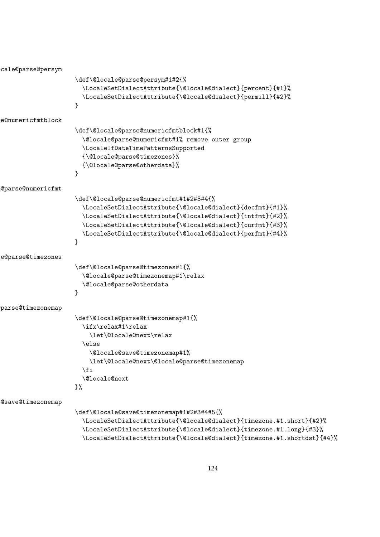```
\@locale@parse@persym
                     \def\@locale@parse@persym#1#2{%
                        \LocaleSetDialectAttribute{\@locale@dialect}{percent}{#1}%
                        \LocaleSetDialectAttribute{\@locale@dialect}{permill}{#2}%
                     }
e@numericfmtblock
                     \def\@locale@parse@numericfmtblock#1{%
                        \@locale@parse@numericfmt#1% remove outer group
                        \LocaleIfDateTimePatternsSupported
                       {\@locale@parse@timezones}%
                        {\@locale@parse@otherdata}%
                     }
\@locale@parse@numericfmt
                     \def\@locale@parse@numericfmt#1#2#3#4{%
                        \LocaleSetDialectAttribute{\@locale@dialect}{decfmt}{#1}%
                        \LocaleSetDialectAttribute{\@locale@dialect}{intfmt}{#2}%
                        \LocaleSetDialectAttribute{\@locale@dialect}{curfmt}{#3}%
                       \LocaleSetDialectAttribute{\@locale@dialect}{perfmt}{#4}%
                     }
\@locale@parse@timezones
                      \def\@locale@parse@timezones#1{%
                        \@locale@parse@timezonemap#1\relax
                        \@locale@parse@otherdata
                     }
parse@timezonemap
                      \def\@locale@parse@timezonemap#1{%
                       \ifx\relax#1\relax
                          \let\@locale@next\relax
                       \else
                          \@locale@save@timezonemap#1%
                          \let\@locale@next\@locale@parse@timezonemap
                        \fi
                       \@locale@next
                     \frac{1}{2}%
\@locale@save@timezonemap
                     \def\@locale@save@timezonemap#1#2#3#4#5{%
                        \LocaleSetDialectAttribute{\@locale@dialect}{timezone.#1.short}{#2}%
```
\LocaleSetDialectAttribute{\@locale@dialect}{timezone.#1.long}{#3}% \LocaleSetDialectAttribute{\@locale@dialect}{timezone.#1.shortdst}{#4}%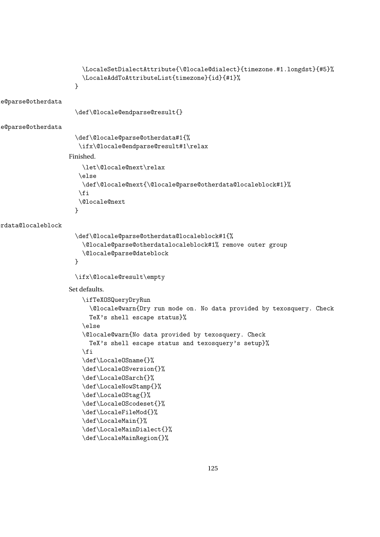```
\LocaleSetDialectAttribute{\@locale@dialect}{timezone.#1.longdst}{#5}%
                       \LocaleAddToAttributeList{timezone}{id}{#1}%
                     }
\@locale@parse@otherdata
                     \def\@locale@endparse@result{}
\@locale@parse@otherdata
                     \def\@locale@parse@otherdata#1{%
                      \ifx\@locale@endparse@result#1\relax
                   Finished.
                       \let\@locale@next\relax
                      \else
                       \def\@locale@next{\@locale@parse@otherdata@localeblock#1}%
                      \fi
                      \@locale@next
                     }
rdata@localeblock
                     \def\@locale@parse@otherdata@localeblock#1{%
                       \@locale@parse@otherdatalocaleblock#1% remove outer group
                       \@locale@parse@dateblock
                     }
                     \ifx\@locale@result\empty
                   Set defaults.
                       \ifTeXOSQueryDryRun
                         \@locale@warn{Dry run mode on. No data provided by texosquery. Check
                         TeX's shell escape status}%
                       \else
                       \@locale@warn{No data provided by texosquery. Check
                         TeX's shell escape status and texosquery's setup}%
                       \fi
                       \def\LocaleOSname{}%
                       \def\LocaleOSversion{}%
                       \def\LocaleOSarch{}%
                       \def\LocaleNowStamp{}%
                       \def\LocaleOStag{}%
                       \def\LocaleOScodeset{}%
                       \def\LocaleFileMod{}%
                       \def\LocaleMain{}%
                       \def\LocaleMainDialect{}%
                       \def\LocaleMainRegion{}%
```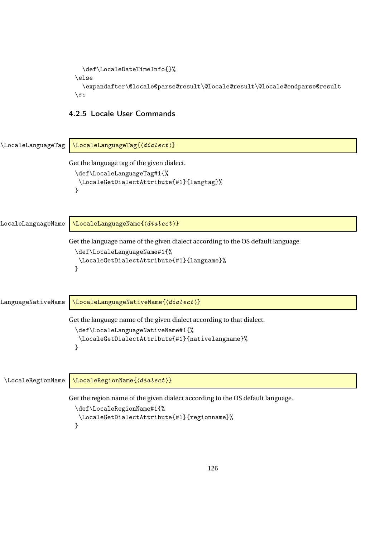```
\def\LocaleDateTimeInfo{}%
\else
  \expandafter\@locale@parse@result\@locale@result\@locale@endparse@result
\fi
```
## 4.2.5 Locale User Commands

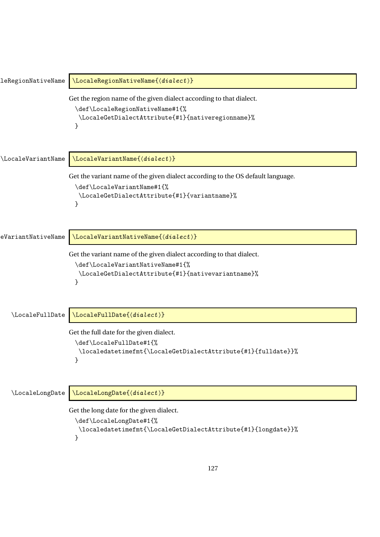```
\text{Legendr}(\text{distance})Get the region name of the given dialect according to that dialect.
                     \def\LocaleRegionNativeName#1{%
                       \LocaleGetDialectAttribute{#1}{nativeregionname}%
                     }
\LocaleVariantName \LocaleVariantName{(dialect)}
                    Get the variant name of the given dialect according to the OS default language.
                     \def\LocaleVariantName#1{%
                       \LocaleGetDialectAttribute{#1}{variantname}%
                     }
eVariantNativeName \LocaleVariantNativeName{\{dialect \}Get the variant name of the given dialect according to that dialect.
                     \def\LocaleVariantNativeName#1{%
                       \LocaleGetDialectAttribute{#1}{nativevariantname}%
                     }
   \LocaleFullDate \\LocaleFullDate{\dialect \}
                    Get the full date for the given dialect.
                     \def\LocaleFullDate#1{%
                       \localedatetimefmt{\LocaleGetDialectAttribute{#1}{fulldate}}%
                     }
   \LocaleLongDate \LocaleLongDate{\dialect \}
                    Get the long date for the given dialect.
                     \def\LocaleLongDate#1{%
                       \localedatetimefmt{\LocaleGetDialectAttribute{#1}{longdate}}%
                     }
```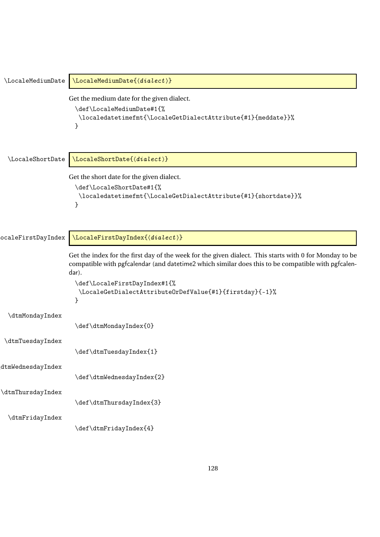```
\LocaleMediumDate \\LocaleMediumDate{\{dialect \rangle\}Get the medium date for the given dialect.
                      \def\LocaleMediumDate#1{%
                       \localedatetimefmt{\LocaleGetDialectAttribute{#1}{meddate}}%
                      }
  \LocaleShortDate \\LocaleShortDate{\dialect \}
                    Get the short date for the given dialect.
                      \def\LocaleShortDate#1{%
                       \localedatetimefmt{\LocaleGetDialectAttribute{#1}{shortdate}}%
                      }
ocaleFirstDayIndex \LocaleFirstDayIndex{\dialect \}
                    Get the index for the first day of the week for the given dialect. This starts with 0 for Monday to be
                    compatible with pgfcalendar (and datetime2 which similar does this to be compatible with pgfcalen-
                    dar).
                      \def\LocaleFirstDayIndex#1{%
                       \LocaleGetDialectAttributeOrDefValue{#1}{firstday}{-1}%
                      }
  \dtmMondayIndex
                      \def\dtmMondayIndex{0}
 \dtmTuesdayIndex
                      \def\dtmTuesdayIndex{1}
\dtmWednesdayIndex
                      \def\dtmWednesdayIndex{2}
\dtmThursdayIndex
                      \def\dtmThursdayIndex{3}
  \dtmFridayIndex
                      \def\dtmFridayIndex{4}
```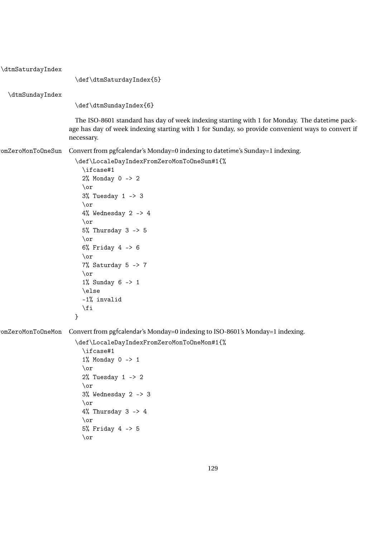| \dtmSaturdayIndex |                                                                                                                                                                                                                  |
|-------------------|------------------------------------------------------------------------------------------------------------------------------------------------------------------------------------------------------------------|
|                   | \def\dtmSaturdayIndex{5}                                                                                                                                                                                         |
| \dtmSundayIndex   |                                                                                                                                                                                                                  |
|                   | \def\dtmSundayIndex{6}                                                                                                                                                                                           |
|                   | The ISO-8601 standard has day of week indexing starting with 1 for Monday. The datetime pack-<br>age has day of week indexing starting with 1 for Sunday, so provide convenient ways to convert if<br>necessary. |
| omZeroMonToOneSun | Convert from pgfcalendar's Monday=0 indexing to datetime's Sunday=1 indexing.                                                                                                                                    |
|                   | \def\LocaleDayIndexFromZeroMonToOneSun#1{%<br>\ifcase#1                                                                                                                                                          |
|                   | $2%$ Monday 0 -> 2                                                                                                                                                                                               |
|                   | $\or$                                                                                                                                                                                                            |
|                   | $3%$ Tuesday 1 -> 3<br>$\chi$                                                                                                                                                                                    |
|                   | 4% Wednesday 2 $\rightarrow$ 4                                                                                                                                                                                   |
|                   | $\lor$                                                                                                                                                                                                           |
|                   | $5%$ Thursday 3 -> 5                                                                                                                                                                                             |
|                   | $\lor$                                                                                                                                                                                                           |
|                   | $6\%$ Friday 4 -> 6                                                                                                                                                                                              |
|                   | $\chi$                                                                                                                                                                                                           |
|                   | 7% Saturday $5 \rightarrow 7$                                                                                                                                                                                    |
|                   | $\lor$<br>$1\%$ Sunday 6 -> 1                                                                                                                                                                                    |
|                   | \else                                                                                                                                                                                                            |
|                   | $-1\%$ invalid                                                                                                                                                                                                   |
|                   | $\sqrt{fi}$                                                                                                                                                                                                      |
|                   | }                                                                                                                                                                                                                |
| omZeroMonToOneMon | Convert from pgfcalendar's Monday=0 indexing to ISO-8601's Monday=1 indexing.                                                                                                                                    |
|                   | \def\LocaleDayIndexFromZeroMonToOneMon#1{%                                                                                                                                                                       |
|                   | \ifcase#1                                                                                                                                                                                                        |
|                   | $1\%$ Monday $0 \rightarrow 1$                                                                                                                                                                                   |
|                   | $\or$                                                                                                                                                                                                            |
|                   | $2%$ Tuesday 1 -> 2                                                                                                                                                                                              |
|                   | $\lor$                                                                                                                                                                                                           |
|                   | $3%$ Wednesday 2 -> 3<br>$\or$                                                                                                                                                                                   |
|                   | $4%$ Thursday 3 -> 4                                                                                                                                                                                             |
|                   | $\lor$                                                                                                                                                                                                           |
|                   | $5%$ Friday 4 -> 5                                                                                                                                                                                               |
|                   | $\lor$                                                                                                                                                                                                           |
|                   |                                                                                                                                                                                                                  |
|                   |                                                                                                                                                                                                                  |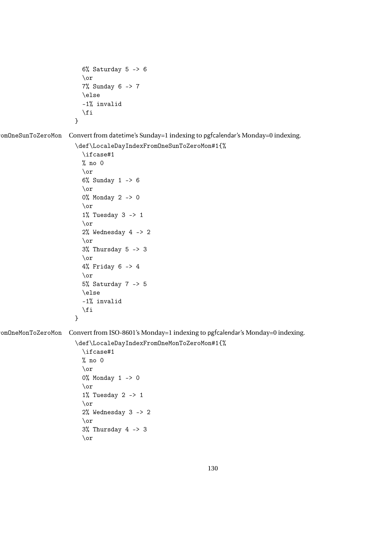```
6% Saturday 5 \rightarrow 6\or
  7% Sunday 6 -> 7
  \else
  -1% invalid
  \fi
}
```

```
omOneSunToZeroMon Convert from datetime's Sunday=1 indexing to pgfcalendar's Monday=0 indexing.
```
\def\LocaleDayIndexFromOneSunToZeroMon#1{%

```
\ifcase#1
% no 0
\or
6% Sunday 1 -> 6
\or
0% Monday 2 -> 0
\or
1% Tuesday 3 -> 1
\or
2% Wednesday 4 -> 2
\or
3% Thursday 5 -> 3
\or
4% Friday 6 -> 4
\or
5% Saturday 7 -> 5
\else
-1% invalid
\fi
```

```
}
```
omOneMonToZeroMon Convert from ISO-8601's Monday=1 indexing to pgfcalendar's Monday=0 indexing.

\def\LocaleDayIndexFromOneMonToZeroMon#1{%

```
\ifcase#1
% no 0
\or
0% Monday 1 -> 0
\or
1% Tuesday 2 -> 1
\or
2% Wednesday 3 -> 2
\or
3% Thursday 4 -> 3
\or
```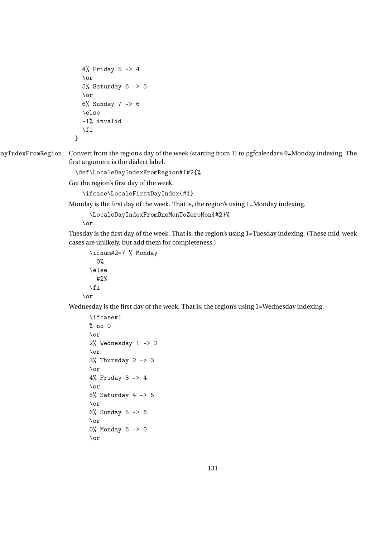```
4% Friday 5 -> 4
  \or
  5% Saturday 6 -> 5
  \or
  6% Sunday 7 -> 6
  \else
  -1% invalid
  \overline{ifi}}
```
ayIndexFromRegion Convert from the region's day of the week (starting from 1) to pgfcalendar's 0=Monday indexing. The first argument is the dialect label.

\def\LocaleDayIndexFromRegion#1#2{%

Get the region's first day of the week.

\ifcase\LocaleFirstDayIndex{#1}

Monday is the first day of the week. That is, the region's using 1=Monday indexing.

\LocaleDayIndexFromOneMonToZeroMon{#2}%

\or

Tuesday is the first day of the week. That is, the region's using 1=Tuesday indexing. (These mid-week cases are unlikely, but add them for completeness.)

```
\ifnum#2=7 % Monday
    0%
  \else
    #2%
  \fi
\or
```
Wednesday is the first day of the week. That is, the region's using 1=Wednesday indexing.

```
\ifcase#1
% no ()\or
2% Wednesday 1 -> 2
\or
3% Thursday 2 -> 3
\or
4% Friday 3 -> 4
\or
5% Saturday 4 -> 5
\or
6% Sunday 5 -> 6
\or
0% Monday 6 -> 0
\or
```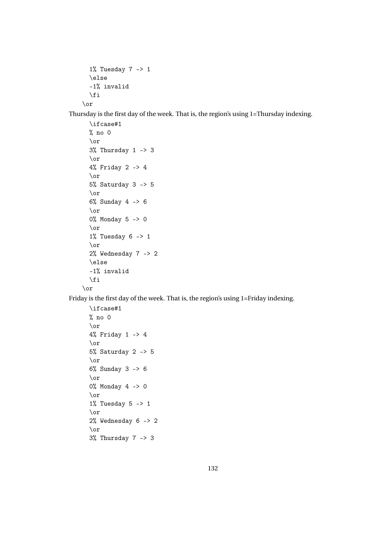```
1% Tuesday 7 -> 1
 \else
 -1% invalid
 \fi
\or
```
Thursday is the first day of the week. That is, the region's using 1=Thursday indexing.

```
\ifcase#1
 % no 0
 \or
 3% Thursday 1 -> 3
 \or
 4% Friday 2 -> 4
 \or
 5% Saturday 3 -> 5
  \or
 6% Sunday 4 -> 6
 \or
 0% Monday 5 -> 0
 \or
 1% Tuesday 6 \rightarrow 1\or
 2% Wednesday 7 -> 2
 \else
 -1% invalid
 \fi
\or
```
Friday is the first day of the week. That is, the region's using 1=Friday indexing.

```
\ifcase#1
% no 0
\or
4% Friday 1 -> 4
\or
5% Saturday 2 -> 5
\or
6% Sunday 3 -> 6
\or
0% Monday 4 -> 0
\or
1% Tuesday 5 -> 1
\or
2% Wednesday 6 -> 2
\or
3% Thursday 7 -> 3
```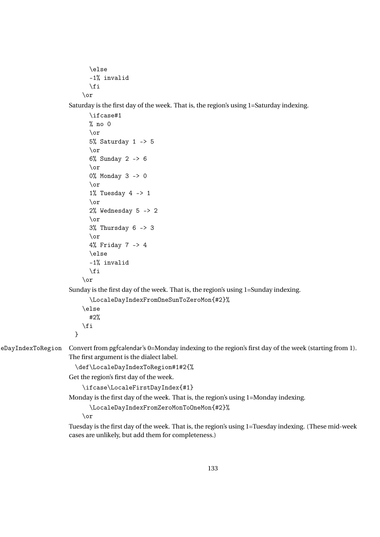```
\else
  -1% invalid
  \fi
\or
```
\ifcase#1

Saturday is the first day of the week. That is, the region's using 1=Saturday indexing.

```
% no 0
                             \or
                             5% Saturday 1 -> 5
                             \or
                             6% Sunday 2 -> 6
                             \or
                             0% Monday 3 -> 0
                             \or
                             1% Tuesday 4 \rightarrow 1\or
                             2% Wednesday 5 -> 2
                             \or
                             3% Thursday 6 -> 3
                             \or
                             4% Friday 7 -> 4
                             \else
                             -1% invalid
                             \left\{ \frac{f}{f}\right\}\or
                      Sunday is the first day of the week. That is, the region's using 1=Sunday indexing.
                             \LocaleDayIndexFromOneSunToZeroMon{#2}%
                           \else
                             #2%
                           \fi
                        }
eDayIndexToRegion Convert from pgfcalendar's 0=Monday indexing to the region's first day of the week (starting from 1).
                      The first argument is the dialect label.
                        \def\LocaleDayIndexToRegion#1#2{%
                      Get the region's first day of the week.
                          \ifcase\LocaleFirstDayIndex{#1}
                      Monday is the first day of the week. That is, the region's using 1=Monday indexing.
                             \LocaleDayIndexFromZeroMonToOneMon{#2}%
                          \or
```
Tuesday is the first day of the week. That is, the region's using 1=Tuesday indexing. (These mid-week cases are unlikely, but add them for completeness.)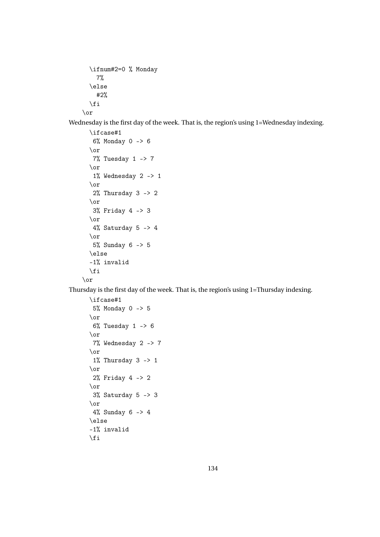```
\ifnum#2=0 % Monday
    7%
  \else
    #2%
  \fi
\or
```
Wednesday is the first day of the week. That is, the region's using 1=Wednesday indexing.

```
\ifcase#1
   6% Monday 0 -> 6
  \or
  7% Tuesday 1 -> 7
  \or
   1% Wednesday 2 -> 1
  \or
   2% Thursday 3 -> 2
  \or
   3% Friday 4 -> 3
  \or
  4% Saturday 5 \rightarrow 4\or
  5% Sunday 6 -> 5
  \else
 -1% invalid
  \eta\or
```
Thursday is the first day of the week. That is, the region's using 1=Thursday indexing.

```
\ifcase#1
 5% Monday 0 -> 5
\or
 6% Tuesday 1 -> 6
\or
7% Wednesday 2 -> 7
\or
 1% Thursday 3 \rightarrow 1\or
 2% Friday 4 -> 2
\or
 3% Saturday 5 -> 3
\or
 4% Sunday 6 -> 4
\else
-1% invalid
\fi
```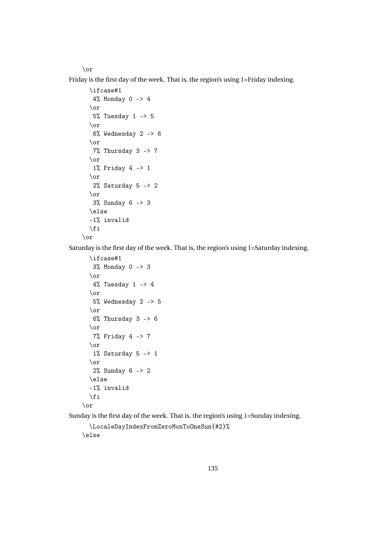\or

Friday is the first day of the week. That is, the region's using 1=Friday indexing.

```
\backslashifcase#1
   4% Monday 0 -> 4
  \or
   5% Tuesday 1 -> 5
  \or
   6% Wednesday 2 -> 6
  \or
  7% Thursday 3 -> 7
  \or
   1% Friday 4 -> 1
  \or
   2% Saturday 5 -> 2
  \or
   3% Sunday 6 -> 3
  \else
  -1% invalid
  \fi
\or
```
Saturday is the first day of the week. That is, the region's using 1=Saturday indexing.

```
\ifcase#1
 3% Monday 0 -> 3
\or
 4% Tuesday 1 \rightarrow 4\or
5% Wednesday 2 -> 5
\or
 6% Thursday 3 -> 6
\or
7% Friday 4 -> 7
\or
 1% Saturday 5 \rightarrow 1\or
2% Sunday 6 -> 2
\else
-1% invalid
\fi
```

```
\or
```
Sunday is the first day of the week. That is, the region's using 1=Sunday indexing.

```
\LocaleDayIndexFromZeroMonToOneSun{#2}%
\else
```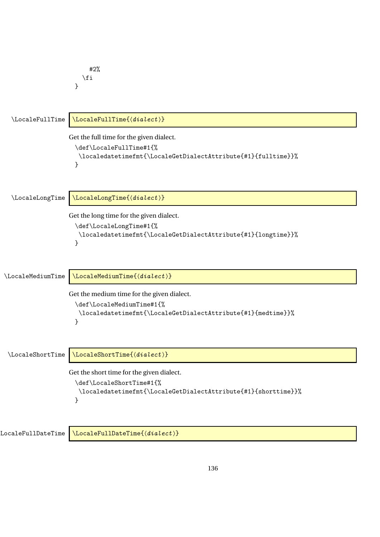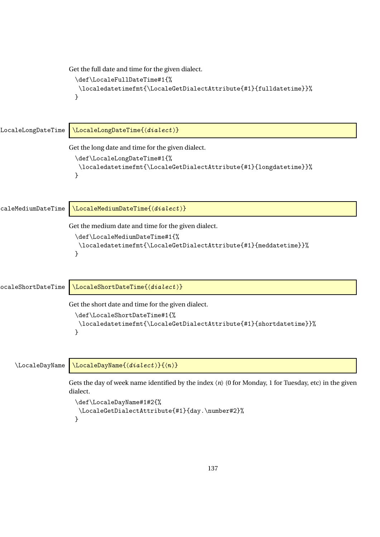```
Get the full date and time for the given dialect.
                       \def\LocaleFullDateTime#1{%
                        \localedatetimefmt{\LocaleGetDialectAttribute{#1}{fulldatetime}}%
                       }
LocaleLongDateTime \\LocaleLongDateTime{\dialect \}
                     Get the long date and time for the given dialect.
                       \def\LocaleLongDateTime#1{%
                        \localedatetimefmt{\LocaleGetDialectAttribute{#1}{longdatetime}}%
                       }
caleMediumDateTime \LocaleMediumDateTime{\dialect \}
                     Get the medium date and time for the given dialect.
                       \def\LocaleMediumDateTime#1{%
                        \localedatetimefmt{\LocaleGetDialectAttribute{#1}{meddatetime}}%
                       }
ocaleShortDateTime \\LocaleShortDateTime{\dialect \}
                     Get the short date and time for the given dialect.
                       \def\LocaleShortDateTime#1{%
                        \localedatetimefmt{\LocaleGetDialectAttribute{#1}{shortdatetime}}%
                       }
    \setminusLocaleDayName \setminusLocaleDayName{\{dialect \}}{\langle n \rangle}
                     Gets the day of week name identified by the index 〈n〉 (0 for Monday, 1 for Tuesday, etc) in the given
                     dialect.
                       \def\LocaleDayName#1#2{%
                        \LocaleGetDialectAttribute{#1}{day.\number#2}%
                       }
```

```
137
```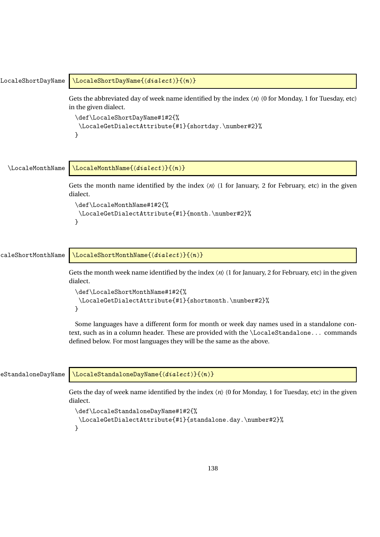| LocaleShortDayName | $\setminus$ LocaleShortDayName $\{$ $\langle dialect \rangle\}$ $\{$                                                                                                                                                                                            |
|--------------------|-----------------------------------------------------------------------------------------------------------------------------------------------------------------------------------------------------------------------------------------------------------------|
|                    | Gets the abbreviated day of week name identified by the index $\langle n \rangle$ (0 for Monday, 1 for Tuesday, etc)<br>in the given dialect.                                                                                                                   |
|                    | \def\LocaleShortDayName#1#2{%<br>\LocaleGetDialectAttribute{#1}{shortday.\number#2}%<br>}                                                                                                                                                                       |
| \LocaleMonthName   | $\setminus$ LocaleMonthName $\{$ langle  dialect \rangle\} $\{$                                                                                                                                                                                                 |
|                    | Gets the month name identified by the index $\langle n \rangle$ (1 for January, 2 for February, etc) in the given<br>dialect.                                                                                                                                   |
|                    | \def\LocaleMonthName#1#2{%<br>\LocaleGetDialectAttribute{#1}{month.\number#2}%<br>}                                                                                                                                                                             |
|                    |                                                                                                                                                                                                                                                                 |
| caleShortMonthName | $\setminus$ LocaleShortMonthName $\{$ langle  dialect \rangle\} $\{$                                                                                                                                                                                            |
|                    | Gets the month week name identified by the index $\langle n \rangle$ (1 for January, 2 for February, etc) in the given<br>dialect.                                                                                                                              |
|                    | \def\LocaleShortMonthName#1#2{%<br>\LocaleGetDialectAttribute{#1}{shortmonth.\number#2}%<br>}                                                                                                                                                                   |
|                    | Some languages have a different form for month or week day names used in a standalone con-<br>text, such as in a column header. These are provided with the \LocaleStandalone commands<br>defined below. For most languages they will be the same as the above. |
| eStandaloneDayName | $\setminus$ LocaleStandaloneDayName $\{$ $\langle  dialect \rangle\}$ $\{$                                                                                                                                                                                      |
|                    | Gets the day of week name identified by the index $\langle n \rangle$ (0 for Monday, 1 for Tuesday, etc) in the given<br>dialect.                                                                                                                               |
|                    | \def\LocaleStandaloneDayName#1#2{%                                                                                                                                                                                                                              |

}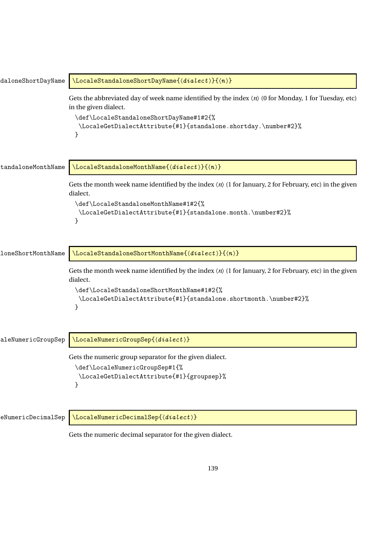| daloneShortDayName        | $\setminus$ LocaleStandaloneShortDayName{ $\langle dialect \rangle$ }{ $\langle n \rangle$ }                                                                                                                                                                    |
|---------------------------|-----------------------------------------------------------------------------------------------------------------------------------------------------------------------------------------------------------------------------------------------------------------|
|                           | Gets the abbreviated day of week name identified by the index $\langle n \rangle$ (0 for Monday, 1 for Tuesday, etc)<br>in the given dialect.<br>\def\LocaleStandaloneShortDayName#1#2{%<br>\LocaleGetDialectAttribute{#1}{standalone.shortday.\number#2}%<br>} |
| tandaloneMonthName        | $\setminus$ LocaleStandaloneMonthName{ $\langle dialect \rangle$ }{ $\langle n \rangle$ }                                                                                                                                                                       |
|                           | Gets the month week name identified by the index $\langle n \rangle$ (1 for January, 2 for February, etc) in the given<br>dialect.<br>\def\LocaleStandaloneMonthName#1#2{%<br>\LocaleGetDialectAttribute{#1}{standalone.month.\number#2}%<br>}                  |
| <b>loneShortMonthName</b> | $\setminus$ LocaleStandaloneShortMonthName{ $\langle dialect \rangle$ }{ $\langle n \rangle$ }                                                                                                                                                                  |
|                           | Gets the month week name identified by the index $\langle n \rangle$ (1 for January, 2 for February, etc) in the given<br>dialect.<br>\def\LocaleStandaloneShortMonthName#1#2{%<br>\LocaleGetDialectAttribute{#1}{standalone.shortmonth.\number#2}%<br>}        |
| aleNumericGroupSep        | $\setminus$ LocaleNumericGroupSep{ $\langle dialect \rangle$ }                                                                                                                                                                                                  |
|                           | Gets the numeric group separator for the given dialect.<br>\def\LocaleNumericGroupSep#1{%<br>\LocaleGetDialectAttribute{#1}{groupsep}%<br>}                                                                                                                     |
| eNumericDecimalSep        | $\setminus$ LocaleNumericDecimalSep{ $\langle dialect \rangle$ }                                                                                                                                                                                                |
|                           | Gets the numeric decimal separator for the given dialect.                                                                                                                                                                                                       |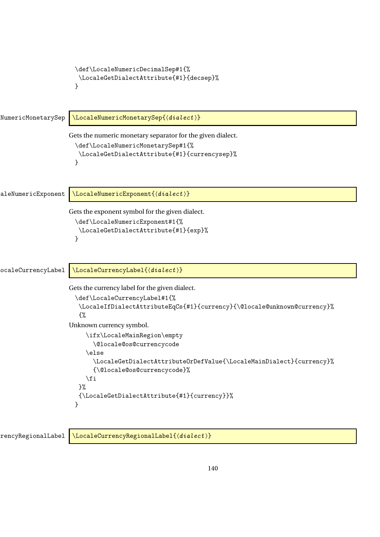```
\def\LocaleNumericDecimalSep#1{%
                      \LocaleGetDialectAttribute{#1}{decsep}%
                     }
NumericMonetarySep \\LocaleNumericMonetarySep{(dialect)}
                    Gets the numeric monetary separator for the given dialect.
                     \def\LocaleNumericMonetarySep#1{%
                      \LocaleGetDialectAttribute{#1}{currencysep}%
                     }
aleNumericExponent \\LocaleNumericExponent{\dialect \}
                    Gets the exponent symbol for the given dialect.
                     \def\LocaleNumericExponent#1{%
                      \LocaleGetDialectAttribute{#1}{exp}%
                     }
ocaleCurrencyLabel \LocaleCurrencyLabel{\dialect \}
                    Gets the currency label for the given dialect.
                     \def\LocaleCurrencyLabel#1{%
                      \LocaleIfDialectAttributeEqCs{#1}{currency}{\@locale@unknown@currency}%
                       {%
                    Unknown currency symbol.
                         \ifx\LocaleMainRegion\empty
                           \@locale@os@currencycode
                         \else
                           \LocaleGetDialectAttributeOrDefValue{\LocaleMainDialect}{currency}%
                           {\@locale@os@currencycode}%
                        \fi
                      }%
                      {\LocaleGetDialectAttribute{#1}{currency}}%
                     }
```
rencyRegionalLabel \LocaleCurrencyRegionalLabel{〈dialect〉}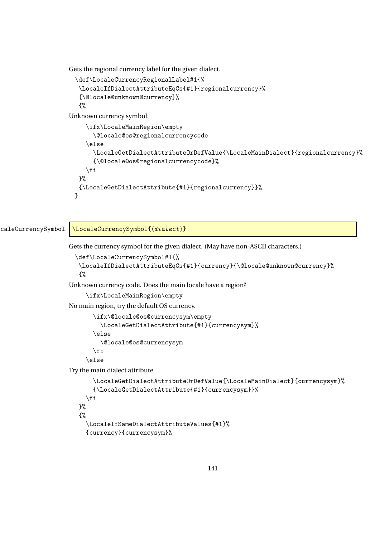Gets the regional currency label for the given dialect.

```
\def\LocaleCurrencyRegionalLabel#1{%
\LocaleIfDialectAttributeEqCs{#1}{regionalcurrency}%
{\@locale@unknown@currency}%
{%
```
Unknown currency symbol.

```
\ifx\LocaleMainRegion\empty
     \@locale@os@regionalcurrencycode
  \else
     \LocaleGetDialectAttributeOrDefValue{\LocaleMainDialect}{regionalcurrency}%
     {\@locale@os@regionalcurrencycode}%
  \fi
}%
{\LocaleGetDialectAttribute{#1}{regionalcurrency}}%
}
```
caleCurrencySymbol \LocaleCurrencySymbol{\dialect \}

Gets the currency symbol for the given dialect. (May have non-ASCII characters.)

```
\def\LocaleCurrencySymbol#1{%
\LocaleIfDialectAttributeEqCs{#1}{currency}{\@locale@unknown@currency}%
{%
```
Unknown currency code. Does the main locale have a region?

```
\ifx\LocaleMainRegion\empty
```
No main region, try the default OS currency.

```
\ifx\@locale@os@currencysym\empty
  \LocaleGetDialectAttribute{#1}{currencysym}%
\else
  \@locale@os@currencysym
\fi
```
\else

Try the main dialect attribute.

```
\LocaleGetDialectAttributeOrDefValue{\LocaleMainDialect}{currencysym}%
    {\LocaleGetDialectAttribute{#1}{currencysym}}%
  \fi
}%
{%
  \LocaleIfSameDialectAttributeValues{#1}%
  {currency}{currencysym}%
```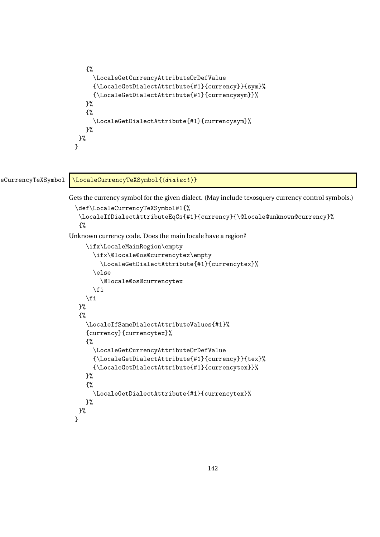```
{%
     \LocaleGetCurrencyAttributeOrDefValue
     {\LocaleGetDialectAttribute{#1}{currency}}{sym}%
     {\LocaleGetDialectAttribute{#1}{currencysym}}%
   }%
   {%
     \LocaleGetDialectAttribute{#1}{currencysym}%
  }%
}%
}
```
## eCurrencyTeXSymbol \LocaleCurrencyTeXSymbol{(dialect)}

Gets the currency symbol for the given dialect. (May include texosquery currency control symbols.)

```
\def\LocaleCurrencyTeXSymbol#1{%
\LocaleIfDialectAttributeEqCs{#1}{currency}{\@locale@unknown@currency}%
{%
```
Unknown currency code. Does the main locale have a region?

```
\ifx\LocaleMainRegion\empty
     \ifx\@locale@os@currencytex\empty
       \LocaleGetDialectAttribute{#1}{currencytex}%
     \else
       \@locale@os@currencytex
     \fi
   \fi
 }%
 {%
   \LocaleIfSameDialectAttributeValues{#1}%
   {currency}{currencytex}%
   {%
     \LocaleGetCurrencyAttributeOrDefValue
     {\LocaleGetDialectAttribute{#1}{currency}}{tex}%
     {\LocaleGetDialectAttribute{#1}{currencytex}}%
   }%
   {%
     \LocaleGetDialectAttribute{#1}{currencytex}%
   }%
}%
}
```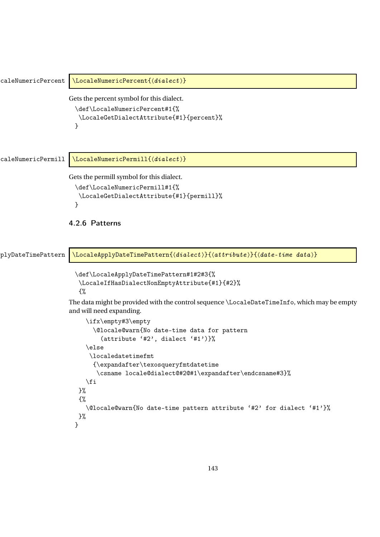```
caleNumericPercent \LocaleNumericPercent{\dialect \}
                    Gets the percent symbol for this dialect.
                     \def\LocaleNumericPercent#1{%
                       \LocaleGetDialectAttribute{#1}{percent}%
                     }
caleNumericPermill \LocaleNumericPermill{\dialect \}
                    Gets the permill symbol for this dialect.
                     \def\LocaleNumericPermill#1{%
                      \LocaleGetDialectAttribute{#1}{permill}%
                     }
                    4.2.6 Patterns
plyDateTimePattern \LocaleApplyDateTimePattern{\dialect}}{\attribute}}{\date-time data}}
                     \def\LocaleApplyDateTimePattern#1#2#3{%
                       \LocaleIfHasDialectNonEmptyAttribute{#1}{#2}%
                       {%
                    The data might be provided with the control sequence \LocaleDateTimeInfo, which may be empty
                    and will need expanding.
                         \ifx\empty#3\empty
                           \@locale@warn{No date-time data for pattern
                             (attribute '#2', dialect '#1')}%
                         \else
                          \localedatetimefmt
                           {\expandafter\texosqueryfmtdatetime
                            \csname locale@dialect@#2@#1\expandafter\endcsname#3}%
                         \forallfi
                      }%
                      {%
                         \@locale@warn{No date-time pattern attribute '#2' for dialect '#1'}%
                      }%
                     }
```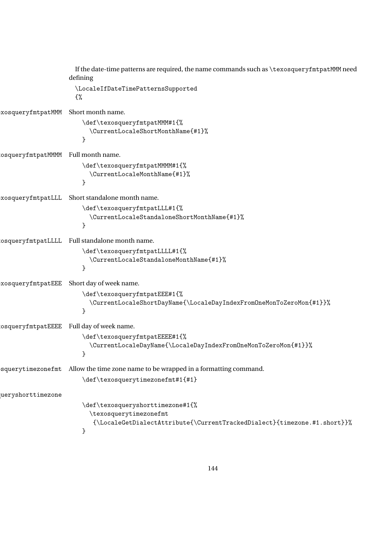```
If the date-time patterns are required, the name commands such as \texosqueryfmtpatMMM need
                   defining
                     \LocaleIfDateTimePatternsSupported
                     {%
\texosqueryfmtpatMMM Short month name.
                       \def\texosqueryfmtpatMMM#1{%
                          \CurrentLocaleShortMonthName{#1}%
                       }
osqueryfmtpatMMMM Full month name.
                       \def\texosqueryfmtpatMMMM#1{%
                          \CurrentLocaleMonthName{#1}%
                       }
xosqueryfmtpatLLL Short standalone month name.
                       \def\texosqueryfmtpatLLL#1{%
                          \CurrentLocaleStandaloneShortMonthName{#1}%
                       }
osqueryfmtpatLLLL Full standalone month name.
                       \def\texosqueryfmtpatLLLL#1{%
                          \CurrentLocaleStandaloneMonthName{#1}%
                       }
xosqueryfmtpatEEE Short day of week name.
                       \def\texosqueryfmtpatEEE#1{%
                         \CurrentLocaleShortDayName{\LocaleDayIndexFromOneMonToZeroMon{#1}}%
                       }
osqueryfmtpatEEEE Full day of week name.
                       \def\texosqueryfmtpatEEEE#1{%
                         \CurrentLocaleDayName{\LocaleDayIndexFromOneMonToZeroMon{#1}}%
                       }
squerytimezonefmt Allow the time zone name to be wrapped in a formatting command.
                       \def\texosquerytimezonefmt#1{#1}
ueryshorttimezone
                       \def\texosqueryshorttimezone#1{%
                         \texosquerytimezonefmt
                           {\LocaleGetDialectAttribute{\CurrentTrackedDialect}{timezone.#1.short}}%
                       }
```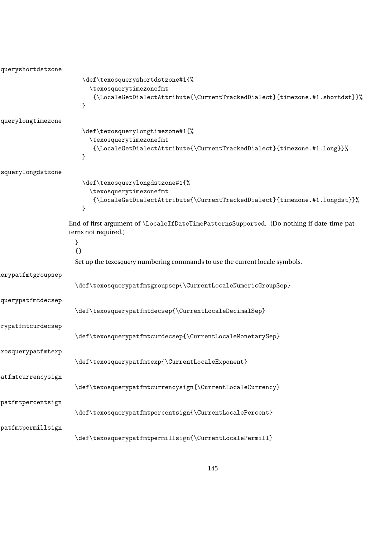```
queryshortdstzone
                       \def\texosqueryshortdstzone#1{%
                         \texosquerytimezonefmt
                          {\LocaleGetDialectAttribute{\CurrentTrackedDialect}{timezone.#1.shortdst}}%
                       }
querylongtimezone
                       \def\texosquerylongtimezone#1{%
                         \texosquerytimezonefmt
                          {\LocaleGetDialectAttribute{\CurrentTrackedDialect}{timezone.#1.long}}%
                       }
squerylongdstzone
                       \def\texosquerylongdstzone#1{%
                         \texosquerytimezonefmt
                          {\LocaleGetDialectAttribute{\CurrentTrackedDialect}{timezone.#1.longdst}}%
                       }
                   End of first argument of \LocaleIfDateTimePatternsSupported. (Do nothing if date-time pat-
                   terns not required.)
                     }
                     {}
                     Set up the texosquery numbering commands to use the current locale symbols.
erypatfmtgroupsep
                     \def\texosquerypatfmtgroupsep{\CurrentLocaleNumericGroupSep}
querypatfmtdecsep
                     \def\texosquerypatfmtdecsep{\CurrentLocaleDecimalSep}
rypatfmtcurdecsep
                     \def\texosquerypatfmtcurdecsep{\CurrentLocaleMonetarySep}
\texosquerypatfmtexp
                     \def\texosquerypatfmtexp{\CurrentLocaleExponent}
atfmtcurrencysign
                     \def\texosquerypatfmtcurrencysign{\CurrentLocaleCurrency}
\texttt{pattern}\def\texosquerypatfmtpercentsign{\CurrentLocalePercent}
\texttt{patternillsign}\def\texosquerypatfmtpermillsign{\CurrentLocalePermill}
```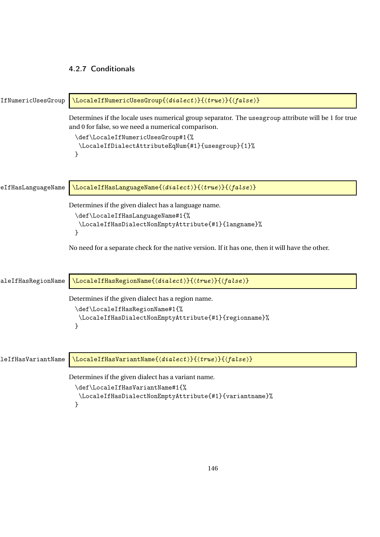### <span id="page-145-0"></span>4.2.7 Conditionals

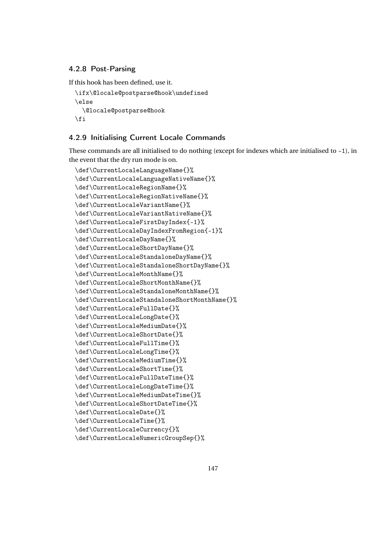#### <span id="page-146-0"></span>4.2.8 Post-Parsing

If this hook has been defined, use it.

```
\ifx\@locale@postparse@hook\undefined
\else
  \@locale@postparse@hook
\eta
```
## 4.2.9 Initialising Current Locale Commands

These commands are all initialised to do nothing (except for indexes which are initialised to -1), in the event that the dry run mode is on.

```
\def\CurrentLocaleLanguageName{}%
\def\CurrentLocaleLanguageNativeName{}%
\def\CurrentLocaleRegionName{}%
\def\CurrentLocaleRegionNativeName{}%
\def\CurrentLocaleVariantName{}%
\def\CurrentLocaleVariantNativeName{}%
\def\CurrentLocaleFirstDayIndex{-1}%
\def\CurrentLocaleDayIndexFromRegion{-1}%
\def\CurrentLocaleDayName{}%
\def\CurrentLocaleShortDayName{}%
\def\CurrentLocaleStandaloneDayName{}%
\def\CurrentLocaleStandaloneShortDayName{}%
\def\CurrentLocaleMonthName{}%
\def\CurrentLocaleShortMonthName{}%
\def\CurrentLocaleStandaloneMonthName{}%
\def\CurrentLocaleStandaloneShortMonthName{}%
\def\CurrentLocaleFullDate{}%
\def\CurrentLocaleLongDate{}%
\def\CurrentLocaleMediumDate{}%
\def\CurrentLocaleShortDate{}%
\def\CurrentLocaleFullTime{}%
\def\CurrentLocaleLongTime{}%
\def\CurrentLocaleMediumTime{}%
\def\CurrentLocaleShortTime{}%
\def\CurrentLocaleFullDateTime{}%
\def\CurrentLocaleLongDateTime{}%
\def\CurrentLocaleMediumDateTime{}%
\def\CurrentLocaleShortDateTime{}%
\def\CurrentLocaleDate{}%
\def\CurrentLocaleTime{}%
\def\CurrentLocaleCurrency{}%
\def\CurrentLocaleNumericGroupSep{}%
```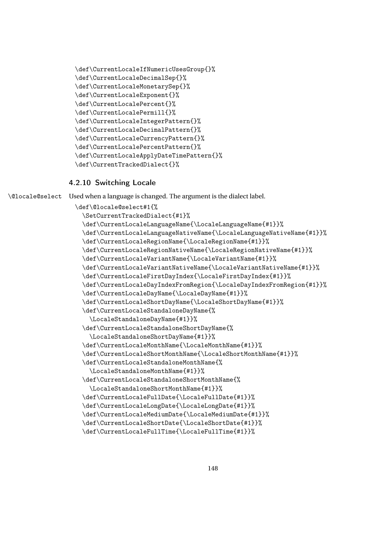```
\def\CurrentLocaleIfNumericUsesGroup{}%
\def\CurrentLocaleDecimalSep{}%
\def\CurrentLocaleMonetarySep{}%
\def\CurrentLocaleExponent{}%
\def\CurrentLocalePercent{}%
\def\CurrentLocalePermill{}%
\def\CurrentLocaleIntegerPattern{}%
\def\CurrentLocaleDecimalPattern{}%
\def\CurrentLocaleCurrencyPattern{}%
\def\CurrentLocalePercentPattern{}%
\def\CurrentLocaleApplyDateTimePattern{}%
\def\CurrentTrackedDialect{}%
```
#### 4.2.10 Switching Locale

```
\@locale@select Used when a language is changed. The argument is the dialect label.
```

```
\def\@locale@select#1{%
  \SetCurrentTrackedDialect{#1}%
  \def\CurrentLocaleLanguageName{\LocaleLanguageName{#1}}%
  \def\CurrentLocaleLanguageNativeName{\LocaleLanguageNativeName{#1}}%
  \def\CurrentLocaleRegionName{\LocaleRegionName{#1}}%
  \def\CurrentLocaleRegionNativeName{\LocaleRegionNativeName{#1}}%
  \def\CurrentLocaleVariantName{\LocaleVariantName{#1}}%
  \def\CurrentLocaleVariantNativeName{\LocaleVariantNativeName{#1}}%
  \def\CurrentLocaleFirstDayIndex{\LocaleFirstDayIndex{#1}}%
  \def\CurrentLocaleDayIndexFromRegion{\LocaleDayIndexFromRegion{#1}}%
  \def\CurrentLocaleDayName{\LocaleDayName{#1}}%
  \def\CurrentLocaleShortDayName{\LocaleShortDayName{#1}}%
  \def\CurrentLocaleStandaloneDayName{%
    \LocaleStandaloneDayName{#1}}%
  \def\CurrentLocaleStandaloneShortDayName{%
    \LocaleStandaloneShortDayName{#1}}%
  \def\CurrentLocaleMonthName{\LocaleMonthName{#1}}%
  \def\CurrentLocaleShortMonthName{\LocaleShortMonthName{#1}}%
  \def\CurrentLocaleStandaloneMonthName{%
    \LocaleStandaloneMonthName{#1}}%
  \def\CurrentLocaleStandaloneShortMonthName{%
   \LocaleStandaloneShortMonthName{#1}}%
  \def\CurrentLocaleFullDate{\LocaleFullDate{#1}}%
  \def\CurrentLocaleLongDate{\LocaleLongDate{#1}}%
  \def\CurrentLocaleMediumDate{\LocaleMediumDate{#1}}%
  \def\CurrentLocaleShortDate{\LocaleShortDate{#1}}%
  \def\CurrentLocaleFullTime{\LocaleFullTime{#1}}%
```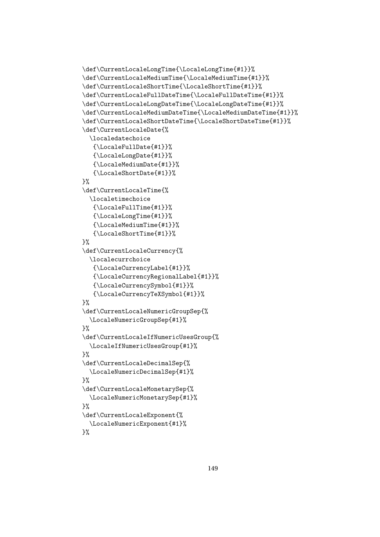```
\def\CurrentLocaleLongTime{\LocaleLongTime{#1}}%
\def\CurrentLocaleMediumTime{\LocaleMediumTime{#1}}%
\def\CurrentLocaleShortTime{\LocaleShortTime{#1}}%
\def\CurrentLocaleFullDateTime{\LocaleFullDateTime{#1}}%
\def\CurrentLocaleLongDateTime{\LocaleLongDateTime{#1}}%
\def\CurrentLocaleMediumDateTime{\LocaleMediumDateTime{#1}}%
\def\CurrentLocaleShortDateTime{\LocaleShortDateTime{#1}}%
\def\CurrentLocaleDate{%
  \localedatechoice
   {\LocaleFullDate{#1}}%
   {\LocaleLongDate{#1}}%
   {\LocaleMediumDate{#1}}%
   {\LocaleShortDate{#1}}%
\lambda%
\def\CurrentLocaleTime{%
  \localetimechoice
   {\LocaleFullTime{#1}}%
   {\LocaleLongTime{#1}}%
   {\LocaleMediumTime{#1}}%
   {\LocaleShortTime{#1}}%
\lambda%
\def\CurrentLocaleCurrency{%
  \localecurrchoice
   {\LocaleCurrencyLabel{#1}}%
   {\LocaleCurrencyRegionalLabel{#1}}%
   {\LocaleCurrencySymbol{#1}}%
   {\LocaleCurrencyTeXSymbol{#1}}%
}%
\def\CurrentLocaleNumericGroupSep{%
  \LocaleNumericGroupSep{#1}%
}%
\def\CurrentLocaleIfNumericUsesGroup{%
  \LocaleIfNumericUsesGroup{#1}%
\frac{1}{2}%
\def\CurrentLocaleDecimalSep{%
  \LocaleNumericDecimalSep{#1}%
}%
\def\CurrentLocaleMonetarySep{%
  \LocaleNumericMonetarySep{#1}%
}%
\def\CurrentLocaleExponent{%
 \LocaleNumericExponent{#1}%
```
## }%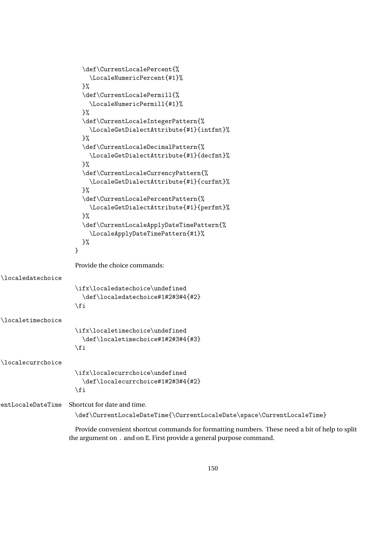```
\def\CurrentLocalePercent{%
                          \LocaleNumericPercent{#1}%
                        }%
                        \def\CurrentLocalePermill{%
                          \LocaleNumericPermill{#1}%
                        }%
                        \def\CurrentLocaleIntegerPattern{%
                          \LocaleGetDialectAttribute{#1}{intfmt}%
                        \frac{1}{2}%
                        \def\CurrentLocaleDecimalPattern{%
                          \LocaleGetDialectAttribute{#1}{decfmt}%
                        }%
                        \def\CurrentLocaleCurrencyPattern{%
                          \LocaleGetDialectAttribute{#1}{curfmt}%
                        \frac{1}{2}%
                        \def\CurrentLocalePercentPattern{%
                          \LocaleGetDialectAttribute{#1}{perfmt}%
                        }%
                        \def\CurrentLocaleApplyDateTimePattern{%
                          \LocaleApplyDateTimePattern{#1}%
                        }%
                      }
                      Provide the choice commands:
\localedatechoice
                      \ifx\localedatechoice\undefined
                        \def\localedatechoice#1#2#3#4{#2}
                      \fi
\localetimechoice
                      \ifx\localetimechoice\undefined
                        \def\localetimechoice#1#2#3#4{#3}
                      \fi
\localecurrchoice
                      \ifx\localecurrchoice\undefined
                        \def\localecurrchoice#1#2#3#4{#2}
                      \fi
entLocaleDateTime Shortcut for date and time.
                      \def\CurrentLocaleDateTime{\CurrentLocaleDate\space\CurrentLocaleTime}
                      Provide convenient shortcut commands for formatting numbers. These need a bit of help to split
                    the argument on . and on E. First provide a general purpose command.
```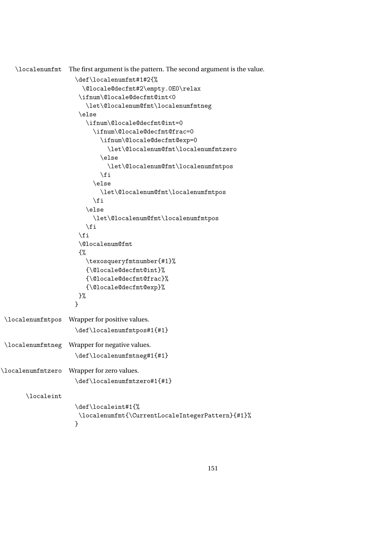<span id="page-150-0"></span>\localenumfmt The first argument is the pattern. The second argument is the value.

```
\def\localenumfmt#1#2{%
                       \@locale@decfmt#2\empty.0E0\relax
                      \ifnum\@locale@decfmt@int<0
                        \let\@localenum@fmt\localenumfmtneg
                      \else
                        \ifnum\@locale@decfmt@int=0
                          \ifnum\@locale@decfmt@frac=0
                            \ifnum\@locale@decfmt@exp=0
                              \let\@localenum@fmt\localenumfmtzero
                            \else
                              \let\@localenum@fmt\localenumfmtpos
                            \fi
                          \else
                            \let\@localenum@fmt\localenumfmtpos
                          \forallfi
                        \else
                          \let\@localenum@fmt\localenumfmtpos
                        \fi
                      \eta\@localenum@fmt
                      {%
                        \texosqueryfmtnumber{#1}%
                        {\@locale@decfmt@int}%
                        {\@locale@decfmt@frac}%
                        {\@locale@decfmt@exp}%
                      }%
                     }
\localenumfmtpos Wrapper for positive values.
                     \def\localenumfmtpos#1{#1}
\localenumfmtneg Wrapper for negative values.
                     \def\localenumfmtneg#1{#1}
\localenumfmtzero Wrapper for zero values.
                     \def\localenumfmtzero#1{#1}
       \localeint
                     \def\localeint#1{%
                      \localenumfmt{\CurrentLocaleIntegerPattern}{#1}%
                     }
```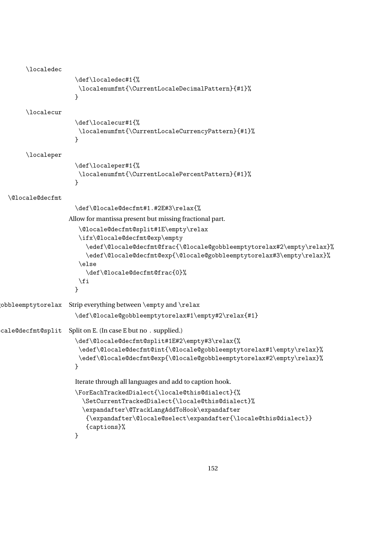```
\localedec
                     \def\localedec#1{%
                      \localenumfmt{\CurrentLocaleDecimalPattern}{#1}%
                     }
       \localecur
                     \def\localecur#1{%
                      \localenumfmt{\CurrentLocaleCurrencyPattern}{#1}%
                     }
       \localeper
                     \def\localeper#1{%
                      \localenumfmt{\CurrentLocalePercentPattern}{#1}%
                     }
  \@locale@decfmt
                      \def\@locale@decfmt#1.#2E#3\relax{%
                    Allow for mantissa present but missing fractional part.
                      \@locale@decfmt@split#1E\empty\relax
                      \ifx\@locale@decfmt@exp\empty
                         \edef\@locale@decfmt@frac{\@locale@gobbleemptytorelax#2\empty\relax}%
                        \edef\@locale@decfmt@exp{\@locale@gobbleemptytorelax#3\empty\relax}%
                      \else
                        \def\@locale@decfmt@frac{0}%
                      \chifi
                     }
\hbox{obbleempty to relax} Strip everything between \empty and \relax
                     \def\@locale@gobbleemptytorelax#1\empty#2\relax{#1}
cale@decfmt@split Split on E. (In case E but no . supplied.)
                     \def\@locale@decfmt@split#1E#2\empty#3\relax{%
                      \edef\@locale@decfmt@int{\@locale@gobbleemptytorelax#1\empty\relax}%
                      \edef\@locale@decfmt@exp{\@locale@gobbleemptytorelax#2\empty\relax}%
                     }
                     Iterate through all languages and add to caption hook.
                     \ForEachTrackedDialect{\locale@this@dialect}{%
                        \SetCurrentTrackedDialect{\locale@this@dialect}%
                        \expandafter\@TrackLangAddToHook\expandafter
                         {\expandafter\@locale@select\expandafter{\locale@this@dialect}}
                         {captions}%
                     }
```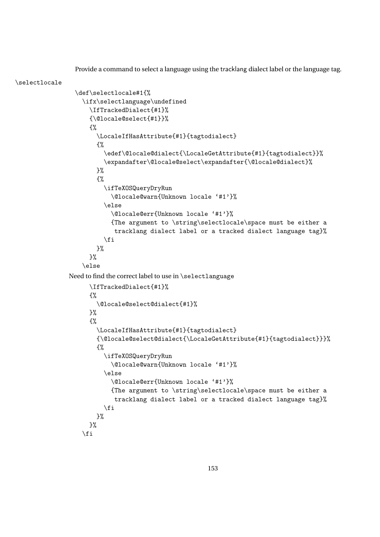<span id="page-152-0"></span>Provide a command to select a language using the tracklang dialect label or the language tag.

```
\selectlocale
                 \def\selectlocale#1{%
                   \ifx\selectlanguage\undefined
                     \IfTrackedDialect{#1}%
                     {\@locale@select{#1}}%
                     {%
                       \LocaleIfHasAttribute{#1}{tagtodialect}
                       {%
                         \edef\@locale@dialect{\LocaleGetAttribute{#1}{tagtodialect}}%
                         \expandafter\@locale@select\expandafter{\@locale@dialect}%
                       }%
                       {%
                         \ifTeXOSQueryDryRun
                           \@locale@warn{Unknown locale '#1'}%
                         \else
                           \@locale@err{Unknown locale '#1'}%
                           {The argument to \string\selectlocale\space must be either a
                            tracklang dialect label or a tracked dialect language tag}%
                         \fi
                       }%
                     }%
                   \else
               Need to find the correct label to use in \selectlanguage
                     \IfTrackedDialect{#1}%
                     {%
                       \@locale@select@dialect{#1}%
                     \frac{1}{2}%
                     {%
                       \LocaleIfHasAttribute{#1}{tagtodialect}
                       {\@locale@select@dialect{\LocaleGetAttribute{#1}{tagtodialect}}}%
                       {%
                         \ifTeXOSQueryDryRun
                           \@locale@warn{Unknown locale '#1'}%
                         \else
                           \@locale@err{Unknown locale '#1'}%
                           {The argument to \string\selectlocale\space must be either a
                            tracklang dialect label or a tracked dialect language tag}%
                         \fi
                       }%
                     }%
                   \fi
```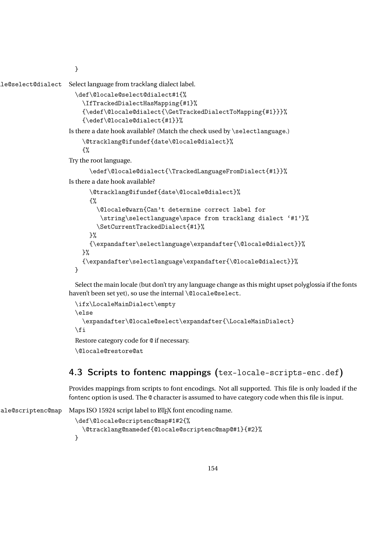<span id="page-153-0"></span>}

le@select@dialect Select language from tracklang dialect label.

```
\def\@locale@select@dialect#1{%
  \IfTrackedDialectHasMapping{#1}%
  {\edef\@locale@dialect{\GetTrackedDialectToMapping{#1}}}%
  {\edef\@locale@dialect{#1}}%
```
Is there a date hook available? (Match the check used by \selectlanguage.)

```
\@tracklang@ifundef{date\@locale@dialect}%
```
{%

Try the root language.

```
\edef\@locale@dialect{\TrackedLanguageFromDialect{#1}}%
```
Is there a date hook available?

```
\@tracklang@ifundef{date\@locale@dialect}%
    {%
      \@locale@warn{Can't determine correct label for
       \string\selectlanguage\space from tracklang dialect '#1'}%
      \SetCurrentTrackedDialect{#1}%
    \frac{1}{2}%
    {\expandafter\selectlanguage\expandafter{\@locale@dialect}}%
  \frac{1}{2}%
  {\expandafter\selectlanguage\expandafter{\@locale@dialect}}%
}
```
Select the main locale (but don't try any language change as this might upset polyglossia if the fonts haven't been set yet), so use the internal \@locale@select.

```
\ifx\LocaleMainDialect\empty
\else
  \expandafter\@locale@select\expandafter{\LocaleMainDialect}
\fi
Restore category code for @ if necessary.
\@locale@restore@at
```
# 4.3 Scripts to fontenc mappings (tex-locale-scripts-enc.def)

Provides mappings from scripts to font encodings. Not all supported. This file is only loaded if the fontenc option is used. The @ character is assumed to have category code when this file is input.

```
ale@scriptenc@map Maps ISO 15924 script label to LATEX font encoding name.
                      \def\@locale@scriptenc@map#1#2{%
                        \@tracklang@namedef{@locale@scriptenc@map@#1}{#2}%
                      }
```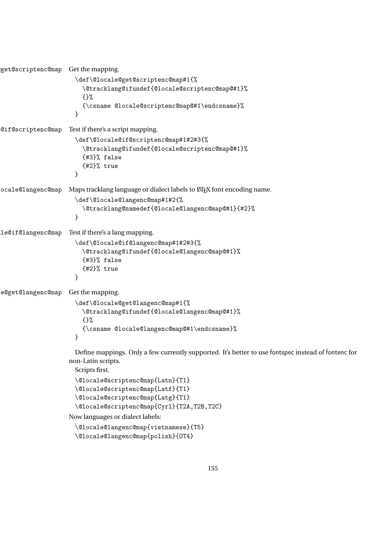```
get@scriptenc@map Get the mapping.
                      \def\@locale@get@scriptenc@map#1{%
                        \@tracklang@ifundef{@locale@scriptenc@map@#1}%
                        {}%
                        {\csname @locale@scriptenc@map@#1\endcsname}%
                      }
\@locale@if@scriptenc@map Test if there's a script mapping.
                      \def\@locale@if@scriptenc@map#1#2#3{%
                        \@tracklang@ifundef{@locale@scriptenc@map@#1}%
                        {#3}% false
                        {#2}% true
                      }
ocale@langenc@map Maps tracklang language or dialect labels to LATEX font encoding name.
                      \def\@locale@langenc@map#1#2{%
                        \@tracklang@namedef{@locale@langenc@map@#1}{#2}%
                      }
le@if@langenc@map Test if there's a lang mapping.
                      \def\@locale@if@langenc@map#1#2#3{%
                        \@tracklang@ifundef{@locale@langenc@map@#1}%
                        {#3}% false
                        {#2}% true
                      }
e@get@langenc@map Get the mapping.
                      \def\@locale@get@langenc@map#1{%
                        \@tracklang@ifundef{@locale@langenc@map@#1}%
                        {}%
                        {\csname @locale@langenc@map@#1\endcsname}%
                      }
                      Define mappings. Only a few currently supported. It's better to use fontspec instead of fontenc for
                    non-Latin scripts.
                      Scripts first.
                      \@locale@scriptenc@map{Latn}{T1}
                      \@locale@scriptenc@map{Latf}{T1}
                      \@locale@scriptenc@map{Latg}{T1}
                      \@locale@scriptenc@map{Cyrl}{T2A,T2B,T2C}
                    Now languages or dialect labels:
                      \@locale@langenc@map{vietnamese}{T5}
```

```
\@locale@langenc@map{polish}{OT4}
```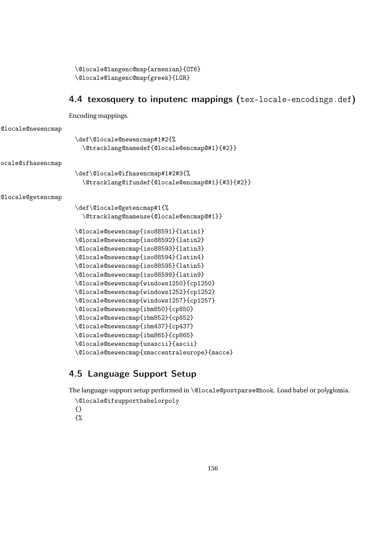```
\@locale@langenc@map{armenian}{OT6}
\@locale@langenc@map{greek}{LGR}
```
# 4.4 texosquery to inputenc mappings (tex-locale-encodings.def)

Encoding mappings.

```
\@locale@newencmap
```
\def\@locale@newencmap#1#2{% \@tracklang@namedef{@locale@encmap@#1}{#2}}

\@locale@ifhasencmap

\def\@locale@ifhasencmap#1#2#3{% \@tracklang@ifundef{@locale@encmap@#1}{#3}{#2}}

\@locale@getencmap

```
\def\@locale@getencmap#1{%
  \@tracklang@nameuse{@locale@encmap@#1}}
\@locale@newencmap{iso88591}{latin1}
\@locale@newencmap{iso88592}{latin2}
\@locale@newencmap{iso88593}{latin3}
\@locale@newencmap{iso88594}{latin4}
\@locale@newencmap{iso88595}{latin5}
\@locale@newencmap{iso88599}{latin9}
\@locale@newencmap{windows1250}{cp1250}
\@locale@newencmap{windows1252}{cp1252}
\@locale@newencmap{windows1257}{cp1257}
\@locale@newencmap{ibm850}{cp850}
\@locale@newencmap{ibm852}{cp852}
\@locale@newencmap{ibm437}{cp437}
\@locale@newencmap{ibm865}{cp865}
\@locale@newencmap{usascii}{ascii}
\@locale@newencmap{xmaccentraleurope}{macce}
```
# 4.5 Language Support Setup

The language support setup performed in \@locale@postparse@hook. Load babel or polyglossia.

```
\@locale@ifsupportbabelorpoly
{}
{%
```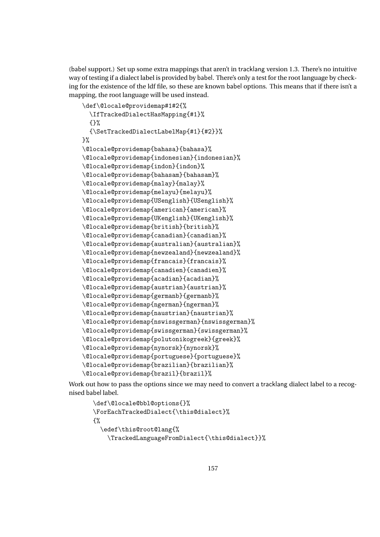<span id="page-156-0"></span>(babel support.) Set up some extra mappings that aren't in tracklang version 1.3. There's no intuitive way of testing if a dialect label is provided by babel. There's only a test for the root language by checking for the existence of the ldf file, so these are known babel options. This means that if there isn't a mapping, the root language will be used instead.

```
\def\@locale@providemap#1#2{%
  \IfTrackedDialectHasMapping{#1}%
  {}%
  {\SetTrackedDialectLabelMap{#1}{#2}}%
\frac{1}{2}%
\@locale@providemap{bahasa}{bahasa}%
\@locale@providemap{indonesian}{indonesian}%
\@locale@providemap{indon}{indon}%
\@locale@providemap{bahasam}{bahasam}%
\@locale@providemap{malay}{malay}%
\@locale@providemap{melayu}{melayu}%
\@locale@providemap{USenglish}{USenglish}%
\@locale@providemap{american}{american}%
\@locale@providemap{UKenglish}{UKenglish}%
\@locale@providemap{british}{british}%
\@locale@providemap{canadian}{canadian}%
\@locale@providemap{australian}{australian}%
\@locale@providemap{newzealand}{newzealand}%
\@locale@providemap{francais}{francais}%
\@locale@providemap{canadien}{canadien}%
\@locale@providemap{acadian}{acadian}%
\@locale@providemap{austrian}{austrian}%
\@locale@providemap{germanb}{germanb}%
\@locale@providemap{ngerman}{ngerman}%
\@locale@providemap{naustrian}{naustrian}%
\@locale@providemap{nswissgerman}{nswissgerman}%
\@locale@providemap{swissgerman}{swissgerman}%
\@locale@providemap{polutonikogreek}{greek}%
\@locale@providemap{nynorsk}{nynorsk}%
\@locale@providemap{portuguese}{portuguese}%
\@locale@providemap{brazilian}{brazilian}%
\@locale@providemap{brazil}{brazil}%
```
Work out how to pass the options since we may need to convert a tracklang dialect label to a recognised babel label.

```
\def\@locale@bbl@options{}%
\ForEachTrackedDialect{\this@dialect}%
{%
  \edef\this@root@lang{%
   \TrackedLanguageFromDialect{\this@dialect}}%
```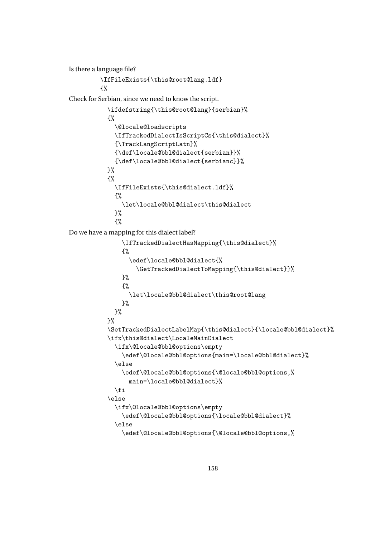```
Is there a language file?
         \IfFileExists{\this@root@lang.ldf}
         {%
Check for Serbian, since we need to know the script.
           \ifdefstring{\this@root@lang}{serbian}%
           {%
             \@locale@loadscripts
             \IfTrackedDialectIsScriptCs{\this@dialect}%
             {\TrackLangScriptLatn}%
             {\def\locale@bbl@dialect{serbian}}%
             {\def\locale@bbl@dialect{serbianc}}%
           }%
           {%
             \IfFileExists{\this@dialect.ldf}%
             {%
               \let\locale@bbl@dialect\this@dialect
             \frac{1}{2}%
             {%
Do we have a mapping for this dialect label?
               \IfTrackedDialectHasMapping{\this@dialect}%
               {%
                  \edef\locale@bbl@dialect{%
                    \GetTrackedDialectToMapping{\this@dialect}}%
               \frac{1}{2}%
               {%
                 \let\locale@bbl@dialect\this@root@lang
               \frac{1}{2}%
             }%
           }%
           \SetTrackedDialectLabelMap{\this@dialect}{\locale@bbl@dialect}%
           \ifx\this@dialect\LocaleMainDialect
             \ifx\@locale@bbl@options\empty
               \edef\@locale@bbl@options{main=\locale@bbl@dialect}%
             \else
               \edef\@locale@bbl@options{\@locale@bbl@options,%
                 main=\locale@bbl@dialect}%
             \fi
           \else
             \ifx\@locale@bbl@options\empty
               \edef\@locale@bbl@options{\locale@bbl@dialect}%
             \else
               \edef\@locale@bbl@options{\@locale@bbl@options,%
```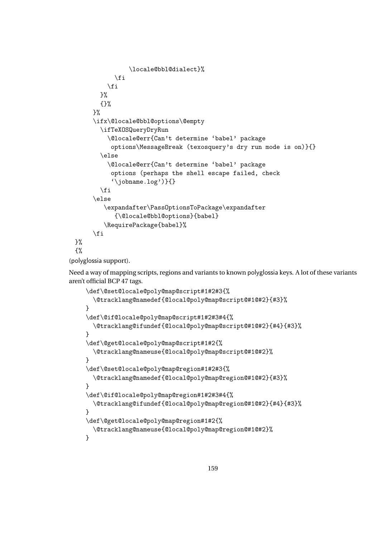```
\locale@bbl@dialect}%
            \left\{ \frac{f}{f} \right\}\fi
       }%
       {}%
     }%
     \ifx\@locale@bbl@options\@empty
       \ifTeXOSQueryDryRun
          \@locale@err{Can't determine 'babel' package
           options\MessageBreak (texosquery's dry run mode is on)}{}
       \else
          \@locale@err{Can't determine 'babel' package
           options (perhaps the shell escape failed, check
           '\jobname.log')}{}
       \forallfi
     \else
         \expandafter\PassOptionsToPackage\expandafter
            {\@locale@bbl@options}{babel}
         \RequirePackage{babel}%
     \fi
}%
{%
```
(polyglossia support).

Need a way of mapping scripts, regions and variants to known polyglossia keys. A lot of these variants aren't official BCP 47 tags.

```
\def\@set@locale@poly@map@script#1#2#3{%
  \@tracklang@namedef{@local@poly@map@script@#1@#2}{#3}%
}
\def\@if@locale@poly@map@script#1#2#3#4{%
  \@tracklang@ifundef{@local@poly@map@script@#1@#2}{#4}{#3}%
}
\def\@get@locale@poly@map@script#1#2{%
  \@tracklang@nameuse{@local@poly@map@script@#1@#2}%
}
\def\@set@locale@poly@map@region#1#2#3{%
  \@tracklang@namedef{@local@poly@map@region@#1@#2}{#3}%
}
\def\@if@locale@poly@map@region#1#2#3#4{%
  \@tracklang@ifundef{@local@poly@map@region@#1@#2}{#4}{#3}%
}
\def\@get@locale@poly@map@region#1#2{%
  \@tracklang@nameuse{@local@poly@map@region@#1@#2}%
}
```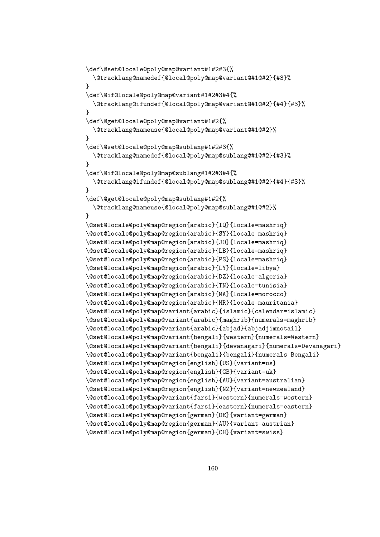```
\def\@set@locale@poly@map@variant#1#2#3{%
  \@tracklang@namedef{@local@poly@map@variant@#1@#2}{#3}%
}
\def\@if@locale@poly@map@variant#1#2#3#4{%
  \@tracklang@ifundef{@local@poly@map@variant@#1@#2}{#4}{#3}%
}
\def\@get@locale@poly@map@variant#1#2{%
  \@tracklang@nameuse{@local@poly@map@variant@#1@#2}%
}
\def\@set@locale@poly@map@sublang#1#2#3{%
  \@tracklang@namedef{@local@poly@map@sublang@#1@#2}{#3}%
}
\def\@if@locale@poly@map@sublang#1#2#3#4{%
  \@tracklang@ifundef{@local@poly@map@sublang@#1@#2}{#4}{#3}%
}
\def\@get@locale@poly@map@sublang#1#2{%
  \@tracklang@nameuse{@local@poly@map@sublang@#1@#2}%
}
\@set@locale@poly@map@region{arabic}{IQ}{locale=mashriq}
\@set@locale@poly@map@region{arabic}{SY}{locale=mashriq}
\@set@locale@poly@map@region{arabic}{JO}{locale=mashriq}
\@set@locale@poly@map@region{arabic}{LB}{locale=mashriq}
\@set@locale@poly@map@region{arabic}{PS}{locale=mashriq}
\@set@locale@poly@map@region{arabic}{LY}{locale=libya}
\@set@locale@poly@map@region{arabic}{DZ}{locale=algeria}
\@set@locale@poly@map@region{arabic}{TN}{locale=tunisia}
\@set@locale@poly@map@region{arabic}{MA}{locale=morocco}
\@set@locale@poly@map@region{arabic}{MR}{locale=mauritania}
\@set@locale@poly@map@variant{arabic}{islamic}{calendar=islamic}
\@set@locale@poly@map@variant{arabic}{maghrib}{numerals=maghrib}
\@set@locale@poly@map@variant{arabic}{abjad}{abjadjimnotail}
\@set@locale@poly@map@variant{bengali}{western}{numerals=Western}
\@set@locale@poly@map@variant{bengali}{devanagari}{numerals=Devanagari}
\@set@locale@poly@map@variant{bengali}{bengali}{numerals=Bengali}
\@set@locale@poly@map@region{english}{US}{variant=us}
\@set@locale@poly@map@region{english}{GB}{variant=uk}
\@set@locale@poly@map@region{english}{AU}{variant=australian}
\@set@locale@poly@map@region{english}{NZ}{variant=newzealand}
\@set@locale@poly@map@variant{farsi}{western}{numerals=western}
\@set@locale@poly@map@variant{farsi}{eastern}{numerals=eastern}
\@set@locale@poly@map@region{german}{DE}{variant=german}
\@set@locale@poly@map@region{german}{AU}{variant=austrian}
\@set@locale@poly@map@region{german}{CH}{variant=swiss}
```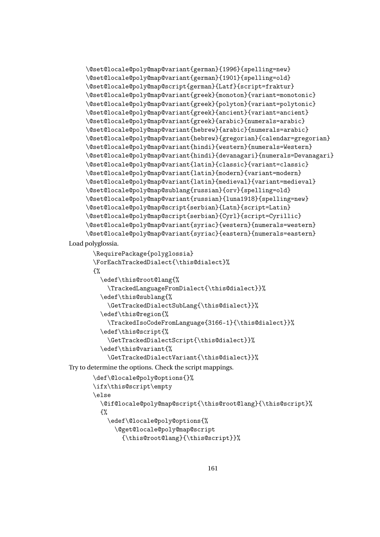```
\@set@locale@poly@map@variant{german}{1996}{spelling=new}
\@set@locale@poly@map@variant{german}{1901}{spelling=old}
\@set@locale@poly@map@script{german}{Latf}{script=fraktur}
\@set@locale@poly@map@variant{greek}{monoton}{variant=monotonic}
\@set@locale@poly@map@variant{greek}{polyton}{variant=polytonic}
\@set@locale@poly@map@variant{greek}{ancient}{variant=ancient}
\@set@locale@poly@map@variant{greek}{arabic}{numerals=arabic}
\@set@locale@poly@map@variant{hebrew}{arabic}{numerals=arabic}
\@set@locale@poly@map@variant{hebrew}{gregorian}{calendar=gregorian}
\@set@locale@poly@map@variant{hindi}{western}{numerals=Western}
\@set@locale@poly@map@variant{hindi}{devanagari}{numerals=Devanagari}
\@set@locale@poly@map@variant{latin}{classic}{variant=classic}
\@set@locale@poly@map@variant{latin}{modern}{variant=modern}
\@set@locale@poly@map@variant{latin}{medieval}{variant=medieval}
\@set@locale@poly@map@sublang{russian}{orv}{spelling=old}
\@set@locale@poly@map@variant{russian}{luna1918}{spelling=new}
\@set@locale@poly@map@script{serbian}{Latn}{script=Latin}
\@set@locale@poly@map@script{serbian}{Cyrl}{script=Cyrillic}
\@set@locale@poly@map@variant{syriac}{western}{numerals=western}
\@set@locale@poly@map@variant{syriac}{eastern}{numerals=eastern}
```
Load polyglossia.

```
\RequirePackage{polyglossia}
\ForEachTrackedDialect{\this@dialect}%
{%
  \edef\this@root@lang{%
    \TrackedLanguageFromDialect{\this@dialect}}%
  \edef\this@sublang{%
    \GetTrackedDialectSubLang{\this@dialect}}%
  \edef\this@region{%
    \TrackedIsoCodeFromLanguage{3166-1}{\this@dialect}}%
  \edef\this@script{%
    \GetTrackedDialectScript{\this@dialect}}%
  \edef\this@variant{%
    \GetTrackedDialectVariant{\this@dialect}}%
```
Try to determine the options. Check the script mappings.

```
\def\@locale@poly@options{}%
\ifx\this@script\empty
\else
  \@if@locale@poly@map@script{\this@root@lang}{\this@script}%
  {%
    \edef\@locale@poly@options{%
      \@get@locale@poly@map@script
        {\this@root@lang}{\this@script}}%
```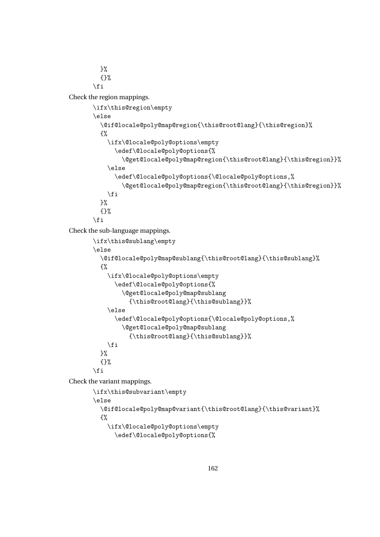<span id="page-161-0"></span> $\frac{1}{2}$ % {}% \fi

Check the region mappings.

```
\ifx\this@region\empty
\else
  \@if@locale@poly@map@region{\this@root@lang}{\this@region}%
  {%
    \ifx\@locale@poly@options\empty
      \edef\@locale@poly@options{%
        \@get@locale@poly@map@region{\this@root@lang}{\this@region}}%
    \else
      \edef\@locale@poly@options{\@locale@poly@options,%
        \@get@locale@poly@map@region{\this@root@lang}{\this@region}}%
    \forallfi
  \frac{1}{2}%
  {}%
\fi
```
Check the sub-language mappings.

```
\ifx\this@sublang\empty
\else
  \@if@locale@poly@map@sublang{\this@root@lang}{\this@sublang}%
  {%
    \ifx\@locale@poly@options\empty
      \edef\@locale@poly@options{%
        \@get@locale@poly@map@sublang
          {\this@root@lang}{\this@sublang}}%
    \else
      \edef\@locale@poly@options{\@locale@poly@options,%
        \@get@locale@poly@map@sublang
          {\this@root@lang}{\this@sublang}}%
    \fi
  \frac{1}{2}%
  {}%
\fi
```
Check the variant mappings.

```
\ifx\this@subvariant\empty
\else
  \@if@locale@poly@map@variant{\this@root@lang}{\this@variant}%
  {%
    \ifx\@locale@poly@options\empty
      \edef\@locale@poly@options{%
```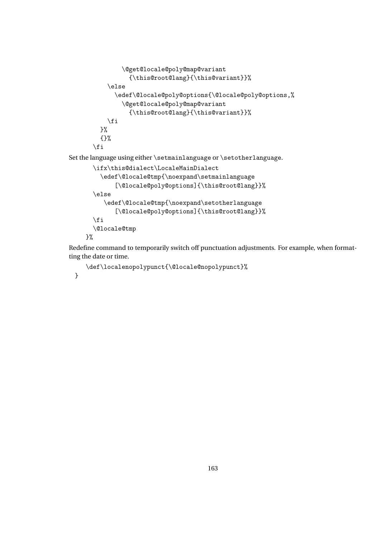```
\@get@locale@poly@map@variant
                 {\this@root@lang}{\this@variant}}%
           \else
             \edef\@locale@poly@options{\@locale@poly@options,%
               \@get@locale@poly@map@variant
                 {\this@root@lang}{\this@variant}}%
           \fi
        }%
        {}%
       \fi
Set the language using either \setmainlanguage or \setotherlanguage.
      \ifx\this@dialect\LocaleMainDialect
         \edef\@locale@tmp{\noexpand\setmainlanguage
             [\@locale@poly@options]{\this@root@lang}}%
```
\else

```
\edef\@locale@tmp{\noexpand\setotherlanguage
      [\@locale@poly@options]{\this@root@lang}}%
\fi
\@locale@tmp
```
}%

Redefine command to temporarily switch off punctuation adjustments. For example, when formatting the date or time.

```
\def\localenopolypunct{\@locale@nopolypunct}%
```
}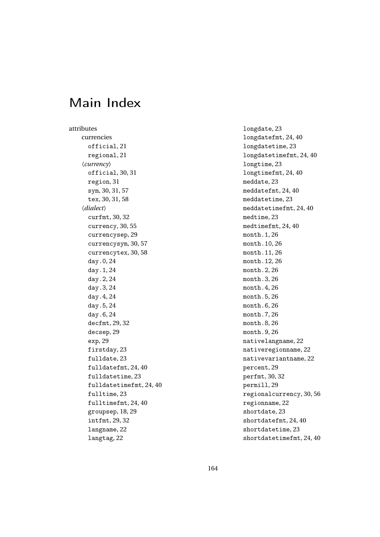# Main Index

attributes currencies official, 21 regional, 21 〈*currency*〉 official, 30, 31 region, 31 sym, 30, 31, 57 tex, 30, 31, 58 〈*dialect*〉 curfmt, 30, 32 currency, 30, 55 currencysep, 29 currencysym, 30, 57 currencytex, 30, 58 day.0, 24 day.1, 24 day.2, 24 day.3, 24 day.4, 24 day.5, 24 day.6, 24 decfmt, 29, 32 decsep, 29 exp, 29 firstday, 23 fulldate, 23 fulldatefmt, 24, 40 fulldatetime, 23 fulldatetimefmt, 24, 40 fulltime, 23 fulltimefmt, 24, 40 groupsep, 18, 29 intfmt, 29, 32 langname, 22 langtag, 22

longdate, 23 longdatefmt, 24, 40 longdatetime, 23 longdatetimefmt, 24, 40 longtime, 23 longtimefmt, 24, 40 meddate, 23 meddatefmt, 24, 40 meddatetime, 23 meddatetimefmt, 24, 40 medtime, 23 medtimefmt, 24, 40 month.1, 26 month.10, 26 month.11, 26 month.12, 26 month.2, 26 month.3, 26 month.4, 26 month.5, 26 month.6, 26 month.7, 26 month.8, 26 month.9, 26 nativelangname, 22 nativeregionname, 22 nativevariantname, 22 percent, 29 perfmt, 30, 32 permill, 29 regionalcurrency, 30, 56 regionname, 22 shortdate, 23 shortdatefmt, 24, 40 shortdatetime, 23 shortdatetimefmt, 24, 40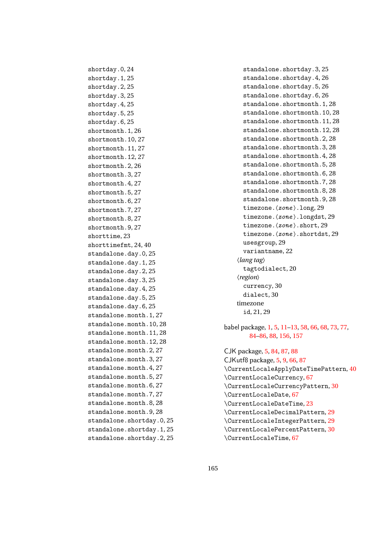shortday.0, 24 shortday.1, 25 shortday.2, 25 shortday.3, 25 shortday.4, 25 shortday.5, 25 shortday.6, 25 shortmonth.1, 26 shortmonth.10, 27 shortmonth.11, 27 shortmonth.12, 27 shortmonth.2, 26 shortmonth.3, 27 shortmonth.4, 27 shortmonth.5, 27 shortmonth.6, 27 shortmonth.7, 27 shortmonth.8, 27 shortmonth.9, 27 shorttime, 23 shorttimefmt, 24, 40 standalone.day.0, 25 standalone.day.1, 25 standalone.day.2, 25 standalone.day.3, 25 standalone.day.4, 25 standalone.day.5, 25 standalone.day.6, 25 standalone.month.1, 27 standalone.month.10, 28 standalone.month.11, 28 standalone.month.12, 28 standalone.month.2, 27 standalone.month.3, 27 standalone.month.4, 27 standalone.month.5, 27 standalone.month.6, 27 standalone.month.7, 27 standalone.month.8, 28 standalone.month.9, 28 standalone.shortday.0, 25 standalone.shortday.1, 25 standalone.shortday.2, 25

standalone.shortday.3, 25 standalone.shortday.4, 26 standalone.shortday.5, 26 standalone.shortday.6, 26 standalone.shortmonth.1, 28 standalone.shortmonth.10,28 standalone.shortmonth.11, 28 standalone.shortmonth.12, 28 standalone.shortmonth.2, 28 standalone.shortmonth.3, 28 standalone.shortmonth.4,28 standalone.shortmonth.5, 28 standalone.shortmonth.6, 28 standalone.shortmonth.7, 28 standalone.shortmonth.8, 28 standalone.shortmonth.9.28 timezone. $\langle zone \rangle$ . long, 29 timezone. $\langle zone \rangle$ .longdst, 29 timezone.  $\langle zone \rangle$ . short, 29 timezone.  $\langle zone \rangle$ . shortdst, 29 usesgroup, 29 variantname, 22 〈*lang tag*〉 tagtodialect, 20 〈*region*〉 currency, 30 dialect, 30 timezone id, 21, 29

babel package, [1,](#page-0-0) [5,](#page-4-0) [11](#page-10-0)[–13,](#page-12-0) [58,](#page-57-0) [66,](#page-65-0) [68,](#page-67-0) [73,](#page-72-0) [77,](#page-76-0) [84–](#page-83-0)[86,](#page-85-0) [88,](#page-87-0) [156,](#page-155-0) [157](#page-156-0)

CJK package, [5,](#page-4-0) [84,](#page-83-0) [87,](#page-86-0) [88](#page-87-0) CJKutf8 package, [5,](#page-4-0) [9,](#page-8-0) [66,](#page-65-0) [87](#page-86-0) \CurrentLocaleApplyDateTimePattern, [40](#page-39-0) \CurrentLocaleCurrency, [67](#page-66-0) \CurrentLocaleCurrencyPattern, [30](#page-29-0) \CurrentLocaleDate, [67](#page-66-0) \CurrentLocaleDateTime, [23](#page-22-0) \CurrentLocaleDecimalPattern, [29](#page-28-0) \CurrentLocaleIntegerPattern, [29](#page-28-0) \CurrentLocalePercentPattern, [30](#page-29-0) \CurrentLocaleTime, [67](#page-66-0)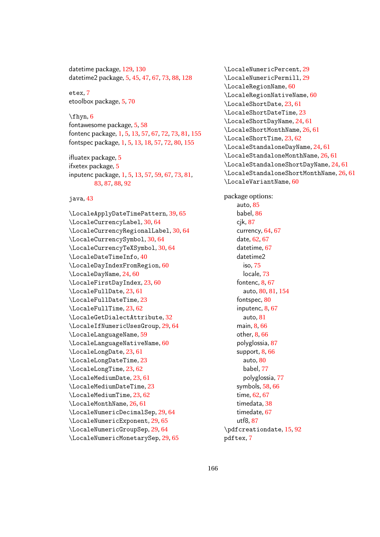datetime package, [129,](#page-128-0) [130](#page-129-0) datetime2 package, [5,](#page-4-0) [45,](#page-44-0) [47,](#page-46-0) [67,](#page-66-0) [73,](#page-72-0) [88,](#page-87-0) [128](#page-127-0)

etex, [7](#page-6-0) etoolbox package, [5,](#page-4-0) [70](#page-69-0)

#### $\binom{6}{}$  $\binom{6}{}$  $\binom{6}{}$

fontawesome package, [5,](#page-4-0) [58](#page-57-0) fontenc package, [1,](#page-0-0) [5,](#page-4-0) [13,](#page-12-0) [57,](#page-56-0) [67,](#page-66-0) [72,](#page-71-0) [73,](#page-72-0) [81,](#page-80-0) [155](#page-154-0) fontspec package, [1,](#page-0-0) [5,](#page-4-0) [13,](#page-12-0) [18,](#page-17-0) [57,](#page-56-0) [72,](#page-71-0) [80,](#page-79-0) [155](#page-154-0)

ifluatex package, [5](#page-4-0) ifxetex package, [5](#page-4-0) inputenc package, [1,](#page-0-0) [5,](#page-4-0) [13,](#page-12-0) [57,](#page-56-0) [59,](#page-58-0) [67,](#page-66-0) [73,](#page-72-0) [81,](#page-80-0) [83,](#page-82-0) [87,](#page-86-0) [88,](#page-87-0) [92](#page-91-0)

#### java, [43](#page-42-0)

\LocaleApplyDateTimePattern, [39,](#page-38-0) [65](#page-64-0) \LocaleCurrencyLabel, [30,](#page-29-0) [64](#page-63-0) \LocaleCurrencyRegionalLabel, [30,](#page-29-0) [64](#page-63-0) \LocaleCurrencySymbol, [30,](#page-29-0) [64](#page-63-0) \LocaleCurrencyTeXSymbol, [30,](#page-29-0) [64](#page-63-0) \LocaleDateTimeInfo, [40](#page-39-0) \LocaleDayIndexFromRegion, [60](#page-59-0) \LocaleDayName, [24,](#page-23-0) [60](#page-59-0) \LocaleFirstDayIndex, [23,](#page-22-0) [60](#page-59-0) \LocaleFullDate, [23,](#page-22-0) [61](#page-60-0) \LocaleFullDateTime, [23](#page-22-0) \LocaleFullTime, [23,](#page-22-0) [62](#page-61-0) \LocaleGetDialectAttribute, [32](#page-31-0) \LocaleIfNumericUsesGroup, [29,](#page-28-0) [64](#page-63-0) \LocaleLanguageName, [59](#page-58-0) \LocaleLanguageNativeName, [60](#page-59-0) \LocaleLongDate, [23,](#page-22-0) [61](#page-60-0) \LocaleLongDateTime, [23](#page-22-0) \LocaleLongTime, [23,](#page-22-0) [62](#page-61-0) \LocaleMediumDate, [23,](#page-22-0) [61](#page-60-0) \LocaleMediumDateTime, [23](#page-22-0) \LocaleMediumTime, [23,](#page-22-0) [62](#page-61-0) \LocaleMonthName, [26,](#page-25-0) [61](#page-60-0) \LocaleNumericDecimalSep, [29,](#page-28-0) [64](#page-63-0) \LocaleNumericExponent, [29,](#page-28-0) [65](#page-64-0) \LocaleNumericGroupSep, [29,](#page-28-0) [64](#page-63-0) \LocaleNumericMonetarySep, [29,](#page-28-0) [65](#page-64-0)

\LocaleNumericPercent, [29](#page-28-0) \LocaleNumericPermill, [29](#page-28-0) \LocaleRegionName, [60](#page-59-0) \LocaleRegionNativeName, [60](#page-59-0) \LocaleShortDate, [23,](#page-22-0) [61](#page-60-0) \LocaleShortDateTime, [23](#page-22-0) \LocaleShortDayName, [24,](#page-23-0) [61](#page-60-0) \LocaleShortMonthName, [26,](#page-25-0) [61](#page-60-0) \LocaleShortTime, [23,](#page-22-0) [62](#page-61-0) \LocaleStandaloneDayName, [24,](#page-23-0) [61](#page-60-0) \LocaleStandaloneMonthName, [26,](#page-25-0) [61](#page-60-0) \LocaleStandaloneShortDayName, [24,](#page-23-0) [61](#page-60-0) \LocaleStandaloneShortMonthName, [26,](#page-25-0) [61](#page-60-0) \LocaleVariantName, [60](#page-59-0)

package options: auto, [85](#page-84-0) babel, [86](#page-85-0) cik, [87](#page-86-0) currency, [64,](#page-63-0) [67](#page-66-0) date, [62,](#page-61-0) [67](#page-66-0) datetime, [67](#page-66-0) datetime2 iso, [75](#page-74-0) locale, [73](#page-72-0) fontenc, [8,](#page-7-0) [67](#page-66-0) auto, [80,](#page-79-0) [81,](#page-80-0) [154](#page-153-0) fontspec, [80](#page-79-0) inputenc, [8,](#page-7-0) [67](#page-66-0) auto, [81](#page-80-0) main, [8,](#page-7-0) [66](#page-65-0) other, [8,](#page-7-0) [66](#page-65-0) polyglossia, [87](#page-86-0) support, [8,](#page-7-0) [66](#page-65-0) auto, [80](#page-79-0) babel, [77](#page-76-0) polyglossia, [77](#page-76-0) symbols, [58,](#page-57-0) [66](#page-65-0) time, [62,](#page-61-0) [67](#page-66-0) timedata, [38](#page-37-0) timedate, [67](#page-66-0) utf8, [87](#page-86-0) \pdfcreationdate, [15,](#page-14-0) [92](#page-91-0) pdftex, [7](#page-6-0)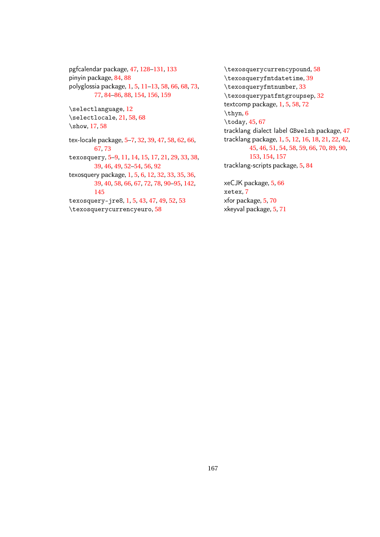pgfcalendar package, [47,](#page-46-0) [128](#page-127-0)[–131,](#page-130-0) [133](#page-132-0) pinyin package, [84,](#page-83-0) [88](#page-87-0) polyglossia package, [1,](#page-0-0) [5,](#page-4-0) [11–](#page-10-0)[13,](#page-12-0) [58,](#page-57-0) [66,](#page-65-0) [68,](#page-67-0) [73,](#page-72-0) [77,](#page-76-0) [84](#page-83-0)[–86,](#page-85-0) [88,](#page-87-0) [154,](#page-153-0) [156,](#page-155-0) [159](#page-158-0) \selectlanguage, [12](#page-11-0) \selectlocale, [21,](#page-20-0) [58,](#page-57-0) [68](#page-67-0) \show, [17,](#page-16-0) [58](#page-57-0) tex-locale package, [5–](#page-4-0)[7,](#page-6-0) [32,](#page-31-0) [39,](#page-38-0) [47,](#page-46-0) [58,](#page-57-0) [62,](#page-61-0) [66,](#page-65-0) [67,](#page-66-0) [73](#page-72-0) texosquery, [5–](#page-4-0)[9,](#page-8-0) [11,](#page-10-0) [14,](#page-13-0) [15,](#page-14-0) [17,](#page-16-0) [21,](#page-20-0) [29,](#page-28-0) [33,](#page-32-0) [38,](#page-37-0) [39,](#page-38-0) [46,](#page-45-0) [49,](#page-48-0) [52](#page-51-0)[–54,](#page-53-0) [56,](#page-55-0) [92](#page-91-0) texosquery package, [1,](#page-0-0) [5,](#page-4-0) [6,](#page-5-0) [12,](#page-11-0) [32,](#page-31-0) [33,](#page-32-0) [35,](#page-34-0) [36,](#page-35-0) [39,](#page-38-0) [40,](#page-39-0) [58,](#page-57-0) [66,](#page-65-0) [67,](#page-66-0) [72,](#page-71-0) [78,](#page-77-0) [90](#page-89-0)[–95,](#page-94-0) [142,](#page-141-0) [145](#page-144-0) texosquery-jre8, [1,](#page-0-0) [5,](#page-4-0) [43,](#page-42-0) [47,](#page-46-0) [49,](#page-48-0) [52,](#page-51-0) [53](#page-52-0) \texosquerycurrencyeuro, [58](#page-57-0)

\texosquerycurrencypound, [58](#page-57-0) \texosqueryfmtdatetime, [39](#page-38-0) \texosqueryfmtnumber, [33](#page-32-0) \texosquerypatfmtgroupsep, [32](#page-31-0) textcomp package, [1,](#page-0-0) [5,](#page-4-0) [58,](#page-57-0) [72](#page-71-0) \thyn, [6](#page-5-0) \today, [45,](#page-44-0) [67](#page-66-0) tracklang dialect label GBwelsh package, [47](#page-46-0) tracklang package, [1,](#page-0-0) [5,](#page-4-0) [12,](#page-11-0) [16,](#page-15-0) [18,](#page-17-0) [21,](#page-20-0) [22,](#page-21-0) [42,](#page-41-0) [45,](#page-44-0) [46,](#page-45-0) [51,](#page-50-0) [54,](#page-53-0) [58,](#page-57-0) [59,](#page-58-0) [66,](#page-65-0) [70,](#page-69-0) [89,](#page-88-0) [90,](#page-89-0) [153,](#page-152-0) [154,](#page-153-0) [157](#page-156-0) tracklang-scripts package, [5,](#page-4-0) [84](#page-83-0) xeCJK package, [5,](#page-4-0) [66](#page-65-0)

xetex, [7](#page-6-0) xfor package, [5,](#page-4-0) [70](#page-69-0) xkeyval package, [5,](#page-4-0) [71](#page-70-0)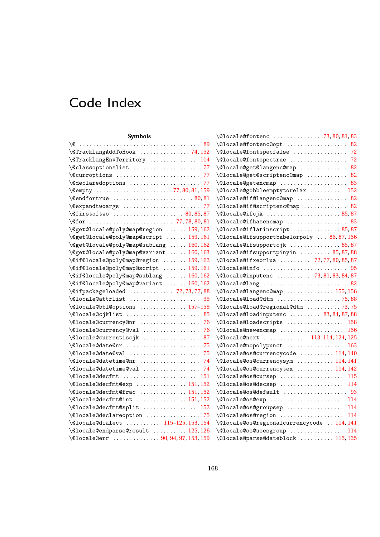# Code Index

| <b>Symbols</b>                                  | \@locale@fontenc  73,80,81,83              |
|-------------------------------------------------|--------------------------------------------|
|                                                 | \@locale@fontenc@opt  82                   |
| \@TrackLangAddToHook 74,152                     | \@locale@fontspecfalse  72                 |
| \@TrackLangEnvTerritory  114                    | \@locale@fontspectrue  72                  |
| \@classoptionslist  77                          | \@locale@get@langenc@map  82               |
| \@curroptions  77                               | \@locale@get@scriptenc@map  82             |
| \@declaredoptions  77                           | \@locale@getencmap  83                     |
|                                                 | \@locale@gobbleemptytorelax  152           |
|                                                 | \@locale@if@langenc@map  82                |
| \@expandtwoargs  77                             | \@locale@if@scriptenc@map  82              |
|                                                 | \@locale@ifcjk  85,87                      |
|                                                 | \@locale@ifhasencmap  83                   |
| \@get@locale@poly@map@region  159, 162          | \@locale@iflatinscript  85,87              |
| \@get@locale@poly@map@script  159,161           | \@locale@ifsupportbabelorpoly  86,87,156   |
| \@get@locale@poly@map@sublang  160, 162         | \@locale@ifsupportcjk  85,87               |
| \@get@locale@poly@map@variant  160, 163         | \@locale@ifsupportpinyin  85,87,88         |
| \@if@locale@poly@map@region  159, 162           | \@locale@ifxeorlua  72,77,80,85,87         |
| \@if@locale@poly@map@script  159, 161           |                                            |
| \@if@locale@poly@map@sublang  160,162           | \@locale@inputenc  73, 81, 83, 84, 87      |
| \@if@locale@poly@map@variant  160, 162          | \@locale@lang  82                          |
| \@ifpackageloaded  72, 73, 77, 88               | \@locale@langenc@map  155, 156             |
| \@locale@attrlist  99                           | \@locale@load@dtm 75,88                    |
| \@locale@bbl@options  157-159                   | \@locale@load@regional@dtm  73,75          |
| \@locale@cjklist  85                            | \@locale@loadinputenc  83, 84, 87, 88      |
| \@locale@currency@nr  76                        | \@locale@loadscripts  158                  |
| \@locale@currency@val  76                       | \@locale@newencmap  156                    |
| \@locale@currentiscjk  87                       | \@locale@next  113, 114, 124, 125          |
| \@locale@date@nr  75                            | \@locale@nopolypunct  163                  |
| \@locale@date@val  75                           | \@locale@os@currencycode  114, 140         |
| \@locale@datetime@nr  74                        | \@locale@os@currencysym  114, 141          |
| $\setminus$ @locale@datetime@val  74            | \@locale@os@currencytex  114, 142          |
| $\Omega$ ocale@decfmt  151                      | \@locale@os@cursep  115                    |
| \@locale@decfmt@exp  151, 152                   | \@locale@os@decsep  114                    |
| \@locale@decfmt@frac  151,152                   | \@locale@os@default  93                    |
| $\Omega$ ocale@decfmt@int  151, 152             | \@locale@os@exp  114                       |
| \@locale@decfmt@split  152                      | \@locale@os@groupsep  114                  |
| \@locale@declareoption  75                      | \@locale@os@region  114                    |
| \@locale@dialect  115-125, 153, 154             | \@locale@os@regionalcurrencycode  114, 141 |
| $\verb+\@local+@endparse@result \dots 125, 126$ | \@locale@os@usesgroup  114                 |
| \@locale@err  90, 94, 97, 153, 159              | \@locale@parse@dateblock  115, 125         |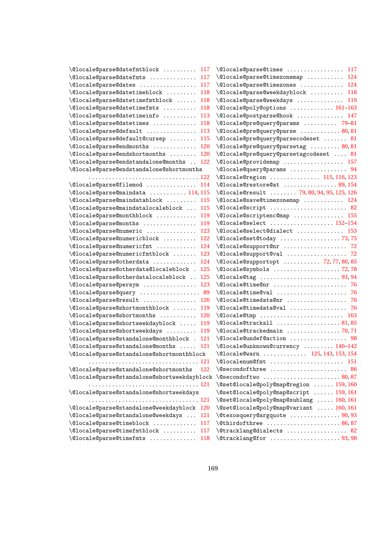| \@locale@parse@datefmtblock  117                     | \@locale@parse@times  117                 |
|------------------------------------------------------|-------------------------------------------|
| \@locale@parse@datefmts  117                         | \@locale@parse@timezonemap  124           |
| \@locale@parse@dates  117                            | \@locale@parse@timezones  124             |
| $\verb+\@locale@parse@dattimeblock  118$             | \@locale@parse@weekdayblock  118          |
| \@locale@parse@datetimefmtblock  118                 | \@locale@parse@weekdays  119              |
| $\Diamond$ locale@parse@datetimefmts  118            | \@locale@poly@options  161-163            |
| $\verb+\@locale@parse@dattimeinfo  113$              | \@locale@postparse@hook  147              |
| \@locale@parse@datetimes  118                        | \@locale@pre@query@params  79-81          |
| $\verb+\@locale@parse@default \dots \ 113$           | \@locale@pre@query@parse  80,81           |
| \@locale@parse@default@cursep  115                   | \@locale@pre@query@parsecodeset  81       |
| \@locale@parse@endmonths  120                        | \@locale@pre@query@parsetag  80,81        |
| $\setminus$ @locale@parse@endshortmonths  120        | \@locale@pre@query@parsetagcodeset  81    |
| \@locale@parse@endstandalone@months  122             | \@locale@providemap  157                  |
| \@locale@parse@endstandalone@shortmonths             | \@locale@query@params  94                 |
|                                                      | \@locale@region  115, 116, 123            |
| \@locale@parse@filemod  114                          | $\Omega$ ocale@restore@at  89, 154        |
| $\Omega$ ocale@parse@maindata  114, 115              | \@locale@result  79, 80, 94, 95, 125, 126 |
| \@locale@parse@maindatablock  115                    | \@locale@save@timezonemap  124            |
| \@locale@parse@maindatalocaleblock  115              | \@locale@script  82                       |
| \@locale@parse@monthblock  119                       | \@locale@scriptenc@map  155               |
| \@locale@parse@months  119                           | \@locale@select  152-154                  |
| \@locale@parse@numeric  123                          | \@locale@select@dialect  153              |
| $\verb+\@locale@parse@numbericblock   122$           | \@locale@set@today 73,75                  |
| \@locale@parse@numericfmt  124                       | \@locale@support@nr  72                   |
| $\verb+\@locale@parse@numbericfmtblock  123$         | \@locale@support@val  72                  |
| $\setminus$ @locale@parse@otherdata  124             | \@locale@supportopt  72,77,80,85          |
| \@locale@parse@otherdata@localeblock . 125           | \@locale@symbols  72,78                   |
| \@locale@parse@otherdatalocaleblock  125             | \@locale@tag  93,94                       |
| \@locale@parse@persym  123                           | \@locale@time@nr  76                      |
| \@locale@parse@query  89                             | \@locale@time@val  76                     |
| \@locale@parse@result  126                           | \@locale@timedata@nr  76                  |
| \@locale@parse@shortmonthblock  119                  | \@locale@timedata@val  76                 |
| \@locale@parse@shortmonths  120                      | \@locale@tmp  163                         |
| \@locale@parse@shortweekdayblock  119                |                                           |
| \@locale@parse@shortweekdays<br>119                  | \@locale@trackedmain  70,71               |
| \@locale@parse@standalone@monthblock .<br><b>121</b> | \@locale@undef@action  98                 |
| \@locale@parse@standalone@months  121                | \@locale@unknown@currency  140-142        |
| \@locale@parse@standalone@shortmonthblock            | \@locale@warn  125, 143, 153, 154         |
|                                                      | $\text{Qlocalenum@fmt}$ 151               |
| \@locale@parse@standalone@shortmonths<br>122         | $\backslash$ @secondofthree  86           |
| \@locale@parse@standalone@shortweekdayblock          | $\sqrt{0}$ secondoftwo 80,87              |
|                                                      | \@set@locale@poly@map@region  159,160     |
| \@locale@parse@standalone@shortweekdays              | \@set@locale@poly@map@script  159,161     |
|                                                      | \@set@locale@poly@map@sublang  160, 161   |
| \@locale@parse@standalone@weekdayblock<br>120        | \@set@locale@poly@map@variant  160, 161   |
| \@locale@parse@standalone@weekdays<br>121            | \@texosquery@argquote  90,93              |
| $\Diamond$ locale@parse@timeblock<br>117             | $\setminus$ @thirdofthree  86,87          |
| \@locale@parse@timefmtblock  117                     | \@tracklang@dialects  82                  |
| \@locale@parse@timefmts  118                         |                                           |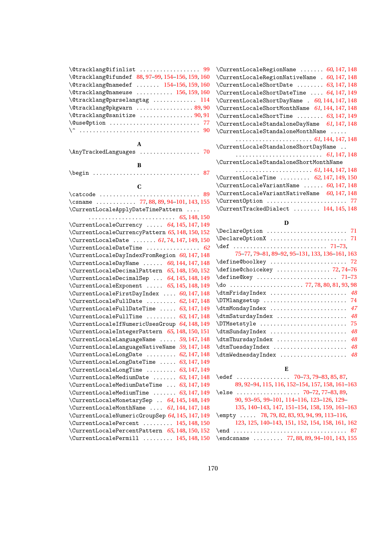| \@tracklang@ifinlist  99                         |
|--------------------------------------------------|
| \@tracklang@ifundef 88, 97-99, 154-156, 159, 160 |
| \@tracklang@namedef  154-156, 159, 160           |
| \@tracklang@nameuse  156, 159, 160               |
| \@tracklang@parselangtag  114                    |
| \@tracklang@pkgwarn  89,90                       |
| \@tracklang@sanitize  90,91                      |
| \@use@ption  77                                  |
|                                                  |
|                                                  |
| A                                                |
| \AnyTrackedLanguages  70                         |
|                                                  |
| B                                                |
| $\begin{bmatrix} 87 \end{bmatrix}$               |
|                                                  |
| C                                                |
|                                                  |
| \csname  77,88,89,94-101,143,155                 |
| \CurrentLocaleApplyDateTimePattern               |
|                                                  |
| \CurrentLocaleCurrency  64, 145, 147, 149        |
| \CurrentLocaleCurrencyPattern 65, 148, 150, 152  |
| \CurrentLocaleDate  61, 74, 147, 149, 150        |
| $\Upsilon$ urrentLocaleDateTime  62              |
| \CurrentLocaleDayIndexFromRegion 60, 147, 148    |
| \CurrentLocaleDayName  60, 144, 147, 148         |
| \CurrentLocaleDecimalPattern 65, 148, 150, 152   |
| \CurrentLocaleDecimalSep  64, 145, 148, 149      |
| \CurrentLocaleExponent  65, 145, 148, 149        |
| \CurrentLocaleFirstDayIndex  60, 147, 148        |
| \CurrentLocaleFullDate  62, 147, 148             |
| \CurrentLocaleFullDateTime  63, 147, 149         |
| \CurrentLocaleFullTime  63, 147, 148             |
| \CurrentLocaleIfNumericUsesGroup 64, 148, 149    |
| \CurrentLocaleIntegerPattern 65, 148, 150, 151   |
| \CurrentLocaleLanguageName  59, 147, 148         |
| \CurrentLocaleLanguageNativeName 59, 147, 148    |
| $\verb \CurrentLocalelongDate      62, 147, 148$ |
| \CurrentLocaleLongDateTime  63, 147, 149         |
| \CurrentLocaleLongTime  63, 147, 149             |
| \CurrentLocaleMediumDate  63, 147, 148           |
| \CurrentLocaleMediumDateTime  63, 147, 149       |
| \CurrentLocaleMediumTime  63, 147, 149           |
| \CurrentLocaleMonetarySep  64, 145, 148, 149     |
| \CurrentLocaleMonthName  61, 144, 147, 148       |
| \CurrentLocaleNumericGroupSep 64, 145, 147, 149  |
| \CurrentLocalePercent  145, 148, 150             |
| \CurrentLocalePercentPattern 65, 148, 150, 152   |
| $\Upsilon$ urrentLocalePermill  145, 148, 150    |

| \CurrentLocaleRegionName  60, 147, 148         |
|------------------------------------------------|
| \CurrentLocaleRegionNativeName . 60, 147, 148  |
| \CurrentLocaleShortDate  63, 147, 148          |
| \CurrentLocaleShortDateTime  64, 147, 149      |
| \CurrentLocaleShortDayName . 60, 144, 147, 148 |
| \CurrentLocaleShortMonthName 61, 144, 147, 148 |
| \CurrentLocaleShortTime  63, 147, 149          |
| \CurrentLocaleStandaloneDayName 61, 147, 148   |
| \CurrentLocaleStandaloneMonthName              |
|                                                |
| \CurrentLocaleStandaloneShortDayName           |
|                                                |
| \CurrentLocaleStandaloneShortMonthName         |
|                                                |
| \CurrentLocaleTime  62, 147, 149, 150          |
| \CurrentLocaleVariantName  60, 147, 148        |
| \CurrentLocaleVariantNativeName 60, 147, 148   |
| \Current0ption  77                             |
| \CurrentTrackedDialect  144, 145, 148          |

#### **D**

| \Declare0ption  71                                                                                                                                                                                                                  |
|-------------------------------------------------------------------------------------------------------------------------------------------------------------------------------------------------------------------------------------|
| \Declare0ptionX  71                                                                                                                                                                                                                 |
|                                                                                                                                                                                                                                     |
| 75-77, 79-81, 89-92, 95-131, 133, 136-161, 163                                                                                                                                                                                      |
| $\define@bookkey  \ldots \ldots 72$                                                                                                                                                                                                 |
| \define@choicekey  72,74-76                                                                                                                                                                                                         |
| \define@key  71-73                                                                                                                                                                                                                  |
| $\{do \dots 0.1, 10.1, 10.1, 10.1, 10.1, 10.1, 10.1, 10.1, 10.1, 10.1, 10.1, 10.1, 10.1, 10.1, 10.1, 10.1, 10.1, 10.1, 10.1, 10.1, 10.1, 10.1, 10.1, 10.1, 10.1, 10.1, 10.1, 10.1, 10.1, 10.1, 10.1, 10.1, 10.1, 10.1, 10.1, 10.1,$ |
| $\{\text{dtmFridayIndex} \dots \dots \dots \dots \dots \ 48$                                                                                                                                                                        |
| \DTMlangsetup  74                                                                                                                                                                                                                   |
| \dtmMondayIndex  47                                                                                                                                                                                                                 |
| \dtmSaturdayIndex<br>- 48                                                                                                                                                                                                           |
| -75<br>\DTMsetstyle                                                                                                                                                                                                                 |
| 48<br>\dtmSundayIndex                                                                                                                                                                                                               |
| \dtmThursdayIndex  48                                                                                                                                                                                                               |
| \dtmTuesdayIndex  48                                                                                                                                                                                                                |
| \dtmWednesdayIndex  48                                                                                                                                                                                                              |

# **E**

| 89, 92-94, 115, 116, 152-154, 157, 158, 161-163  |
|--------------------------------------------------|
| \else  70-72, 77-83, 89,                         |
| 90, 93-95, 99-101, 114-116, 123-126, 129-        |
| 135, 140-143, 147, 151-154, 158, 159, 161-163    |
| $\emptyset$ 78, 79, 82, 83, 93, 94, 99, 113-116, |
| 123, 125, 140-143, 151, 152, 154, 158, 161, 162  |
|                                                  |
| \endcsname  77, 88, 89, 94-101, 143, 155         |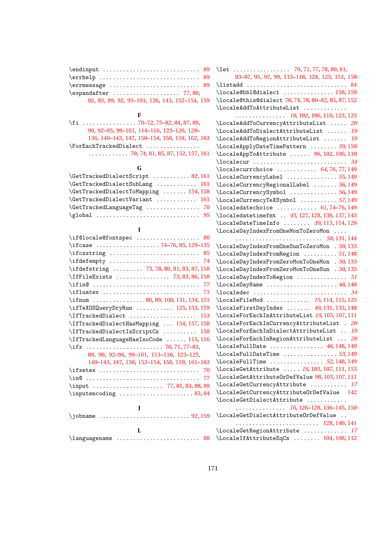| $\text{Perr}$ and $\text{Berr}$                |
|------------------------------------------------|
|                                                |
| 82, 83, 89, 92, 95-101, 126, 143, 152-154, 159 |

# **F**

| \fi  70–72, 75–82, 84, 87, 89,                                  |
|-----------------------------------------------------------------|
| 90, 92-95, 99-101, 114-116, 123-126, 129-                       |
| 136, 140-143, 147, 150-154, 158, 159, 162, 163                  |
| $\Gamma$ . ForEachTrackedDialect                                |
| $\ldots \ldots \ldots \ldots$ 70, 74, 81, 85, 87, 152, 157, 161 |

# **G**

| \GetTrackedDialectScript  82, 161     |  |
|---------------------------------------|--|
| \GetTrackedDialectSubLang  161        |  |
| \GetTrackedDialectToMapping  154, 158 |  |
| \GetTrackedDialectVariant  161        |  |
| \GetTrackedLanguageTag  70            |  |
| $\qquad$                              |  |

| L                                                                                    |
|--------------------------------------------------------------------------------------|
| \if@locale@fontspec  80                                                              |
| \ifcase 74-76, 85, 129-135                                                           |
|                                                                                      |
|                                                                                      |
| \ifdefstring  73, 78, 80, 81, 83, 87, 158                                            |
| \IfFileExists  73,83,86,158                                                          |
|                                                                                      |
| $\left\{\text{ifluatex} \dots \dots \dots \dots \dots \dots \quad \text{71}\right\}$ |
| \ifnum  80, 89, 100, 131, 134, 151                                                   |
| \ifTeXOSQueryDryRun  125, 153, 159                                                   |
| \IfTrackedDialect  153                                                               |
| \IfTrackedDialectHasMapping  154, 157, 158                                           |
| \IfTrackedDialectIsScriptCs  158                                                     |
| \IfTrackedLanguageHasIsoCode  115, 116                                               |
| \ifx  70.71.77-83.                                                                   |
| 89, 90, 92-94, 99-101, 113-116, 123-125,                                             |
| 140-143, 147, 150, 152-154, 158, 159, 161-163                                        |
|                                                                                      |
|                                                                                      |
|                                                                                      |
| $\infty$ 83,84                                                                       |
|                                                                                      |
| I                                                                                    |
| \iobname                                                                             |
| L                                                                                    |
| \languagename  88                                                                    |

| 83-87, 95, 97, 99, 113-116, 124, 125, 151, 158                         |  |
|------------------------------------------------------------------------|--|
| \listadd  84                                                           |  |
| $\lambda$ = 158, 159                                                   |  |
| \locale@this@dialect 70,74,78,80-82,85,87,152                          |  |
| \LocaleAddToAttributeList                                              |  |
| $\ldots \ldots \ldots \ldots$ 18, 102, 106, 110, 123, 125              |  |
| $\Lambda$ docaleAddToCurrencyAttributeList  20                         |  |
| \LocaleAddToDialectAttributeList  19                                   |  |
| \LocaleAddToRegionAttributeList  19                                    |  |
| \LocaleApplyDateTimePattern  39, 150                                   |  |
| \LocaleAppToAttribute  96, 102, 106, 110                               |  |
|                                                                        |  |
|                                                                        |  |
| \LocaleCurrencyLabel 55,149                                            |  |
| \LocaleCurrencyRegionalLabel  56, 149                                  |  |
| \LocaleCurrencySymbol  56, 149                                         |  |
| \LocaleCurrencyTeXSymbol  57, 149                                      |  |
| $\lambda$ 10caledatechoice  61,74-76,149                               |  |
| \localedatetimefmt  45, 127, 128, 136, 137, 143                        |  |
| \LocaleDateTimeInfo  39, 113, 114, 126                                 |  |
| \LocaleDayIndexFromOneMonToZeroMon                                     |  |
| $\cdots \cdots \cdots \cdots \cdots \cdots \cdots \cdots 50, 131, 144$ |  |
| \LocaleDayIndexFromOneSunToZeroMon . 50, 133                           |  |
| \LocaleDayIndexFromRegion  51, 148                                     |  |
| \LocaleDayIndexFromZeroMonToOneMon . 50, 133                           |  |
| \LocaleDayIndexFromZeroMonToOneSun . 50, 135                           |  |
| \LocaleDayIndexToRegion  51                                            |  |
| \LocaleDayName  48,148                                                 |  |
|                                                                        |  |
| \LocaleFileMod  15, 114, 115, 125                                      |  |
| \LocaleFirstDayIndex  49, 131, 133, 148                                |  |
| \LocaleForEachInAttributeList 19, 103, 107, 111                        |  |
| \LocaleForEachInCurrencyAttributeList . 20                             |  |
| \LocaleForEachInDialectAttributeList  19                               |  |
| \LocaleForEachInRegionAttributeList  20                                |  |
| $\text{LocaleFullDate}$ 46, 148, 149                                   |  |
| $\setminus$ LocaleFullDateTime 53,149                                  |  |
| $\text{LocaleFullTime}$ 52, 148, 149                                   |  |
| \LocaleGetAttribute  16, 103, 107, 111, 153                            |  |
| \LocaleGetAttributeOrDefValue 98, 103, 107, 111                        |  |
| \LocaleGetCurrencyAttribute  17                                        |  |
| \LocaleGetCurrencyAttributeOrDefValue 142                              |  |
| \LocaleGetDialectAttribute                                             |  |
| $\cdots \cdots \cdots \cdots$ 16, 126–128, 136–145, 150                |  |
| \LocaleGetDialectAttributeOrDefValue                                   |  |
|                                                                        |  |
| \LocaleGetRegionAttribute  17                                          |  |
| \LocaleIfAttributeEqCs  104, 108, 112                                  |  |
|                                                                        |  |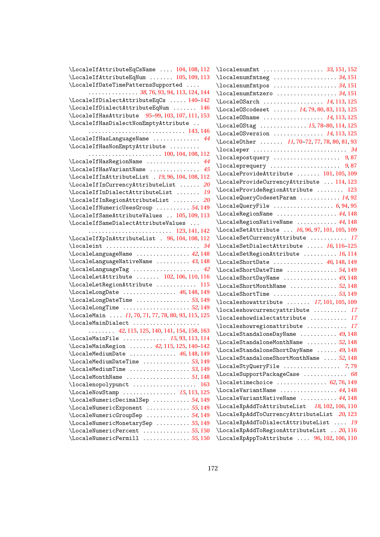| \LocaleIfAttributeEqCsName  104, 108, 112                                                           |
|-----------------------------------------------------------------------------------------------------|
| \LocaleIfAttributeEqNum  105, 109, 113                                                              |
| \LocaleIfDateTimePatternsSupported                                                                  |
| $\ldots \ldots \ldots \ldots \ldots 38, 76, 93, 94, 113, 124, 144$                                  |
| \LocaleIfDialectAttributeEqCs  140-142                                                              |
| \LocaleIfDialectAttributeEqNum  146                                                                 |
| \LocaleIfHasAttribute 95-99, 103, 107, 111, 153                                                     |
| \LocaleIfHasDialectNonEmptyAttribute                                                                |
|                                                                                                     |
| \LocaleIfHasLanguageName  44                                                                        |
| \LocaleIfHasNonEmptyAttribute                                                                       |
| $\cdots \cdots \cdots \cdots \cdots \cdots \cdots \cdots 100, 104, 108, 112$                        |
| $\verb+\LocaleffHasRegionName + \dots + \dots + 44$                                                 |
| $\setminus$ LocaleIfHasVariantName  45                                                              |
| \LocaleIfInAttributeList . 19, 96, 104, 108, 112                                                    |
| $\verb+\LocaleffInCurrentcyAttributeList   20$                                                      |
| $\verb+\LocaleffInDialectAttributeList   19$                                                        |
| $\verb+\LocaleffInRegionAttributeList + \dots + 20$                                                 |
| $\setminus$ LocaleIfNumericUsesGroup 54,149                                                         |
| \LocaleIfSameAttributeValues  105, 109, 113                                                         |
| \LocaleIfSameDialectAttributeValues                                                                 |
| 123, 141, 142                                                                                       |
| \LocaleIfXpInAttributeList . 96, 104, 108, 112                                                      |
|                                                                                                     |
| \LocaleLanguageName  42, 148                                                                        |
| \LocaleLanguageNativeName  43, 148                                                                  |
| $\label{thm:local} \verb+\LocalelanguageTag  + \verb++ + \verb++ + \verb+2+$                        |
| \LocaleLetAttribute  102, 106, 110, 116                                                             |
| \LocaleLetRegionAttribute  115                                                                      |
| \LocaleLongDate  46, 148, 149                                                                       |
|                                                                                                     |
| \LocaleLongDateTime  53, 149                                                                        |
| $\setminus$ LocaleLongTime 52,149<br>\LocaleMain  11, 70, 71, 77, 78, 80, 93, 115, 125              |
|                                                                                                     |
| \LocaleMainDialect                                                                                  |
| $\ldots$ $\ldots$ 42, 115, 125, 140, 141, 154, 158, 163<br>$\text{LocaleMainFile}$ 15, 93, 113, 114 |
|                                                                                                     |
| \LocaleMainRegion  42, 115, 125, 140-142                                                            |
| $\Lambda$ . IocaleMediumDate  46, 148, 149                                                          |
|                                                                                                     |
|                                                                                                     |
| $\text{LocaleMonthName} \dots \dots \dots \dots \dots 51,148$                                       |
| \localenopolypunct<br>163                                                                           |
| \LocaleNowStamp  15, 113, 125                                                                       |
| \LocaleNumericDecimalSep  54, 149                                                                   |
| \LocaleNumericExponent  55, 149                                                                     |
| \LocaleNumericGroupSep  54, 149                                                                     |
| \LocaleNumericMonetarySep  55, 149                                                                  |
| \LocaleNumericPercent 55,150                                                                        |
| \LocaleNumericPermill<br>. 55, 150                                                                  |

| \localenumfmt  33, 151, 152                              |
|----------------------------------------------------------|
|                                                          |
| \localenumfmtpos  34, 151                                |
|                                                          |
| \Locale0Sarch  14, 113, 125                              |
| \Locale0Scodeset  14, 79, 80, 83, 113, 125               |
| \Locale0Sname  14, 113, 125                              |
| \Locale0Stag  15, 78-80, 114, 125                        |
| \Locale0Sversion  14, 113, 125                           |
| \Locale0ther  11, 70-72, 77, 78, 80, 81, 93              |
|                                                          |
| \localepostquery  9,87                                   |
| \localeprequery  9,87                                    |
| \LocaleProvideAttribute  101, 105, 109                   |
| \LocaleProvideCurrencyAttribute  114, 123                |
| \LocaleProvideRegionAttribute  123                       |
| \LocaleQueryCodesetParam  14,92                          |
| $\text{LocaleQueryFile}$ 6,94,95                         |
| \LocaleRegionName  44, 148                               |
| \LocaleRegionNativeName  44, 148                         |
| \LocaleSetAttribute  16, 96, 97, 101, 105, 109           |
| \LocaleSetCurrencyAttribute  17                          |
| \LocaleSetDialectAttribute  16, 116-125                  |
| \LocaleSetRegionAttribute  16, 114                       |
| $\text{LocaleShortDate}$ 46, 148, 149                    |
| \LocaleShortDateTime 54,149                              |
| \LocaleShortDayName  49,148                              |
| \LocaleShortMonthName 52,148                             |
| $\setminus$ LocaleShortTime 53,149                       |
| $\lambda$ 100. The subset of $\lambda$ 17, 101, 105, 109 |
| $\lambda$ docaleshow currency attribute  17              |
| \localeshowdialectattribute  17                          |
| \localeshowregionattribute  17                           |
| \LocaleStandaloneDayName  49,148                         |
| \LocaleStandaloneMonthName  52,148                       |
| \LocaleStandaloneShortDayName  49, 148                   |
| \LocaleStandaloneShortMonthName  52,148                  |
| \LocaleStyQueryFile  7,79                                |
| \LocaleSupportPackageCase<br>68                          |
| $\lambda$ 2, 76, 149                                     |
| \LocaleVariantName  44, 148                              |
| \LocaleVariantNativeName  44, 148                        |
| \LocaleXpAddToAttributeList 18, 102, 106, 110            |
| \LocaleXpAddToCurrencyAttributeList 20,123               |
| \LocaleXpAddToDialectAttributeList  19                   |
| \LocaleXpAddToRegionAttributeList  20, 116               |
| \LocaleXpAppToAttribute  96, 102, 106, 110               |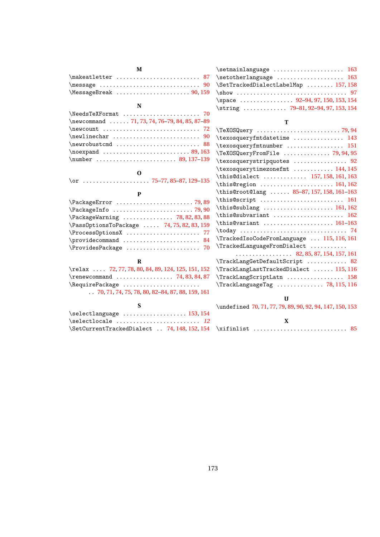| м                                                                                        |  |  |  |  |
|------------------------------------------------------------------------------------------|--|--|--|--|
|                                                                                          |  |  |  |  |
| $\text{message} \dots \dots \dots \dots \dots \dots \dots \dots \dots \dots \dots \dots$ |  |  |  |  |
| $\text{MessageBreak} \dots \dots \dots \dots \dots \dots 90, 159$                        |  |  |  |  |
| N                                                                                        |  |  |  |  |
| \NeedsTeXFormat  70                                                                      |  |  |  |  |
| \newcommand  71, 73, 74, 76-79, 84, 85, 87-89                                            |  |  |  |  |
| $\neq$ 72                                                                                |  |  |  |  |
|                                                                                          |  |  |  |  |
| $\neq$ 88                                                                                |  |  |  |  |
| $\neq 89,163$                                                                            |  |  |  |  |
|                                                                                          |  |  |  |  |

#### **O**

\or . . . . . . . . . . . . . . . . . . . . [75–](#page-74-0)[77,](#page-76-0) [85–](#page-84-0)[87,](#page-86-0) [129](#page-128-0)[–135](#page-134-0)

#### **P**

| \PackageWarning  78, 82, 83, 88            |
|--------------------------------------------|
| \Pass0ptionsToPackage  74, 75, 82, 83, 159 |
|                                            |
|                                            |
| $\ProvidesPackage  \ldots  \ldots 70$      |

## **R**

| $\text{relax} \ldots$ 72, 77, 78, 80, 84, 89, 124, 125, 151, 152 |  |
|------------------------------------------------------------------|--|
|                                                                  |  |
| \RequirePackage                                                  |  |
| $\ldots$ 70, 71, 74, 75, 78, 80, 82–84, 87, 88, 159, 161         |  |

# **S**

| \selectlanguage  153, 154                    |  |  |  |
|----------------------------------------------|--|--|--|
|                                              |  |  |  |
| \SetCurrentTrackedDialect  74, 148, 152, 154 |  |  |  |

| $\setminus$ setmainlanguage  163     |  |
|--------------------------------------|--|
| \setotherlanguage  163               |  |
| \SetTrackedDialectLabelMap  157, 158 |  |
|                                      |  |
| \space  92-94, 97, 150, 153, 154     |  |
| \string  79-81, 92-94, 97, 153, 154  |  |

#### **T**

| \texosqueryfmtdatetime  143                                    |
|----------------------------------------------------------------|
| \texosqueryfmtnumber  151                                      |
| \TeXOSQueryFromFile  79, 94, 95                                |
| \texosquerystripquotes  92                                     |
| \texosquerytimezonefmt  144, 145                               |
| \this@dialect  157, 158, 161, 163                              |
| \this@region  161, 162                                         |
| \this@root@lang  85-87, 157, 158, 161-163                      |
| \this@script  161                                              |
| \this@sublang  161, 162                                        |
| \this@subvariant  162                                          |
| $\this@variant \ldots \ldots \ldots \ldots \thi-163$           |
|                                                                |
| \TrackedIsoCodeFromLanguage  115, 116, 161                     |
| \TrackedLanguageFromDialect                                    |
| $\cdots \cdots \cdots \cdots \cdots$ 82, 85, 87, 154, 157, 161 |
| \TrackLangGetDefaultScript  82                                 |
| \TrackLangLastTrackedDialect  115, 116                         |
| \TrackLangScriptLatn  158                                      |
| \TrackLanguageTag  78, 115, 116                                |

# **U**

| \undefined 70, 71, 77, 79, 89, 90, 92, 94, 147, 150, 153 |  |
|----------------------------------------------------------|--|
|                                                          |  |